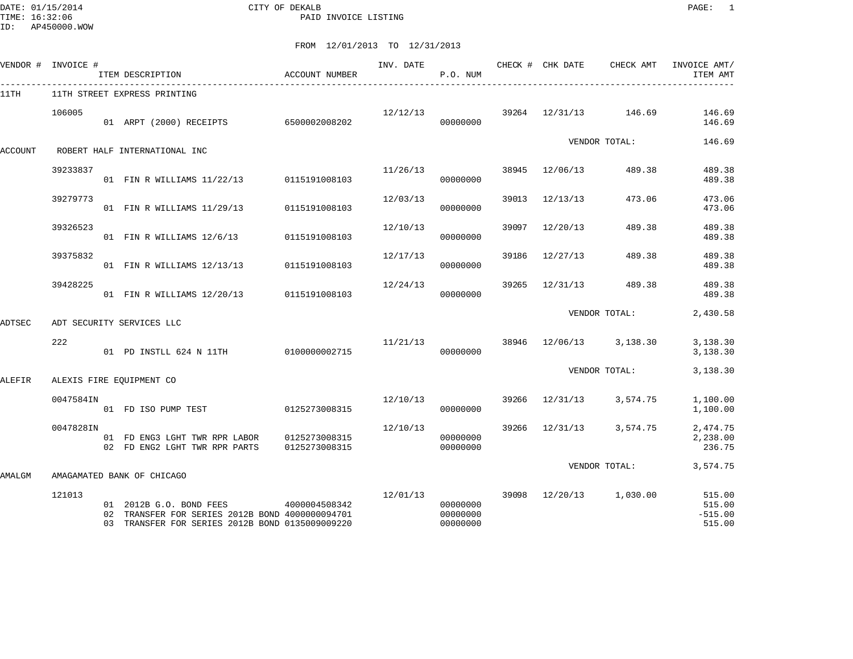DATE: 01/15/2014 CITY OF DEKALB PAGE: 1 PAID INVOICE LISTING

|         | VENDOR # INVOICE # | ITEM DESCRIPTION                                                                                                              | ACCOUNT NUMBER                 |                                      | P.O. NUM                         |       |          |                                      | ITEM AMT                                |
|---------|--------------------|-------------------------------------------------------------------------------------------------------------------------------|--------------------------------|--------------------------------------|----------------------------------|-------|----------|--------------------------------------|-----------------------------------------|
| 11TH    |                    | 11TH STREET EXPRESS PRINTING                                                                                                  |                                |                                      |                                  |       |          |                                      |                                         |
|         | 106005             | 01 ARPT (2000) RECEIPTS 6500002008202                                                                                         |                                |                                      | 00000000                         |       |          | $12/12/13$ 39264 $12/31/13$ 146.69   | 146.69<br>146.69                        |
| ACCOUNT |                    | ROBERT HALF INTERNATIONAL INC                                                                                                 |                                |                                      |                                  |       |          | VENDOR TOTAL:                        | 146.69                                  |
|         | 39233837           | 01 FIN R WILLIAMS 11/22/13 0115191008103                                                                                      |                                | 11/26/13                             | 00000000                         | 38945 |          | 12/06/13 489.38                      | 489.38<br>489.38                        |
|         | 39279773           | 01 FIN R WILLIAMS 11/29/13 0115191008103                                                                                      |                                | 12/03/13                             | 00000000                         | 39013 | 12/13/13 | 473.06                               | 473.06<br>473.06                        |
|         | 39326523           | 01 FIN R WILLIAMS 12/6/13                                                                                                     | 0115191008103                  | 12/10/13                             | 00000000                         | 39097 | 12/20/13 | 489.38                               | 489.38<br>489.38                        |
|         | 39375832           | 01 FIN R WILLIAMS 12/13/13 0115191008103                                                                                      |                                | 12/17/13                             | 00000000                         | 39186 | 12/27/13 | 489.38                               | 489.38<br>489.38                        |
|         | 39428225           | 01 FIN R WILLIAMS 12/20/13 0115191008103                                                                                      |                                | 12/24/13                             | 00000000                         | 39265 | 12/31/13 | 489.38                               | 489.38<br>489.38                        |
| ADTSEC  |                    | ADT SECURITY SERVICES LLC                                                                                                     |                                |                                      |                                  |       |          | VENDOR TOTAL:                        | 2,430.58                                |
|         | 222                | 01 PD INSTLL 624 N 11TH 0100000002715                                                                                         |                                |                                      | 00000000                         |       |          | $11/21/13$ 38946 $12/06/13$ 3,138.30 | 3,138.30<br>3,138.30                    |
| ALEFIR  |                    | ALEXIS FIRE EOUIPMENT CO                                                                                                      |                                |                                      |                                  |       |          | VENDOR TOTAL:                        | 3,138.30                                |
|         | 0047584IN          | 01 FD ISO PUMP TEST 0125273008315                                                                                             |                                | $12/10/13$ 39266 $12/31/13$ 3,574.75 | 00000000                         |       |          |                                      | 1,100.00<br>1,100.00                    |
|         | 0047828IN          | 01 FD ENG3 LGHT TWR RPR LABOR<br>02 FD ENG2 LGHT TWR RPR PARTS                                                                | 0125273008315<br>0125273008315 | 12/10/13                             | 00000000<br>00000000             |       |          | 39266 12/31/13 3,574.75              | 2,474.75<br>2,238.00<br>236.75          |
| AMALGM  |                    | AMAGAMATED BANK OF CHICAGO                                                                                                    |                                |                                      |                                  |       |          |                                      | VENDOR TOTAL: 3,574.75                  |
|         | 121013             | 01 2012B G.O. BOND FEES<br>02 TRANSFER FOR SERIES 2012B BOND 4000000094701<br>03 TRANSFER FOR SERIES 2012B BOND 0135009009220 | 4000004508342                  | 12/01/13                             | 00000000<br>00000000<br>00000000 |       |          | 39098 12/20/13 1,030.00              | 515.00<br>515.00<br>$-515.00$<br>515.00 |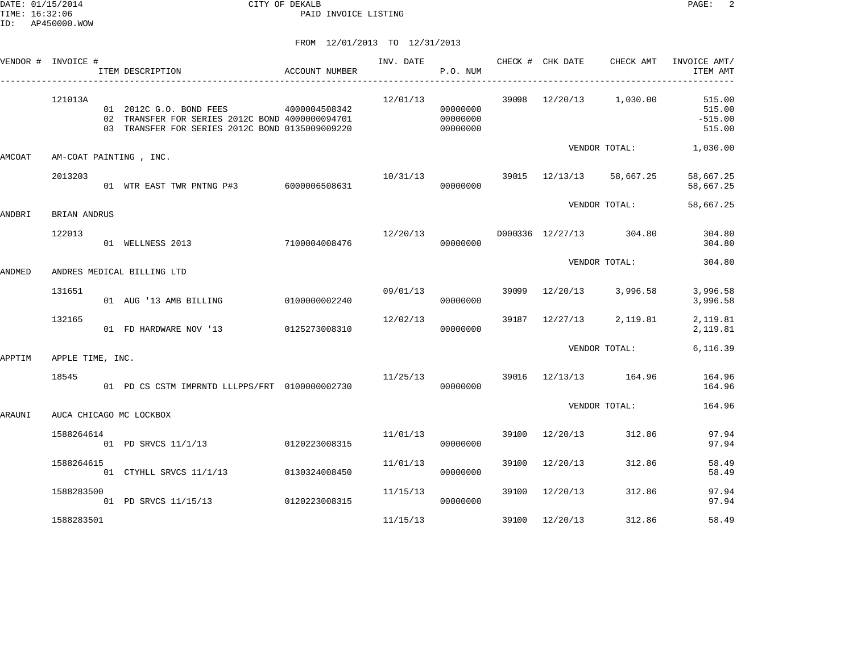|        | VENDOR # INVOICE #  | ITEM DESCRIPTION                                                                                                                                                                                                 | ACCOUNT NUMBER |          | <b>P.O. NUM</b>      |       |                | INV. DATE 6 CHECK # CHK DATE CHECK AMT | INVOICE AMT/<br>ITEM AMT                                                     |
|--------|---------------------|------------------------------------------------------------------------------------------------------------------------------------------------------------------------------------------------------------------|----------------|----------|----------------------|-------|----------------|----------------------------------------|------------------------------------------------------------------------------|
|        | 121013A             | 01  2012C  G.O. BOND FEES  4000004508342<br>01 2012C G.O. BOND FEES 4000004508342 00000000 02 TRANSFER FOR SERIES 2012C BOND 4000000094701<br>03 TRANSFER FOR SERIES 2012C BOND 0135009009220 000000000 00000000 |                |          | 00000000             |       |                |                                        | $12/01/13$ 39098 $12/20/13$ 1,030.00 515.00<br>515.00<br>$-515.00$<br>515.00 |
| AMCOAT |                     | AM-COAT PAINTING, INC.                                                                                                                                                                                           |                |          |                      |       |                |                                        | VENDOR TOTAL: 1,030.00                                                       |
|        | 2013203             | 01 WTR EAST TWR PNTNG P#3 6000006508631                                                                                                                                                                          |                |          | 00000000             |       |                | 10/31/13 39015 12/13/13 58,667.25      | 58,667.25<br>58,667.25                                                       |
| ANDBRI | <b>BRIAN ANDRUS</b> |                                                                                                                                                                                                                  |                |          |                      |       |                | VENDOR TOTAL:                          | 58,667.25                                                                    |
|        | 122013              | 7100004008476<br>01 WELLNESS 2013                                                                                                                                                                                |                |          | 00000000             |       |                | $12/20/13$ D000336 $12/27/13$ 304.80   | 304.80<br>304.80                                                             |
| ANDMED |                     | ANDRES MEDICAL BILLING LTD                                                                                                                                                                                       |                |          |                      |       |                | VENDOR TOTAL:                          | 304.80                                                                       |
|        | 131651              | 01 AUG '13 AMB BILLING 0100000002240                                                                                                                                                                             |                | 09/01/13 | 00000000             |       |                | 39099 12/20/13 3,996.58                | 3,996.58<br>3,996.58                                                         |
|        | 132165              | 01 FD HARDWARE NOV '13 0125273008310                                                                                                                                                                             |                | 12/02/13 | 00000000             |       |                | 39187 12/27/13 2,119.81                | 2,119.81<br>2,119.81                                                         |
| APPTIM | APPLE TIME, INC.    |                                                                                                                                                                                                                  |                |          |                      |       |                | VENDOR TOTAL:                          | 6,116.39                                                                     |
|        | 18545               | 01 PD CS CSTM IMPRNTD LLLPPS/FRT 0100000002730                                                                                                                                                                   |                |          | 00000000             |       |                | 11/25/13 39016 12/13/13 164.96         | 164.96<br>164.96                                                             |
| ARAUNI |                     | AUCA CHICAGO MC LOCKBOX                                                                                                                                                                                          |                |          |                      |       |                | VENDOR TOTAL:                          | 164.96                                                                       |
|        | 1588264614          | 01 PD SRVCS 11/1/13 0120223008315                                                                                                                                                                                |                |          | 11/01/13<br>00000000 |       | 39100 12/20/13 | 312.86                                 | 97.94<br>97.94                                                               |
|        | 1588264615          | 01 CTYHLL SRVCS 11/1/13 0130324008450                                                                                                                                                                            |                | 11/01/13 | 00000000             | 39100 | 12/20/13       | 312.86                                 | 58.49<br>58.49                                                               |
|        | 1588283500          | 01 PD SRVCS 11/15/13 0120223008315                                                                                                                                                                               |                | 11/15/13 | 00000000             |       | 39100 12/20/13 | 312.86                                 | 97.94<br>97.94                                                               |
|        | 1588283501          |                                                                                                                                                                                                                  |                | 11/15/13 |                      | 39100 | 12/20/13       | 312.86                                 | 58.49                                                                        |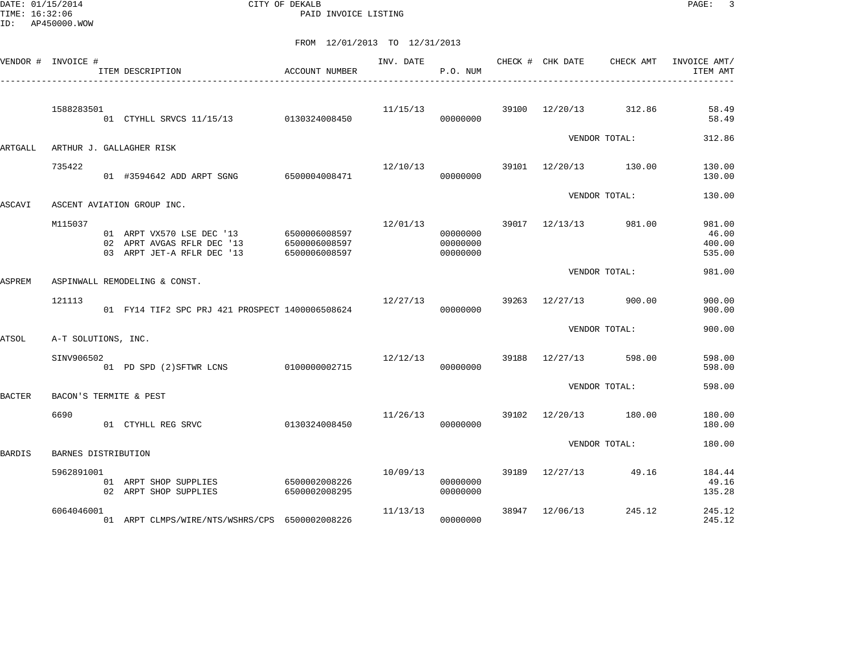DATE: 01/15/2014 CITY OF DEKALB PAGE: 3 PAID INVOICE LISTING

|               | VENDOR # INVOICE #  | ITEM DESCRIPTION                                                                                    | ACCOUNT NUMBER                 | INV. DATE | P.O. NUM                         |       | CHECK # CHK DATE | CHECK AMT             | INVOICE AMT/<br>ITEM AMT            |
|---------------|---------------------|-----------------------------------------------------------------------------------------------------|--------------------------------|-----------|----------------------------------|-------|------------------|-----------------------|-------------------------------------|
|               | 1588283501          | 01 CTYHLL SRVCS 11/15/13 0130324008450                                                              |                                | 11/15/13  | 00000000                         |       |                  | 39100 12/20/13 312.86 | 58.49<br>58.49                      |
| ARTGALL       |                     | ARTHUR J. GALLAGHER RISK                                                                            |                                |           |                                  |       |                  | VENDOR TOTAL:         | 312.86                              |
|               | 735422              | 01 #3594642 ADD ARPT SGNG 6500004008471                                                             |                                | 12/10/13  | 00000000                         |       |                  | 39101 12/20/13 130.00 | 130.00<br>130.00                    |
| ASCAVI        |                     | ASCENT AVIATION GROUP INC.                                                                          |                                |           |                                  |       |                  | VENDOR TOTAL:         | 130.00                              |
|               | M115037             | 01 ARPT VX570 LSE DEC '13 6500006008597<br>02 APRT AVGAS RFLR DEC '13<br>03 ARPT JET-A RFLR DEC '13 | 6500006008597<br>6500006008597 | 12/01/13  | 00000000<br>00000000<br>00000000 |       |                  | 39017 12/13/13 981.00 | 981.00<br>46.00<br>400.00<br>535.00 |
| <b>ASPREM</b> |                     | ASPINWALL REMODELING & CONST.                                                                       |                                |           |                                  |       |                  | VENDOR TOTAL:         | 981.00                              |
|               | 121113              | 01 FY14 TIF2 SPC PRJ 421 PROSPECT 1400006508624                                                     |                                | 12/27/13  | 00000000                         |       | 39263 12/27/13   | 900.00                | 900.00<br>900.00                    |
| <b>ATSOL</b>  | A-T SOLUTIONS, INC. |                                                                                                     |                                |           |                                  |       |                  | VENDOR TOTAL:         | 900.00                              |
|               | SINV906502          | 01 PD SPD (2) SFTWR LCNS 0100000002715                                                              |                                | 12/12/13  | 00000000                         | 39188 | 12/27/13         | 598.00                | 598.00<br>598.00                    |
| <b>BACTER</b> |                     | BACON'S TERMITE & PEST                                                                              |                                |           |                                  |       |                  | VENDOR TOTAL:         | 598.00                              |
|               | 6690                | 01 CTYHLL REG SRVC                                                                                  | 0130324008450                  | 11/26/13  | 00000000                         |       |                  | 39102 12/20/13 180.00 | 180.00<br>180.00                    |
| <b>BARDIS</b> | BARNES DISTRIBUTION |                                                                                                     |                                |           |                                  |       |                  | VENDOR TOTAL:         | 180.00                              |
|               | 5962891001          | 01 ARPT SHOP SUPPLIES<br>02 ARPT SHOP SUPPLIES                                                      | 6500002008226<br>6500002008295 | 10/09/13  | 00000000<br>00000000             | 39189 | 12/27/13         | 49.16                 | 184.44<br>49.16<br>135.28           |
|               | 6064046001          | 01 ARPT CLMPS/WIRE/NTS/WSHRS/CPS 6500002008226                                                      |                                | 11/13/13  | 00000000                         |       | 38947 12/06/13   | 245.12                | 245.12<br>245.12                    |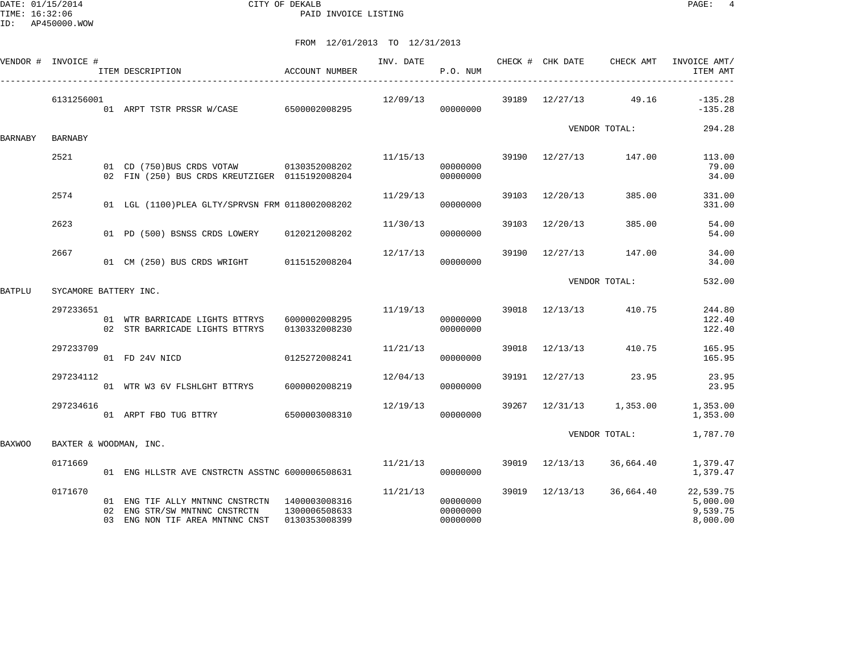|         | VENDOR # INVOICE #     | ITEM DESCRIPTION                                                                                                  | ACCOUNT NUMBER                 |          | P.O. NUM                         |       |                | INV. DATE CHECK # CHK DATE CHECK AMT | INVOICE AMT/<br>ITEM AMT                      |
|---------|------------------------|-------------------------------------------------------------------------------------------------------------------|--------------------------------|----------|----------------------------------|-------|----------------|--------------------------------------|-----------------------------------------------|
|         | 6131256001             | 01 ARPT TSTR PRSSR W/CASE 6500002008295                                                                           |                                | 12/09/13 | 00000000                         |       |                | 39189 12/27/13 49.16                 | $-135.28$<br>$-135.28$                        |
| BARNABY | <b>BARNABY</b>         |                                                                                                                   |                                |          |                                  |       |                | VENDOR TOTAL:                        | 294.28                                        |
|         | 2521                   |                                                                                                                   |                                | 11/15/13 |                                  |       |                | 39190 12/27/13 147.00                | 113.00                                        |
|         |                        | 01 CD (750) BUS CRDS VOTAW 0130352008202<br>02 FIN (250) BUS CRDS KREUTZIGER 0115192008204                        |                                |          | 00000000<br>00000000             |       |                |                                      | 79.00<br>34.00                                |
|         | 2574                   | 01 LGL (1100) PLEA GLTY/SPRVSN FRM 0118002008202                                                                  |                                | 11/29/13 | 00000000                         | 39103 | 12/20/13       | 385.00                               | 331.00<br>331.00                              |
|         | 2623                   | 01 PD (500) BSNSS CRDS LOWERY 0120212008202                                                                       |                                | 11/30/13 | 00000000                         | 39103 | 12/20/13       | 385.00                               | 54.00<br>54.00                                |
|         | 2667                   | 01 CM (250) BUS CRDS WRIGHT 0115152008204                                                                         |                                | 12/17/13 | 00000000                         |       | 39190 12/27/13 | 147.00                               | 34.00<br>34.00                                |
| BATPLU  | SYCAMORE BATTERY INC.  |                                                                                                                   |                                |          |                                  |       |                | VENDOR TOTAL:                        | 532.00                                        |
|         | 297233651              | 01 WTR BARRICADE LIGHTS BTTRYS 6000002008295<br>02 STR BARRICADE LIGHTS BTTRYS                                    | 0130332008230                  |          | 11/19/13<br>00000000<br>00000000 |       | 39018 12/13/13 | 410.75                               | 244.80<br>122.40<br>122.40                    |
|         | 297233709              | 01 FD 24V NICD                                                                                                    | 0125272008241                  | 11/21/13 | 00000000                         | 39018 | 12/13/13       | 410.75                               | 165.95<br>165.95                              |
|         | 297234112              | 01 WTR W3 6V FLSHLGHT BTTRYS                                                                                      | 6000002008219                  | 12/04/13 | 00000000                         |       | 39191 12/27/13 | 23.95                                | 23.95<br>23.95                                |
|         | 297234616              | 01 ARPT FBO TUG BTTRY 6500003008310                                                                               |                                | 12/19/13 | 00000000                         |       |                | 39267 12/31/13 1,353.00              | 1,353.00<br>1,353.00                          |
| BAXWOO  | BAXTER & WOODMAN, INC. |                                                                                                                   |                                |          |                                  |       |                | VENDOR TOTAL:                        | 1,787.70                                      |
|         | 0171669                | 01 ENG HLLSTR AVE CNSTRCTN ASSTNC 6000006508631                                                                   |                                | 11/21/13 | 00000000                         |       | 39019 12/13/13 | 36,664.40                            | 1,379.47<br>1,379.47                          |
|         | 0171670                | 01 ENG TIF ALLY MNTNNC CNSTRCTN 1400003008316<br>02 ENG STR/SW MNTNNC CNSTRCTN<br>03 ENG NON TIF AREA MNTNNC CNST | 1300006508633<br>0130353008399 | 11/21/13 | 00000000<br>00000000<br>00000000 |       | 39019 12/13/13 | 36,664.40                            | 22,539.75<br>5,000.00<br>9,539.75<br>8,000.00 |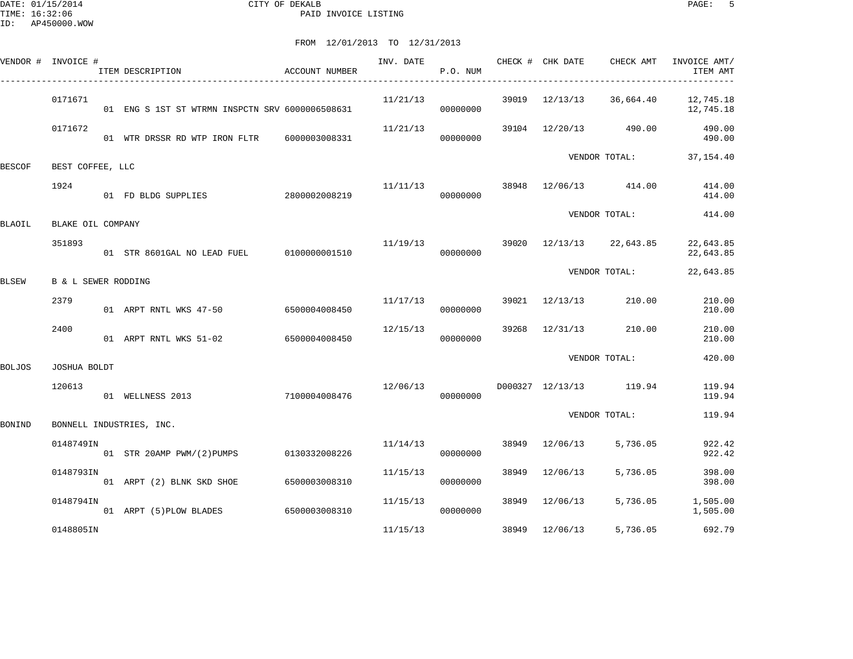DATE: 01/15/2014 CITY OF DEKALB PAGE: 5 PAID INVOICE LISTING

|        | VENDOR # INVOICE #             | ITEM DESCRIPTION                                | <b>ACCOUNT NUMBER</b> | INV. DATE | P.O. NUM             |       | CHECK # CHK DATE        | CHECK AMT                | INVOICE AMT/<br>ITEM AMT |
|--------|--------------------------------|-------------------------------------------------|-----------------------|-----------|----------------------|-------|-------------------------|--------------------------|--------------------------|
|        | 0171671                        | 01 ENG S 1ST ST WTRMN INSPCTN SRV 6000006508631 |                       | 11/21/13  | 00000000             |       |                         | 39019 12/13/13 36,664.40 | 12,745.18<br>12,745.18   |
|        | 0171672                        | 01 WTR DRSSR RD WTP IRON FLTR 6000003008331     |                       | 11/21/13  | 00000000             |       | 39104 12/20/13          | 490.00                   | 490.00<br>490.00         |
| BESCOF | BEST COFFEE, LLC               |                                                 |                       |           |                      |       |                         | VENDOR TOTAL:            | 37,154.40                |
|        | 1924                           | 01 FD BLDG SUPPLIES                             | 2800002008219         | 11/11/13  | 00000000             | 38948 | 12/06/13 414.00         |                          | 414.00<br>414.00         |
| BLAOIL | BLAKE OIL COMPANY              |                                                 |                       |           |                      |       |                         | VENDOR TOTAL:            | 414.00                   |
|        | 351893                         | 01 STR 8601GAL NO LEAD FUEL 0100000001510       |                       | 11/19/13  | 00000000             |       |                         | 39020 12/13/13 22,643.85 | 22,643.85<br>22,643.85   |
| BLSEW  | <b>B &amp; L SEWER RODDING</b> |                                                 |                       |           |                      |       |                         | VENDOR TOTAL:            | 22,643.85                |
|        | 2379                           | 01 ARPT RNTL WKS 47-50                          | 6500004008450         |           | 11/17/13<br>00000000 | 39021 | 12/13/13                | 210.00                   | 210.00<br>210.00         |
|        | 2400                           | 01 ARPT RNTL WKS 51-02                          | 6500004008450         | 12/15/13  | 00000000             | 39268 | 12/31/13                | 210.00                   | 210.00<br>210.00         |
| BOLJOS | JOSHUA BOLDT                   |                                                 |                       |           |                      |       |                         | VENDOR TOTAL:            | 420.00                   |
|        | 120613                         | 01 WELLNESS 2013                                | 7100004008476         | 12/06/13  | 00000000             |       | D000327 12/13/13 119.94 |                          | 119.94<br>119.94         |
| BONIND |                                | BONNELL INDUSTRIES, INC.                        |                       |           |                      |       |                         | VENDOR TOTAL:            | 119.94                   |
|        | 0148749IN                      | 01 STR 20AMP PWM/(2)PUMPS                       | 0130332008226         | 11/14/13  | 00000000             | 38949 | 12/06/13                | 5,736.05                 | 922.42<br>922.42         |
|        | 0148793IN                      | 01 ARPT (2) BLNK SKD SHOE                       | 6500003008310         | 11/15/13  | 00000000             | 38949 | 12/06/13                | 5,736.05                 | 398.00<br>398.00         |
|        | 0148794IN                      | 01 ARPT (5) PLOW BLADES 6500003008310           |                       | 11/15/13  | 00000000             | 38949 | 12/06/13                | 5,736.05                 | 1,505.00<br>1,505.00     |
|        | 0148805IN                      |                                                 |                       | 11/15/13  |                      | 38949 | 12/06/13                | 5,736.05                 | 692.79                   |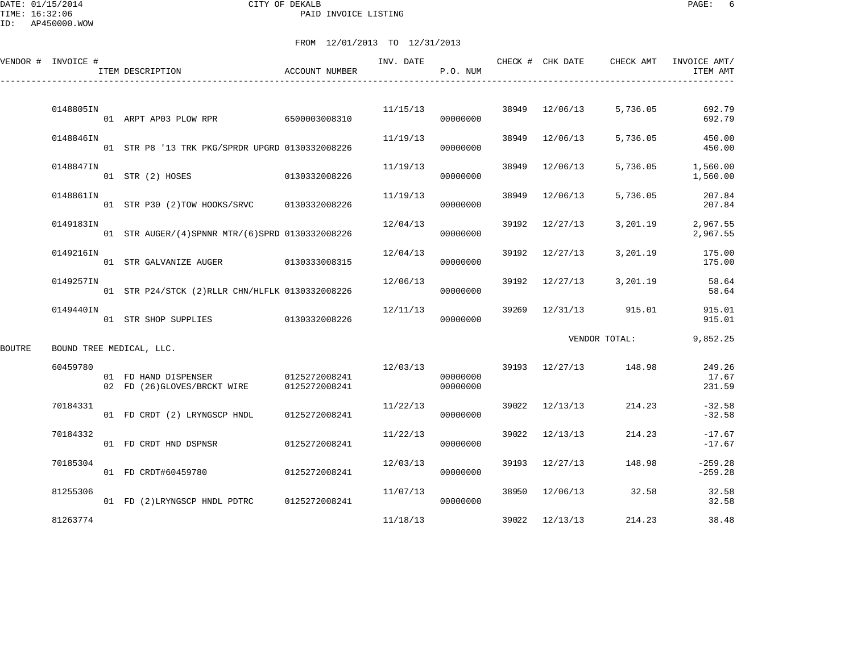DATE: 01/15/2014 CITY OF DEKALB PAGE: 6 PAID INVOICE LISTING

ID: AP450000.WOW

|        | VENDOR # INVOICE #       | ITEM DESCRIPTION                                    | <b>ACCOUNT NUMBER</b>          | INV. DATE | P.O. NUM             |       | CHECK # CHK DATE | CHECK AMT             | INVOICE AMT/<br>ITEM AMT  |
|--------|--------------------------|-----------------------------------------------------|--------------------------------|-----------|----------------------|-------|------------------|-----------------------|---------------------------|
|        | 0148805IN                | 01 ARPT AP03 PLOW RPR 6500003008310                 |                                |           | 11/15/13<br>00000000 |       | 38949 12/06/13   | 5,736.05              | 692.79<br>692.79          |
|        | 0148846IN                | 01 STR P8 '13 TRK PKG/SPRDR UPGRD 0130332008226     |                                | 11/19/13  | 00000000             | 38949 | 12/06/13         | 5,736.05              | 450.00<br>450.00          |
|        | 0148847IN                | 01 STR (2) HOSES 0130332008226                      |                                | 11/19/13  | 00000000             | 38949 | 12/06/13         | 5,736.05              | 1,560.00<br>1,560.00      |
|        | 0148861IN                | 01 STR P30 (2)TOW HOOKS/SRVC 0130332008226          |                                | 11/19/13  | 00000000             | 38949 | 12/06/13         | 5,736.05              | 207.84<br>207.84          |
|        | 0149183IN                | 01 STR AUGER/(4) SPNNR MTR/(6) SPRD 0130332008226   |                                | 12/04/13  | 00000000             | 39192 | 12/27/13         | 3,201.19              | 2,967.55<br>2,967.55      |
|        | 0149216IN                | 01 STR GALVANIZE AUGER 0130333008315                |                                | 12/04/13  | 00000000             |       | 39192 12/27/13   | 3,201.19              | 175.00<br>175.00          |
|        | 0149257IN                | 01 STR P24/STCK (2) RLLR CHN/HLFLK 0130332008226    |                                | 12/06/13  | 00000000             |       | 39192 12/27/13   | 3,201.19              | 58.64<br>58.64            |
|        | 0149440IN                | 01 STR SHOP SUPPLIES 0130332008226                  |                                | 12/11/13  | 00000000             | 39269 |                  | 12/31/13 915.01       | 915.01<br>915.01          |
| BOUTRE | BOUND TREE MEDICAL, LLC. |                                                     |                                |           |                      |       |                  | VENDOR TOTAL:         | 9,852.25                  |
|        | 60459780                 | 01 FD HAND DISPENSER<br>02 FD (26)GLOVES/BRCKT WIRE | 0125272008241<br>0125272008241 | 12/03/13  | 00000000<br>00000000 |       |                  | 39193 12/27/13 148.98 | 249.26<br>17.67<br>231.59 |
|        | 70184331                 | 01 FD CRDT (2) LRYNGSCP HNDL                        | 0125272008241                  | 11/22/13  | 00000000             |       | 39022 12/13/13   | 214.23                | $-32.58$<br>$-32.58$      |
|        | 70184332                 | 01 FD CRDT HND DSPNSR                               | 0125272008241                  | 11/22/13  | 00000000             | 39022 | 12/13/13         | 214.23                | $-17.67$<br>$-17.67$      |
|        | 70185304                 | 01 FD CRDT#60459780                                 | 0125272008241                  | 12/03/13  | 00000000             | 39193 | 12/27/13         | 148.98                | $-259.28$<br>$-259.28$    |
|        | 81255306                 | 01 FD (2)LRYNGSCP HNDL PDTRC 0125272008241          |                                | 11/07/13  | 00000000             |       | 38950 12/06/13   | 32.58                 | 32.58<br>32.58            |
|        | 81263774                 |                                                     |                                | 11/18/13  |                      |       | 39022 12/13/13   | 214.23                | 38.48                     |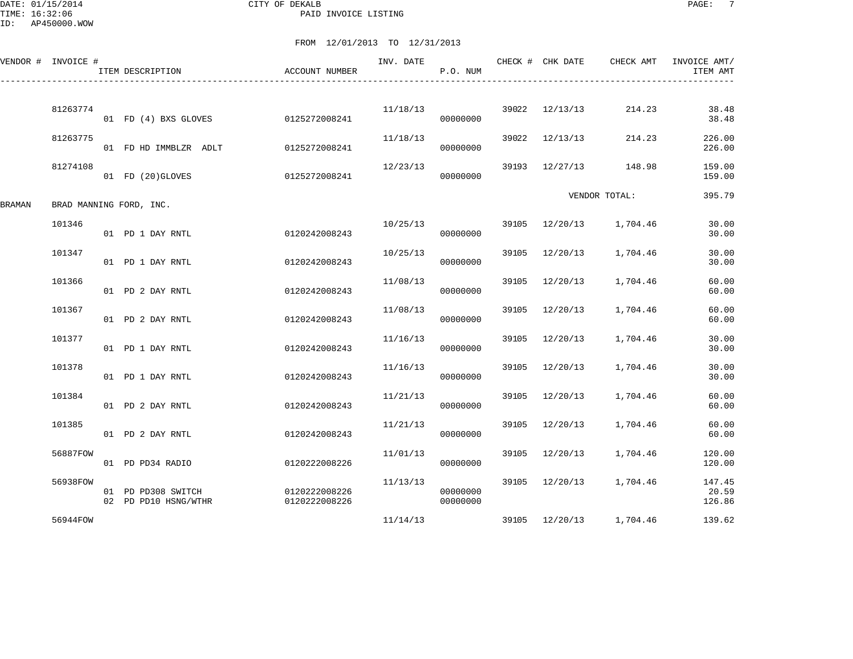DATE: 01/15/2014 CITY OF DEKALB PAGE: 7 PAID INVOICE LISTING

ID: AP450000.WOW

|        | VENDOR # INVOICE # | ITEM DESCRIPTION                           | ACCOUNT NUMBER                 | INV. DATE | P.O. NUM             |       | CHECK # CHK DATE | CHECK AMT               | INVOICE AMT/<br>ITEM AMT  |
|--------|--------------------|--------------------------------------------|--------------------------------|-----------|----------------------|-------|------------------|-------------------------|---------------------------|
|        | 81263774           | 01 FD (4) BXS GLOVES                       | 0125272008241                  | 11/18/13  | 00000000             | 39022 | 12/13/13         | 214.23                  | 38.48<br>38.48            |
|        | 81263775           | 01 FD HD IMMBLZR ADLT                      | 0125272008241                  | 11/18/13  | 00000000             | 39022 | 12/13/13         | 214.23                  | 226.00<br>226.00          |
|        | 81274108           | 01 FD (20)GLOVES                           | 0125272008241                  | 12/23/13  | 00000000             | 39193 | 12/27/13         | 148.98                  | 159.00<br>159.00          |
| BRAMAN |                    | BRAD MANNING FORD, INC.                    |                                |           |                      |       |                  | VENDOR TOTAL:           | 395.79                    |
|        | 101346             | 01 PD 1 DAY RNTL                           | 0120242008243                  | 10/25/13  | 00000000             |       |                  | 39105 12/20/13 1,704.46 | 30.00<br>30.00            |
|        | 101347             | 01 PD 1 DAY RNTL                           | 0120242008243                  | 10/25/13  | 00000000             | 39105 | 12/20/13         | 1,704.46                | 30.00<br>30.00            |
|        | 101366             | 01 PD 2 DAY RNTL                           | 0120242008243                  | 11/08/13  | 00000000             | 39105 | 12/20/13         | 1,704.46                | 60.00<br>60.00            |
|        | 101367             | 01 PD 2 DAY RNTL                           | 0120242008243                  | 11/08/13  | 00000000             | 39105 | 12/20/13         | 1,704.46                | 60.00<br>60.00            |
|        | 101377             | 01 PD 1 DAY RNTL                           | 0120242008243                  | 11/16/13  | 00000000             | 39105 | 12/20/13         | 1,704.46                | 30.00<br>30.00            |
|        | 101378             | 01 PD 1 DAY RNTL                           | 0120242008243                  | 11/16/13  | 00000000             | 39105 | 12/20/13         | 1,704.46                | 30.00<br>30.00            |
|        | 101384             | 01 PD 2 DAY RNTL                           | 0120242008243                  | 11/21/13  | 00000000             | 39105 | 12/20/13         | 1,704.46                | 60.00<br>60.00            |
|        | 101385             | 01 PD 2 DAY RNTL                           | 0120242008243                  | 11/21/13  | 00000000             | 39105 | 12/20/13         | 1,704.46                | 60.00<br>60.00            |
|        | 56887FOW           | 01 PD PD34 RADIO                           | 0120222008226                  | 11/01/13  | 00000000             | 39105 | 12/20/13         | 1,704.46                | 120.00<br>120.00          |
|        | 56938FOW           | 01 PD PD308 SWITCH<br>02 PD PD10 HSNG/WTHR | 0120222008226<br>0120222008226 | 11/13/13  | 00000000<br>00000000 | 39105 | 12/20/13         | 1,704.46                | 147.45<br>20.59<br>126.86 |
|        | 56944FOW           |                                            |                                | 11/14/13  |                      |       | 39105 12/20/13   | 1,704.46                | 139.62                    |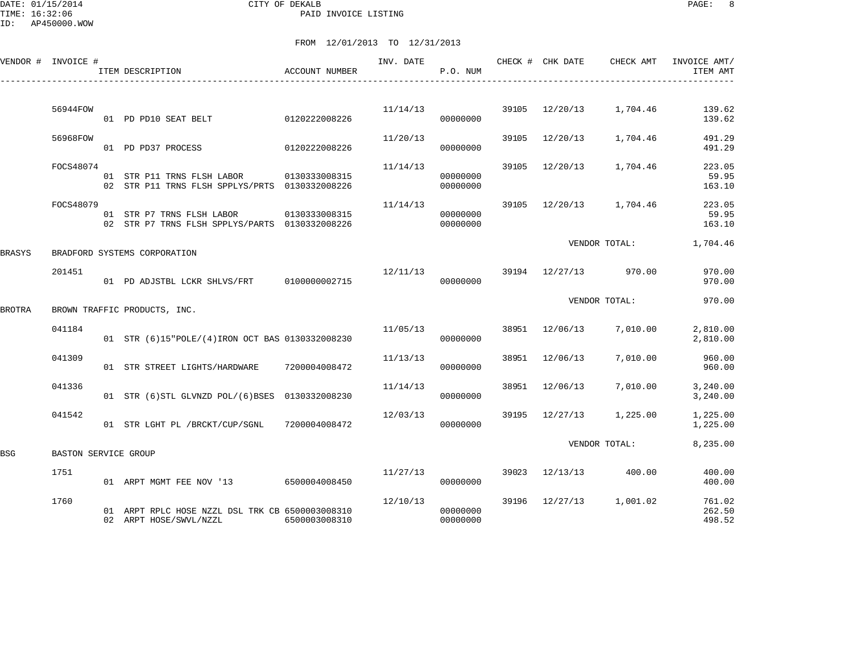DATE: 01/15/2014 CITY OF DEKALB PAGE: 8 PAID INVOICE LISTING

ID: AP450000.WOW

|        | VENDOR # INVOICE #   | ITEM DESCRIPTION                                                                          | ACCOUNT NUMBER | INV. DATE | P.O. NUM             |       | CHECK # CHK DATE | CHECK AMT               | INVOICE AMT/<br>ITEM AMT   |
|--------|----------------------|-------------------------------------------------------------------------------------------|----------------|-----------|----------------------|-------|------------------|-------------------------|----------------------------|
|        | 56944FOW             | 01 PD PD10 SEAT BELT                                                                      | 0120222008226  | 11/14/13  | 00000000             | 39105 | 12/20/13         | 1,704.46                | 139.62<br>139.62           |
|        | 56968FOW             | 01 PD PD37 PROCESS                                                                        | 0120222008226  | 11/20/13  | 00000000             | 39105 | 12/20/13         | 1,704.46                | 491.29<br>491.29           |
|        | FOCS48074            | 01 STR P11 TRNS FLSH LABOR<br>02 STR P11 TRNS FLSH SPPLYS/PRTS 0130332008226              | 0130333008315  | 11/14/13  | 00000000<br>00000000 | 39105 | 12/20/13         | 1,704.46                | 223.05<br>59.95<br>163.10  |
|        | FOCS48079            | 01 STR P7 TRNS FLSH LABOR 0130333008315<br>02 STR P7 TRNS FLSH SPPLYS/PARTS 0130332008226 |                | 11/14/13  | 00000000<br>00000000 |       |                  | 39105 12/20/13 1,704.46 | 223.05<br>59.95<br>163.10  |
| BRASYS |                      | BRADFORD SYSTEMS CORPORATION                                                              |                |           |                      |       |                  | VENDOR TOTAL:           | 1,704.46                   |
|        | 201451               |                                                                                           |                | 12/11/13  | 00000000             |       | 39194 12/27/13   | 970.00                  | 970.00<br>970.00           |
| BROTRA |                      | BROWN TRAFFIC PRODUCTS, INC.                                                              |                |           |                      |       |                  | VENDOR TOTAL:           | 970.00                     |
|        | 041184               | 01 STR (6)15"POLE/(4)IRON OCT BAS 0130332008230                                           |                | 11/05/13  | 00000000             |       | 38951 12/06/13   | 7,010.00                | 2,810.00<br>2,810.00       |
|        | 041309               | 01 STR STREET LIGHTS/HARDWARE                                                             | 7200004008472  | 11/13/13  | 00000000             | 38951 | 12/06/13         | 7,010.00                | 960.00<br>960.00           |
|        | 041336               | 01 STR (6) STL GLVNZD POL/(6) BSES 0130332008230                                          |                | 11/14/13  | 00000000             | 38951 | 12/06/13         | 7,010.00                | 3,240.00<br>3,240.00       |
|        | 041542               | 01 STR LGHT PL /BRCKT/CUP/SGNL                                                            | 7200004008472  | 12/03/13  | 00000000             | 39195 | 12/27/13         | 1,225.00                | 1,225.00<br>1,225.00       |
| BSG    | BASTON SERVICE GROUP |                                                                                           |                |           |                      |       |                  | VENDOR TOTAL:           | 8,235.00                   |
|        | 1751                 | 01 ARPT MGMT FEE NOV '13 6500004008450                                                    |                | 11/27/13  | 00000000             | 39023 | 12/13/13         | 400.00                  | 400.00<br>400.00           |
|        | 1760                 | 01 ARPT RPLC HOSE NZZL DSL TRK CB 6500003008310<br>02 ARPT HOSE/SWVL/NZZL                 | 6500003008310  | 12/10/13  | 00000000<br>00000000 |       |                  | 39196 12/27/13 1,001.02 | 761.02<br>262.50<br>498.52 |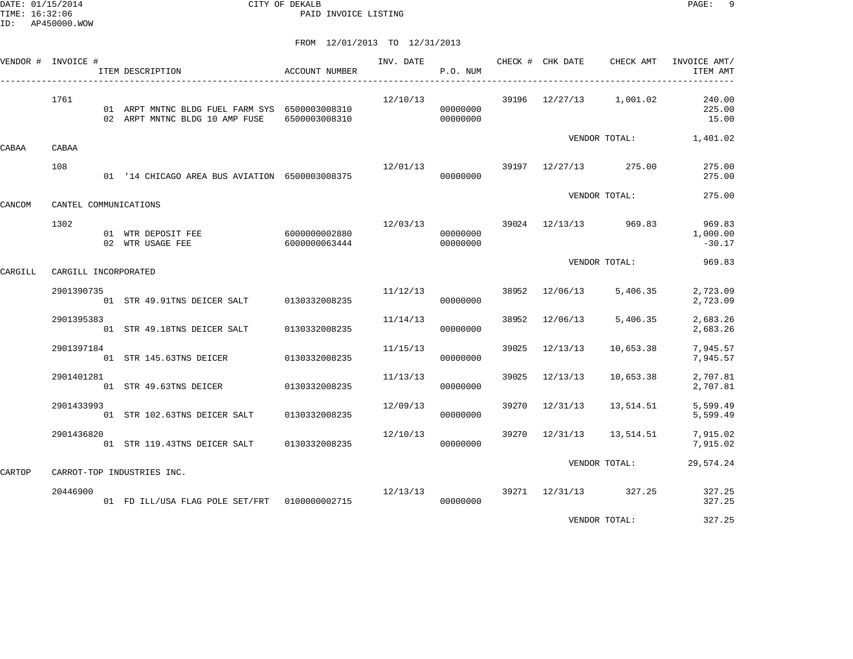DATE: 01/15/2014 CITY OF DEKALB PAGE: 9 PAID INVOICE LISTING

FROM 12/01/2013 TO 12/31/2013

|         | VENDOR # INVOICE #    | ITEM DESCRIPTION                                                                 | <b>ACCOUNT NUMBER</b>          |                             | INV. DATE<br>P.O. NUM |       |          | CHECK # CHK DATE CHECK AMT     | INVOICE AMT/<br>ITEM AMT       |
|---------|-----------------------|----------------------------------------------------------------------------------|--------------------------------|-----------------------------|-----------------------|-------|----------|--------------------------------|--------------------------------|
|         | 1761                  | 01 ARPT MNTNC BLDG FUEL FARM SYS 6500003008310<br>02 ARPT MNTNC BLDG 10 AMP FUSE | 6500003008310                  | 12/10/13                    | 00000000<br>00000000  |       |          | 39196 12/27/13 1,001.02        | 240.00<br>225.00<br>15.00      |
| CABAA   | CABAA                 |                                                                                  |                                |                             |                       |       |          |                                | VENDOR TOTAL: 1,401.02         |
|         | 108                   | 01 '14 CHICAGO AREA BUS AVIATION 6500003008375                                   |                                |                             | 00000000              |       |          | 12/01/13 39197 12/27/13 275.00 | 275.00<br>275.00               |
| CANCOM  | CANTEL COMMUNICATIONS |                                                                                  |                                |                             |                       |       |          | VENDOR TOTAL:                  | 275.00                         |
|         | 1302                  | 01 WTR DEPOSIT FEE<br>02 WTR USAGE FEE                                           | 6000000002880<br>6000000063444 |                             | 00000000<br>00000000  |       |          | 12/03/13 39024 12/13/13 969.83 | 969.83<br>1,000.00<br>$-30.17$ |
| CARGILL | CARGILL INCORPORATED  |                                                                                  |                                |                             |                       |       |          | VENDOR TOTAL:                  | 969.83                         |
|         | 2901390735            | 01 STR 49.91TNS DEICER SALT 0130332008235                                        |                                |                             | 11/12/13<br>00000000  |       |          | 38952 12/06/13 5,406.35        | 2,723.09<br>2,723.09           |
|         | 2901395383            | 01 STR 49.18TNS DEICER SALT                                                      | 0130332008235                  | 11/14/13                    | 00000000              | 38952 | 12/06/13 | 5,406.35                       | 2,683.26<br>2,683.26           |
|         | 2901397184            | 01 STR 145.63TNS DEICER                                                          | 0130332008235                  | 11/15/13                    | 00000000              | 39025 | 12/13/13 | 10,653.38                      | 7,945.57<br>7,945.57           |
|         | 2901401281            | 01 STR 49.63TNS DEICER 0130332008235                                             |                                | 11/13/13                    | 00000000              | 39025 | 12/13/13 | 10,653.38                      | 2,707.81<br>2,707.81           |
|         | 2901433993            | 01 STR 102.63TNS DEICER SALT                                                     | 0130332008235                  | 12/09/13                    | 00000000              | 39270 | 12/31/13 | 13,514.51                      | 5,599.49<br>5,599.49           |
|         | 2901436820            | 01 STR 119.43TNS DEICER SALT 0130332008235                                       |                                | 12/10/13                    | 00000000              |       |          | 39270 12/31/13 13,514.51       | 7,915.02<br>7,915.02           |
| CARTOP  |                       | CARROT-TOP INDUSTRIES INC.                                                       |                                |                             |                       |       |          | VENDOR TOTAL:                  | 29,574.24                      |
|         | 20446900              | 01 FD ILL/USA FLAG POLE SET/FRT  0100000002715                                   |                                | $12/13/13$ 39271 $12/31/13$ | 00000000              |       |          | 327.25                         | 327.25<br>327.25               |
|         |                       |                                                                                  |                                |                             |                       |       |          |                                |                                |

VENDOR TOTAL: 327.25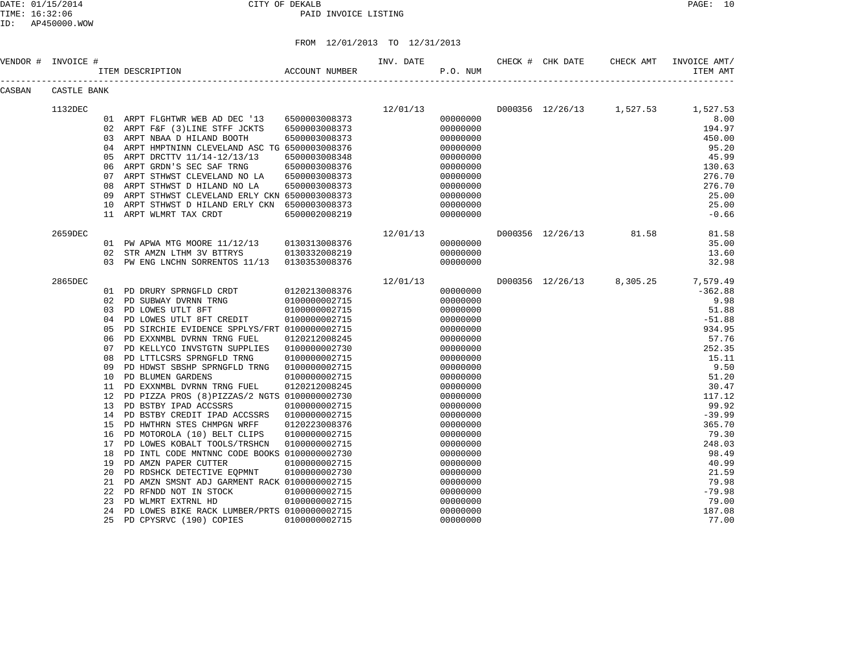| VENDOR # | INVOICE #   |    | ACCOUNT NUMBER<br>ITEM DESCRIPTION            |               | INV. DATE | P.O. NUM | CHECK # CHK DATE | CHECK AMT                          | INVOICE AMT/<br>ITEM AMT |
|----------|-------------|----|-----------------------------------------------|---------------|-----------|----------|------------------|------------------------------------|--------------------------|
| CASBAN   | CASTLE BANK |    |                                               |               |           |          |                  |                                    |                          |
|          | 1132DEC     |    |                                               |               | 12/01/13  |          |                  | D000356 12/26/13 1,527.53 1,527.53 |                          |
|          |             |    | 01 ARPT FLGHTWR WEB AD DEC '13                | 6500003008373 |           | 00000000 |                  |                                    | 8.00                     |
|          |             |    | 02 ARPT F&F (3) LINE STFF JCKTS               | 6500003008373 |           | 00000000 |                  |                                    | 194.97                   |
|          |             |    | 03 ARPT NBAA D HILAND BOOTH                   | 6500003008373 |           | 00000000 |                  |                                    | 450.00                   |
|          |             | 04 | ARPT HMPTNINN CLEVELAND ASC TG 6500003008376  |               |           | 00000000 |                  |                                    | 95.20                    |
|          |             | 05 | ARPT DRCTTV 11/14-12/13/13                    | 6500003008348 |           | 00000000 |                  |                                    | 45.99                    |
|          |             | 06 | ARPT GRDN'S SEC SAF TRNG                      | 6500003008376 |           | 00000000 |                  |                                    | 130.63                   |
|          |             | 07 | ARPT STHWST CLEVELAND NO LA                   | 6500003008373 |           | 00000000 |                  |                                    | 276.70                   |
|          |             | 08 | ARPT STHWST D HILAND NO LA                    | 6500003008373 |           | 00000000 |                  |                                    | 276.70                   |
|          |             | 09 | ARPT STHWST CLEVELAND ERLY CKN 6500003008373  |               |           | 00000000 |                  |                                    | 25.00                    |
|          |             | 10 | ARPT STHWST D HILAND ERLY CKN 6500003008373   |               |           | 00000000 |                  |                                    | 25.00                    |
|          |             | 11 | ARPT WLMRT TAX CRDT                           | 6500002008219 |           | 00000000 |                  |                                    | $-0.66$                  |
|          | 2659DEC     |    |                                               |               | 12/01/13  |          |                  | D000356 12/26/13 81.58             | 81.58                    |
|          |             |    | 01 PW APWA MTG MOORE 11/12/13                 | 0130313008376 |           | 00000000 |                  |                                    | 35.00                    |
|          |             | 02 | STR AMZN LTHM 3V BTTRYS                       | 0130332008219 |           | 00000000 |                  |                                    | 13.60                    |
|          |             |    | 03 PW ENG LNCHN SORRENTOS 11/13 0130353008376 |               |           | 00000000 |                  |                                    | 32.98                    |
|          | 2865DEC     |    |                                               |               | 12/01/13  |          |                  | D000356 12/26/13 8,305.25          | 7,579.49                 |
|          |             |    | 01 PD DRURY SPRNGFLD CRDT                     | 0120213008376 |           | 00000000 |                  |                                    | $-362.88$                |
|          |             |    | 02 PD SUBWAY DVRNN TRNG                       | 0100000002715 |           | 00000000 |                  |                                    | 9.98                     |
|          |             |    | 03 PD LOWES UTLT 8FT                          | 0100000002715 |           | 00000000 |                  |                                    | 51.88                    |
|          |             | 04 | PD LOWES UTLT 8FT CREDIT                      | 0100000002715 |           | 00000000 |                  |                                    | $-51.88$                 |
|          |             | 05 | PD SIRCHIE EVIDENCE SPPLYS/FRT 0100000002715  |               |           | 00000000 |                  |                                    | 934.95                   |
|          |             | 06 | PD EXXNMBL DVRNN TRNG FUEL                    | 0120212008245 |           | 00000000 |                  |                                    | 57.76                    |
|          |             | 07 | PD KELLYCO INVSTGTN SUPPLIES                  | 0100000002730 |           | 00000000 |                  |                                    | 252.35                   |
|          |             | 08 | PD LTTLCSRS SPRNGFLD TRNG                     | 0100000002715 |           | 00000000 |                  |                                    | 15.11                    |
|          |             | 09 | PD HDWST SBSHP SPRNGFLD TRNG                  | 0100000002715 |           | 00000000 |                  |                                    | 9.50                     |
|          |             | 10 | PD BLUMEN GARDENS                             | 0100000002715 |           | 00000000 |                  |                                    | 51.20                    |
|          |             | 11 | PD EXXNMBL DVRNN TRNG FUEL                    | 0120212008245 |           | 00000000 |                  |                                    | 30.47                    |
|          |             | 12 | PD PIZZA PROS (8) PIZZAS/2 NGTS 0100000002730 |               |           | 00000000 |                  |                                    | 117.12                   |
|          |             | 13 | PD BSTBY IPAD ACCSSRS                         | 0100000002715 |           | 00000000 |                  |                                    | 99.92                    |
|          |             | 14 | PD BSTBY CREDIT IPAD ACCSSRS                  | 0100000002715 |           | 00000000 |                  |                                    | $-39.99$                 |
|          |             | 15 | PD HWTHRN STES CHMPGN WRFF                    | 0120223008376 |           | 00000000 |                  |                                    | 365.70                   |
|          |             | 16 | PD MOTOROLA (10) BELT CLIPS                   | 0100000002715 |           | 00000000 |                  |                                    | 79.30                    |
|          |             | 17 | PD LOWES KOBALT TOOLS/TRSHCN                  | 0100000002715 |           | 00000000 |                  |                                    | 248.03                   |
|          |             | 18 | PD INTL CODE MNTNNC CODE BOOKS 0100000002730  |               |           | 00000000 |                  |                                    | 98.49                    |
|          |             | 19 | PD AMZN PAPER CUTTER                          | 0100000002715 |           | 00000000 |                  |                                    | 40.99                    |
|          |             | 20 | PD RDSHCK DETECTIVE EQPMNT                    | 0100000002730 |           | 00000000 |                  |                                    | 21.59                    |
|          |             | 21 | PD AMZN SMSNT ADJ GARMENT RACK 0100000002715  |               |           | 00000000 |                  |                                    | 79.98                    |
|          |             | 22 | PD RFNDD NOT IN STOCK                         | 0100000002715 |           | 00000000 |                  |                                    | $-79.98$                 |
|          |             | 23 | PD WLMRT EXTRNL HD                            | 0100000002715 |           | 00000000 |                  |                                    | 79.00                    |
|          |             | 24 | PD LOWES BIKE RACK LUMBER/PRTS 0100000002715  |               |           | 00000000 |                  |                                    | 187.08                   |
|          |             | 25 | PD CPYSRVC (190) COPIES                       | 0100000002715 |           | 00000000 |                  |                                    | 77.00                    |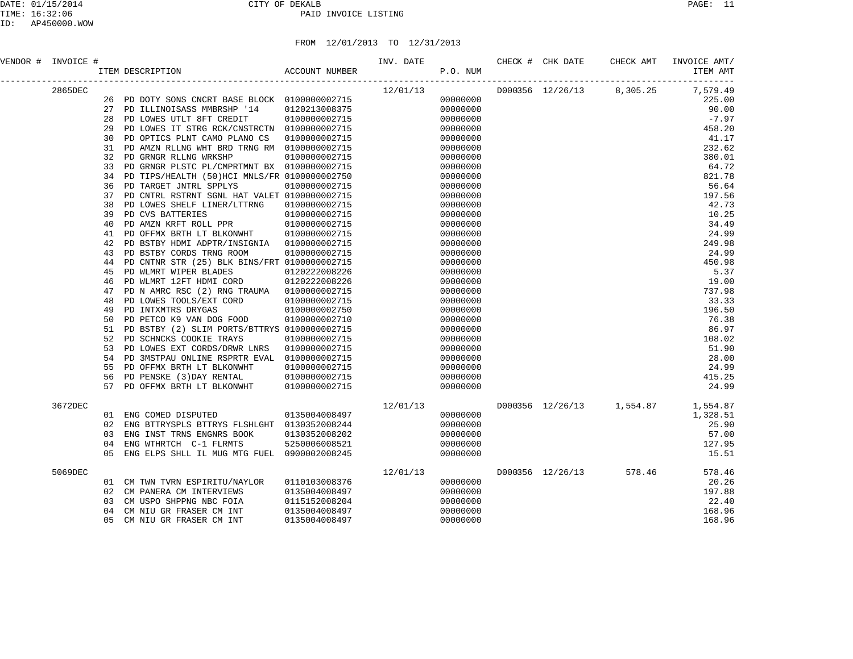| VENDOR # INVOICE # |          |                                                                             |               | INV. DATE           | P.O. NUM             |  | CHECK # CHK DATE CHECK AMT | INVOICE AMT/<br>ITEM AMT           |
|--------------------|----------|-----------------------------------------------------------------------------|---------------|---------------------|----------------------|--|----------------------------|------------------------------------|
| 2865DEC            |          |                                                                             |               | $12/01/13$ 00000000 |                      |  |                            | D000356 12/26/13 8,305.25 7,579.49 |
|                    | 26       | PD DOTY SONS CNCRT BASE BLOCK 0100000002715                                 |               |                     |                      |  |                            | 225.00                             |
|                    | 27       | PD ILLINOISASS MMBRSHP '14                                                  | 0120213008375 |                     | 00000000             |  |                            | 90.00                              |
|                    | 28       | PD LOWES UTLT 8FT CREDIT                                                    | 0100000002715 |                     | 00000000             |  |                            | $-7.97$                            |
|                    | 29       | PD LOWES IT STRG RCK/CNSTRCTN 0100000002715                                 |               |                     | 00000000             |  |                            | 458.20                             |
|                    | 30       | PD OPTICS PLNT CAMO PLANO CS                                                | 0100000002715 |                     | 00000000             |  |                            | 41.17                              |
|                    | 31       | PD AMZN RLLNG WHT BRD TRNG RM 0100000002715                                 |               |                     | 00000000             |  |                            | 232.62                             |
|                    | 32       | PD GRNGR RLLNG WRKSHP                                                       | 0100000002715 |                     | 00000000             |  |                            | 380.01                             |
|                    | 33       | PD GRNGR PLSTC PL/CMPRTMNT BX 0100000002715                                 |               |                     | 00000000             |  |                            | 64.72                              |
|                    | 34       | PD TIPS/HEALTH (50)HCI MNLS/FR 0100000002750                                |               |                     | 00000000             |  |                            | 821.78                             |
|                    | 36<br>37 | PD TARGET JNTRL SPPLYS                                                      | 0100000002715 |                     | 00000000             |  |                            | 56.64<br>197.56                    |
|                    | 38       | PD CNTRL RSTRNT SGNL HAT VALET 0100000002715<br>PD LOWES SHELF LINER/LTTRNG | 0100000002715 |                     | 00000000<br>00000000 |  |                            | 42.73                              |
|                    | 39       | PD CVS BATTERIES                                                            | 0100000002715 |                     | 00000000             |  |                            | 10.25                              |
|                    | 40       | PD AMZN KRFT ROLL PPR                                                       | 0100000002715 |                     | 00000000             |  |                            | 34.49                              |
|                    | 41       | PD OFFMX BRTH LT BLKONWHT                                                   | 0100000002715 |                     | 00000000             |  |                            | 24.99                              |
|                    | 42       | PD BSTBY HDMI ADPTR/INSIGNIA  0100000002715                                 |               |                     | 00000000             |  |                            | 249.98                             |
|                    | 43       | PD BSTBY CORDS TRNG ROOM                                                    | 0100000002715 |                     | 00000000             |  |                            | 24.99                              |
|                    | 44       | PD CNTNR STR (25) BLK BINS/FRT 0100000002715                                |               |                     | 00000000             |  |                            | 450.98                             |
|                    | 45       | PD WLMRT WIPER BLADES                                                       | 0120222008226 |                     | 00000000             |  |                            | 5.37                               |
|                    | 46       | PD WLMRT 12FT HDMI CORD                                                     | 0120222008226 |                     | 00000000             |  |                            | 19.00                              |
|                    | 47       | PD N AMRC RSC (2) RNG TRAUMA                                                | 0100000002715 |                     | 00000000             |  |                            | 737.98                             |
|                    | 48       | PD LOWES TOOLS/EXT CORD                                                     | 0100000002715 |                     | 00000000             |  |                            | 33.33                              |
|                    | 49       | PD INTXMTRS DRYGAS                                                          | 0100000002750 |                     | 00000000             |  |                            | 196.50                             |
|                    | 50       | PD PETCO K9 VAN DOG FOOD                                                    | 0100000002710 |                     | 00000000             |  |                            | 76.38                              |
|                    | 51       | PD BSTBY (2) SLIM PORTS/BTTRYS 0100000002715                                |               |                     | 00000000             |  |                            | 86.97                              |
|                    | 52       | PD SCHNCKS COOKIE TRAYS                                                     | 0100000002715 |                     | 00000000             |  |                            | 108.02                             |
|                    | 53       | PD LOWES EXT CORDS/DRWR LNRS                                                | 0100000002715 |                     | 00000000             |  |                            | 51.90                              |
|                    | 54       | PD 3MSTPAU ONLINE RSPRTR EVAL                                               | 0100000002715 |                     | 00000000             |  |                            | 28.00                              |
|                    | 55       | PD OFFMX BRTH LT BLKONWHT                                                   | 0100000002715 |                     | 00000000             |  |                            | 24.99                              |
|                    | 56       | PD PENSKE (3) DAY RENTAL<br>$\mathbf{r}$                                    | 0100000002715 |                     | 00000000             |  |                            | 415.25                             |
|                    | 57       | PD OFFMX BRTH LT BLKONWHT                                                   | 0100000002715 |                     | 00000000             |  |                            | 24.99                              |
| 3672DEC            |          |                                                                             |               | 12/01/13            |                      |  |                            | D000356 12/26/13 1,554.87 1,554.87 |
|                    |          | 01 ENG COMED DISPUTED                                                       | 0135004008497 |                     | 00000000             |  |                            | 1,328.51                           |
|                    | 02       | ENG BTTRYSPLS BTTRYS FLSHLGHT 0130352008244                                 |               |                     | 00000000             |  |                            | 25.90                              |
|                    | 03       | ENG INST TRNS ENGNRS BOOK                                                   | 0130352008202 |                     | 00000000             |  |                            | 57.00                              |
|                    | 04       | ENG WTHRTCH C-1 FLRMTS                                                      | 5250006008521 |                     | 00000000             |  |                            | 127.95                             |
|                    | 0.5      | ENG ELPS SHLL IL MUG MTG FUEL 0900002008245                                 |               |                     | 00000000             |  |                            | 15.51                              |
| 5069DEC            |          |                                                                             |               | 12/01/13            |                      |  | D000356 12/26/13 578.46    | 578.46                             |
|                    | 01       | CM TWN TVRN ESPIRITU/NAYLOR                                                 | 0110103008376 |                     | 00000000             |  |                            | 20.26                              |
|                    | 02       | CM PANERA CM INTERVIEWS                                                     | 0135004008497 |                     | 00000000             |  |                            | 197.88                             |
|                    | 03       | CM USPO SHPPNG NBC FOIA                                                     | 0115152008204 |                     | 00000000             |  |                            | 22.40                              |
|                    | 04       | CM NIU GR FRASER CM INT                                                     | 0135004008497 |                     | 00000000             |  |                            | 168.96                             |
|                    | 05       | CM NIU GR FRASER CM INT                                                     | 0135004008497 |                     | 00000000             |  |                            | 168.96                             |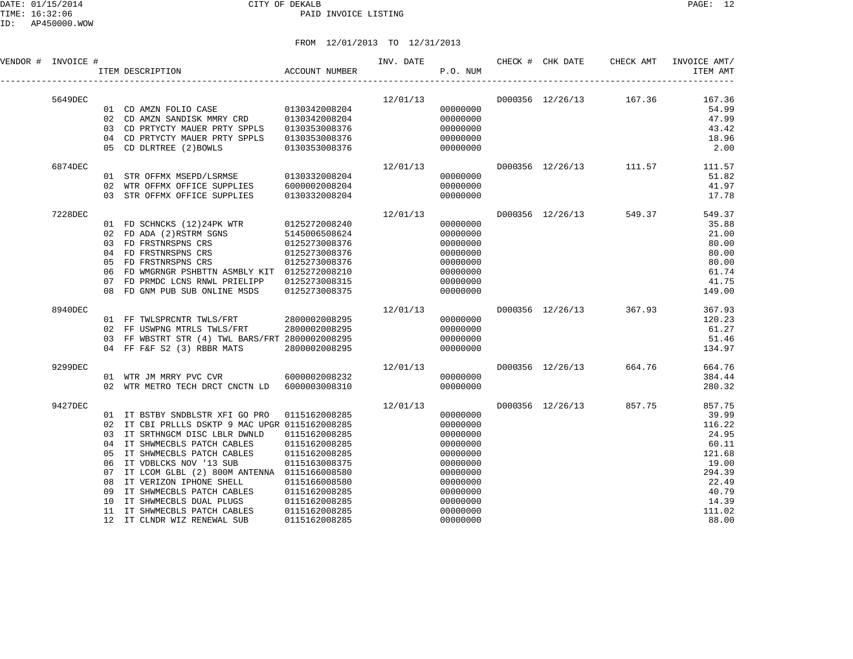| VENDOR # INVOICE # |         |                                                                       | ACCOUNT NUMBER<br>ITEM DESCRIPTION                                                                                                                                                                                                                                                                                                                                                               |                                                                                                                                                                        | INV. DATE | <b>P.O. NUM</b>                                                                                                                              | CHECK # CHK DATE |                         | CHECK AMT INVOICE AMT/<br>ITEM AMT                                                                                     |
|--------------------|---------|-----------------------------------------------------------------------|--------------------------------------------------------------------------------------------------------------------------------------------------------------------------------------------------------------------------------------------------------------------------------------------------------------------------------------------------------------------------------------------------|------------------------------------------------------------------------------------------------------------------------------------------------------------------------|-----------|----------------------------------------------------------------------------------------------------------------------------------------------|------------------|-------------------------|------------------------------------------------------------------------------------------------------------------------|
|                    | 5649DEC |                                                                       | 03 CD PRTYCTY MAUER PRTY SPPLS<br>04 CD PRTYCTY MAUER PRTY SPPLS<br>05 CD DLRTREE (2) BOWLS                                                                                                                                                                                                                                                                                                      | 0130353008376<br>0130353008376<br>0130353008376                                                                                                                        |           | 12/01/13<br>00000000<br>00000000<br>00000000<br>00000000<br>00000000                                                                         |                  |                         | D000356 12/26/13 167.36 167.36<br>54.99<br>47.99<br>43.42<br>18.96<br>2.00                                             |
|                    | 6874DEC | 02                                                                    | 01 STR OFFMX MSEPD/LSRMSE 0130332008204<br>WTR OFFMX OFFICE SUPPLIES 6000002008204<br>03 STR OFFMX OFFICE SUPPLIES                                                                                                                                                                                                                                                                               | 0130332008204                                                                                                                                                          | 12/01/13  | 00000000<br>00000000<br>00000000                                                                                                             |                  |                         | D000356 12/26/13 111.57 111.57<br>51.82<br>41.97<br>17.78                                                              |
|                    | 7228DEC | 05<br>06<br>07<br>08                                                  | 01 FD SCHNCKS (12)24PK WTR<br>02 FD ADA (2)RSTRM SGNS<br>03 FD FRSTNRSPNS CRS<br>03 FD FRSTNRSPNS CRS<br>04 FD FRSTNRSPNS CRS<br>FD FRSTNRSPNS CRS<br>FD WMGRNGR PSHBTTN ASMBLY KIT 0125272008210<br>FD PRMDC LCNS RNWL PRIELIPP<br>FD GNM PUB SUB ONLINE MSDS                                                                                                                                   | 0125272008240<br>5145006508624<br>0125273008376<br>0125273008376<br>0125273008376<br>0125273008315<br>0125273008375                                                    | 12/01/13  | 00000000<br>00000000<br>00000000<br>00000000<br>00000000<br>00000000<br>00000000<br>00000000                                                 |                  | D000356 12/26/13 549.37 | 549.37<br>35.88<br>21.00<br>80.00<br>80.00<br>80.00<br>61.74<br>41.75<br>149.00                                        |
|                    | 8940DEC |                                                                       | 01 FF TWLSPRCNTR TWLS/FRT<br>02 FF USWPNG MTRLS TWLS/FRT<br>03 FF WBSTRT STR (4) TWL BARS/FRT 2800002008295<br>04 FF F&F S2 (3) RBBR MATS                                                                                                                                                                                                                                                        | 2800002008295<br>2800002008295<br>2800002008295                                                                                                                        | 12/01/13  | 00000000<br>00000000<br>00000000<br>00000000                                                                                                 |                  | D000356 12/26/13 367.93 | 367.93<br>120.23<br>61.27<br>51.46<br>134.97                                                                           |
|                    | 9299DEC |                                                                       | 01 WTR JM MRRY PVC CVR 6000002008232<br>02 WTR METRO TECH DRCT CNCTN LD 6000003008310                                                                                                                                                                                                                                                                                                            |                                                                                                                                                                        | 12/01/13  | 00000000<br>00000000                                                                                                                         |                  | D000356 12/26/13 664.76 | 664.76<br>384.44<br>280.32                                                                                             |
|                    | 9427DEC | 03<br>04<br>05<br>06<br>07<br>08<br>09<br>10<br>11<br>12 <sup>°</sup> | 01 IT BSTBY SNDBLSTR XFI GO PRO<br>02 IT CBI PRLLLS DSKTP 9 MAC UPGR 0115162008285<br>IT SRTHNGCM DISC LBLR DWNLD<br>IT SHWMECBLS PATCH CABLES<br>IT SHWMECBLS PATCH CABLES<br>IT VDBLCKS NOV '13 SUB<br>IT LCOM GLBL (2) 800M ANTENNA 0115166008580<br>IT VERIZON IPHONE SHELL<br>IT SHWMECBLS PATCH CABLES<br>IT SHWMECBLS DUAL PLUGS<br>IT SHWMECBLS PATCH CABLES<br>IT CLNDR WIZ RENEWAL SUB | 0115162008285<br>0115162008285<br>0115162008285<br>0115162008285<br>0115163008375<br>0115166008580<br>0115162008285<br>0115162008285<br>0115162008285<br>0115162008285 | 12/01/13  | 00000000<br>00000000<br>00000000<br>00000000<br>00000000<br>00000000<br>00000000<br>00000000<br>00000000<br>00000000<br>00000000<br>00000000 |                  | D000356 12/26/13 857.75 | 857.75<br>39.99<br>116.22<br>24.95<br>60.11<br>121.68<br>19.00<br>294.39<br>22.49<br>40.79<br>14.39<br>111.02<br>88.00 |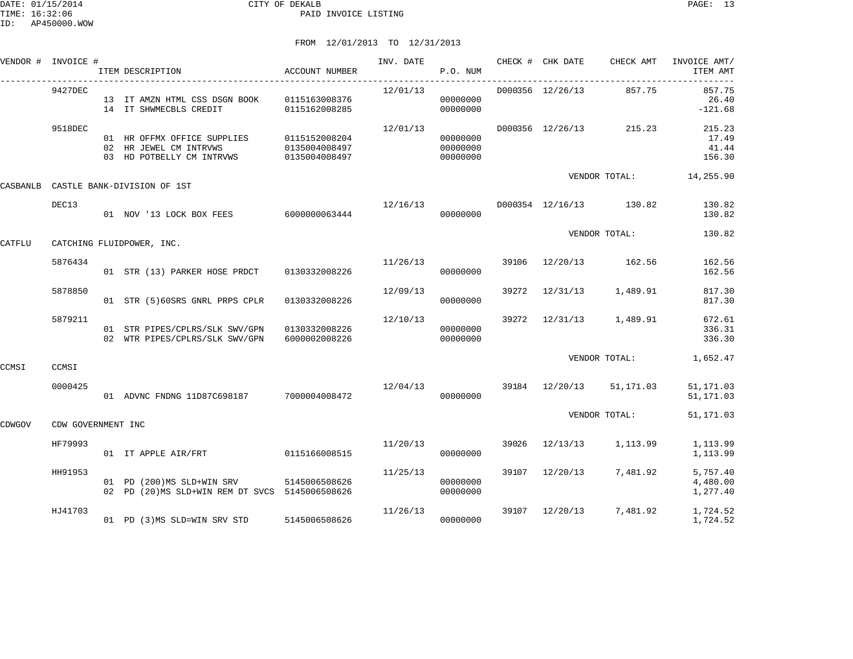|          | VENDOR # INVOICE # | ITEM DESCRIPTION                                                                          | ACCOUNT NUMBER                                  | INV. DATE               | P.O. NUM                         |       |                  | CHECK # CHK DATE CHECK AMT | INVOICE AMT/<br>ITEM AMT           |
|----------|--------------------|-------------------------------------------------------------------------------------------|-------------------------------------------------|-------------------------|----------------------------------|-------|------------------|----------------------------|------------------------------------|
|          | 9427DEC            | 13 IT AMZN HTML CSS DSGN BOOK 0115163008376<br>14 IT SHWMECBLS CREDIT                     | 0115162008285                                   | 12/01/13                | 00000000<br>00000000             |       | D000356 12/26/13 | 857.75                     | 857.75<br>26.40<br>$-121.68$       |
|          | 9518DEC            | 01 HR OFFMX OFFICE SUPPLIES<br>02 HR JEWEL CM INTRVWS<br>03 HD POTBELLY CM INTRVWS        | 0115152008204<br>0135004008497<br>0135004008497 | 12/01/13                | 00000000<br>00000000<br>00000000 |       | D000356 12/26/13 | 215.23                     | 215.23<br>17.49<br>41.44<br>156.30 |
| CASBANLB |                    | CASTLE BANK-DIVISION OF 1ST                                                               |                                                 |                         |                                  |       |                  |                            | VENDOR TOTAL: 14,255.90            |
|          | DEC13              | 01 NOV '13 LOCK BOX FEES 6000000063444                                                    |                                                 | 12/16/13                | 00000000                         |       |                  | D000354 12/16/13 130.82    | 130.82<br>130.82                   |
| CATFLU   |                    | CATCHING FLUIDPOWER, INC.                                                                 |                                                 |                         |                                  |       |                  | VENDOR TOTAL:              | 130.82                             |
|          | 5876434            | 01 STR (13) PARKER HOSE PRDCT 0130332008226                                               |                                                 | 11/26/13                | 00000000                         | 39106 |                  | 12/20/13 162.56            | 162.56<br>162.56                   |
|          | 5878850            | 01 STR (5)60SRS GNRL PRPS CPLR                                                            | 0130332008226                                   | 12/09/13                | 00000000                         | 39272 |                  | 12/31/13 1,489.91          | 817.30<br>817.30                   |
|          | 5879211            | 01 STR PIPES/CPLRS/SLK SWV/GPN<br>02 WTR PIPES/CPLRS/SLK SWV/GPN                          | 0130332008226<br>6000002008226                  | 12/10/13                | 00000000<br>00000000             |       |                  | 39272 12/31/13 1,489.91    | 672.61<br>336.31<br>336.30         |
| CCMSI    | CCMSI              |                                                                                           |                                                 |                         |                                  |       |                  | VENDOR TOTAL:              | 1,652.47                           |
|          | 0000425            | 01 ADVNC FNDNG 11D87C698187 7000004008472                                                 |                                                 | 12/04/13 39184 12/20/13 | 00000000                         |       |                  | 51,171.03                  | 51, 171.03<br>51, 171.03           |
| CDWGOV   | CDW GOVERNMENT INC |                                                                                           |                                                 |                         |                                  |       |                  | VENDOR TOTAL:              | 51, 171.03                         |
|          | HF79993            | 01 IT APPLE AIR/FRT                                                                       | 0115166008515                                   | 11/20/13                | 00000000                         |       |                  | 39026 12/13/13 1,113.99    | 1,113.99<br>1,113.99               |
|          | HH91953            | 01 PD (200)MS SLD+WIN SRV 5145006508626<br>02 PD (20)MS SLD+WIN REM DT SVCS 5145006508626 |                                                 | 11/25/13                | 00000000<br>00000000             |       | 39107 12/20/13   | 7,481.92                   | 5,757.40<br>4,480.00<br>1,277.40   |
|          | HJ41703            | 01 PD (3)MS SLD=WIN SRV STD                                                               | 5145006508626                                   | 11/26/13                | 00000000                         | 39107 |                  | 12/20/13 7,481.92          | 1,724.52<br>1,724.52               |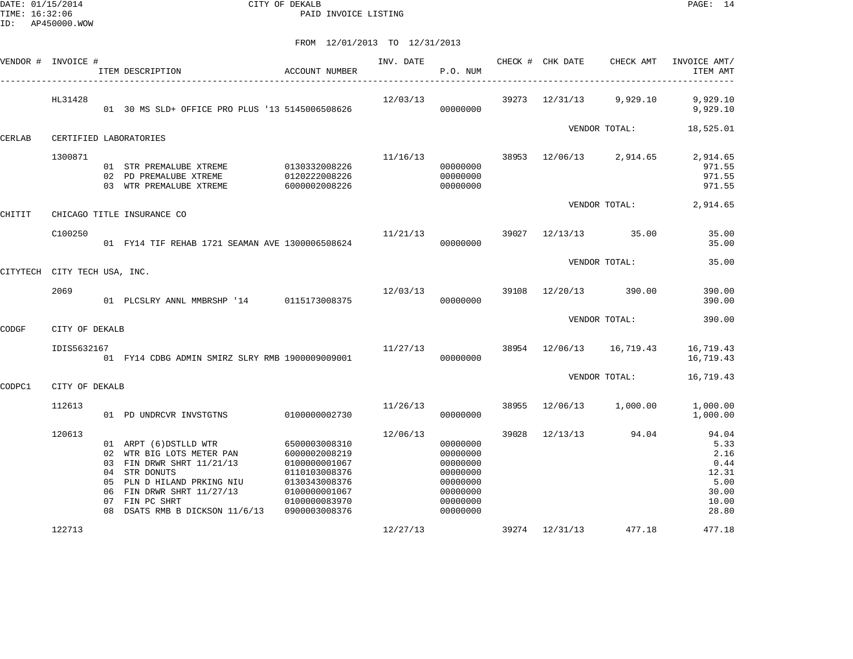DATE: 01/15/2014 CITY OF DEKALB PAGE: 14 PAID INVOICE LISTING

| VENDOR # INVOICE #           |                | ITEM DESCRIPTION                                                                                                                                                                                                               | ACCOUNT NUMBER                                                                                                      | INV. DATE | P.O. NUM                                                                                     |       | CHECK # CHK DATE | CHECK AMT                | INVOICE AMT/<br>ITEM AMT                                                  |
|------------------------------|----------------|--------------------------------------------------------------------------------------------------------------------------------------------------------------------------------------------------------------------------------|---------------------------------------------------------------------------------------------------------------------|-----------|----------------------------------------------------------------------------------------------|-------|------------------|--------------------------|---------------------------------------------------------------------------|
|                              | HL31428        | 01 30 MS SLD+ OFFICE PRO PLUS '13 5145006508626                                                                                                                                                                                |                                                                                                                     | 12/03/13  | 00000000                                                                                     |       |                  | 39273 12/31/13 9,929.10  | 9,929.10<br>9,929.10                                                      |
| CERLAB                       |                | CERTIFIED LABORATORIES                                                                                                                                                                                                         |                                                                                                                     |           |                                                                                              |       |                  | VENDOR TOTAL:            | 18,525.01                                                                 |
|                              | 1300871        | 01 STR PREMALUBE XTREME 0130332008226<br>02 PD PREMALUBE XTREME<br>03 WTR PREMALUBE XTREME                                                                                                                                     | 0120222008226<br>6000002008226                                                                                      | 11/16/13  | 00000000<br>00000000<br>00000000                                                             |       |                  | 38953 12/06/13 2,914.65  | 2,914.65<br>971.55<br>971.55<br>971.55                                    |
| CHITIT                       |                | CHICAGO TITLE INSURANCE CO                                                                                                                                                                                                     |                                                                                                                     |           |                                                                                              |       |                  | VENDOR TOTAL:            | 2,914.65                                                                  |
|                              | C100250        | 01 FY14 TIF REHAB 1721 SEAMAN AVE 1300006508624                                                                                                                                                                                |                                                                                                                     | 11/21/13  | 00000000                                                                                     |       |                  | 39027 12/13/13 35.00     | 35.00<br>35.00                                                            |
| CITYTECH CITY TECH USA, INC. |                |                                                                                                                                                                                                                                |                                                                                                                     |           |                                                                                              |       |                  | VENDOR TOTAL:            | 35.00                                                                     |
|                              | 2069           | 01 PLCSLRY ANNL MMBRSHP '14 0115173008375                                                                                                                                                                                      |                                                                                                                     | 12/03/13  | 39108<br>00000000                                                                            |       | 12/20/13         | 390.00                   | 390.00<br>390.00                                                          |
| CODGF                        | CITY OF DEKALB |                                                                                                                                                                                                                                |                                                                                                                     |           |                                                                                              |       |                  | VENDOR TOTAL:            | 390.00                                                                    |
|                              | IDIS5632167    | 01 FY14 CDBG ADMIN SMIRZ SLRY RMB 1900009009001                                                                                                                                                                                |                                                                                                                     | 11/27/13  | 00000000                                                                                     |       |                  | 38954 12/06/13 16,719.43 | 16,719.43<br>16,719.43                                                    |
| CODPC1                       | CITY OF DEKALB |                                                                                                                                                                                                                                |                                                                                                                     |           |                                                                                              |       |                  | VENDOR TOTAL:            | 16,719.43                                                                 |
|                              | 112613         | 01 PD UNDRCVR INVSTGTNS                                                                                                                                                                                                        | 0100000002730                                                                                                       | 11/26/13  | 00000000                                                                                     | 38955 | 12/06/13         | 1,000.00                 | 1,000.00<br>1,000.00                                                      |
|                              | 120613         | 01 ARPT (6) DSTLLD WTR<br>02 WTR BIG LOTS METER PAN<br>03 FIN DRWR SHRT 11/21/13<br>04 STR DONUTS<br>05 PLN D HILAND PRKING NIU<br>06 FIN DRWR SHRT 11/27/13<br>07 FIN PC SHRT<br>08 DSATS RMB B DICKSON 11/6/13 0900003008376 | 6500003008310<br>6000002008219<br>0100000001067<br>0110103008376<br>0130343008376<br>0100000001067<br>0100000083970 | 12/06/13  | 00000000<br>00000000<br>00000000<br>00000000<br>00000000<br>00000000<br>00000000<br>00000000 | 39028 | 12/13/13         | 94.04                    | 94.04<br>5.33<br>2.16<br>0.44<br>12.31<br>5.00<br>30.00<br>10.00<br>28.80 |
|                              | 122713         |                                                                                                                                                                                                                                |                                                                                                                     | 12/27/13  |                                                                                              |       | 39274 12/31/13   | 477.18                   | 477.18                                                                    |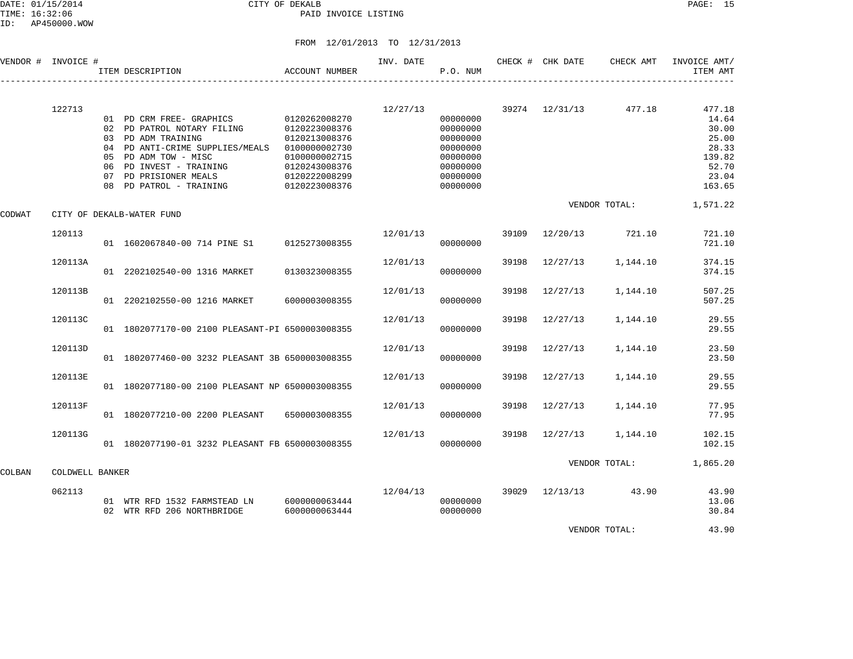DATE: 01/15/2014 CITY OF DEKALB PAGE: 15 PAID INVOICE LISTING

ID: AP450000.WOW

|        | VENDOR # INVOICE # | ITEM DESCRIPTION                                                                                                                                                                                                       | ACCOUNT NUMBER                                                                                                                       | INV. DATE | P.O. NUM                                                                                     |       | CHECK # CHK DATE | CHECK AMT            | INVOICE AMT/<br>ITEM AMT                                                         |
|--------|--------------------|------------------------------------------------------------------------------------------------------------------------------------------------------------------------------------------------------------------------|--------------------------------------------------------------------------------------------------------------------------------------|-----------|----------------------------------------------------------------------------------------------|-------|------------------|----------------------|----------------------------------------------------------------------------------|
|        | 122713             | 01 PD CRM FREE- GRAPHICS<br>02 PD PATROL NOTARY FILING<br>03 PD ADM TRAINING<br>04 PD ANTI-CRIME SUPPLIES/MEALS<br>05 PD ADM TOW - MISC<br>06 PD INVEST - TRAINING<br>07 PD PRISIONER MEALS<br>08 PD PATROL - TRAINING | 0120262008270<br>0120223008376<br>0120213008376<br>0100000002730<br>0100000002715<br>0120243008376<br>0120222008299<br>0120223008376 | 12/27/13  | 00000000<br>00000000<br>00000000<br>00000000<br>00000000<br>00000000<br>00000000<br>00000000 |       | 39274 12/31/13   | 477.18               | 477.18<br>14.64<br>30.00<br>25.00<br>28.33<br>139.82<br>52.70<br>23.04<br>163.65 |
| CODWAT |                    | CITY OF DEKALB-WATER FUND                                                                                                                                                                                              |                                                                                                                                      |           |                                                                                              |       |                  | VENDOR TOTAL:        | 1,571.22                                                                         |
|        | 120113             | 01 1602067840-00 714 PINE S1 0125273008355                                                                                                                                                                             |                                                                                                                                      | 12/01/13  | 00000000                                                                                     |       | 39109 12/20/13   | 721.10               | 721.10<br>721.10                                                                 |
|        | 120113A            | 01 2202102540-00 1316 MARKET                                                                                                                                                                                           | 0130323008355                                                                                                                        | 12/01/13  | 00000000                                                                                     | 39198 | 12/27/13         | 1,144.10             | 374.15<br>374.15                                                                 |
|        | 120113B            | 01 2202102550-00 1216 MARKET                                                                                                                                                                                           | 6000003008355                                                                                                                        | 12/01/13  | 00000000                                                                                     | 39198 | 12/27/13         | 1,144.10             | 507.25<br>507.25                                                                 |
|        | 120113C            | 01 1802077170-00 2100 PLEASANT-PI 6500003008355                                                                                                                                                                        |                                                                                                                                      | 12/01/13  | 00000000                                                                                     | 39198 | 12/27/13         | 1,144.10             | 29.55<br>29.55                                                                   |
|        | 120113D            | 01 1802077460-00 3232 PLEASANT 3B 6500003008355                                                                                                                                                                        |                                                                                                                                      | 12/01/13  | 00000000                                                                                     | 39198 | 12/27/13         | 1,144.10             | 23.50<br>23.50                                                                   |
|        | 120113E            | 01 1802077180-00 2100 PLEASANT NP 6500003008355                                                                                                                                                                        |                                                                                                                                      | 12/01/13  | 00000000                                                                                     | 39198 | 12/27/13         | 1,144.10             | 29.55<br>29.55                                                                   |
|        | 120113F            | 01 1802077210-00 2200 PLEASANT                                                                                                                                                                                         | 6500003008355                                                                                                                        | 12/01/13  | 00000000                                                                                     | 39198 | 12/27/13         | 1,144.10             | 77.95<br>77.95                                                                   |
|        | 120113G            | 01 1802077190-01 3232 PLEASANT FB 6500003008355                                                                                                                                                                        |                                                                                                                                      | 12/01/13  | 00000000                                                                                     |       | 39198 12/27/13   | 1,144.10             | 102.15<br>102.15                                                                 |
| COLBAN | COLDWELL BANKER    |                                                                                                                                                                                                                        |                                                                                                                                      |           |                                                                                              |       |                  | VENDOR TOTAL:        | 1,865.20                                                                         |
|        | 062113             | 01 WTR RFD 1532 FARMSTEAD LN 6000000063444<br>02 WTR RFD 206 NORTHBRIDGE                                                                                                                                               | 6000000063444                                                                                                                        | 12/04/13  | 00000000<br>00000000                                                                         |       |                  | 39029 12/13/13 43.90 | 43.90<br>13.06<br>30.84                                                          |
|        |                    |                                                                                                                                                                                                                        |                                                                                                                                      |           |                                                                                              |       |                  | VENDOR TOTAL:        | 43.90                                                                            |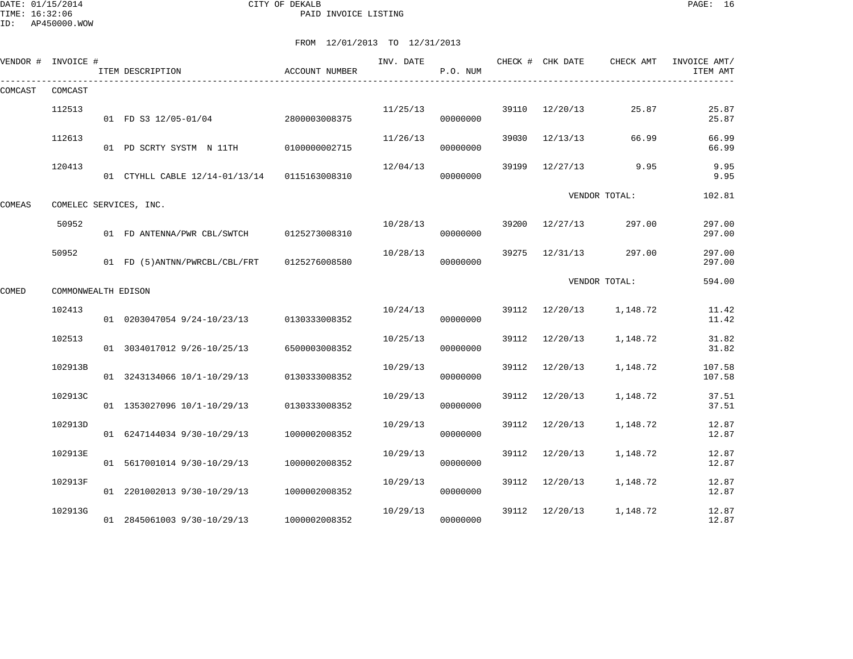DATE: 01/15/2014 CITY OF DEKALB PAGE: 16 PAID INVOICE LISTING

ID: AP450000.WOW

|         | VENDOR # INVOICE #  | ITEM DESCRIPTION                             | ACCOUNT NUMBER | INV. DATE | P.O. NUM |       | CHECK # CHK DATE | CHECK AMT     | INVOICE AMT/<br>ITEM AMT |
|---------|---------------------|----------------------------------------------|----------------|-----------|----------|-------|------------------|---------------|--------------------------|
| COMCAST | COMCAST             |                                              |                |           |          |       |                  |               |                          |
|         | 112513              | 01 FD S3 12/05-01/04                         | 2800003008375  | 11/25/13  | 00000000 | 39110 | 12/20/13         | 25.87         | 25.87<br>25.87           |
|         | 112613              | 01 PD SCRTY SYSTM N 11TH                     | 0100000002715  | 11/26/13  | 00000000 | 39030 | 12/13/13         | 66.99         | 66.99<br>66.99           |
|         | 120413              | 01 CTYHLL CABLE 12/14-01/13/14 0115163008310 |                | 12/04/13  | 00000000 | 39199 | 12/27/13         | 9.95          | 9.95<br>9.95             |
| COMEAS  |                     | COMELEC SERVICES, INC.                       |                |           |          |       |                  | VENDOR TOTAL: | 102.81                   |
|         | 50952               | 01 FD ANTENNA/PWR CBL/SWTCH                  | 0125273008310  | 10/28/13  | 00000000 | 39200 | 12/27/13         | 297.00        | 297.00<br>297.00         |
|         | 50952               | 01 FD (5) ANTNN/PWRCBL/CBL/FRT               | 0125276008580  | 10/28/13  | 00000000 | 39275 | 12/31/13         | 297.00        | 297.00<br>297.00         |
| COMED   | COMMONWEALTH EDISON |                                              |                |           |          |       |                  | VENDOR TOTAL: | 594.00                   |
|         | 102413              | 01 0203047054 9/24-10/23/13                  | 0130333008352  | 10/24/13  | 00000000 | 39112 | 12/20/13         | 1,148.72      | 11.42<br>11.42           |
|         | 102513              | 01 3034017012 9/26-10/25/13                  | 6500003008352  | 10/25/13  | 00000000 | 39112 | 12/20/13         | 1,148.72      | 31.82<br>31.82           |
|         | 102913B             | 01 3243134066 10/1-10/29/13                  | 0130333008352  | 10/29/13  | 00000000 | 39112 | 12/20/13         | 1,148.72      | 107.58<br>107.58         |
|         | 102913C             | 01 1353027096 10/1-10/29/13                  | 0130333008352  | 10/29/13  | 00000000 | 39112 | 12/20/13         | 1,148.72      | 37.51<br>37.51           |
|         | 102913D             | 01 6247144034 9/30-10/29/13                  | 1000002008352  | 10/29/13  | 00000000 | 39112 | 12/20/13         | 1,148.72      | 12.87<br>12.87           |
|         | 102913E             | 01 5617001014 9/30-10/29/13                  | 1000002008352  | 10/29/13  | 00000000 | 39112 | 12/20/13         | 1,148.72      | 12.87<br>12.87           |
|         | 102913F             | 01 2201002013 9/30-10/29/13                  | 1000002008352  | 10/29/13  | 00000000 | 39112 | 12/20/13         | 1,148.72      | 12.87<br>12.87           |
|         | 102913G             | 01 2845061003 9/30-10/29/13                  | 1000002008352  | 10/29/13  | 00000000 | 39112 | 12/20/13         | 1,148.72      | 12.87<br>12.87           |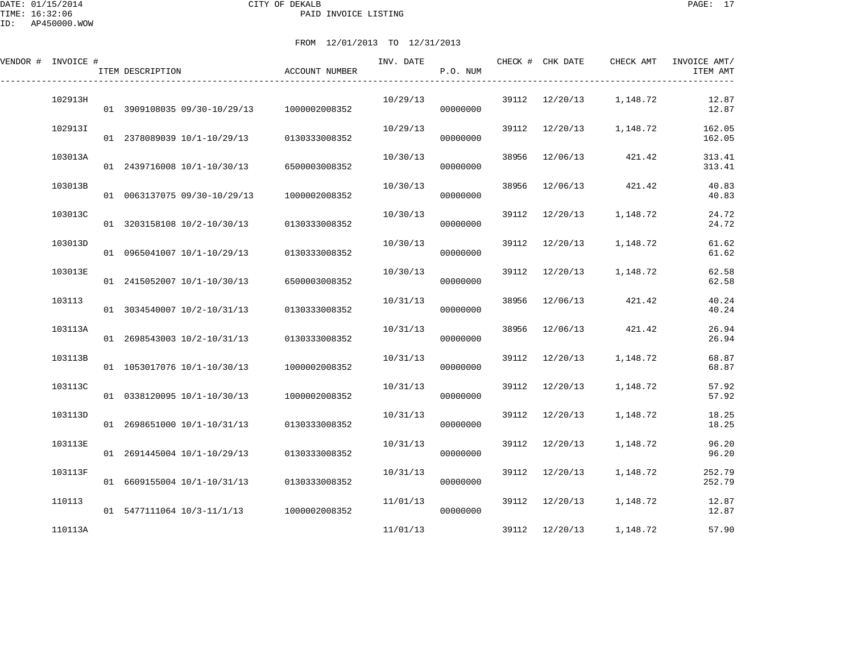DATE: 01/15/2014 CITY OF DEKALB PAGE: 17 PAID INVOICE LISTING

| VENDOR # INVOICE # | ITEM DESCRIPTION                         | <b>ACCOUNT NUMBER</b> | INV. DATE | P.O. NUM |       | CHECK # CHK DATE | CHECK AMT | INVOICE AMT/<br>ITEM AMT |
|--------------------|------------------------------------------|-----------------------|-----------|----------|-------|------------------|-----------|--------------------------|
| 102913H            | 01 3909108035 09/30-10/29/13             | 1000002008352         | 10/29/13  | 00000000 | 39112 | 12/20/13         | 1,148.72  | 12.87<br>12.87           |
| 102913I            | 01 2378089039 10/1-10/29/13              | 0130333008352         | 10/29/13  | 00000000 | 39112 | 12/20/13         | 1,148.72  | 162.05<br>162.05         |
| 103013A            | 01 2439716008 10/1-10/30/13              | 6500003008352         | 10/30/13  | 00000000 | 38956 | 12/06/13         | 421.42    | 313.41<br>313.41         |
| 103013B            | 01 0063137075 09/30-10/29/13             | 1000002008352         | 10/30/13  | 00000000 | 38956 | 12/06/13         | 421.42    | 40.83<br>40.83           |
| 103013C            | 01 3203158108 10/2-10/30/13              | 0130333008352         | 10/30/13  | 00000000 | 39112 | 12/20/13         | 1,148.72  | 24.72<br>24.72           |
| 103013D            | 01 0965041007 10/1-10/29/13              | 0130333008352         | 10/30/13  | 00000000 | 39112 | 12/20/13         | 1,148.72  | 61.62<br>61.62           |
| 103013E            | 01 2415052007 10/1-10/30/13              | 6500003008352         | 10/30/13  | 00000000 | 39112 | 12/20/13         | 1,148.72  | 62.58<br>62.58           |
| 103113             | 01 3034540007 10/2-10/31/13              | 0130333008352         | 10/31/13  | 00000000 | 38956 | 12/06/13         | 421.42    | 40.24<br>40.24           |
| 103113A            | 01 2698543003 10/2-10/31/13              | 0130333008352         | 10/31/13  | 00000000 | 38956 | 12/06/13         | 421.42    | 26.94<br>26.94           |
| 103113B            | 01 1053017076 10/1-10/30/13              | 1000002008352         | 10/31/13  | 00000000 | 39112 | 12/20/13         | 1,148.72  | 68.87<br>68.87           |
| 103113C            | 01 0338120095 10/1-10/30/13              | 1000002008352         | 10/31/13  | 00000000 | 39112 | 12/20/13         | 1,148.72  | 57.92<br>57.92           |
| 103113D            | 01 2698651000 10/1-10/31/13              | 0130333008352         | 10/31/13  | 00000000 | 39112 | 12/20/13         | 1,148.72  | 18.25<br>18.25           |
| 103113E            | 01 2691445004 10/1-10/29/13              | 0130333008352         | 10/31/13  | 00000000 | 39112 | 12/20/13         | 1,148.72  | 96.20<br>96.20           |
| 103113F            | 01 6609155004 10/1-10/31/13              | 0130333008352         | 10/31/13  | 00000000 | 39112 | 12/20/13         | 1,148.72  | 252.79<br>252.79         |
| 110113             | 01 5477111064 10/3-11/1/13 1000002008352 |                       | 11/01/13  | 00000000 | 39112 | 12/20/13         | 1,148.72  | 12.87<br>12.87           |
| 110113A            |                                          |                       | 11/01/13  |          |       | 39112 12/20/13   | 1,148.72  | 57.90                    |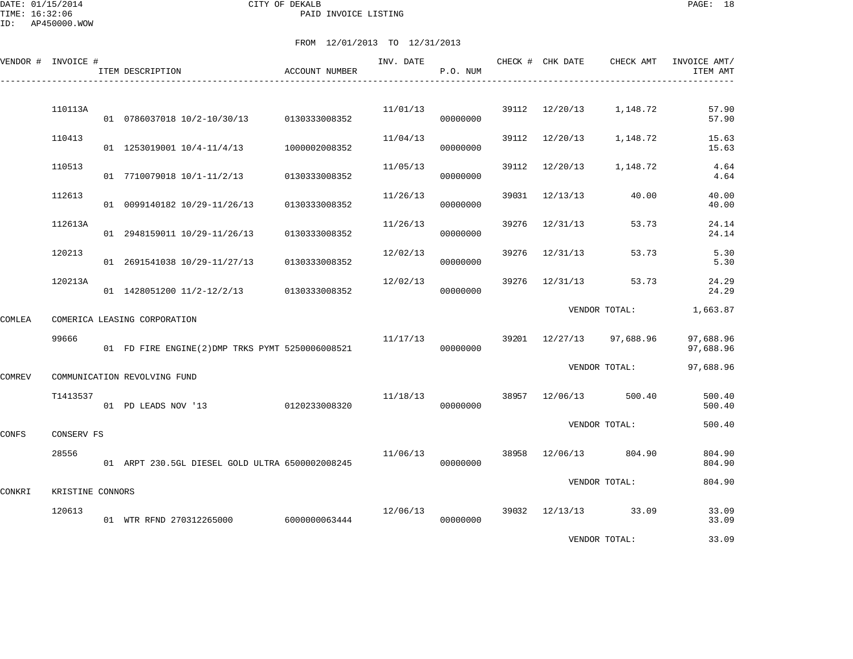|               | VENDOR # INVOICE # | ITEM DESCRIPTION                                | ACCOUNT NUMBER | INV. DATE | P.O. NUM |       | CHECK # CHK DATE | CHECK AMT            | INVOICE AMT/<br>ITEM AMT |
|---------------|--------------------|-------------------------------------------------|----------------|-----------|----------|-------|------------------|----------------------|--------------------------|
|               |                    |                                                 |                |           |          |       |                  |                      |                          |
|               | 110113A            | 01 0786037018 10/2-10/30/13 0130333008352       |                | 11/01/13  | 00000000 |       | 39112 12/20/13   | 1,148.72             | 57.90<br>57.90           |
|               | 110413             | 01 1253019001 10/4-11/4/13                      | 1000002008352  | 11/04/13  | 00000000 | 39112 | 12/20/13         | 1,148.72             | 15.63<br>15.63           |
|               | 110513             | 01 7710079018 10/1-11/2/13                      | 0130333008352  | 11/05/13  | 00000000 | 39112 | 12/20/13         | 1,148.72             | 4.64<br>4.64             |
|               | 112613             | 01 0099140182 10/29-11/26/13                    | 0130333008352  | 11/26/13  | 00000000 | 39031 | 12/13/13         | 40.00                | 40.00<br>40.00           |
|               | 112613A            | 01 2948159011 10/29-11/26/13                    | 0130333008352  | 11/26/13  | 00000000 | 39276 | 12/31/13         | 53.73                | 24.14<br>24.14           |
|               | 120213             | 01 2691541038 10/29-11/27/13                    | 0130333008352  | 12/02/13  | 00000000 | 39276 | 12/31/13         | 53.73                | 5.30<br>5.30             |
|               | 120213A            | 01 1428051200 11/2-12/2/13 0130333008352        |                | 12/02/13  | 00000000 | 39276 | 12/31/13         | 53.73                | 24.29<br>24.29           |
| COMLEA        |                    | COMERICA LEASING CORPORATION                    |                |           |          |       |                  | VENDOR TOTAL:        | 1,663.87                 |
|               | 99666              | 01 FD FIRE ENGINE(2)DMP TRKS PYMT 5250006008521 |                | 11/17/13  | 00000000 |       | 39201 12/27/13   | 97,688.96            | 97,688.96<br>97,688.96   |
| <b>COMREV</b> |                    | COMMUNICATION REVOLVING FUND                    |                |           |          |       |                  | VENDOR TOTAL:        | 97,688.96                |
|               | T1413537           | 01 PD LEADS NOV '13                             | 0120233008320  | 11/18/13  | 00000000 |       | 38957 12/06/13   | 500.40               | 500.40<br>500.40         |
| CONFS         | CONSERV FS         |                                                 |                |           |          |       |                  | VENDOR TOTAL:        | 500.40                   |
|               | 28556              | 01 ARPT 230.5GL DIESEL GOLD ULTRA 6500002008245 |                | 11/06/13  | 00000000 | 38958 | 12/06/13         | 804.90               | 804.90<br>804.90         |
|               | KRISTINE CONNORS   |                                                 |                |           |          |       |                  | VENDOR TOTAL:        | 804.90                   |
| CONKRI        | 120613             | 01 WTR RFND 270312265000 6000000063444          |                | 12/06/13  | 00000000 |       |                  | 39032 12/13/13 33.09 | 33.09<br>33.09           |
|               |                    |                                                 |                |           |          |       |                  | VENDOR TOTAL:        | 33.09                    |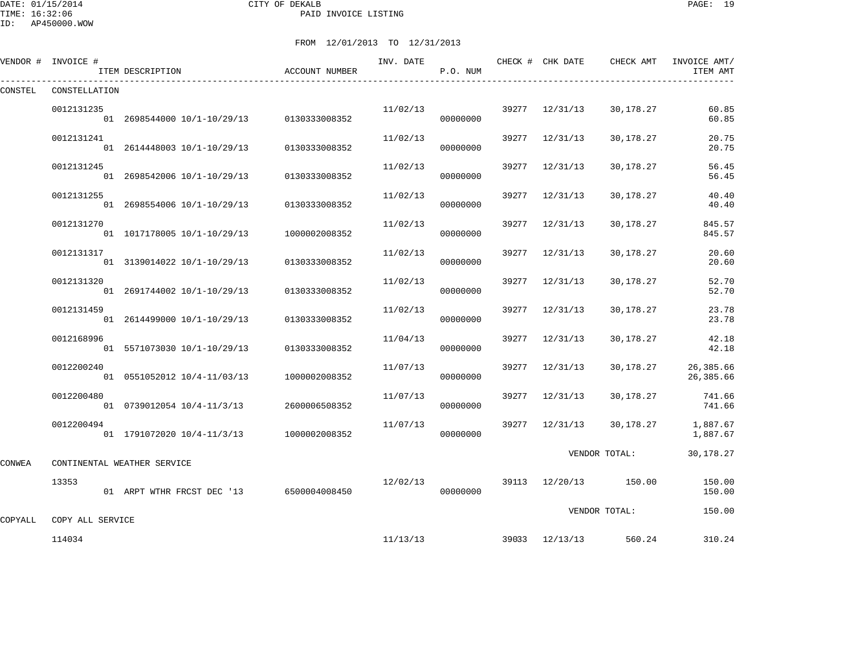DATE: 01/15/2014 CITY OF DEKALB PAGE: 19 PAID INVOICE LISTING

|         | VENDOR # INVOICE #         | ITEM DESCRIPTION                         | ACCOUNT NUMBER | INV. DATE | P.O. NUM |       | CHECK # CHK DATE | CHECK AMT     | INVOICE AMT/<br>ITEM AMT |
|---------|----------------------------|------------------------------------------|----------------|-----------|----------|-------|------------------|---------------|--------------------------|
| CONSTEL | CONSTELLATION              |                                          |                |           |          |       |                  |               |                          |
|         | 0012131235                 | 01 2698544000 10/1-10/29/13              | 0130333008352  | 11/02/13  | 00000000 |       | 39277 12/31/13   | 30,178.27     | 60.85<br>60.85           |
|         | 0012131241                 | 01 2614448003 10/1-10/29/13              | 0130333008352  | 11/02/13  | 00000000 | 39277 | 12/31/13         | 30,178.27     | 20.75<br>20.75           |
|         | 0012131245                 | 01 2698542006 10/1-10/29/13              | 0130333008352  | 11/02/13  | 00000000 | 39277 | 12/31/13         | 30,178.27     | 56.45<br>56.45           |
|         | 0012131255                 | 01 2698554006 10/1-10/29/13              | 0130333008352  | 11/02/13  | 00000000 | 39277 | 12/31/13         | 30,178.27     | 40.40<br>40.40           |
|         | 0012131270                 | 01 1017178005 10/1-10/29/13              | 1000002008352  | 11/02/13  | 00000000 | 39277 | 12/31/13         | 30,178.27     | 845.57<br>845.57         |
|         | 0012131317                 | 01 3139014022 10/1-10/29/13              | 0130333008352  | 11/02/13  | 00000000 | 39277 | 12/31/13         | 30,178.27     | 20.60<br>20.60           |
|         | 0012131320                 | 01 2691744002 10/1-10/29/13              | 0130333008352  | 11/02/13  | 00000000 | 39277 | 12/31/13         | 30,178.27     | 52.70<br>52.70           |
|         | 0012131459                 | 01 2614499000 10/1-10/29/13              | 0130333008352  | 11/02/13  | 00000000 | 39277 | 12/31/13         | 30,178.27     | 23.78<br>23.78           |
|         | 0012168996                 | 01 5571073030 10/1-10/29/13              | 0130333008352  | 11/04/13  | 00000000 | 39277 | 12/31/13         | 30,178.27     | 42.18<br>42.18           |
|         | 0012200240                 | 01 0551052012 10/4-11/03/13              | 1000002008352  | 11/07/13  | 00000000 | 39277 | 12/31/13         | 30,178.27     | 26,385.66<br>26,385.66   |
|         | 0012200480                 | 01 0739012054 10/4-11/3/13               | 2600006508352  | 11/07/13  | 00000000 | 39277 | 12/31/13         | 30,178.27     | 741.66<br>741.66         |
|         | 0012200494                 | 01 1791072020 10/4-11/3/13               | 1000002008352  | 11/07/13  | 00000000 | 39277 | 12/31/13         | 30,178.27     | 1,887.67<br>1,887.67     |
| CONWEA  |                            | CONTINENTAL WEATHER SERVICE              |                |           |          |       |                  | VENDOR TOTAL: | 30,178.27                |
|         | 13353                      | 01 ARPT WTHR FRCST DEC '13 6500004008450 |                | 12/02/13  | 00000000 |       | 39113 12/20/13   | 150.00        | 150.00<br>150.00         |
|         |                            |                                          |                |           |          |       |                  | VENDOR TOTAL: | 150.00                   |
| COPYALL | COPY ALL SERVICE<br>114034 |                                          |                | 11/13/13  |          |       | 39033 12/13/13   | 560.24        | 310.24                   |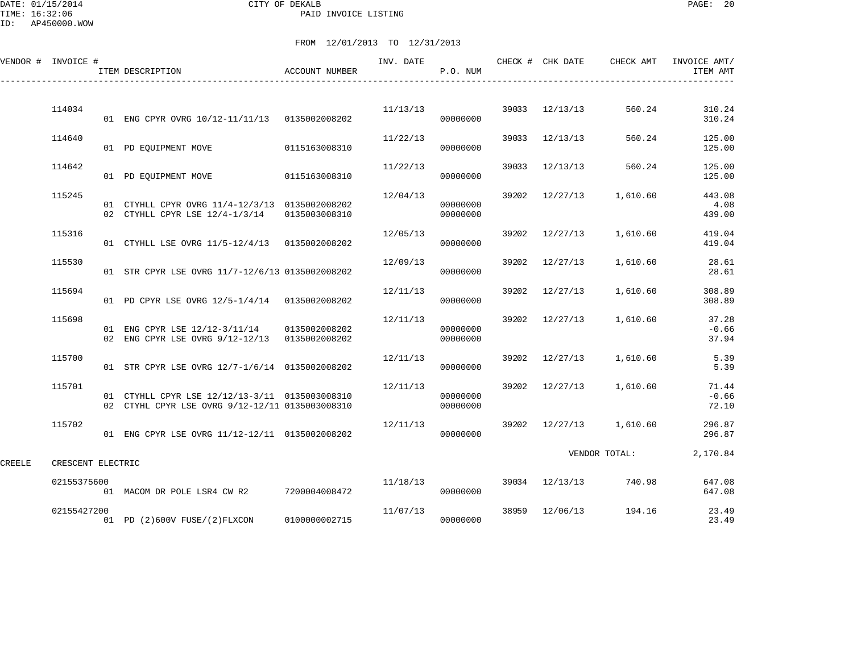DATE: 01/15/2014 CITY OF DEKALB PAGE: 20 PAID INVOICE LISTING

ID: AP450000.WOW

|        | VENDOR # INVOICE # | ITEM DESCRIPTION                                                                                  | ACCOUNT NUMBER | INV. DATE | P.O. NUM             |       | CHECK # CHK DATE | CHECK AMT     | INVOICE AMT/<br>ITEM AMT  |
|--------|--------------------|---------------------------------------------------------------------------------------------------|----------------|-----------|----------------------|-------|------------------|---------------|---------------------------|
|        | 114034             | 01 ENG CPYR OVRG 10/12-11/11/13 0135002008202                                                     |                | 11/13/13  | 00000000             | 39033 | 12/13/13         | 560.24        | 310.24<br>310.24          |
|        | 114640             | 01 PD EOUIPMENT MOVE                                                                              | 0115163008310  | 11/22/13  | 00000000             | 39033 | 12/13/13         | 560.24        | 125.00<br>125.00          |
|        | 114642             | 01 PD EOUIPMENT MOVE                                                                              | 0115163008310  | 11/22/13  | 00000000             | 39033 | 12/13/13         | 560.24        | 125.00<br>125.00          |
|        | 115245             | 01 CTYHLL CPYR OVRG 11/4-12/3/13 0135002008202                                                    |                | 12/04/13  | 00000000             | 39202 | 12/27/13         | 1,610.60      | 443.08<br>4.08            |
|        | 115316             | 02 CTYHLL CPYR LSE 12/4-1/3/14                                                                    | 0135003008310  | 12/05/13  | 00000000             | 39202 |                  |               | 439.00<br>419.04          |
|        |                    | 01 CTYHLL LSE OVRG 11/5-12/4/13 0135002008202                                                     |                |           | 00000000             |       | 12/27/13         | 1,610.60      | 419.04                    |
|        | 115530             | 01 STR CPYR LSE OVRG 11/7-12/6/13 0135002008202                                                   |                | 12/09/13  | 00000000             | 39202 | 12/27/13         | 1,610.60      | 28.61<br>28.61            |
|        | 115694             | 01 PD CPYR LSE OVRG 12/5-1/4/14 0135002008202                                                     |                | 12/11/13  | 00000000             | 39202 | 12/27/13         | 1,610.60      | 308.89<br>308.89          |
|        | 115698             | 01 ENG CPYR LSE 12/12-3/11/14<br>02 ENG CPYR LSE OVRG 9/12-12/13 0135002008202                    | 0135002008202  | 12/11/13  | 00000000<br>00000000 | 39202 | 12/27/13         | 1,610.60      | 37.28<br>$-0.66$<br>37.94 |
|        | 115700             | 01 STR CPYR LSE OVRG 12/7-1/6/14 0135002008202                                                    |                | 12/11/13  | 00000000             |       | 39202 12/27/13   | 1,610.60      | 5.39<br>5.39              |
|        | 115701             | 01 CTYHLL CPYR LSE 12/12/13-3/11 0135003008310<br>02 CTYHL CPYR LSE OVRG 9/12-12/11 0135003008310 |                | 12/11/13  | 00000000<br>00000000 | 39202 | 12/27/13         | 1,610.60      | 71.44<br>$-0.66$<br>72.10 |
|        | 115702             | 01 ENG CPYR LSE OVRG 11/12-12/11 0135002008202                                                    |                | 12/11/13  | 00000000             |       | 39202 12/27/13   | 1,610.60      | 296.87<br>296.87          |
| CREELE | CRESCENT ELECTRIC  |                                                                                                   |                |           |                      |       |                  | VENDOR TOTAL: | 2,170.84                  |
|        | 02155375600        | 01 MACOM DR POLE LSR4 CW R2 7200004008472                                                         |                | 11/18/13  | 00000000             |       | 39034 12/13/13   | 740.98        | 647.08<br>647.08          |
|        | 02155427200        | 01 PD (2)600V FUSE/(2)FLXCON                                                                      | 0100000002715  | 11/07/13  | 00000000             | 38959 | 12/06/13         | 194.16        | 23.49<br>23.49            |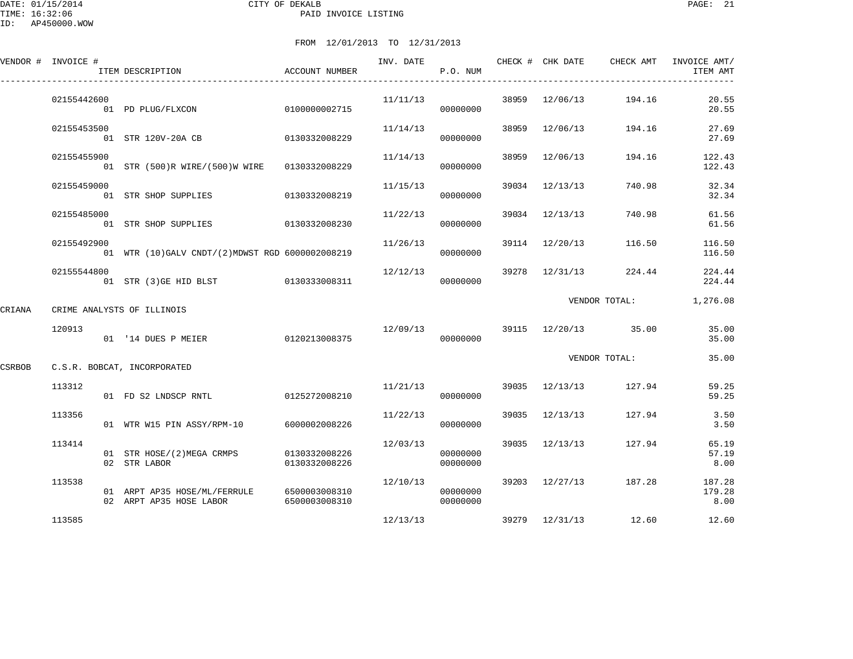DATE: 01/15/2014 CITY OF DEKALB PAGE: 21 PAID INVOICE LISTING

ID: AP450000.WOW

|        | VENDOR # INVOICE # | ITEM DESCRIPTION                                                      | ACCOUNT NUMBER                 | INV. DATE | P.O. NUM             |       |                | CHECK # CHK DATE CHECK AMT        | INVOICE AMT/<br>ITEM AMT |
|--------|--------------------|-----------------------------------------------------------------------|--------------------------------|-----------|----------------------|-------|----------------|-----------------------------------|--------------------------|
|        | 02155442600        | 01 PD PLUG/FLXCON                                                     | 0100000002715                  | 11/11/13  | 00000000             |       | 38959 12/06/13 | 194.16                            | 20.55<br>20.55           |
|        | 02155453500        | 01 STR 120V-20A CB                                                    | 0130332008229                  | 11/14/13  | 00000000             |       | 38959 12/06/13 | 194.16                            | 27.69<br>27.69           |
|        | 02155455900        | 01 STR (500)R WIRE/(500)W WIRE 0130332008229                          |                                | 11/14/13  | 00000000             | 38959 | 12/06/13       | 194.16                            | 122.43<br>122.43         |
|        | 02155459000        | 01 STR SHOP SUPPLIES                                                  | 0130332008219                  | 11/15/13  | 00000000             |       | 39034 12/13/13 | 740.98                            | 32.34<br>32.34           |
|        | 02155485000        | 01 STR SHOP SUPPLIES 0130332008230                                    |                                | 11/22/13  | 00000000             |       | 39034 12/13/13 | 740.98                            | 61.56<br>61.56           |
|        | 02155492900        | 01 WTR (10) GALV CNDT/(2) MDWST RGD 6000002008219                     |                                | 11/26/13  | 00000000             |       | 39114 12/20/13 | 116.50                            | 116.50<br>116.50         |
|        | 02155544800        | 01 STR (3) GE HID BLST 0130333008311                                  |                                | 12/12/13  | 00000000             |       | 39278 12/31/13 | 224.44                            | 224.44<br>224.44         |
| CRIANA |                    | CRIME ANALYSTS OF ILLINOIS                                            |                                |           |                      |       |                | VENDOR TOTAL:                     | 1,276.08                 |
|        | 120913             | 01 '14 DUES P MEIER                                                   | 0120213008375                  |           | 00000000             |       |                | $12/09/13$ 39115 $12/20/13$ 35.00 | 35.00<br>35.00           |
| CSRBOB |                    | C.S.R. BOBCAT, INCORPORATED                                           |                                |           |                      |       |                | VENDOR TOTAL:                     | 35.00                    |
|        | 113312             | 01 FD S2 LNDSCP RNTL                                                  | 0125272008210                  |           | 11/21/13<br>00000000 |       |                | 39035 12/13/13 127.94             | 59.25<br>59.25           |
|        | 113356             | 01 WTR W15 PIN ASSY/RPM-10 6000002008226                              |                                | 11/22/13  | 00000000             |       | 39035 12/13/13 | 127.94                            | 3.50<br>3.50             |
|        | 113414             | 01 STR HOSE/(2)MEGA CRMPS<br>02 STR LABOR                             | 0130332008226<br>0130332008226 | 12/03/13  | 00000000<br>00000000 |       | 39035 12/13/13 | 127.94                            | 65.19<br>57.19<br>8.00   |
|        | 113538             | 01 ARPT AP35 HOSE/ML/FERRULE 6500003008310<br>02 ARPT AP35 HOSE LABOR | 6500003008310                  | 12/10/13  | 00000000<br>00000000 |       |                | 39203 12/27/13 187.28             | 187.28<br>179.28<br>8.00 |
|        | 113585             |                                                                       |                                | 12/13/13  |                      |       |                | 39279 12/31/13 12.60              | 12.60                    |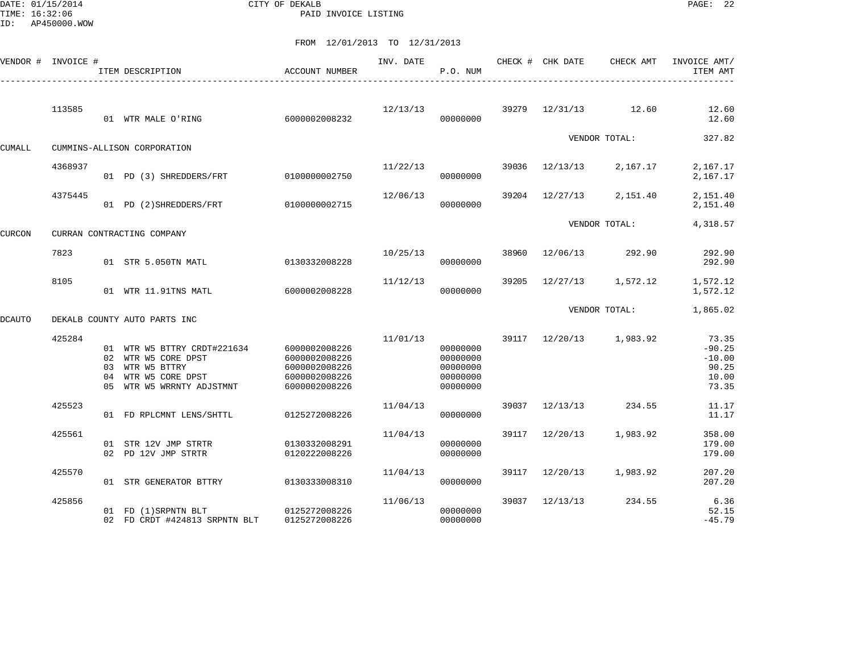DATE: 01/15/2014 CITY OF DEKALB PAGE: 22 PAID INVOICE LISTING

|               | VENDOR # INVOICE # | ITEM DESCRIPTION                                                                                                          | ACCOUNT NUMBER                                                                    | INV. DATE | P.O. NUM                                                 |       | CHECK # CHK DATE | CHECK AMT     | INVOICE AMT/<br>ITEM AMT                                 |
|---------------|--------------------|---------------------------------------------------------------------------------------------------------------------------|-----------------------------------------------------------------------------------|-----------|----------------------------------------------------------|-------|------------------|---------------|----------------------------------------------------------|
|               | 113585             | 01 WTR MALE O'RING                                                                                                        | 6000002008232                                                                     | 12/13/13  | 00000000                                                 | 39279 | 12/31/13         | 12.60         | 12.60<br>12.60                                           |
| CUMALL        |                    | CUMMINS-ALLISON CORPORATION                                                                                               |                                                                                   |           |                                                          |       |                  | VENDOR TOTAL: | 327.82                                                   |
|               | 4368937            | 01 PD (3) SHREDDERS/FRT                                                                                                   | 0100000002750                                                                     | 11/22/13  | 00000000                                                 | 39036 | 12/13/13         | 2,167.17      | 2,167.17<br>2,167.17                                     |
|               | 4375445            | 01 PD (2) SHREDDERS/FRT                                                                                                   | 0100000002715                                                                     | 12/06/13  | 00000000                                                 | 39204 | 12/27/13         | 2,151.40      | 2,151.40<br>2,151.40                                     |
| CURCON        |                    | CURRAN CONTRACTING COMPANY                                                                                                |                                                                                   |           |                                                          |       |                  | VENDOR TOTAL: | 4,318.57                                                 |
|               | 7823               | 01 STR 5.050TN MATL                                                                                                       | 0130332008228                                                                     | 10/25/13  | 00000000                                                 | 38960 | 12/06/13         | 292.90        | 292.90<br>292.90                                         |
|               | 8105               | 01 WTR 11.91TNS MATL                                                                                                      | 6000002008228                                                                     | 11/12/13  | 00000000                                                 | 39205 | 12/27/13         | 1,572.12      | 1,572.12<br>1,572.12                                     |
| <b>DCAUTO</b> |                    | DEKALB COUNTY AUTO PARTS INC                                                                                              |                                                                                   |           |                                                          |       |                  | VENDOR TOTAL: | 1,865.02                                                 |
|               | 425284             | 01 WTR W5 BTTRY CRDT#221634<br>02 WTR W5 CORE DPST<br>03 WTR W5 BTTRY<br>04 WTR W5 CORE DPST<br>05 WTR W5 WRRNTY ADJSTMNT | 6000002008226<br>6000002008226<br>6000002008226<br>6000002008226<br>6000002008226 | 11/01/13  | 00000000<br>00000000<br>00000000<br>00000000<br>00000000 |       | 39117 12/20/13   | 1,983.92      | 73.35<br>$-90.25$<br>$-10.00$<br>90.25<br>10.00<br>73.35 |
|               | 425523             | 01 FD RPLCMNT LENS/SHTTL                                                                                                  | 0125272008226                                                                     | 11/04/13  | 00000000                                                 | 39037 | 12/13/13         | 234.55        | 11.17<br>11.17                                           |
|               | 425561             | 01 STR 12V JMP STRTR<br>02 PD 12V JMP STRTR                                                                               | 0130332008291<br>0120222008226                                                    | 11/04/13  | 00000000<br>00000000                                     | 39117 | 12/20/13         | 1,983.92      | 358.00<br>179.00<br>179.00                               |
|               | 425570             | 01 STR GENERATOR BTTRY                                                                                                    | 0130333008310                                                                     | 11/04/13  | 00000000                                                 | 39117 | 12/20/13         | 1,983.92      | 207.20<br>207.20                                         |
|               | 425856             | 01 FD (1) SRPNTN BLT<br>02 FD CRDT #424813 SRPNTN BLT                                                                     | 0125272008226<br>0125272008226                                                    | 11/06/13  | 00000000<br>00000000                                     | 39037 | 12/13/13         | 234.55        | 6.36<br>52.15<br>$-45.79$                                |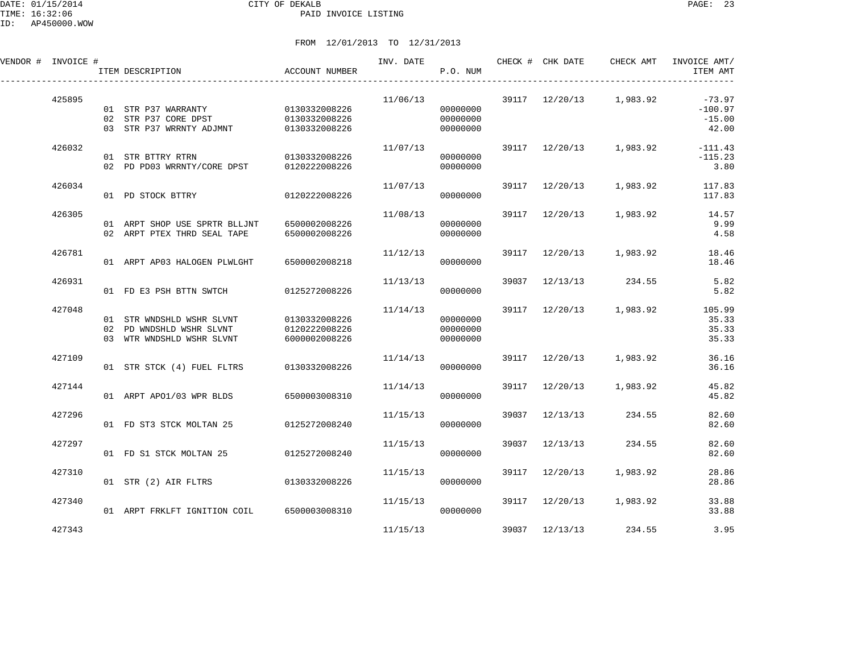DATE: 01/15/2014 CITY OF DEKALB PAGE: 23 PAID INVOICE LISTING

| VENDOR # INVOICE # |        | ITEM DESCRIPTION                                                                   | ACCOUNT NUMBER                                  | INV. DATE | P.O. NUM                         |       | CHECK # CHK DATE | CHECK AMT               | INVOICE AMT/<br>ITEM AMT                   |
|--------------------|--------|------------------------------------------------------------------------------------|-------------------------------------------------|-----------|----------------------------------|-------|------------------|-------------------------|--------------------------------------------|
|                    | 425895 | 01 STR P37 WARRANTY<br>02 STR P37 CORE DPST<br>03 STR P37 WRRNTY ADJMNT            | 0130332008226<br>0130332008226<br>0130332008226 | 11/06/13  | 00000000<br>00000000<br>00000000 |       |                  | 39117 12/20/13 1,983.92 | $-73.97$<br>$-100.97$<br>$-15.00$<br>42.00 |
|                    | 426032 | 01 STR BTTRY RTRN<br>02 PD PD03 WRRNTY/CORE DPST                                   | 0130332008226<br>0120222008226                  | 11/07/13  | 00000000<br>00000000             |       |                  | 39117 12/20/13 1,983.92 | $-111.43$<br>$-115.23$<br>3.80             |
|                    | 426034 | 01 PD STOCK BTTRY                                                                  | 0120222008226                                   | 11/07/13  | 00000000                         |       | 39117 12/20/13   | 1,983.92                | 117.83<br>117.83                           |
|                    | 426305 | 01 ARPT SHOP USE SPRTR BLLJNT<br>02 ARPT PTEX THRD SEAL TAPE                       | 6500002008226<br>6500002008226                  | 11/08/13  | 00000000<br>00000000             | 39117 | 12/20/13         | 1,983.92                | 14.57<br>9.99<br>4.58                      |
|                    | 426781 | 01 ARPT AP03 HALOGEN PLWLGHT                                                       | 6500002008218                                   | 11/12/13  | 00000000                         | 39117 | 12/20/13         | 1,983.92                | 18.46<br>18.46                             |
|                    | 426931 | 01 FD E3 PSH BTTN SWTCH                                                            | 0125272008226                                   | 11/13/13  | 00000000                         | 39037 | 12/13/13         | 234.55                  | 5.82<br>5.82                               |
|                    | 427048 | 01 STR WNDSHLD WSHR SLVNT<br>02 PD WNDSHLD WSHR SLVNT<br>03 WTR WNDSHLD WSHR SLVNT | 0130332008226<br>0120222008226<br>6000002008226 | 11/14/13  | 00000000<br>00000000<br>00000000 | 39117 |                  | 12/20/13 1,983.92       | 105.99<br>35.33<br>35.33<br>35.33          |
|                    | 427109 | 01 STR STCK (4) FUEL FLTRS                                                         | 0130332008226                                   | 11/14/13  | 00000000                         |       |                  | 39117 12/20/13 1,983.92 | 36.16<br>36.16                             |
|                    | 427144 | 01 ARPT APO1/03 WPR BLDS                                                           | 6500003008310                                   | 11/14/13  | 00000000                         | 39117 | 12/20/13         | 1,983.92                | 45.82<br>45.82                             |
|                    | 427296 | 01 FD ST3 STCK MOLTAN 25                                                           | 0125272008240                                   | 11/15/13  | 00000000                         | 39037 | 12/13/13         | 234.55                  | 82.60<br>82.60                             |
|                    | 427297 | 01 FD S1 STCK MOLTAN 25                                                            | 0125272008240                                   | 11/15/13  | 00000000                         | 39037 | 12/13/13         | 234.55                  | 82.60<br>82.60                             |
|                    | 427310 | 01 STR (2) AIR FLTRS                                                               | 0130332008226                                   | 11/15/13  | 00000000                         | 39117 | 12/20/13         | 1,983.92                | 28.86<br>28.86                             |
|                    | 427340 | 01 ARPT FRKLFT IGNITION COIL 6500003008310                                         |                                                 | 11/15/13  | 00000000                         | 39117 | 12/20/13         | 1,983.92                | 33.88<br>33.88                             |
|                    | 427343 |                                                                                    |                                                 | 11/15/13  |                                  |       | 39037 12/13/13   | 234.55                  | 3.95                                       |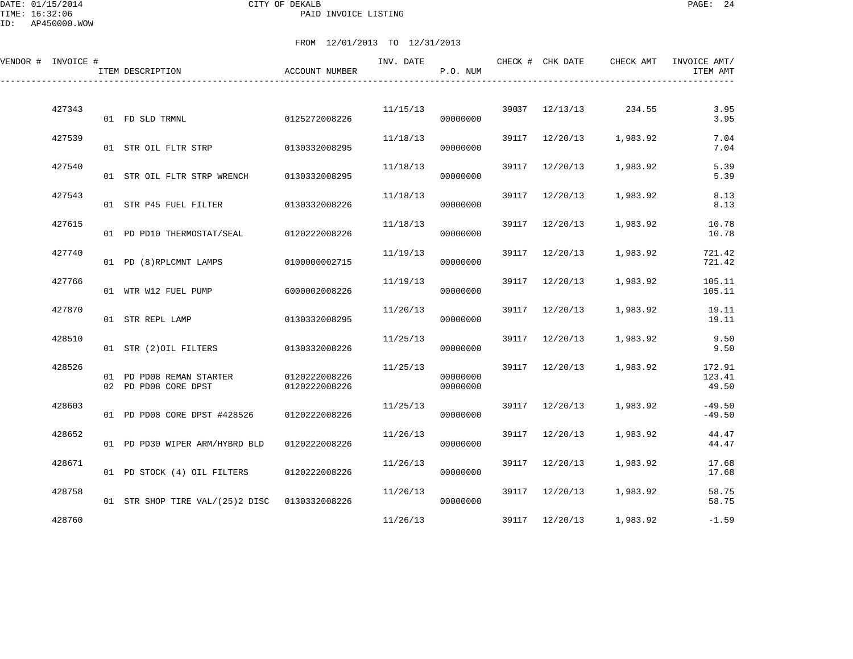DATE: 01/15/2014 CITY OF DEKALB PAGE: 24 PAID INVOICE LISTING

| VENDOR # INVOICE # |        | ITEM DESCRIPTION                                 | <b>ACCOUNT NUMBER</b>          | INV. DATE | P.O. NUM             |       | CHECK # CHK DATE | CHECK AMT             | INVOICE AMT/<br>ITEM AMT  |
|--------------------|--------|--------------------------------------------------|--------------------------------|-----------|----------------------|-------|------------------|-----------------------|---------------------------|
|                    | 427343 | 01 FD SLD TRMNL                                  | 0125272008226                  | 11/15/13  | 00000000             |       |                  | 39037 12/13/13 234.55 | 3.95<br>3.95              |
|                    | 427539 | 01 STR OIL FLTR STRP 0130332008295               |                                | 11/18/13  | 00000000             |       | 39117 12/20/13   | 1,983.92              | 7.04<br>7.04              |
|                    | 427540 | 01 STR OIL FLTR STRP WRENCH                      | 0130332008295                  | 11/18/13  | 00000000             | 39117 | 12/20/13         | 1,983.92              | 5.39<br>5.39              |
|                    | 427543 | 01 STR P45 FUEL FILTER                           | 0130332008226                  | 11/18/13  | 00000000             |       | 39117 12/20/13   | 1,983.92              | 8.13<br>8.13              |
|                    | 427615 | 01 PD PD10 THERMOSTAT/SEAL                       | 0120222008226                  | 11/18/13  | 00000000             |       | 39117 12/20/13   | 1,983.92              | 10.78<br>10.78            |
|                    | 427740 | 01 PD (8)RPLCMNT LAMPS                           | 0100000002715                  | 11/19/13  | 00000000             |       | 39117 12/20/13   | 1,983.92              | 721.42<br>721.42          |
|                    | 427766 | 01 WTR W12 FUEL PUMP                             | 6000002008226                  | 11/19/13  | 00000000             |       | 39117 12/20/13   | 1,983.92              | 105.11<br>105.11          |
|                    | 427870 | 01 STR REPL LAMP                                 | 0130332008295                  | 11/20/13  | 00000000             |       | 39117 12/20/13   | 1,983.92              | 19.11<br>19.11            |
|                    | 428510 | 01 STR (2) OIL FILTERS 0130332008226             |                                | 11/25/13  | 00000000             |       | 39117 12/20/13   | 1,983.92              | 9.50<br>9.50              |
|                    | 428526 | 01 PD PD08 REMAN STARTER<br>02 PD PD08 CORE DPST | 0120222008226<br>0120222008226 | 11/25/13  | 00000000<br>00000000 |       | 39117 12/20/13   | 1,983.92              | 172.91<br>123.41<br>49.50 |
|                    | 428603 | 01 PD PD08 CORE DPST #428526                     | 0120222008226                  | 11/25/13  | 00000000             |       | 39117 12/20/13   | 1,983.92              | $-49.50$<br>$-49.50$      |
|                    | 428652 | 01 PD PD30 WIPER ARM/HYBRD BLD                   | 0120222008226                  | 11/26/13  | 00000000             |       | 39117 12/20/13   | 1,983.92              | 44.47<br>44.47            |
|                    | 428671 | 01 PD STOCK (4) OIL FILTERS                      | 0120222008226                  | 11/26/13  | 00000000             |       | 39117 12/20/13   | 1,983.92              | 17.68<br>17.68            |
|                    | 428758 | 01 STR SHOP TIRE VAL/(25)2 DISC 0130332008226    |                                | 11/26/13  | 00000000             |       | 39117 12/20/13   | 1,983.92              | 58.75<br>58.75            |
|                    | 428760 |                                                  |                                | 11/26/13  |                      |       | 39117 12/20/13   | 1,983.92              | $-1.59$                   |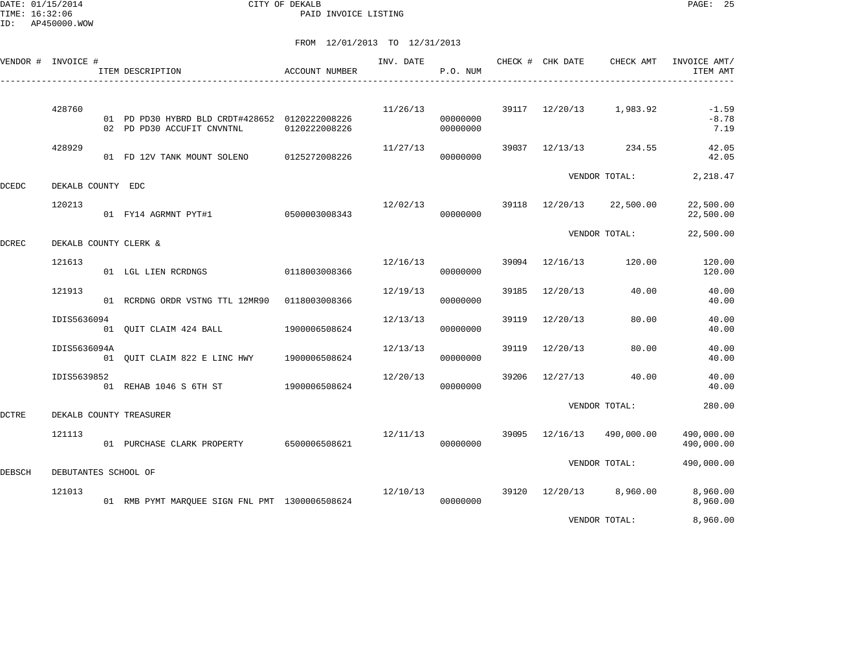DATE: 01/15/2014 CITY OF DEKALB PAGE: 25 PAID INVOICE LISTING

ID: AP450000.WOW

# FROM 12/01/2013 TO 12/31/2013

|              | VENDOR # INVOICE #   | ITEM DESCRIPTION                                                             | <b>ACCOUNT NUMBER</b> |          | P.O. NUM             |       |                | INV. DATE <b>CHECK # CHK DATE</b> CHECK AMT | INVOICE AMT/<br>ITEM AMT   |
|--------------|----------------------|------------------------------------------------------------------------------|-----------------------|----------|----------------------|-------|----------------|---------------------------------------------|----------------------------|
|              | 428760               | 01 PD PD30 HYBRD BLD CRDT#428652 0120222008226<br>02 PD PD30 ACCUFIT CNVNTNL | 0120222008226         | 11/26/13 | 00000000<br>00000000 |       |                | $39117$ $12/20/13$ 1,983.92                 | $-1.59$<br>$-8.78$<br>7.19 |
|              | 428929               | 01 FD 12V TANK MOUNT SOLENO                                                  | 0125272008226         | 11/27/13 | 00000000             |       |                | 39037 12/13/13 234.55                       | 42.05<br>42.05             |
| <b>DCEDC</b> | DEKALB COUNTY EDC    |                                                                              |                       |          |                      |       |                | VENDOR TOTAL:                               | 2,218.47                   |
|              | 120213               | 01 FY14 AGRMNT PYT#1 0500003008343                                           |                       |          | 12/02/13<br>00000000 |       |                | 39118 12/20/13 22,500.00                    | 22,500.00<br>22,500.00     |
| DCREC        |                      | DEKALB COUNTY CLERK &                                                        |                       |          |                      |       |                | VENDOR TOTAL:                               | 22,500.00                  |
|              | 121613               | 01 LGL LIEN RCRDNGS                                                          | 0118003008366         | 12/16/13 | 00000000             |       | 39094 12/16/13 | 120.00                                      | 120.00<br>120.00           |
|              | 121913               | 01 RCRDNG ORDR VSTNG TTL 12MR90 0118003008366                                |                       | 12/19/13 | 00000000             | 39185 | 12/20/13       | 40.00                                       | 40.00<br>40.00             |
|              | IDIS5636094          | 01 QUIT CLAIM 424 BALL                                                       | 1900006508624         | 12/13/13 | 00000000             | 39119 | 12/20/13       | 80.00                                       | 40.00<br>40.00             |
|              | IDIS5636094A         | 01 OUIT CLAIM 822 E LINC HWY 1900006508624                                   |                       | 12/13/13 | 00000000             |       | 39119 12/20/13 | 80.00                                       | 40.00<br>40.00             |
|              | IDIS5639852          | 01 REHAB 1046 S 6TH ST 1900006508624                                         |                       | 12/20/13 | 00000000             | 39206 | 12/27/13       | 40.00                                       | 40.00<br>40.00             |
| DCTRE        |                      | DEKALB COUNTY TREASURER                                                      |                       |          |                      |       |                | VENDOR TOTAL:                               | 280.00                     |
|              | 121113               | 01 PURCHASE CLARK PROPERTY 6500006508621                                     |                       | 12/11/13 | 00000000             |       | 39095 12/16/13 | 490,000.00                                  | 490,000.00<br>490,000.00   |
| DEBSCH       | DEBUTANTES SCHOOL OF |                                                                              |                       |          |                      |       |                | VENDOR TOTAL:                               | 490,000.00                 |
|              | 121013               | 01 RMB PYMT MAROUEE SIGN FNL PMT 1300006508624                               |                       | 12/10/13 | 00000000             |       | 39120 12/20/13 | 8,960.00                                    | 8,960.00<br>8,960.00       |
|              |                      |                                                                              |                       |          |                      |       |                |                                             | .                          |

VENDOR TOTAL: 8,960.00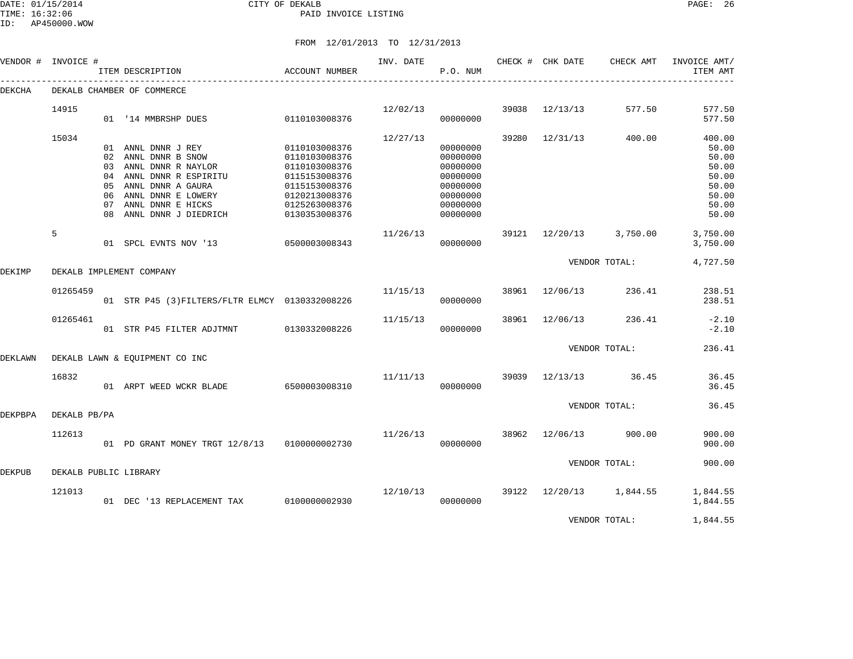# FROM 12/01/2013 TO 12/31/2013

|          |                             |                                                      |                                                                                                                                                                                                                                                                                                                                                                                                                                                                         | INV. DATE                                                                                                                                                                                                                                                                  | P.O. NUM                                     |                                                                                              |                         |                                                                                                    | INVOICE AMT/<br>ITEM AMT                                                                                                      |
|----------|-----------------------------|------------------------------------------------------|-------------------------------------------------------------------------------------------------------------------------------------------------------------------------------------------------------------------------------------------------------------------------------------------------------------------------------------------------------------------------------------------------------------------------------------------------------------------------|----------------------------------------------------------------------------------------------------------------------------------------------------------------------------------------------------------------------------------------------------------------------------|----------------------------------------------|----------------------------------------------------------------------------------------------|-------------------------|----------------------------------------------------------------------------------------------------|-------------------------------------------------------------------------------------------------------------------------------|
|          |                             |                                                      |                                                                                                                                                                                                                                                                                                                                                                                                                                                                         |                                                                                                                                                                                                                                                                            |                                              |                                                                                              |                         |                                                                                                    |                                                                                                                               |
| 14915    |                             |                                                      |                                                                                                                                                                                                                                                                                                                                                                                                                                                                         |                                                                                                                                                                                                                                                                            |                                              | 39038                                                                                        |                         | 577.50                                                                                             | 577.50                                                                                                                        |
|          |                             |                                                      |                                                                                                                                                                                                                                                                                                                                                                                                                                                                         |                                                                                                                                                                                                                                                                            |                                              |                                                                                              |                         |                                                                                                    | 577.50                                                                                                                        |
| 15034    |                             |                                                      |                                                                                                                                                                                                                                                                                                                                                                                                                                                                         | 12/27/13                                                                                                                                                                                                                                                                   |                                              | 39280                                                                                        |                         | 400.00                                                                                             | 400.00                                                                                                                        |
|          |                             |                                                      | 0110103008376                                                                                                                                                                                                                                                                                                                                                                                                                                                           |                                                                                                                                                                                                                                                                            | 00000000                                     |                                                                                              |                         |                                                                                                    | 50.00                                                                                                                         |
|          |                             |                                                      | 0110103008376                                                                                                                                                                                                                                                                                                                                                                                                                                                           |                                                                                                                                                                                                                                                                            | 00000000                                     |                                                                                              |                         |                                                                                                    | 50.00                                                                                                                         |
|          |                             |                                                      |                                                                                                                                                                                                                                                                                                                                                                                                                                                                         |                                                                                                                                                                                                                                                                            |                                              |                                                                                              |                         |                                                                                                    | 50.00                                                                                                                         |
|          |                             |                                                      |                                                                                                                                                                                                                                                                                                                                                                                                                                                                         |                                                                                                                                                                                                                                                                            |                                              |                                                                                              |                         |                                                                                                    | 50.00                                                                                                                         |
|          |                             |                                                      |                                                                                                                                                                                                                                                                                                                                                                                                                                                                         |                                                                                                                                                                                                                                                                            |                                              |                                                                                              |                         |                                                                                                    | 50.00                                                                                                                         |
|          |                             |                                                      |                                                                                                                                                                                                                                                                                                                                                                                                                                                                         |                                                                                                                                                                                                                                                                            |                                              |                                                                                              |                         |                                                                                                    | 50.00                                                                                                                         |
|          |                             |                                                      |                                                                                                                                                                                                                                                                                                                                                                                                                                                                         |                                                                                                                                                                                                                                                                            |                                              |                                                                                              |                         |                                                                                                    | 50.00                                                                                                                         |
|          |                             |                                                      |                                                                                                                                                                                                                                                                                                                                                                                                                                                                         |                                                                                                                                                                                                                                                                            |                                              |                                                                                              |                         |                                                                                                    | 50.00                                                                                                                         |
| 5        |                             |                                                      |                                                                                                                                                                                                                                                                                                                                                                                                                                                                         | 11/26/13                                                                                                                                                                                                                                                                   |                                              | 39121                                                                                        |                         | 3,750.00                                                                                           | 3,750.00                                                                                                                      |
|          |                             |                                                      |                                                                                                                                                                                                                                                                                                                                                                                                                                                                         |                                                                                                                                                                                                                                                                            | 00000000                                     |                                                                                              |                         |                                                                                                    | 3,750.00                                                                                                                      |
|          |                             |                                                      |                                                                                                                                                                                                                                                                                                                                                                                                                                                                         |                                                                                                                                                                                                                                                                            |                                              |                                                                                              |                         |                                                                                                    | 4,727.50                                                                                                                      |
|          |                             |                                                      |                                                                                                                                                                                                                                                                                                                                                                                                                                                                         |                                                                                                                                                                                                                                                                            |                                              |                                                                                              |                         |                                                                                                    |                                                                                                                               |
| 01265459 |                             |                                                      |                                                                                                                                                                                                                                                                                                                                                                                                                                                                         | 11/15/13                                                                                                                                                                                                                                                                   |                                              |                                                                                              |                         | 236.41                                                                                             | 238.51                                                                                                                        |
|          |                             |                                                      |                                                                                                                                                                                                                                                                                                                                                                                                                                                                         |                                                                                                                                                                                                                                                                            | 00000000                                     |                                                                                              |                         |                                                                                                    | 238.51                                                                                                                        |
|          |                             |                                                      |                                                                                                                                                                                                                                                                                                                                                                                                                                                                         |                                                                                                                                                                                                                                                                            |                                              |                                                                                              |                         |                                                                                                    | $-2.10$                                                                                                                       |
|          |                             |                                                      | 0130332008226                                                                                                                                                                                                                                                                                                                                                                                                                                                           |                                                                                                                                                                                                                                                                            | 00000000                                     |                                                                                              |                         |                                                                                                    | $-2.10$                                                                                                                       |
|          |                             |                                                      |                                                                                                                                                                                                                                                                                                                                                                                                                                                                         |                                                                                                                                                                                                                                                                            |                                              |                                                                                              |                         |                                                                                                    | 236.41                                                                                                                        |
|          |                             |                                                      |                                                                                                                                                                                                                                                                                                                                                                                                                                                                         |                                                                                                                                                                                                                                                                            |                                              |                                                                                              |                         |                                                                                                    |                                                                                                                               |
|          |                             |                                                      |                                                                                                                                                                                                                                                                                                                                                                                                                                                                         |                                                                                                                                                                                                                                                                            |                                              |                                                                                              |                         |                                                                                                    |                                                                                                                               |
|          |                             |                                                      |                                                                                                                                                                                                                                                                                                                                                                                                                                                                         |                                                                                                                                                                                                                                                                            |                                              |                                                                                              |                         |                                                                                                    | 36.45                                                                                                                         |
|          |                             |                                                      |                                                                                                                                                                                                                                                                                                                                                                                                                                                                         |                                                                                                                                                                                                                                                                            |                                              |                                                                                              |                         |                                                                                                    | 36.45                                                                                                                         |
|          |                             |                                                      |                                                                                                                                                                                                                                                                                                                                                                                                                                                                         |                                                                                                                                                                                                                                                                            |                                              |                                                                                              |                         |                                                                                                    | 36.45                                                                                                                         |
|          |                             |                                                      |                                                                                                                                                                                                                                                                                                                                                                                                                                                                         |                                                                                                                                                                                                                                                                            |                                              |                                                                                              |                         |                                                                                                    |                                                                                                                               |
| 112613   |                             |                                                      |                                                                                                                                                                                                                                                                                                                                                                                                                                                                         | 11/26/13                                                                                                                                                                                                                                                                   |                                              | 38962                                                                                        |                         | 900.00                                                                                             | 900.00                                                                                                                        |
|          |                             |                                                      |                                                                                                                                                                                                                                                                                                                                                                                                                                                                         |                                                                                                                                                                                                                                                                            | 00000000                                     |                                                                                              |                         |                                                                                                    | 900.00                                                                                                                        |
|          |                             |                                                      |                                                                                                                                                                                                                                                                                                                                                                                                                                                                         |                                                                                                                                                                                                                                                                            |                                              |                                                                                              |                         |                                                                                                    | 900.00                                                                                                                        |
|          |                             |                                                      |                                                                                                                                                                                                                                                                                                                                                                                                                                                                         |                                                                                                                                                                                                                                                                            |                                              |                                                                                              |                         |                                                                                                    |                                                                                                                               |
|          |                             |                                                      |                                                                                                                                                                                                                                                                                                                                                                                                                                                                         |                                                                                                                                                                                                                                                                            |                                              |                                                                                              |                         |                                                                                                    | 1,844.55                                                                                                                      |
|          |                             |                                                      | 0100000002930                                                                                                                                                                                                                                                                                                                                                                                                                                                           |                                                                                                                                                                                                                                                                            | 00000000                                     |                                                                                              |                         |                                                                                                    | 1,844.55                                                                                                                      |
|          |                             |                                                      |                                                                                                                                                                                                                                                                                                                                                                                                                                                                         |                                                                                                                                                                                                                                                                            |                                              |                                                                                              |                         |                                                                                                    |                                                                                                                               |
|          | 01265461<br>16832<br>121013 | VENDOR # INVOICE #<br>06<br>07<br>08<br>DEKALB PB/PA | ITEM DESCRIPTION<br>DEKALB CHAMBER OF COMMERCE<br>01 '14 MMBRSHP DUES<br>01 ANNL DNNR J REY<br>02 ANNL DNNR B SNOW<br>03 ANNL DNNR R NAYLOR<br>04 ANNL DNNR R ESPIRITU<br>05 ANNL DNNR A GAURA<br>ANNL DNNR E LOWERY<br>ANNL DNNR E HICKS<br>ANNL DNNR J DIEDRICH<br>01 SPCL EVNTS NOV '13<br>DEKALB IMPLEMENT COMPANY<br>01 STR P45 FILTER ADJTMNT<br>DEKALB LAWN & EQUIPMENT CO INC<br>01 ARPT WEED WCKR BLADE<br>DEKALB PUBLIC LIBRARY<br>01 DEC '13 REPLACEMENT TAX | ACCOUNT NUMBER<br>0110103008376<br>0110103008376<br>0115153008376<br>0115153008376<br>0120213008376<br>0125263008376<br>0130353008376<br>0500003008343<br>01 STR P45 (3) FILTERS/FLTR ELMCY 0130332008226<br>6500003008310<br>01 PD GRANT MONEY TRGT 12/8/13 0100000002730 | 12/02/13<br>11/15/13<br>11/11/13<br>12/10/13 | 00000000<br>00000000<br>00000000<br>00000000<br>00000000<br>00000000<br>00000000<br>00000000 | 38961<br>39039<br>39122 | 12/13/13<br>12/31/13<br>12/20/13<br>38961 12/06/13<br>12/06/13<br>12/13/13<br>12/06/13<br>12/20/13 | CHECK # CHK DATE CHECK AMT<br>VENDOR TOTAL:<br>236.41<br>VENDOR TOTAL:<br>36.45<br>VENDOR TOTAL:<br>VENDOR TOTAL:<br>1,844.55 |

VENDOR TOTAL: 1,844.55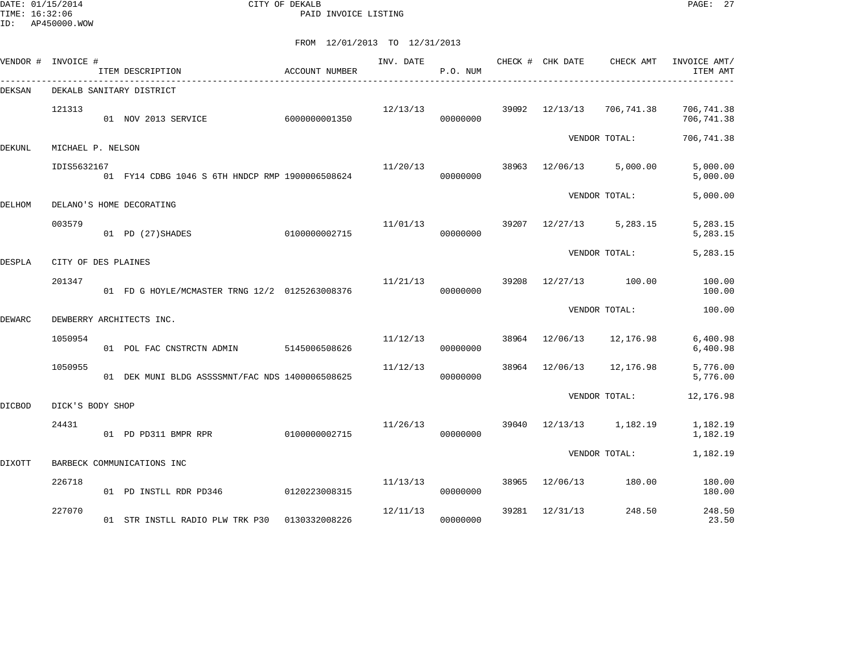DATE: 01/15/2014 CITY OF DEKALB PAGE: 27 PAID INVOICE LISTING

| VENDOR # INVOICE # |                     | ITEM DESCRIPTION                                | ACCOUNT NUMBER | INV. DATE | P.O. NUM |       | CHECK # CHK DATE | CHECK AMT     | INVOICE AMT/<br>ITEM AMT |
|--------------------|---------------------|-------------------------------------------------|----------------|-----------|----------|-------|------------------|---------------|--------------------------|
| DEKSAN             |                     | DEKALB SANITARY DISTRICT                        |                |           |          |       |                  |               |                          |
|                    | 121313              | 01 NOV 2013 SERVICE                             | 6000000001350  | 12/13/13  | 00000000 | 39092 | 12/13/13         | 706,741.38    | 706,741.38<br>706,741.38 |
| DEKUNL             | MICHAEL P. NELSON   |                                                 |                |           |          |       |                  | VENDOR TOTAL: | 706,741.38               |
|                    | IDIS5632167         | 01 FY14 CDBG 1046 S 6TH HNDCP RMP 1900006508624 |                | 11/20/13  | 00000000 | 38963 | 12/06/13         | 5,000.00      | 5,000.00<br>5,000.00     |
| DELHOM             |                     | DELANO'S HOME DECORATING                        |                |           |          |       |                  | VENDOR TOTAL: | 5,000.00                 |
|                    | 003579              | 01 PD (27) SHADES                               | 0100000002715  | 11/01/13  | 00000000 | 39207 | 12/27/13         | 5,283.15      | 5,283.15<br>5,283.15     |
| <b>DESPLA</b>      | CITY OF DES PLAINES |                                                 |                |           |          |       |                  | VENDOR TOTAL: | 5,283.15                 |
|                    | 201347              | 01 FD G HOYLE/MCMASTER TRNG 12/2 0125263008376  |                | 11/21/13  | 00000000 | 39208 | 12/27/13         | 100.00        | 100.00<br>100.00         |
| DEWARC             |                     | DEWBERRY ARCHITECTS INC.                        |                |           |          |       |                  | VENDOR TOTAL: | 100.00                   |
|                    | 1050954             | 01 POL FAC CNSTRCTN ADMIN                       | 5145006508626  | 11/12/13  | 00000000 | 38964 | 12/06/13         | 12,176.98     | 6,400.98<br>6,400.98     |
|                    | 1050955             | 01 DEK MUNI BLDG ASSSSMNT/FAC NDS 1400006508625 |                | 11/12/13  | 00000000 | 38964 | 12/06/13         | 12,176.98     | 5,776.00<br>5,776.00     |
| <b>DICBOD</b>      | DICK'S BODY SHOP    |                                                 |                |           |          |       |                  | VENDOR TOTAL: | 12,176.98                |
|                    | 24431               | 01 PD PD311 BMPR RPR                            | 0100000002715  | 11/26/13  | 00000000 | 39040 | 12/13/13         | 1,182.19      | 1,182.19<br>1,182.19     |
| <b>DIXOTT</b>      |                     | BARBECK COMMUNICATIONS INC                      |                |           |          |       |                  | VENDOR TOTAL: | 1,182.19                 |
|                    | 226718              |                                                 |                | 11/13/13  |          | 38965 | 12/06/13         | 180.00        | 180.00                   |
|                    |                     | 01 PD INSTLL RDR PD346                          | 0120223008315  |           | 00000000 |       |                  |               | 180.00                   |
|                    | 227070              | 01 STR INSTLL RADIO PLW TRK P30                 | 0130332008226  | 12/11/13  | 00000000 | 39281 | 12/31/13         | 248.50        | 248.50<br>23.50          |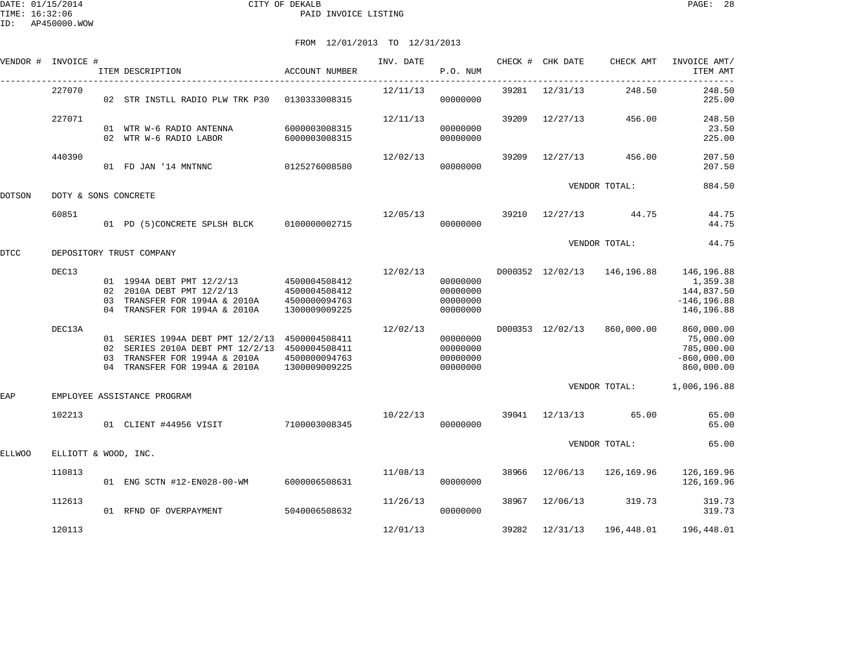|        | VENDOR # INVOICE #   | ITEM DESCRIPTION                                                                                                                                                   | <b>ACCOUNT NUMBER</b>          | INV. DATE | P.O. NUM                                     |       | CHECK # CHK DATE | CHECK AMT                   | INVOICE AMT/<br>ITEM AMT                                             |
|--------|----------------------|--------------------------------------------------------------------------------------------------------------------------------------------------------------------|--------------------------------|-----------|----------------------------------------------|-------|------------------|-----------------------------|----------------------------------------------------------------------|
|        | 227070               | 02 STR INSTLL RADIO PLW TRK P30 0130333008315                                                                                                                      |                                | 12/11/13  | 00000000                                     |       | 39281 12/31/13   | 248.50                      | 248.50<br>225.00                                                     |
|        | 227071               | 01 WTR W-6 RADIO ANTENNA<br>02 WTR W-6 RADIO LABOR                                                                                                                 | 6000003008315<br>6000003008315 | 12/11/13  | 00000000<br>00000000                         | 39209 | 12/27/13         | 456.00                      | 248.50<br>23.50<br>225.00                                            |
|        | 440390               | 01 FD JAN '14 MNTNNC                                                                                                                                               | 0125276008580                  | 12/02/13  | 00000000                                     | 39209 | 12/27/13         | 456.00                      | 207.50<br>207.50                                                     |
| DOTSON | DOTY & SONS CONCRETE |                                                                                                                                                                    |                                |           |                                              |       |                  | VENDOR TOTAL:               | 884.50                                                               |
|        | 60851                | 01 PD (5)CONCRETE SPLSH BLCK 0100000002715                                                                                                                         |                                | 12/05/13  | 00000000                                     | 39210 | $12/27/13$ 44.75 |                             | 44.75<br>44.75                                                       |
| DTCC   |                      | DEPOSITORY TRUST COMPANY                                                                                                                                           |                                |           |                                              |       |                  | VENDOR TOTAL:               | 44.75                                                                |
|        | DEC13                | 01 1994A DEBT PMT 12/2/13 4500004508412<br>02 2010A DEBT PMT 12/2/13<br>03 TRANSFER FOR 1994A & 2010A 4500000094763<br>04 TRANSFER FOR 1994A & 2010A               | 4500004508412<br>1300009009225 | 12/02/13  | 00000000<br>00000000<br>00000000<br>00000000 |       |                  | D000352 12/02/13 146,196.88 | 146,196.88<br>1,359.38<br>144,837.50<br>$-146, 196.88$<br>146,196.88 |
|        | DEC13A               | 01 SERIES 1994A DEBT PMT 12/2/13 4500004508411<br>02 SERIES 2010A DEBT PMT 12/2/13 4500004508411<br>03 TRANSFER FOR 1994A & 2010A<br>04 TRANSFER FOR 1994A & 2010A | 4500000094763<br>1300009009225 | 12/02/13  | 00000000<br>00000000<br>00000000<br>00000000 |       | D000353 12/02/13 | 860,000.00                  | 860,000.00<br>75,000.00<br>785,000.00<br>$-860,000.00$<br>860,000.00 |
| EAP    |                      | EMPLOYEE ASSISTANCE PROGRAM                                                                                                                                        |                                |           |                                              |       |                  | VENDOR TOTAL:               | 1,006,196.88                                                         |
|        | 102213               | 01 CLIENT #44956 VISIT                                                                                                                                             | 7100003008345                  | 10/22/13  | 00000000                                     | 39041 | 12/13/13         | 65.00                       | 65.00<br>65.00                                                       |
| ELLWOO | ELLIOTT & WOOD, INC. |                                                                                                                                                                    |                                |           |                                              |       |                  | VENDOR TOTAL:               | 65.00                                                                |
|        | 110813               | 01 ENG SCTN #12-EN028-00-WM                                                                                                                                        | 6000006508631                  | 11/08/13  | 00000000                                     | 38966 |                  | 12/06/13 126,169.96         | 126,169.96<br>126,169.96                                             |
|        | 112613               | 01 RFND OF OVERPAYMENT                                                                                                                                             | 5040006508632                  | 11/26/13  | 00000000                                     | 38967 | 12/06/13         | 319.73                      | 319.73<br>319.73                                                     |
|        | 120113               |                                                                                                                                                                    |                                | 12/01/13  |                                              | 39282 | 12/31/13         | 196,448.01                  | 196,448.01                                                           |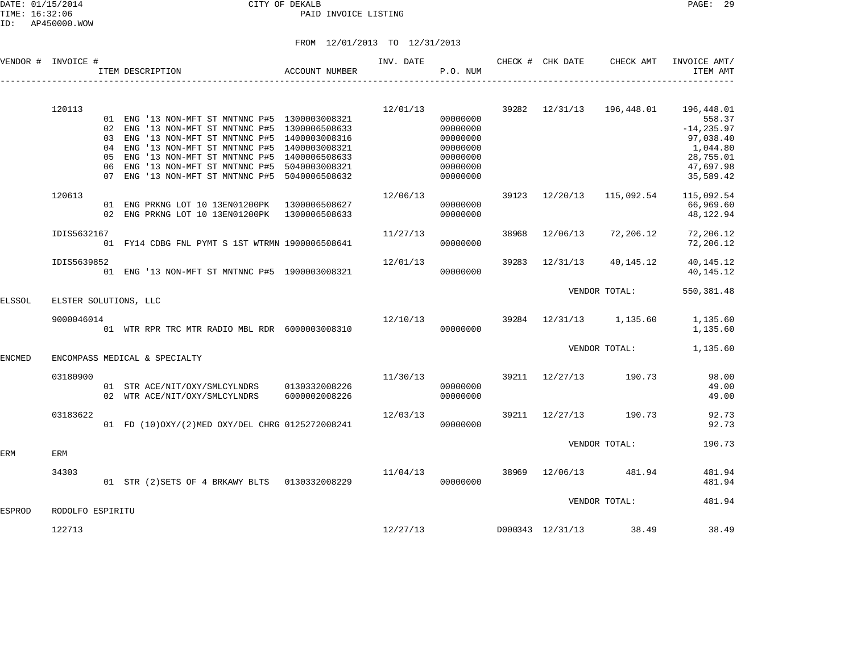### DATE: 01/15/2014 CITY OF DEKALB PAGE: 29 PAID INVOICE LISTING

|               | VENDOR # INVOICE #    |                                  | ITEM DESCRIPTION                                                                                                                                                                                                                                        | ACCOUNT NUMBER                                                                                     | INV. DATE | P.O. NUM                                                                         |       | CHECK # CHK DATE | CHECK AMT               | INVOICE AMT/<br>ITEM AMT                                                                              |
|---------------|-----------------------|----------------------------------|---------------------------------------------------------------------------------------------------------------------------------------------------------------------------------------------------------------------------------------------------------|----------------------------------------------------------------------------------------------------|-----------|----------------------------------------------------------------------------------|-------|------------------|-------------------------|-------------------------------------------------------------------------------------------------------|
|               | 120113                | 02<br>03<br>04<br>05<br>06<br>07 | 01 ENG '13 NON-MFT ST MNTNNC P#5 1300003008321<br>ENG '13 NON-MFT ST MNTNNC P#5<br>ENG '13 NON-MFT ST MNTNNC P#5<br>ENG '13 NON-MFT ST MNTNNC P#5<br>ENG '13 NON-MFT ST MNTNNC P#5<br>'13 NON-MFT ST MNTNNC P#5<br>ENG<br>ENG '13 NON-MFT ST MNTNNC P#5 | 1300006508633<br>1400003008316<br>1400003008321<br>1400006508633<br>5040003008321<br>5040006508632 | 12/01/13  | 00000000<br>00000000<br>00000000<br>00000000<br>00000000<br>00000000<br>00000000 |       | 39282 12/31/13   | 196,448.01              | 196,448.01<br>558.37<br>$-14, 235.97$<br>97,038.40<br>1,044.80<br>28,755.01<br>47,697.98<br>35,589.42 |
|               | 120613                |                                  | 01 ENG PRKNG LOT 10 13EN01200PK<br>02 ENG PRKNG LOT 10 13EN01200PK                                                                                                                                                                                      | 1300006508627<br>1300006508633                                                                     | 12/06/13  | 00000000<br>00000000                                                             |       | 39123 12/20/13   | 115,092.54              | 115,092.54<br>66,969.60<br>48,122.94                                                                  |
|               | IDIS5632167           |                                  | 01 FY14 CDBG FNL PYMT S 1ST WTRMN 1900006508641                                                                                                                                                                                                         |                                                                                                    | 11/27/13  | 00000000                                                                         | 38968 | 12/06/13         | 72,206.12               | 72,206.12<br>72,206.12                                                                                |
|               | IDIS5639852           |                                  | 01 ENG '13 NON-MFT ST MNTNNC P#5 1900003008321                                                                                                                                                                                                          |                                                                                                    | 12/01/13  | 00000000                                                                         | 39283 | 12/31/13         | 40,145.12               | 40, 145. 12<br>40, 145. 12                                                                            |
| ELSSOL        | ELSTER SOLUTIONS, LLC |                                  |                                                                                                                                                                                                                                                         |                                                                                                    |           |                                                                                  |       |                  | VENDOR TOTAL:           | 550, 381.48                                                                                           |
|               | 9000046014            |                                  | 01 WTR RPR TRC MTR RADIO MBL RDR 6000003008310                                                                                                                                                                                                          |                                                                                                    | 12/10/13  | 00000000                                                                         |       |                  | 39284 12/31/13 1,135.60 | 1,135.60<br>1,135.60                                                                                  |
| <b>ENCMED</b> |                       |                                  | ENCOMPASS MEDICAL & SPECIALTY                                                                                                                                                                                                                           |                                                                                                    |           |                                                                                  |       |                  | VENDOR TOTAL:           | 1,135.60                                                                                              |
|               | 03180900              |                                  | 01 STR ACE/NIT/OXY/SMLCYLNDRS<br>02 WTR ACE/NIT/OXY/SMLCYLNDRS                                                                                                                                                                                          | 0130332008226<br>6000002008226                                                                     | 11/30/13  | 00000000<br>00000000                                                             |       | 39211 12/27/13   | 190.73                  | 98.00<br>49.00<br>49.00                                                                               |
|               | 03183622              |                                  | 01 FD (10) OXY/(2) MED OXY/DEL CHRG 0125272008241                                                                                                                                                                                                       |                                                                                                    | 12/03/13  | 00000000                                                                         |       | 39211 12/27/13   | 190.73                  | 92.73<br>92.73                                                                                        |
| ERM           | ERM                   |                                  |                                                                                                                                                                                                                                                         |                                                                                                    |           |                                                                                  |       |                  | VENDOR TOTAL:           | 190.73                                                                                                |
|               | 34303                 |                                  | 01 STR (2) SETS OF 4 BRKAWY BLTS 0130332008229                                                                                                                                                                                                          |                                                                                                    | 11/04/13  | 00000000                                                                         |       | 38969 12/06/13   | 481.94                  | 481.94<br>481.94                                                                                      |
| ESPROD        | RODOLFO ESPIRITU      |                                  |                                                                                                                                                                                                                                                         |                                                                                                    |           |                                                                                  |       |                  | VENDOR TOTAL:           | 481.94                                                                                                |
|               | 122713                |                                  |                                                                                                                                                                                                                                                         |                                                                                                    | 12/27/13  |                                                                                  |       | D000343 12/31/13 | 38.49                   | 38.49                                                                                                 |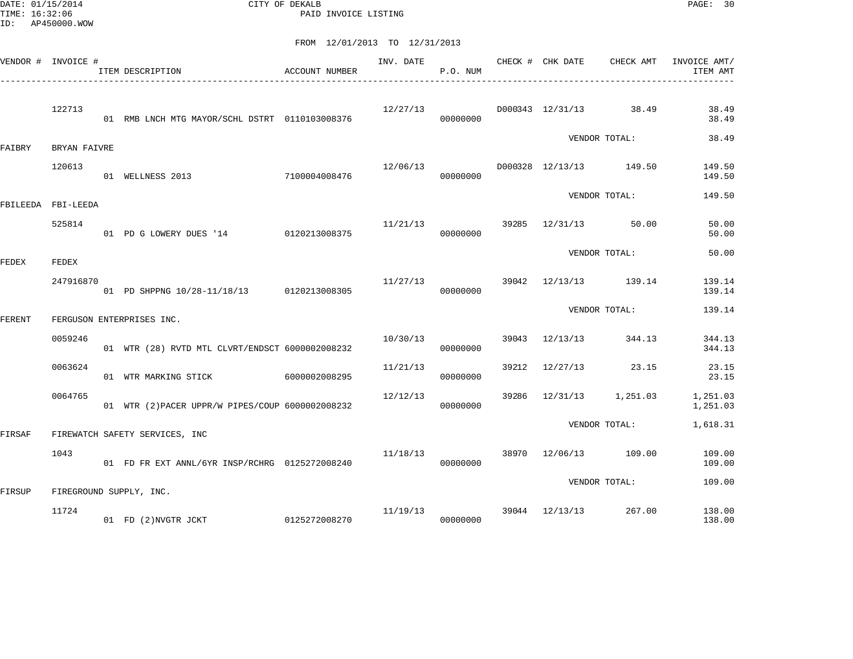DATE: 01/15/2014 CITY OF DEKALB PAGE: 30 PAID INVOICE LISTING

|        | VENDOR # INVOICE # | ITEM DESCRIPTION                                 | ACCOUNT NUMBER | INV. DATE | P.O. NUM             |       | CHECK # CHK DATE            | CHECK AMT               | INVOICE AMT/<br>ITEM AMT |
|--------|--------------------|--------------------------------------------------|----------------|-----------|----------------------|-------|-----------------------------|-------------------------|--------------------------|
|        | 122713             | 01 RMB LNCH MTG MAYOR/SCHL DSTRT 0110103008376   |                | 12/27/13  | 00000000             |       |                             | D000343 12/31/13 38.49  | 38.49<br>38.49           |
| FAIBRY | BRYAN FAIVRE       |                                                  |                |           |                      |       |                             | VENDOR TOTAL:           | 38.49                    |
|        | 120613             | 7100004008476<br>01 WELLNESS 2013                |                | 12/06/13  | 00000000             |       |                             | D000328 12/13/13 149.50 | 149.50<br>149.50         |
|        | FBILEEDA FBI-LEEDA |                                                  |                |           |                      |       |                             | VENDOR TOTAL:           | 149.50                   |
|        | 525814             | 01 PD G LOWERY DUES '14 0120213008375            |                | 11/21/13  | 00000000             |       | 39285 12/31/13 50.00        |                         | 50.00<br>50.00           |
| FEDEX  | FEDEX              |                                                  |                |           |                      |       |                             | VENDOR TOTAL:           | 50.00                    |
|        | 247916870          | 01 PD SHPPNG 10/28-11/18/13 0120213008305        |                |           | 11/27/13<br>00000000 |       |                             | 39042 12/13/13 139.14   | 139.14<br>139.14         |
| FERENT |                    | FERGUSON ENTERPRISES INC.                        |                |           |                      |       |                             | VENDOR TOTAL:           | 139.14                   |
|        | 0059246            | 01 WTR (28) RVTD MTL CLVRT/ENDSCT 6000002008232  |                | 10/30/13  | 00000000             |       | 39043 12/13/13              | 344.13                  | 344.13<br>344.13         |
|        | 0063624            | 01 WTR MARKING STICK                             | 6000002008295  | 11/21/13  | 00000000             |       | 39212 12/27/13              | 23.15                   | 23.15<br>23.15           |
|        | 0064765            | 01 WTR (2) PACER UPPR/W PIPES/COUP 6000002008232 |                | 12/12/13  | 00000000             | 39286 |                             | 12/31/13 1,251.03       | 1,251.03<br>1,251.03     |
| FIRSAF |                    | FIREWATCH SAFETY SERVICES, INC                   |                |           |                      |       |                             | VENDOR TOTAL:           | 1,618.31                 |
|        | 1043               | 01 FD FR EXT ANNL/6YR INSP/RCHRG 0125272008240   |                | 11/18/13  | 00000000             |       |                             | 38970 12/06/13 109.00   | 109.00<br>109.00         |
| FIRSUP |                    | FIREGROUND SUPPLY, INC.                          |                |           |                      |       |                             | VENDOR TOTAL:           | 109.00                   |
|        | 11724              | 01 FD (2)NVGTR JCKT                              | 0125272008270  |           | 00000000             |       | $11/19/13$ 39044 $12/13/13$ | 267.00                  | 138.00<br>138.00         |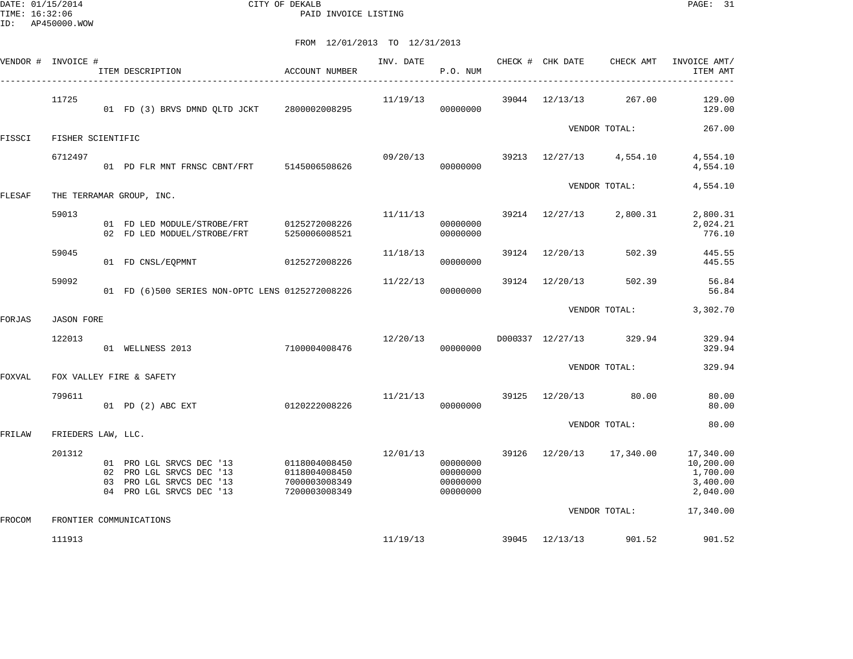DATE: 01/15/2014 CITY OF DEKALB PAGE: 31 PAID INVOICE LISTING

|        | VENDOR # INVOICE # | ITEM DESCRIPTION                                                                                             | ACCOUNT NUMBER                                                   | INV. DATE | P.O. NUM                                     |       | CHECK # CHK DATE | CHECK AMT               | INVOICE AMT/<br>ITEM AMT                                   |
|--------|--------------------|--------------------------------------------------------------------------------------------------------------|------------------------------------------------------------------|-----------|----------------------------------------------|-------|------------------|-------------------------|------------------------------------------------------------|
|        | 11725              | 01 FD (3) BRVS DMND QLTD JCKT 2800002008295                                                                  |                                                                  | 11/19/13  | 00000000                                     |       | 39044 12/13/13   | 267.00                  | 129.00<br>129.00                                           |
| FISSCI | FISHER SCIENTIFIC  |                                                                                                              |                                                                  |           |                                              |       |                  | VENDOR TOTAL:           | 267.00                                                     |
|        | 6712497            | 01 PD FLR MNT FRNSC CBNT/FRT 5145006508626                                                                   |                                                                  | 09/20/13  | 00000000                                     | 39213 |                  | 12/27/13 4,554.10       | 4,554.10<br>4,554.10                                       |
| FLESAF |                    | THE TERRAMAR GROUP, INC.                                                                                     |                                                                  |           |                                              |       |                  | VENDOR TOTAL:           | 4,554.10                                                   |
|        | 59013              | 01 FD LED MODULE/STROBE/FRT 0125272008226<br>02 FD LED MODUEL/STROBE/FRT                                     | 5250006008521                                                    | 11/11/13  | 00000000<br>00000000                         | 39214 | 12/27/13         | 2,800.31                | 2,800.31<br>2,024.21<br>776.10                             |
|        | 59045              | 01 FD CNSL/EQPMNT                                                                                            | 0125272008226                                                    | 11/18/13  | 00000000                                     | 39124 | 12/20/13         | 502.39                  | 445.55<br>445.55                                           |
|        | 59092              | 01 FD (6)500 SERIES NON-OPTC LENS 0125272008226                                                              |                                                                  | 11/22/13  | 00000000                                     | 39124 | 12/20/13         | 502.39                  | 56.84<br>56.84                                             |
| FORJAS | <b>JASON FORE</b>  |                                                                                                              |                                                                  |           |                                              |       |                  | VENDOR TOTAL:           | 3,302.70                                                   |
|        | 122013             | 7100004008476<br>01 WELLNESS 2013                                                                            |                                                                  | 12/20/13  | 00000000                                     |       |                  | D000337 12/27/13 329.94 | 329.94<br>329.94                                           |
| FOXVAL |                    | FOX VALLEY FIRE & SAFETY                                                                                     |                                                                  |           |                                              |       |                  | VENDOR TOTAL:           | 329.94                                                     |
|        | 799611             | 01 PD (2) ABC EXT                                                                                            | 0120222008226                                                    | 11/21/13  | 00000000                                     | 39125 | 12/20/13         | 80.00                   | 80.00<br>80.00                                             |
| FRILAW | FRIEDERS LAW, LLC. |                                                                                                              |                                                                  |           |                                              |       |                  | VENDOR TOTAL:           | 80.00                                                      |
|        | 201312             | 01 PRO LGL SRVCS DEC '13<br>02 PRO LGL SRVCS DEC '13<br>03 PRO LGL SRVCS DEC '13<br>04 PRO LGL SRVCS DEC '13 | 0118004008450<br>0118004008450<br>7000003008349<br>7200003008349 | 12/01/13  | 00000000<br>00000000<br>00000000<br>00000000 | 39126 |                  | 12/20/13 17,340.00      | 17,340.00<br>10,200.00<br>1,700.00<br>3,400.00<br>2,040.00 |
| FROCOM |                    | FRONTIER COMMUNICATIONS                                                                                      |                                                                  |           |                                              |       |                  | VENDOR TOTAL:           | 17,340.00                                                  |
|        | 111913             |                                                                                                              |                                                                  | 11/19/13  |                                              |       | 39045 12/13/13   | 901.52                  | 901.52                                                     |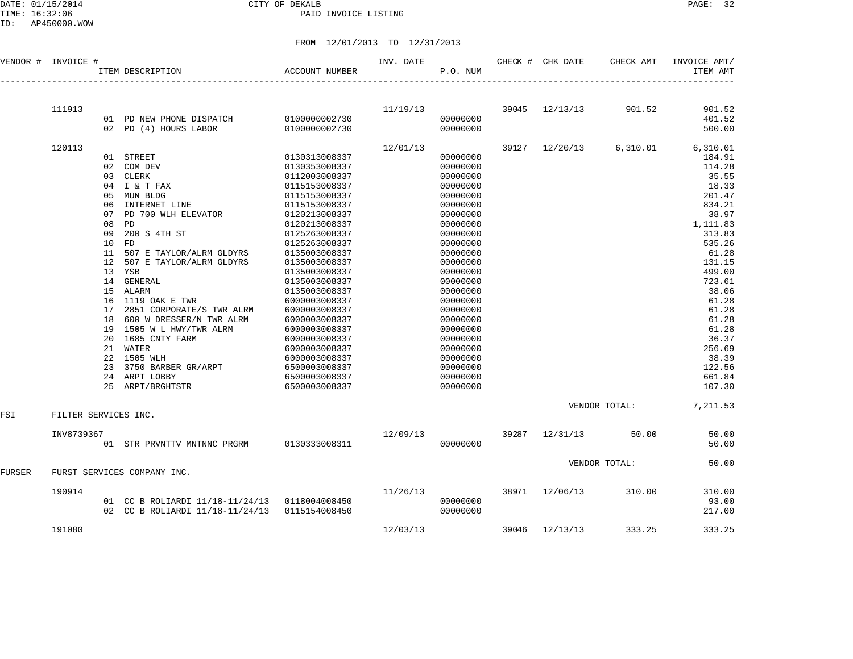DATE: 01/15/2014 CITY OF DEKALB PAGE: 32 PAID INVOICE LISTING

ID: AP450000.WOW

| VENDOR #      | INVOICE #            |    | ITEM DESCRIPTION                              | <b>ACCOUNT NUMBER</b> | INV. DATE | P.O. NUM |       | CHECK # CHK DATE | CHECK AMT     | INVOICE AMT/<br>ITEM AMT |
|---------------|----------------------|----|-----------------------------------------------|-----------------------|-----------|----------|-------|------------------|---------------|--------------------------|
|               |                      |    |                                               |                       |           |          |       |                  |               |                          |
|               | 111913               |    |                                               |                       | 11/19/13  |          | 39045 | 12/13/13         | 901.52        | 901.52                   |
|               |                      |    | 01 PD NEW PHONE DISPATCH                      | 0100000002730         |           | 00000000 |       |                  |               | 401.52                   |
|               |                      |    | 02 PD (4) HOURS LABOR                         | 0100000002730         |           | 00000000 |       |                  |               | 500.00                   |
|               | 120113               |    |                                               |                       | 12/01/13  |          | 39127 | 12/20/13         | 6,310.01      | 6,310.01                 |
|               |                      |    | 01 STREET                                     | 0130313008337         |           | 00000000 |       |                  |               | 184.91                   |
|               |                      |    | 02 COM DEV                                    | 0130353008337         |           | 00000000 |       |                  |               | 114.28                   |
|               |                      |    | 03 CLERK                                      | 0112003008337         |           | 00000000 |       |                  |               | 35.55                    |
|               |                      |    | 04 I & T FAX                                  | 0115153008337         |           | 00000000 |       |                  |               | 18.33                    |
|               |                      |    | 05 MUN BLDG                                   | 0115153008337         |           | 00000000 |       |                  |               | 201.47                   |
|               |                      | 06 | INTERNET LINE                                 | 0115153008337         |           | 00000000 |       |                  |               | 834.21                   |
|               |                      | 07 | PD 700 WLH ELEVATOR                           | 0120213008337         |           | 00000000 |       |                  |               | 38.97                    |
|               |                      | 08 | PD                                            | 0120213008337         |           | 00000000 |       |                  |               | 1,111.83                 |
|               |                      | 09 | 200 S 4TH ST                                  | 0125263008337         |           | 00000000 |       |                  |               | 313.83                   |
|               |                      | 10 | FD                                            | 0125263008337         |           | 00000000 |       |                  |               | 535.26                   |
|               |                      | 11 | 507 E TAYLOR/ALRM GLDYRS                      | 0135003008337         |           | 00000000 |       |                  |               | 61.28                    |
|               |                      | 12 | 507 E TAYLOR/ALRM GLDYRS                      | 0135003008337         |           | 00000000 |       |                  |               | 131.15                   |
|               |                      |    | 13 YSB                                        | 0135003008337         |           | 00000000 |       |                  |               | 499.00                   |
|               |                      |    | 14 GENERAL                                    | 0135003008337         |           | 00000000 |       |                  |               | 723.61                   |
|               |                      |    | 15 ALARM                                      | 0135003008337         |           | 00000000 |       |                  |               | 38.06                    |
|               |                      |    | 16 1119 OAK E TWR                             | 6000003008337         |           | 00000000 |       |                  |               | 61.28                    |
|               |                      | 17 | 2851 CORPORATE/S TWR ALRM                     | 6000003008337         |           | 00000000 |       |                  |               | 61.28                    |
|               |                      | 18 | 600 W DRESSER/N TWR ALRM                      | 6000003008337         |           | 00000000 |       |                  |               | 61.28                    |
|               |                      |    | 19 1505 W L HWY/TWR ALRM                      | 6000003008337         |           | 00000000 |       |                  |               | 61.28                    |
|               |                      |    | 20 1685 CNTY FARM                             | 6000003008337         |           | 00000000 |       |                  |               | 36.37                    |
|               |                      |    | 21 WATER                                      | 6000003008337         |           | 00000000 |       |                  |               | 256.69                   |
|               |                      |    | 22 1505 WLH                                   | 6000003008337         |           | 00000000 |       |                  |               | 38.39                    |
|               |                      | 23 | 3750 BARBER GR/ARPT                           | 6500003008337         |           | 00000000 |       |                  |               | 122.56                   |
|               |                      |    | 24 ARPT LOBBY                                 | 6500003008337         |           | 00000000 |       |                  |               | 661.84                   |
|               |                      |    | 25 ARPT/BRGHTSTR                              | 6500003008337         |           | 00000000 |       |                  |               | 107.30                   |
| FSI           | FILTER SERVICES INC. |    |                                               |                       |           |          |       |                  | VENDOR TOTAL: | 7,211.53                 |
|               |                      |    |                                               |                       |           |          |       |                  |               |                          |
|               | INV8739367           |    |                                               |                       | 12/09/13  |          | 39287 | 12/31/13         | 50.00         | 50.00                    |
|               |                      |    | 01 STR PRVNTTV MNTNNC PRGRM 0130333008311     |                       |           | 00000000 |       |                  |               | 50.00                    |
|               |                      |    |                                               |                       |           |          |       |                  | VENDOR TOTAL: | 50.00                    |
| <b>FURSER</b> |                      |    | FURST SERVICES COMPANY INC.                   |                       |           |          |       |                  |               |                          |
|               | 190914               |    |                                               |                       | 11/26/13  |          | 38971 | 12/06/13         | 310.00        | 310.00                   |
|               |                      |    | 01 CC B ROLIARDI 11/18-11/24/13 0118004008450 |                       |           | 00000000 |       |                  |               | 93.00                    |
|               |                      |    | 02 CC B ROLIARDI 11/18-11/24/13               | 0115154008450         |           | 00000000 |       |                  |               | 217.00                   |
|               | 191080               |    |                                               |                       | 12/03/13  |          | 39046 | 12/13/13         | 333.25        | 333.25                   |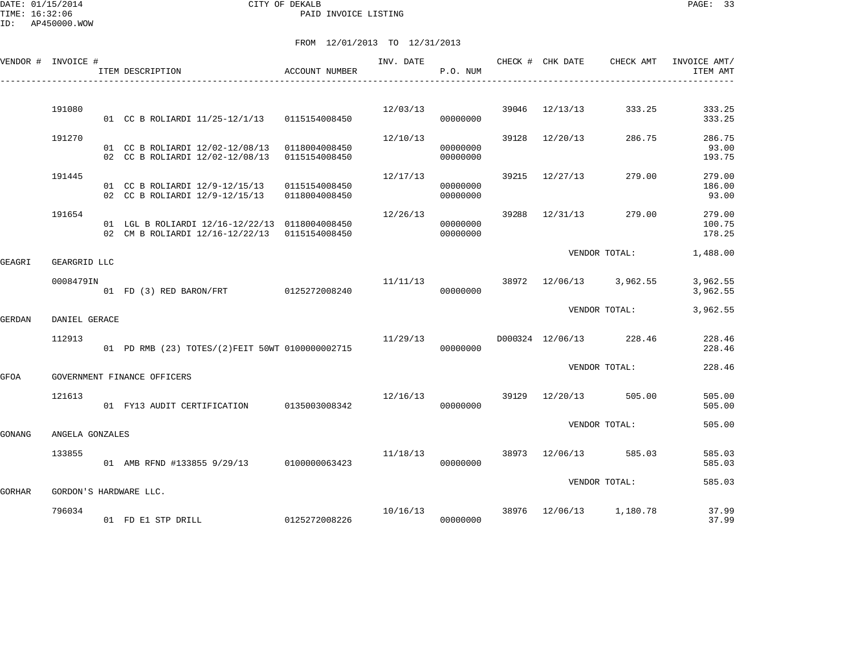|        | VENDOR # INVOICE #     | ITEM DESCRIPTION                                                                                | ACCOUNT NUMBER                 | INV. DATE | P.O. NUM             |       | CHECK # CHK DATE | CHECK AMT               | INVOICE AMT/<br>ITEM AMT   |
|--------|------------------------|-------------------------------------------------------------------------------------------------|--------------------------------|-----------|----------------------|-------|------------------|-------------------------|----------------------------|
|        | 191080                 | 01 CC B ROLIARDI 11/25-12/1/13 0115154008450                                                    |                                | 12/03/13  | 00000000             | 39046 | 12/13/13         | 333.25                  | 333.25<br>333.25           |
|        | 191270                 | 01 CC B ROLIARDI 12/02-12/08/13 0118004008450<br>02 CC B ROLIARDI 12/02-12/08/13                | 0115154008450                  | 12/10/13  | 00000000<br>00000000 |       | 39128 12/20/13   | 286.75                  | 286.75<br>93.00<br>193.75  |
|        | 191445                 | 01 CC B ROLIARDI 12/9-12/15/13<br>02 CC B ROLIARDI 12/9-12/15/13                                | 0115154008450<br>0118004008450 | 12/17/13  | 00000000<br>00000000 |       | 39215 12/27/13   | 279.00                  | 279.00<br>186.00<br>93.00  |
|        | 191654                 | 01 LGL B ROLIARDI 12/16-12/22/13 0118004008450<br>02 CM B ROLIARDI 12/16-12/22/13 0115154008450 |                                | 12/26/13  | 00000000<br>00000000 | 39288 | 12/31/13         | 279.00                  | 279.00<br>100.75<br>178.25 |
| GEAGRI | GEARGRID LLC           |                                                                                                 |                                |           |                      |       |                  | VENDOR TOTAL:           | 1,488.00                   |
|        | 0008479IN              | 01 FD (3) RED BARON/FRT                                                                         | 0125272008240                  | 11/11/13  | 00000000             |       |                  | 38972 12/06/13 3,962.55 | 3,962.55<br>3,962.55       |
| GERDAN | DANIEL GERACE          |                                                                                                 |                                |           |                      |       |                  | VENDOR TOTAL:           | 3,962.55                   |
|        | 112913                 | 01 PD RMB (23) TOTES/(2)FEIT 50WT 0100000002715                                                 |                                | 11/29/13  | 00000000             |       |                  | D000324 12/06/13 228.46 | 228.46<br>228.46           |
| GFOA   |                        | GOVERNMENT FINANCE OFFICERS                                                                     |                                |           |                      |       |                  | VENDOR TOTAL:           | 228.46                     |
|        | 121613                 | 01 FY13 AUDIT CERTIFICATION 0135003008342                                                       |                                | 12/16/13  | 00000000             |       | 39129 12/20/13   | 505.00                  | 505.00<br>505.00           |
| GONANG | ANGELA GONZALES        |                                                                                                 |                                |           |                      |       |                  | VENDOR TOTAL:           | 505.00                     |
|        | 133855                 | 01 AMB RFND #133855 9/29/13 0100000063423                                                       |                                | 11/18/13  | 00000000             |       | 38973 12/06/13   | 585.03                  | 585.03<br>585.03           |
| GORHAR | GORDON'S HARDWARE LLC. |                                                                                                 |                                |           |                      |       |                  | VENDOR TOTAL:           | 585.03                     |
|        | 796034                 | 01 FD E1 STP DRILL                                                                              | 0125272008226                  | 10/16/13  | 00000000             | 38976 | 12/06/13         | 1,180.78                | 37.99<br>37.99             |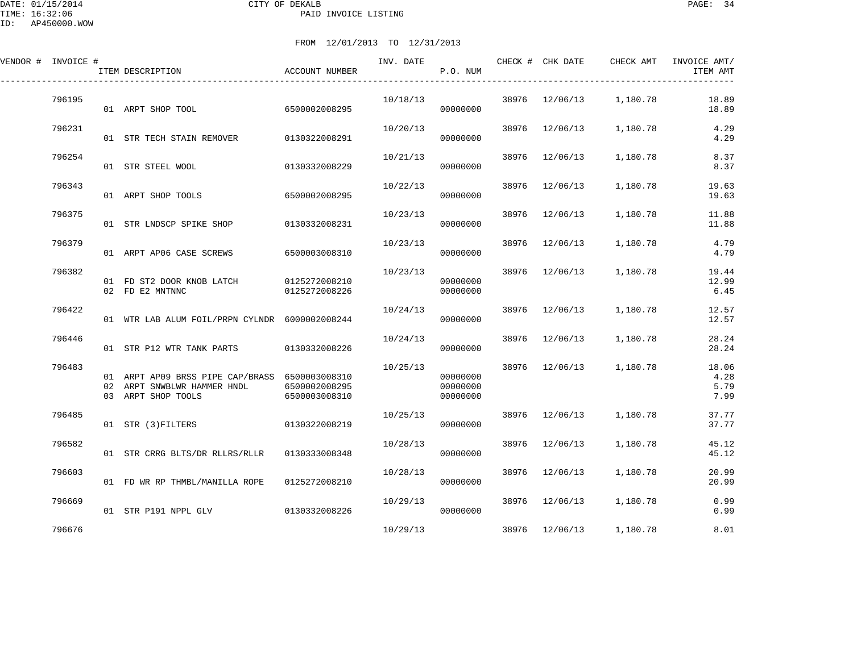ID: AP450000.WOW

| FROM 12/01/2013 TO 12/31/2013 |  |                                                            |               |                       |                      |  |                                                       |  |                        |  |  |  |
|-------------------------------|--|------------------------------------------------------------|---------------|-----------------------|----------------------|--|-------------------------------------------------------|--|------------------------|--|--|--|
| VENDOR # INVOICE #            |  | ACCOUNT NUMBER<br>ITEM DESCRIPTION                         |               |                       | P.O. NUM             |  | INV. DATE THE CHECK # CHK DATE CHECK AMT INVOICE AMT/ |  | ITEM AMT               |  |  |  |
| 796195                        |  | 01 ARPT SHOP TOOL 6500002008295                            |               | 10/18/13<br>000000000 |                      |  | 38976 12/06/13 1,180.78                               |  | 18.89<br>18.89         |  |  |  |
| 796231                        |  | 01 STR TECH STAIN REMOVER 0130322008291                    |               | 10/20/13              | 00000000             |  | $38976$ $12/06/13$ 1,180.78                           |  | 4.29<br>4.29           |  |  |  |
| 796254                        |  | 01 STR STEEL WOOL 0130332008229                            |               |                       | 00000000             |  | $10/21/13$ 38976 $12/06/13$ 1,180.78                  |  | 8.37<br>8.37           |  |  |  |
| 796343                        |  | 01 ARPT SHOP TOOLS 6500002008295                           |               | 10/22/13              | 00000000             |  | 38976 12/06/13 1,180.78                               |  | 19.63<br>19.63         |  |  |  |
| 796375                        |  | 01 STR LNDSCP SPIKE SHOP                                   | 0130332008231 |                       | 00000000             |  | $10/23/13$ 38976 $12/06/13$ 1,180.78                  |  | 11.88<br>11.88         |  |  |  |
| 796379                        |  | 01 ARPT AP06 CASE SCREWS 6500003008310                     |               | 10/23/13              | 00000000             |  | 38976 12/06/13 1,180.78                               |  | 4.79<br>4.79           |  |  |  |
| 796382                        |  | 01 FD ST2 DOOR KNOB LATCH 0125272008210<br>02 FD E2 MNTNNC | 0125272008226 | 10/23/13              | 00000000<br>00000000 |  | 38976 12/06/13 1,180.78                               |  | 19.44<br>12.99<br>6.45 |  |  |  |
| 796422                        |  | 01 WTR LAB ALUM FOIL/PRPN CYLNDR 6000002008244             |               | 10/24/13<br>00000000  |                      |  | 38976 12/06/13 1.180.78                               |  | 12.57<br>12.57         |  |  |  |
| 796446                        |  | 01 STR P12 WTR TANK PARTS                                  | 0130332008226 | 10/24/13              | 00000000             |  | 38976 12/06/13 1,180.78                               |  | 28.24<br>28.24         |  |  |  |

| 796483 | 01<br>02<br>03 | ARPT AP09 BRSS PIPE CAP/BRASS<br>ARPT SNWBLWR HAMMER HNDL<br>ARPT SHOP TOOLS | 6500003008310<br>6500002008295<br>6500003008310 | 10/25/13 | 00000000<br>00000000<br>00000000 | 38976 | 12/06/13 | 1,180.78 | 18.06<br>4.28<br>5.79<br>7.99 |
|--------|----------------|------------------------------------------------------------------------------|-------------------------------------------------|----------|----------------------------------|-------|----------|----------|-------------------------------|
| 796485 | 01             | STR (3) FILTERS                                                              | 0130322008219                                   | 10/25/13 | 00000000                         | 38976 | 12/06/13 | 1,180.78 | 37.77<br>37.77                |
| 796582 | 01             | STR CRRG BLTS/DR RLLRS/RLLR                                                  | 0130333008348                                   | 10/28/13 | 00000000                         | 38976 | 12/06/13 | 1,180.78 | 45.12<br>45.12                |
| 796603 | 01             | FD WR RP THMBL/MANILLA ROPE                                                  | 0125272008210                                   | 10/28/13 | 00000000                         | 38976 | 12/06/13 | 1,180.78 | 20.99<br>20.99                |
| 796669 | 01             | STR P191 NPPL GLV                                                            | 0130332008226                                   | 10/29/13 | 00000000                         | 38976 | 12/06/13 | 1,180.78 | 0.99<br>0.99                  |
| 796676 |                |                                                                              |                                                 | 10/29/13 |                                  | 38976 | 12/06/13 | 1,180.78 | 8.01                          |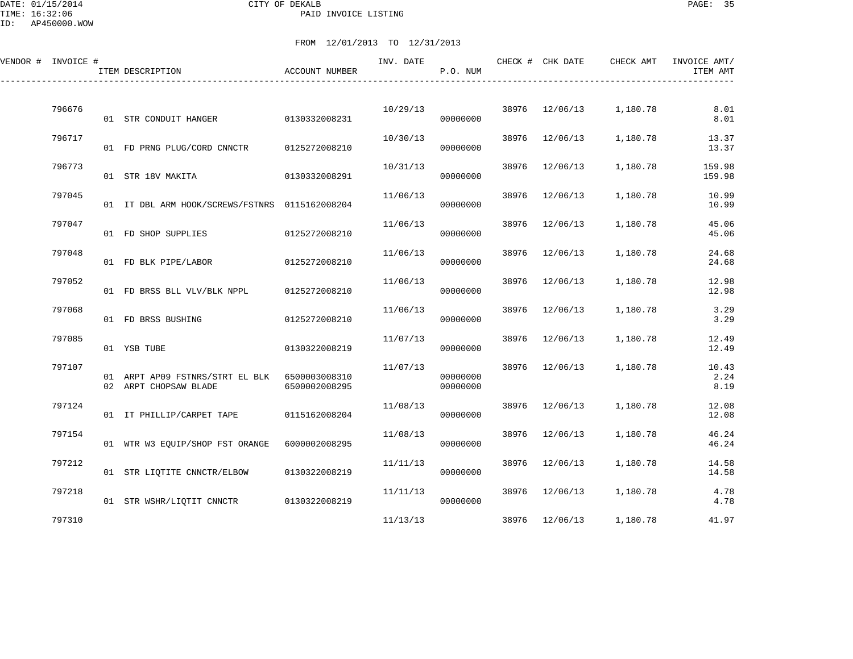DATE: 01/15/2014 CITY OF DEKALB PAGE: 35 PAID INVOICE LISTING

| VENDOR # INVOICE # | ITEM DESCRIPTION                                         | ACCOUNT NUMBER                 | INV. DATE | P.O. NUM             |       | CHECK # CHK DATE | CHECK AMT | INVOICE AMT/<br>ITEM AMT |
|--------------------|----------------------------------------------------------|--------------------------------|-----------|----------------------|-------|------------------|-----------|--------------------------|
|                    |                                                          |                                |           |                      |       |                  |           |                          |
| 796676             | 01 STR CONDUIT HANGER                                    | 0130332008231                  | 10/29/13  | 00000000             |       | 38976 12/06/13   | 1,180.78  | 8.01<br>8.01             |
| 796717             | 01 FD PRNG PLUG/CORD CNNCTR                              | 0125272008210                  | 10/30/13  | 00000000             | 38976 | 12/06/13         | 1,180.78  | 13.37<br>13.37           |
| 796773             | 01 STR 18V MAKITA                                        | 0130332008291                  | 10/31/13  | 00000000             | 38976 | 12/06/13         | 1,180.78  | 159.98<br>159.98         |
| 797045             |                                                          |                                | 11/06/13  |                      | 38976 | 12/06/13         | 1,180.78  | 10.99                    |
|                    | 01 IT DBL ARM HOOK/SCREWS/FSTNRS 0115162008204           |                                |           | 00000000             |       |                  |           | 10.99                    |
| 797047             | 01 FD SHOP SUPPLIES                                      | 0125272008210                  | 11/06/13  | 00000000             | 38976 | 12/06/13         | 1,180.78  | 45.06<br>45.06           |
| 797048             | 01 FD BLK PIPE/LABOR                                     | 0125272008210                  | 11/06/13  | 00000000             | 38976 | 12/06/13         | 1,180.78  | 24.68<br>24.68           |
| 797052             | 01 FD BRSS BLL VLV/BLK NPPL                              | 0125272008210                  | 11/06/13  | 00000000             | 38976 | 12/06/13         | 1,180.78  | 12.98<br>12.98           |
| 797068             | 01 FD BRSS BUSHING                                       | 0125272008210                  | 11/06/13  | 00000000             | 38976 | 12/06/13         | 1,180.78  | 3.29<br>3.29             |
| 797085             | 01 YSB TUBE                                              | 0130322008219                  | 11/07/13  | 00000000             | 38976 | 12/06/13         | 1,180.78  | 12.49<br>12.49           |
| 797107             |                                                          |                                | 11/07/13  |                      |       | 38976 12/06/13   | 1,180.78  | 10.43                    |
|                    | 01 ARPT AP09 FSTNRS/STRT EL BLK<br>02 ARPT CHOPSAW BLADE | 6500003008310<br>6500002008295 |           | 00000000<br>00000000 |       |                  |           | 2.24<br>8.19             |
| 797124             | 01 IT PHILLIP/CARPET TAPE                                | 0115162008204                  | 11/08/13  | 00000000             | 38976 | 12/06/13         | 1,180.78  | 12.08<br>12.08           |
| 797154             | 01 WTR W3 EQUIP/SHOP FST ORANGE                          | 6000002008295                  | 11/08/13  | 00000000             | 38976 | 12/06/13         | 1,180.78  | 46.24<br>46.24           |
| 797212             |                                                          |                                | 11/11/13  |                      | 38976 | 12/06/13         | 1,180.78  | 14.58                    |
|                    | 01 STR LIQTITE CNNCTR/ELBOW                              | 0130322008219                  |           | 00000000             |       |                  |           | 14.58                    |
| 797218             | 01 STR WSHR/LIQTIT CNNCTR 0130322008219                  |                                | 11/11/13  | 00000000             | 38976 | 12/06/13         | 1,180.78  | 4.78<br>4.78             |
| 797310             |                                                          |                                | 11/13/13  |                      |       | 38976 12/06/13   | 1,180.78  | 41.97                    |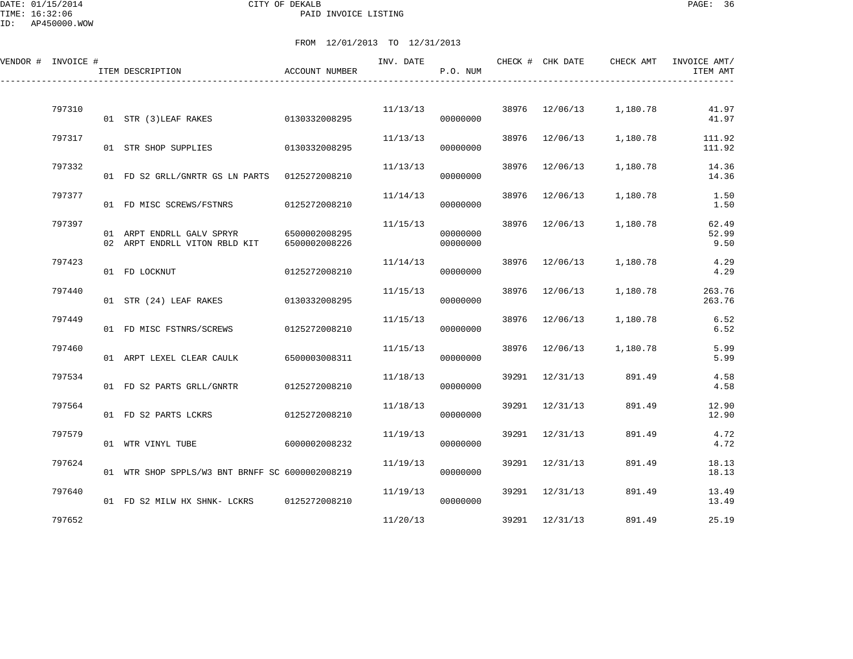DATE: 01/15/2014 CITY OF DEKALB PAGE: 36 PAID INVOICE LISTING

| VENDOR # INVOICE # | ITEM DESCRIPTION                                           | <b>ACCOUNT NUMBER</b>          | INV. DATE | P.O. NUM             |       | CHECK # CHK DATE | CHECK AMT                            | INVOICE AMT/<br>ITEM AMT |
|--------------------|------------------------------------------------------------|--------------------------------|-----------|----------------------|-------|------------------|--------------------------------------|--------------------------|
| 797310             |                                                            |                                |           |                      |       |                  | $11/13/13$ 38976 $12/06/13$ 1,180.78 | 41.97                    |
|                    | 01 STR (3)LEAF RAKES                                       | 0130332008295                  |           | 00000000             |       |                  |                                      | 41.97                    |
| 797317             | 01 STR SHOP SUPPLIES 0130332008295                         |                                | 11/13/13  | 00000000             |       | 38976 12/06/13   | 1,180.78                             | 111.92<br>111.92         |
| 797332             | 01 FD S2 GRLL/GNRTR GS LN PARTS 0125272008210              |                                | 11/13/13  | 00000000             | 38976 | 12/06/13         | 1,180.78                             | 14.36<br>14.36           |
| 797377             | 01 FD MISC SCREWS/FSTNRS                                   | 0125272008210                  | 11/14/13  | 00000000             | 38976 | 12/06/13         | 1,180.78                             | 1.50<br>1.50             |
| 797397             | 01 ARPT ENDRLL GALV SPRYR<br>02 ARPT ENDRLL VITON RBLD KIT | 6500002008295<br>6500002008226 | 11/15/13  | 00000000<br>00000000 |       | 38976 12/06/13   | 1,180.78                             | 62.49<br>52.99<br>9.50   |
| 797423             | 01 FD LOCKNUT                                              | 0125272008210                  | 11/14/13  | 00000000             | 38976 | 12/06/13         | 1,180.78                             | 4.29<br>4.29             |
| 797440             | 01 STR (24) LEAF RAKES 0130332008295                       |                                | 11/15/13  | 00000000             |       | 38976 12/06/13   | 1,180.78                             | 263.76<br>263.76         |
| 797449             | 01 FD MISC FSTNRS/SCREWS                                   | 0125272008210                  | 11/15/13  | 00000000             |       | 38976 12/06/13   | 1,180.78                             | 6.52<br>6.52             |
| 797460             | 01 ARPT LEXEL CLEAR CAULK                                  | 6500003008311                  | 11/15/13  | 00000000             | 38976 | 12/06/13         | 1,180.78                             | 5.99<br>5.99             |
| 797534             | 01 FD S2 PARTS GRLL/GNRTR                                  | 0125272008210                  | 11/18/13  | 00000000             |       | 39291 12/31/13   | 891.49                               | 4.58<br>4.58             |
| 797564             | 01 FD S2 PARTS LCKRS                                       | 0125272008210                  | 11/18/13  | 00000000             |       | 39291 12/31/13   | 891.49                               | 12.90<br>12.90           |
| 797579             | 01 WTR VINYL TUBE                                          | 6000002008232                  | 11/19/13  | 00000000             | 39291 | 12/31/13         | 891.49                               | 4.72<br>4.72             |
| 797624             | 01 WTR SHOP SPPLS/W3 BNT BRNFF SC 6000002008219            |                                | 11/19/13  | 00000000             |       | 39291 12/31/13   | 891.49                               | 18.13<br>18.13           |
| 797640             | 01 FD S2 MILW HX SHNK- LCKRS 0125272008210                 |                                | 11/19/13  | 00000000             |       | 39291 12/31/13   | 891.49                               | 13.49<br>13.49           |
| 797652             |                                                            |                                | 11/20/13  |                      |       | 39291 12/31/13   | 891.49                               | 25.19                    |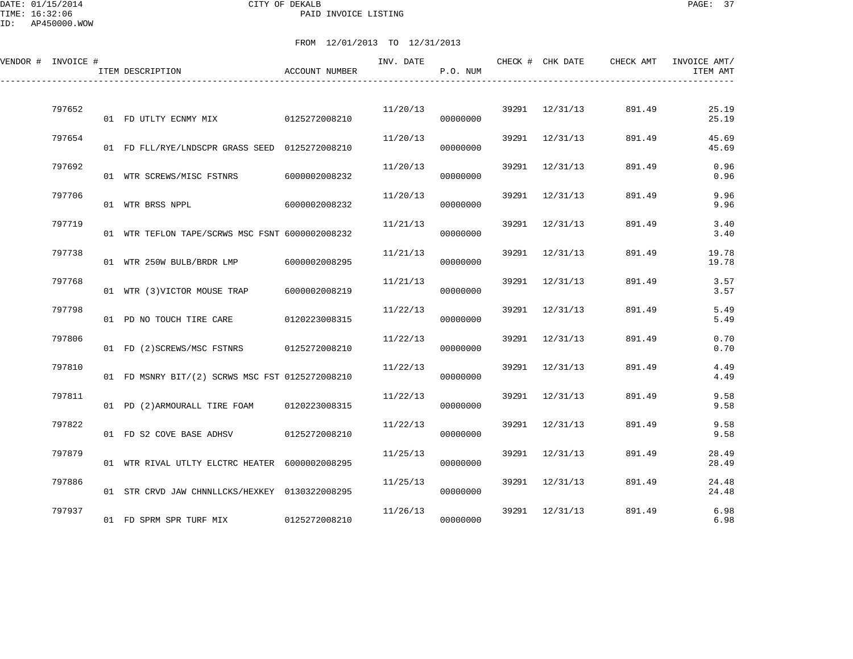DATE: 01/15/2014 CITY OF DEKALB PAGE: 37 PAID INVOICE LISTING

| VENDOR # INVOICE # | ITEM DESCRIPTION                                | ACCOUNT NUMBER | INV. DATE | P.O. NUM |       | CHECK # CHK DATE | CHECK AMT | INVOICE AMT/<br>ITEM AMT |
|--------------------|-------------------------------------------------|----------------|-----------|----------|-------|------------------|-----------|--------------------------|
| 797652             | 01 FD UTLTY ECNMY MIX 0125272008210             |                | 11/20/13  | 00000000 |       | 39291 12/31/13   | 891.49    | 25.19<br>25.19           |
| 797654             | 01 FD FLL/RYE/LNDSCPR GRASS SEED 0125272008210  |                | 11/20/13  | 00000000 |       | 39291 12/31/13   | 891.49    | 45.69<br>45.69           |
| 797692             | 01 WTR SCREWS/MISC FSTNRS                       | 6000002008232  | 11/20/13  | 00000000 |       | 39291 12/31/13   | 891.49    | 0.96<br>0.96             |
| 797706             | 01 WTR BRSS NPPL                                | 6000002008232  | 11/20/13  | 00000000 | 39291 | 12/31/13         | 891.49    | 9.96<br>9.96             |
| 797719             | 01 WTR TEFLON TAPE/SCRWS MSC FSNT 6000002008232 |                | 11/21/13  | 00000000 | 39291 | 12/31/13         | 891.49    | 3.40<br>3.40             |
| 797738             | 01 WTR 250W BULB/BRDR LMP 6000002008295         |                | 11/21/13  | 00000000 |       | 39291 12/31/13   | 891.49    | 19.78<br>19.78           |
| 797768             | 01 WTR (3)VICTOR MOUSE TRAP                     | 6000002008219  | 11/21/13  | 00000000 |       | 39291 12/31/13   | 891.49    | 3.57<br>3.57             |
| 797798             | 01 PD NO TOUCH TIRE CARE                        | 0120223008315  | 11/22/13  | 00000000 | 39291 | 12/31/13         | 891.49    | 5.49<br>5.49             |
| 797806             | 01 FD (2) SCREWS/MSC FSTNRS 0125272008210       |                | 11/22/13  | 00000000 |       | 39291 12/31/13   | 891.49    | 0.70<br>0.70             |
| 797810             | 01 FD MSNRY BIT/(2) SCRWS MSC FST 0125272008210 |                | 11/22/13  | 00000000 |       | 39291 12/31/13   | 891.49    | 4.49<br>4.49             |
| 797811             | 01 PD (2)ARMOURALL TIRE FOAM                    | 0120223008315  | 11/22/13  | 00000000 | 39291 | 12/31/13         | 891.49    | 9.58<br>9.58             |
| 797822             | 01 FD S2 COVE BASE ADHSV                        | 0125272008210  | 11/22/13  | 00000000 |       | 39291 12/31/13   | 891.49    | 9.58<br>9.58             |
| 797879             | 01 WTR RIVAL UTLTY ELCTRC HEATER 6000002008295  |                | 11/25/13  | 00000000 |       | 39291 12/31/13   | 891.49    | 28.49<br>28.49           |
| 797886             | 01 STR CRVD JAW CHNNLLCKS/HEXKEY 0130322008295  |                | 11/25/13  | 00000000 |       | 39291 12/31/13   | 891.49    | 24.48<br>24.48           |
| 797937             | 01 FD SPRM SPR TURF MIX                         | 0125272008210  | 11/26/13  | 00000000 | 39291 | 12/31/13         | 891.49    | 6.98<br>6.98             |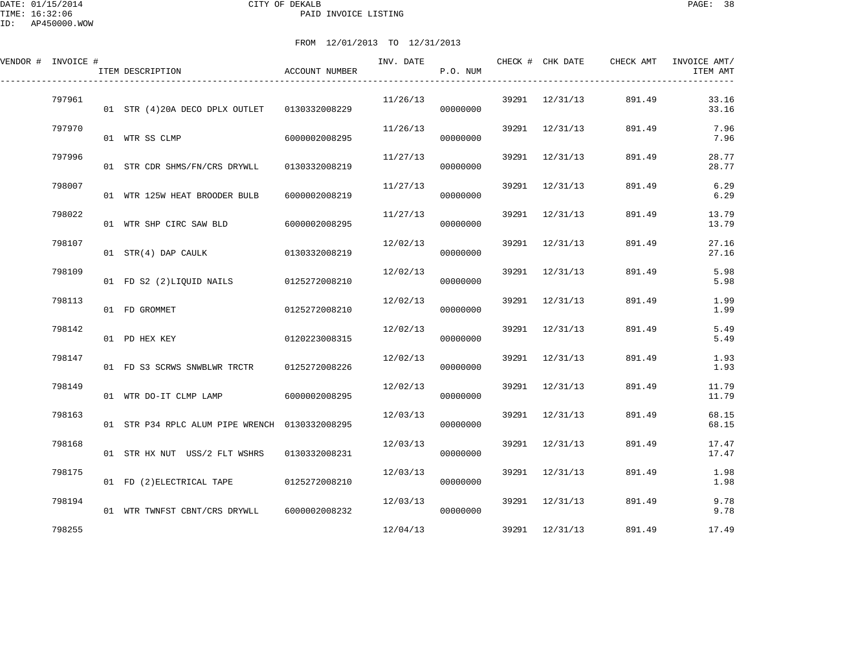DATE: 01/15/2014 CITY OF DEKALB PAGE: 38 PAID INVOICE LISTING

| VENDOR # INVOICE # | ITEM DESCRIPTION                               | ACCOUNT NUMBER | INV. DATE | P.O. NUM | CHECK # CHK DATE | CHECK AMT | INVOICE AMT/<br>ITEM AMT |
|--------------------|------------------------------------------------|----------------|-----------|----------|------------------|-----------|--------------------------|
| 797961             | 01 STR (4)20A DECO DPLX OUTLET   0130332008229 |                | 11/26/13  | 00000000 | 39291 12/31/13   | 891.49    | 33.16<br>33.16           |
| 797970             | 01 WTR SS CLMP                                 | 6000002008295  | 11/26/13  | 00000000 | 39291 12/31/13   | 891.49    | 7.96<br>7.96             |
| 797996             | 01 STR CDR SHMS/FN/CRS DRYWLL                  | 0130332008219  | 11/27/13  | 00000000 | 39291 12/31/13   | 891.49    | 28.77<br>28.77           |
| 798007             | 01 WTR 125W HEAT BROODER BULB                  | 6000002008219  | 11/27/13  | 00000000 | 39291 12/31/13   | 891.49    | 6.29<br>6.29             |
| 798022             | 01 WTR SHP CIRC SAW BLD                        | 6000002008295  | 11/27/13  | 00000000 | 39291 12/31/13   | 891.49    | 13.79<br>13.79           |
| 798107             | 01 STR(4) DAP CAULK                            | 0130332008219  | 12/02/13  | 00000000 | 39291 12/31/13   | 891.49    | 27.16<br>27.16           |
| 798109             | 01 FD S2 (2) LIOUID NAILS 0125272008210        |                | 12/02/13  | 00000000 | 39291 12/31/13   | 891.49    | 5.98<br>5.98             |
| 798113             | 01 FD GROMMET                                  | 0125272008210  | 12/02/13  | 00000000 | 39291 12/31/13   | 891.49    | 1.99<br>1.99             |
| 798142             | 01 PD HEX KEY                                  | 0120223008315  | 12/02/13  | 00000000 | 39291 12/31/13   | 891.49    | 5.49<br>5.49             |
| 798147             | 01 FD S3 SCRWS SNWBLWR TRCTR                   | 0125272008226  | 12/02/13  | 00000000 | 39291 12/31/13   | 891.49    | 1.93<br>1.93             |
| 798149             | 01 WTR DO-IT CLMP LAMP                         | 6000002008295  | 12/02/13  | 00000000 | 39291 12/31/13   | 891.49    | 11.79<br>11.79           |
| 798163             | 01 STR P34 RPLC ALUM PIPE WRENCH 0130332008295 |                | 12/03/13  | 00000000 | 39291 12/31/13   | 891.49    | 68.15<br>68.15           |
| 798168             | 01 STR HX NUT USS/2 FLT WSHRS                  | 0130332008231  | 12/03/13  | 00000000 | 39291 12/31/13   | 891.49    | 17.47<br>17.47           |
| 798175             | 01 FD (2) ELECTRICAL TAPE 0125272008210        |                | 12/03/13  | 00000000 | 39291 12/31/13   | 891.49    | 1.98<br>1.98             |
| 798194             | 01 WTR TWNFST CBNT/CRS DRYWLL 6000002008232    |                | 12/03/13  | 00000000 | 39291 12/31/13   | 891.49    | 9.78<br>9.78             |
| 798255             |                                                |                | 12/04/13  |          | 39291 12/31/13   | 891.49    | 17.49                    |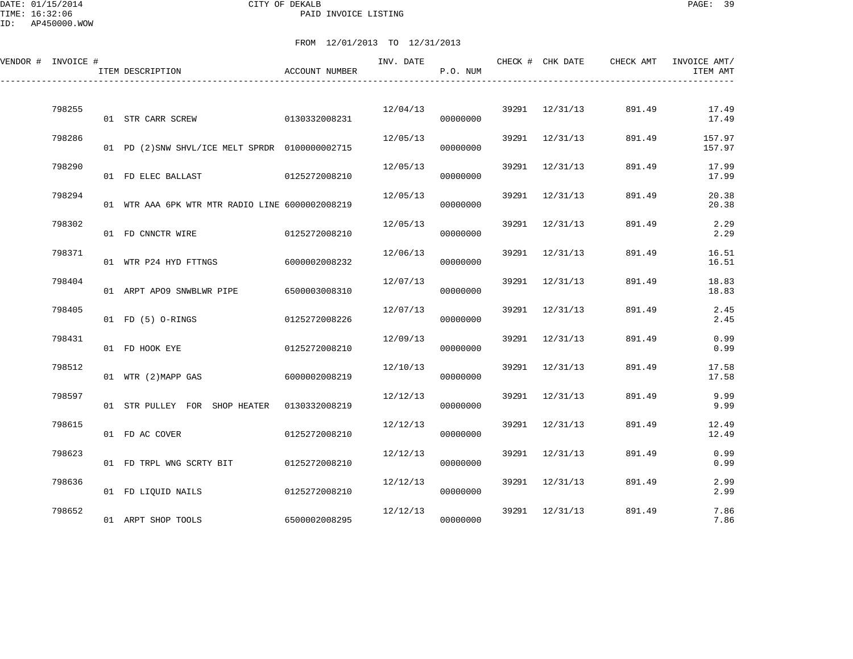DATE: 01/15/2014 CITY OF DEKALB PAGE: 39 PAID INVOICE LISTING

ID: AP450000.WOW

| VENDOR # INVOICE # |        | ITEM DESCRIPTION                                | <b>ACCOUNT NUMBER</b> | INV. DATE | P.O. NUM |       | CHECK # CHK DATE | CHECK AMT | INVOICE AMT/<br>ITEM AMT |
|--------------------|--------|-------------------------------------------------|-----------------------|-----------|----------|-------|------------------|-----------|--------------------------|
|                    | 798255 | 01 STR CARR SCREW                               | 0130332008231         | 12/04/13  | 00000000 |       | 39291 12/31/13   | 891.49    | 17.49<br>17.49           |
|                    | 798286 | 01 PD (2) SNW SHVL/ICE MELT SPRDR 0100000002715 |                       | 12/05/13  | 00000000 |       | 39291 12/31/13   | 891.49    | 157.97<br>157.97         |
|                    | 798290 | 01 FD ELEC BALLAST                              | 0125272008210         | 12/05/13  | 00000000 |       | 39291 12/31/13   | 891.49    | 17.99<br>17.99           |
|                    | 798294 | 01 WTR AAA 6PK WTR MTR RADIO LINE 6000002008219 |                       | 12/05/13  | 00000000 | 39291 | 12/31/13         | 891.49    | 20.38<br>20.38           |
|                    | 798302 | 01 FD CNNCTR WIRE                               | 0125272008210         | 12/05/13  | 00000000 | 39291 | 12/31/13         | 891.49    | 2.29<br>2.29             |
|                    | 798371 | 01 WTR P24 HYD FTTNGS                           | 6000002008232         | 12/06/13  | 00000000 |       | 39291 12/31/13   | 891.49    | 16.51<br>16.51           |
|                    | 798404 | 01 ARPT APO9 SNWBLWR PIPE                       | 6500003008310         | 12/07/13  | 00000000 |       | 39291 12/31/13   | 891.49    | 18.83<br>18.83           |
|                    | 798405 | 01 FD (5) O-RINGS                               | 0125272008226         | 12/07/13  | 00000000 | 39291 | 12/31/13         | 891.49    | 2.45<br>2.45             |
|                    | 798431 | 01 FD HOOK EYE                                  | 0125272008210         | 12/09/13  | 00000000 |       | 39291 12/31/13   | 891.49    | 0.99<br>0.99             |
|                    | 798512 | 01 WTR (2) MAPP GAS                             | 6000002008219         | 12/10/13  | 00000000 |       | 39291 12/31/13   | 891.49    | 17.58<br>17.58           |
|                    | 798597 | 01 STR PULLEY FOR SHOP HEATER                   | 0130332008219         | 12/12/13  | 00000000 | 39291 | 12/31/13         | 891.49    | 9.99<br>9.99             |
|                    | 798615 | 01 FD AC COVER                                  | 0125272008210         | 12/12/13  | 00000000 | 39291 | 12/31/13         | 891.49    | 12.49<br>12.49           |
|                    | 798623 | 01 FD TRPL WNG SCRTY BIT                        | 0125272008210         | 12/12/13  | 00000000 |       | 39291 12/31/13   | 891.49    | 0.99<br>0.99             |
|                    | 798636 | 01 FD LIQUID NAILS                              | 0125272008210         | 12/12/13  | 00000000 |       | 39291 12/31/13   | 891.49    | 2.99<br>2.99             |
|                    | 798652 | 01 ARPT SHOP TOOLS                              | 6500002008295         | 12/12/13  | 00000000 | 39291 | 12/31/13         | 891.49    | 7.86<br>7.86             |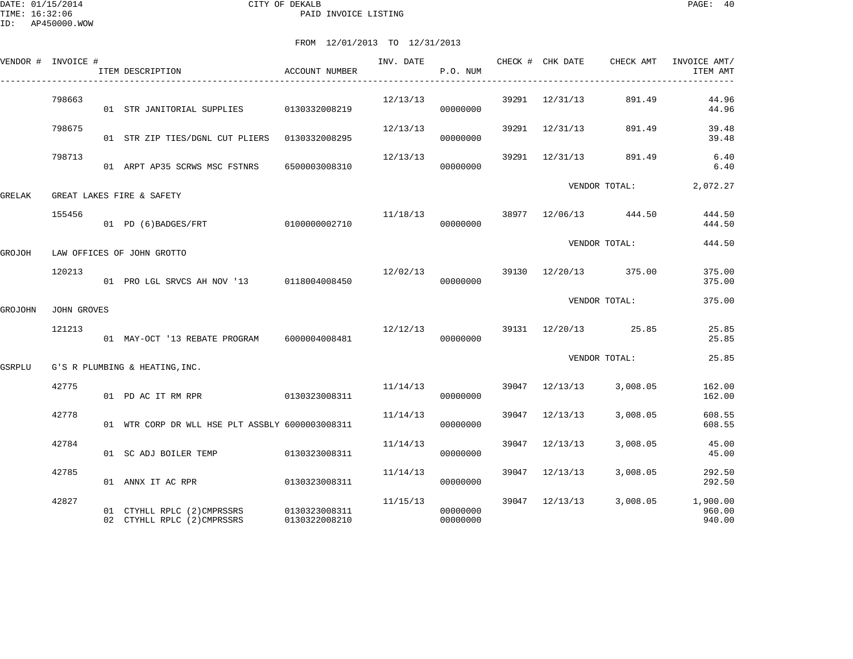|         | VENDOR # INVOICE # | ITEM DESCRIPTION                                                       | <b>ACCOUNT NUMBER</b> | INV. DATE | P.O. NUM             |       | CHECK # CHK DATE | CHECK AMT                          | INVOICE AMT/<br>ITEM AMT     |
|---------|--------------------|------------------------------------------------------------------------|-----------------------|-----------|----------------------|-------|------------------|------------------------------------|------------------------------|
|         | 798663             | 01 STR JANITORIAL SUPPLIES 0130332008219                               |                       | 12/13/13  | 00000000             |       | 39291 12/31/13   | 891.49                             | 44.96<br>44.96               |
|         | 798675             | 01 STR ZIP TIES/DGNL CUT PLIERS 0130332008295                          |                       | 12/13/13  | 00000000             |       | 39291 12/31/13   | 891.49                             | 39.48<br>39.48               |
|         | 798713             | 01 ARPT AP35 SCRWS MSC FSTNRS                                          | 6500003008310         | 12/13/13  | 00000000             |       |                  | 39291 12/31/13 891.49              | 6.40<br>6.40                 |
| GRELAK  |                    | GREAT LAKES FIRE & SAFETY                                              |                       |           |                      |       |                  | VENDOR TOTAL:                      | 2,072.27                     |
|         | 155456             | 01 PD (6) BADGES/FRT 0100000002710                                     |                       |           | 00000000             |       |                  | $11/18/13$ 38977 $12/06/13$ 444.50 | 444.50<br>444.50             |
| GROJOH  |                    | LAW OFFICES OF JOHN GROTTO                                             |                       |           |                      |       |                  | VENDOR TOTAL:                      | 444.50                       |
|         | 120213             | 01 PRO LGL SRVCS AH NOV '13 0118004008450                              |                       |           | 00000000             |       |                  | $12/02/13$ 39130 $12/20/13$ 375.00 | 375.00<br>375.00             |
| GROJOHN | JOHN GROVES        |                                                                        |                       |           |                      |       |                  | VENDOR TOTAL:                      | 375.00                       |
|         | 121213             | 01 MAY-OCT '13 REBATE PROGRAM 6000004008481                            |                       | 12/12/13  | 00000000             |       |                  | 39131 12/20/13 25.85               | 25.85<br>25.85               |
| GSRPLU  |                    | G'S R PLUMBING & HEATING, INC.                                         |                       |           |                      |       |                  | VENDOR TOTAL:                      | 25.85                        |
|         | 42775              | 01 PD AC IT RM RPR                                                     | 0130323008311         | 11/14/13  | 00000000             |       | 39047 12/13/13   | 3,008.05                           | 162.00<br>162.00             |
|         | 42778              | 01 WTR CORP DR WLL HSE PLT ASSBLY 6000003008311                        |                       | 11/14/13  | 00000000             |       | 39047 12/13/13   | 3,008.05                           | 608.55<br>608.55             |
|         | 42784              | 01 SC ADJ BOILER TEMP                                                  | 0130323008311         | 11/14/13  | 00000000             | 39047 | 12/13/13         | 3,008.05                           | 45.00<br>45.00               |
|         | 42785              | 01 ANNX IT AC RPR                                                      | 0130323008311         | 11/14/13  | 00000000             | 39047 | 12/13/13         | 3,008.05                           | 292.50<br>292.50             |
|         | 42827              | 01 CTYHLL RPLC (2)CMPRSSRS 0130323008311<br>02 CTYHLL RPLC (2)CMPRSSRS | 0130322008210         | 11/15/13  | 00000000<br>00000000 |       |                  | 39047 12/13/13 3,008.05            | 1,900.00<br>960.00<br>940.00 |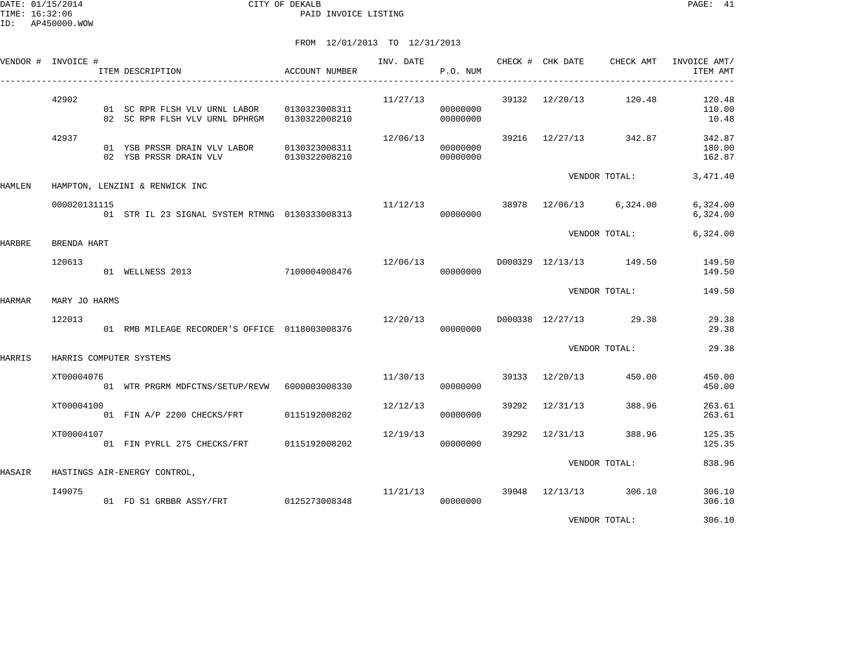## FROM 12/01/2013 TO 12/31/2013

|        | VENDOR # INVOICE # | ITEM DESCRIPTION                                                     | ACCOUNT NUMBER                 |          | P.O. NUM             |                | INV. DATE CHECK # CHK DATE CHECK AMT | INVOICE AMT/<br>ITEM AMT   |
|--------|--------------------|----------------------------------------------------------------------|--------------------------------|----------|----------------------|----------------|--------------------------------------|----------------------------|
|        | 42902              | 01 SC RPR FLSH VLV URNL LABOR<br>02 SC RPR FLSH VLV URNL DPHRGM      | 0130323008311<br>0130322008210 | 11/27/13 | 00000000<br>00000000 |                | 39132 12/20/13 120.48                | 120.48<br>110.00<br>10.48  |
|        | 42937              | 01 YSB PRSSR DRAIN VLV LABOR 0130323008311<br>02 YSB PRSSR DRAIN VLV | 0130322008210                  | 12/06/13 | 00000000<br>00000000 |                | 39216 12/27/13 342.87                | 342.87<br>180.00<br>162.87 |
| HAMLEN |                    | HAMPTON, LENZINI & RENWICK INC                                       |                                |          |                      |                | VENDOR TOTAL:                        | 3,471.40                   |
|        | 000020131115       | 01 STR IL 23 SIGNAL SYSTEM RTMNG 0130333008313                       |                                |          | 00000000             |                | $11/12/13$ 38978 $12/06/13$ 6,324.00 | 6,324.00<br>6,324.00       |
| HARBRE | BRENDA HART        |                                                                      |                                |          |                      |                | VENDOR TOTAL:                        | 6,324.00                   |
|        | 120613             | 01 WELLNESS 2013 7100004008476                                       |                                | 12/06/13 | 00000000             |                | D000329 12/13/13 149.50              | 149.50<br>149.50           |
| HARMAR | MARY JO HARMS      |                                                                      |                                |          |                      |                | VENDOR TOTAL:                        | 149.50                     |
|        | 122013             | 01 RMB MILEAGE RECORDER'S OFFICE 0118003008376                       |                                | 12/20/13 | 00000000             |                | D000338 12/27/13 29.38               | 29.38<br>29.38             |
| HARRIS |                    | HARRIS COMPUTER SYSTEMS                                              |                                |          |                      |                | VENDOR TOTAL:                        | 29.38                      |
|        | XT00004076         | 01 WTR PRGRM MDFCTNS/SETUP/REVW 6000003008330                        |                                |          | 11/30/13<br>00000000 | 39133 12/20/13 | 450.00                               | 450.00<br>450.00           |
|        | XT00004100         | 01 FIN A/P 2200 CHECKS/FRT 0115192008202                             |                                | 12/12/13 | 00000000             | 39292 12/31/13 | 388.96                               | 263.61<br>263.61           |
|        | XT00004107         | 01 FIN PYRLL 275 CHECKS/FRT 0115192008202                            |                                | 12/19/13 | 00000000             | 39292 12/31/13 | 388.96                               | 125.35<br>125.35           |
| HASAIR |                    | HASTINGS AIR-ENERGY CONTROL,                                         |                                |          |                      |                | VENDOR TOTAL:                        | 838.96                     |
|        | I49075             | 01 FD S1 GRBBR ASSY/FRT 0125273008348                                |                                | 11/21/13 | 00000000             | 39048 12/13/13 | 306.10                               | 306.10<br>306.10           |

VENDOR TOTAL: 306.10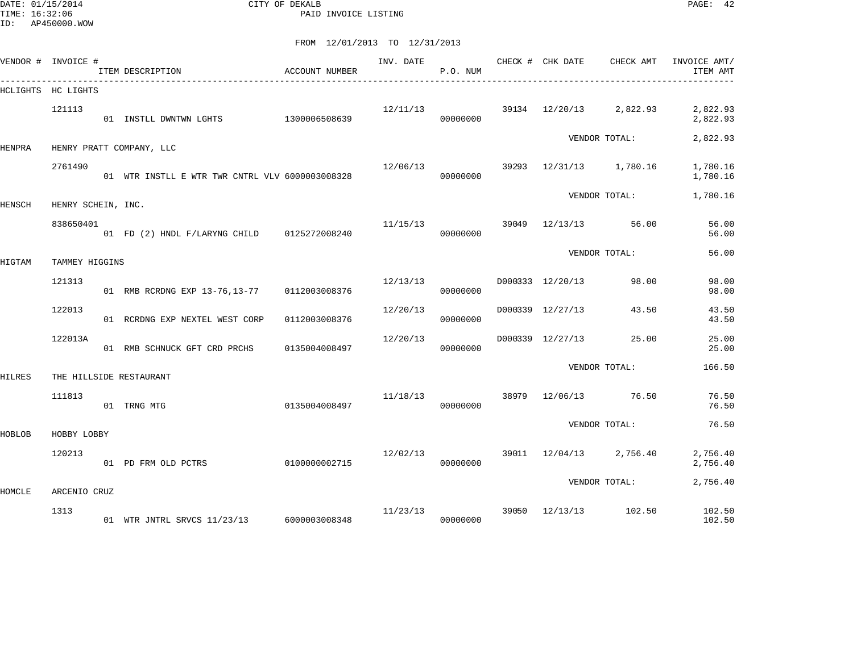DATE: 01/15/2014 CITY OF DEKALB PAGE: 42 PAID INVOICE LISTING

|        | VENDOR # INVOICE # | ITEM DESCRIPTION                                | <b>ACCOUNT NUMBER</b> | INV. DATE | P.O. NUM             |       | CHECK # CHK DATE CHECK AMT |               | INVOICE AMT/<br>ITEM AMT |
|--------|--------------------|-------------------------------------------------|-----------------------|-----------|----------------------|-------|----------------------------|---------------|--------------------------|
|        | HCLIGHTS HC LIGHTS |                                                 |                       |           |                      |       |                            |               |                          |
|        | 121113             | 01 INSTLL DWNTWN LGHTS                          | 1300006508639         |           | 12/11/13<br>00000000 |       | 39134 12/20/13 2,822.93    |               | 2,822.93<br>2,822.93     |
| HENPRA |                    | HENRY PRATT COMPANY, LLC                        |                       |           |                      |       |                            | VENDOR TOTAL: | 2,822.93                 |
|        | 2761490            | 01 WTR INSTLL E WTR TWR CNTRL VLV 6000003008328 |                       | 12/06/13  | 00000000             |       | 39293 12/31/13 1,780.16    |               | 1,780.16<br>1,780.16     |
| HENSCH | HENRY SCHEIN, INC. |                                                 |                       |           |                      |       |                            | VENDOR TOTAL: | 1,780.16                 |
|        | 838650401          | 01 FD (2) HNDL F/LARYNG CHILD 0125272008240     |                       | 11/15/13  | 00000000             |       | 39049 12/13/13             | 56.00         | 56.00<br>56.00           |
| HIGTAM | TAMMEY HIGGINS     |                                                 |                       |           |                      |       |                            | VENDOR TOTAL: | 56.00                    |
|        | 121313             | 01 RMB RCRDNG EXP 13-76, 13-77 0112003008376    |                       | 12/13/13  | 00000000             |       | D000333 12/20/13           | 98.00         | 98.00<br>98.00           |
|        | 122013             | 01 RCRDNG EXP NEXTEL WEST CORP                  | 0112003008376         | 12/20/13  | 00000000             |       | D000339 12/27/13           | 43.50         | 43.50<br>43.50           |
|        | 122013A            | 01 RMB SCHNUCK GFT CRD PRCHS                    | 0135004008497         | 12/20/13  | 00000000             |       | D000339 12/27/13           | 25.00         | 25.00<br>25.00           |
| HILRES |                    | THE HILLSIDE RESTAURANT                         |                       |           |                      |       |                            | VENDOR TOTAL: | 166.50                   |
|        | 111813             | 01 TRNG MTG                                     | 0135004008497         | 11/18/13  | 00000000             | 38979 | 12/06/13                   | 76.50         | 76.50<br>76.50           |
| HOBLOB | HOBBY LOBBY        |                                                 |                       |           |                      |       |                            | VENDOR TOTAL: | 76.50                    |
|        | 120213             | 01 PD FRM OLD PCTRS                             | 0100000002715         | 12/02/13  | 00000000             |       | 39011 12/04/13 2,756.40    |               | 2,756.40<br>2,756.40     |
| HOMCLE | ARCENIO CRUZ       |                                                 |                       |           |                      |       |                            | VENDOR TOTAL: | 2,756.40                 |
|        | 1313               | 01 WTR JNTRL SRVCS 11/23/13 6000003008348       |                       | 11/23/13  | 00000000             | 39050 | 12/13/13                   | 102.50        | 102.50<br>102.50         |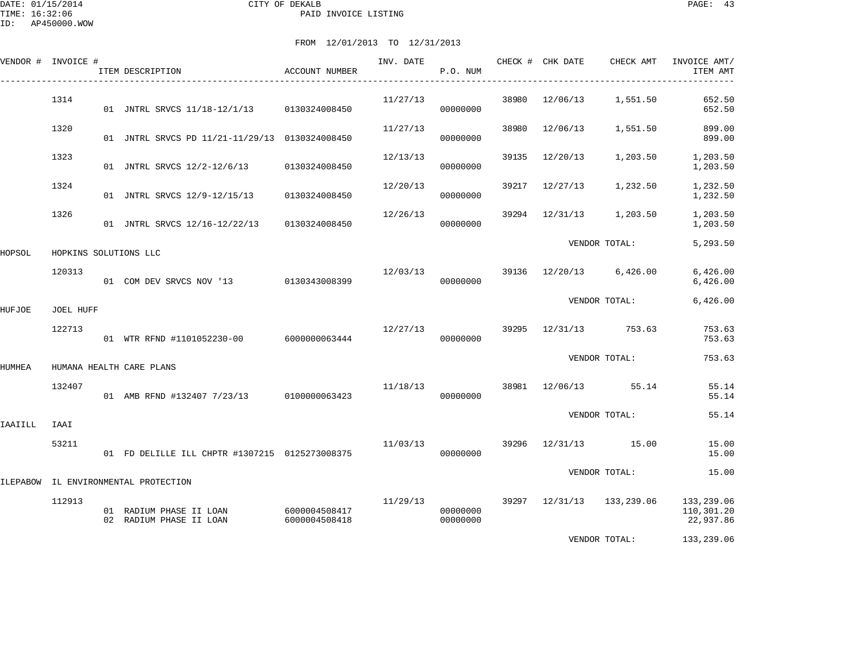| VENDOR # INVOICE # |                  | ITEM DESCRIPTION                                   | ACCOUNT NUMBER                 | INV. DATE | P.O. NUM             |       | CHECK # CHK DATE | CHECK AMT                   | INVOICE AMT/<br>ITEM AMT              |
|--------------------|------------------|----------------------------------------------------|--------------------------------|-----------|----------------------|-------|------------------|-----------------------------|---------------------------------------|
|                    | 1314             | 01 JNTRL SRVCS 11/18-12/1/13 0130324008450         |                                | 11/27/13  | 00000000             | 38980 | 12/06/13         | 1,551.50                    | 652.50<br>652.50                      |
|                    | 1320             | 01 JNTRL SRVCS PD 11/21-11/29/13 0130324008450     |                                | 11/27/13  | 00000000             | 38980 | 12/06/13         | 1,551.50                    | 899.00<br>899.00                      |
|                    | 1323             | 01 JNTRL SRVCS 12/2-12/6/13 0130324008450          |                                | 12/13/13  | 00000000             | 39135 | 12/20/13         | 1,203.50                    | 1,203.50<br>1,203.50                  |
|                    | 1324             | 01 JNTRL SRVCS 12/9-12/15/13                       | 0130324008450                  | 12/20/13  | 00000000             | 39217 | 12/27/13         | 1,232.50                    | 1,232.50<br>1,232.50                  |
|                    | 1326             | 01 JNTRL SRVCS 12/16-12/22/13 0130324008450        |                                | 12/26/13  | 00000000             | 39294 | 12/31/13         | 1,203.50                    | 1,203.50<br>1,203.50                  |
| HOPSOL             |                  | HOPKINS SOLUTIONS LLC                              |                                |           |                      |       |                  | VENDOR TOTAL:               | 5,293.50                              |
|                    | 120313           | 01 COM DEV SRVCS NOV '13 0130343008399             |                                | 12/03/13  | 00000000             |       |                  | $39136$ $12/20/13$ 6,426.00 | 6,426.00<br>6,426.00                  |
| HUFJOE             | <b>JOEL HUFF</b> |                                                    |                                |           |                      |       |                  | VENDOR TOTAL:               | 6,426.00                              |
|                    | 122713           | 01 WTR RFND #1101052230-00 6000000063444           |                                | 12/27/13  | 00000000             |       |                  | 39295 12/31/13 753.63       | 753.63<br>753.63                      |
| HUMHEA             |                  | HUMANA HEALTH CARE PLANS                           |                                |           |                      |       |                  | VENDOR TOTAL:               | 753.63                                |
|                    | 132407           | 01 AMB RFND #132407 7/23/13 0100000063423          |                                | 11/18/13  | 00000000             |       |                  | 38981 12/06/13 55.14        | 55.14<br>55.14                        |
| IAAIILL            | IAAI             |                                                    |                                |           |                      |       |                  | VENDOR TOTAL:               | 55.14                                 |
|                    | 53211            | 01 FD DELILLE ILL CHPTR #1307215 0125273008375     |                                | 11/03/13  | 00000000             |       |                  | 39296 12/31/13 15.00        | 15.00<br>15.00                        |
|                    |                  | ILEPABOW IL ENVIRONMENTAL PROTECTION               |                                |           |                      |       |                  | VENDOR TOTAL:               | 15.00                                 |
|                    | 112913           | 01 RADIUM PHASE II LOAN<br>02 RADIUM PHASE II LOAN | 6000004508417<br>6000004508418 | 11/29/13  | 00000000<br>00000000 |       |                  | 39297 12/31/13 133,239.06   | 133,239.06<br>110,301.20<br>22,937.86 |
|                    |                  |                                                    |                                |           |                      |       |                  | VENDOR TOTAL:               | 133,239.06                            |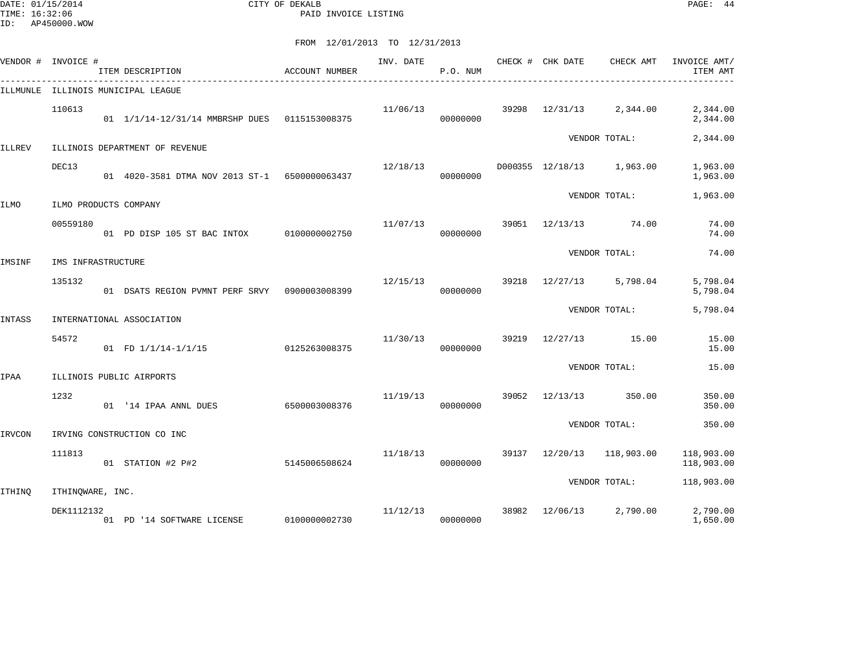DATE: 01/15/2014 CITY OF DEKALB PAGE: 44 PAID INVOICE LISTING

|               | VENDOR # INVOICE #    | ITEM DESCRIPTION                              | ACCOUNT NUMBER | INV. DATE | P.O. NUM |       | CHECK # CHK DATE | CHECK AMT                 | INVOICE AMT/<br>ITEM AMT |
|---------------|-----------------------|-----------------------------------------------|----------------|-----------|----------|-------|------------------|---------------------------|--------------------------|
|               |                       | ILLMUNLE ILLINOIS MUNICIPAL LEAGUE            |                |           |          |       |                  |                           |                          |
|               | 110613                | 01 1/1/14-12/31/14 MMBRSHP DUES 0115153008375 |                | 11/06/13  | 00000000 | 39298 | 12/31/13         | 2,344.00                  | 2,344.00<br>2,344.00     |
| <b>ILLREV</b> |                       | ILLINOIS DEPARTMENT OF REVENUE                |                |           |          |       |                  | VENDOR TOTAL:             | 2,344.00                 |
|               |                       |                                               |                |           |          |       |                  |                           |                          |
|               | DEC13                 | 01 4020-3581 DTMA NOV 2013 ST-1 6500000063437 |                | 12/18/13  | 00000000 |       |                  | D000355 12/18/13 1,963.00 | 1,963.00<br>1,963.00     |
| ILMO          | ILMO PRODUCTS COMPANY |                                               |                |           |          |       |                  | VENDOR TOTAL:             | 1,963.00                 |
|               |                       |                                               |                |           |          |       |                  |                           |                          |
|               | 00559180              | 01 PD DISP 105 ST BAC INTOX                   | 0100000002750  | 11/07/13  | 00000000 | 39051 | 12/13/13         | 74.00                     | 74.00<br>74.00           |
|               |                       |                                               |                |           |          |       |                  | VENDOR TOTAL:             | 74.00                    |
| IMSINF        | IMS INFRASTRUCTURE    |                                               |                |           |          |       |                  |                           |                          |
|               | 135132                | 01 DSATS REGION PVMNT PERF SRVY 0900003008399 |                | 12/15/13  | 00000000 | 39218 | 12/27/13         | 5,798.04                  | 5,798.04<br>5,798.04     |
|               |                       |                                               |                |           |          |       |                  | VENDOR TOTAL:             | 5,798.04                 |
| INTASS        |                       | INTERNATIONAL ASSOCIATION                     |                |           |          |       |                  |                           |                          |
|               | 54572                 | 01 FD 1/1/14-1/1/15                           | 0125263008375  | 11/30/13  | 00000000 | 39219 | 12/27/13         | 15.00                     | 15.00<br>15.00           |
|               |                       |                                               |                |           |          |       |                  | VENDOR TOTAL:             | 15.00                    |
| IPAA          |                       | ILLINOIS PUBLIC AIRPORTS                      |                |           |          |       |                  |                           |                          |
|               | 1232                  | 01 '14 IPAA ANNL DUES                         | 6500003008376  | 11/19/13  | 00000000 | 39052 | 12/13/13         | 350.00                    | 350.00<br>350.00         |
|               |                       |                                               |                |           |          |       |                  | VENDOR TOTAL:             | 350.00                   |
| IRVCON        |                       | IRVING CONSTRUCTION CO INC                    |                |           |          |       |                  |                           |                          |
|               | 111813                | 01 STATION #2 P#2                             | 5145006508624  | 11/18/13  | 00000000 |       | 39137 12/20/13   | 118,903.00                | 118,903.00<br>118,903.00 |
|               |                       |                                               |                |           |          |       |                  | VENDOR TOTAL:             | 118,903.00               |
| ITHINO        | ITHINQWARE, INC.      |                                               |                |           |          |       |                  |                           |                          |
|               | DEK1112132            | 01 PD '14 SOFTWARE LICENSE 0100000002730      |                | 11/12/13  | 00000000 | 38982 | 12/06/13         | 2,790.00                  | 2,790.00<br>1,650.00     |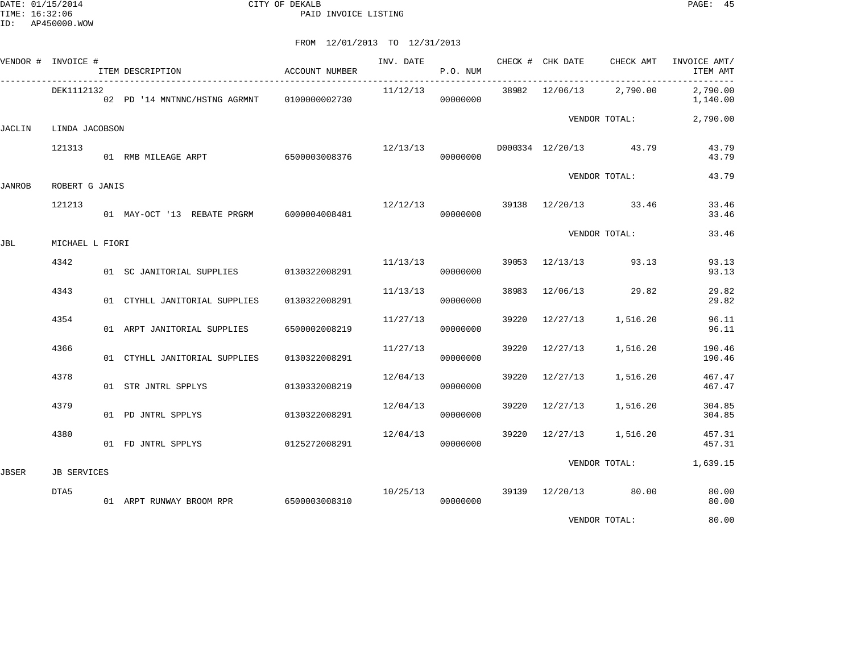DATE: 01/15/2014 CITY OF DEKALB PAGE: 45 PAID INVOICE LISTING

## FROM 12/01/2013 TO 12/31/2013

|               | VENDOR # INVOICE # | ITEM DESCRIPTION                            | ACCOUNT NUMBER | INV. DATE | P.O. NUM |       | CHECK # CHK DATE | CHECK AMT                           | INVOICE AMT/<br>ITEM AMT |
|---------------|--------------------|---------------------------------------------|----------------|-----------|----------|-------|------------------|-------------------------------------|--------------------------|
|               | DEK1112132         | 02 PD '14 MNTNNC/HSTNG AGRMNT 0100000002730 |                | 11/12/13  | 00000000 |       |                  | 38982 12/06/13 2,790.00             | 2,790.00<br>1,140.00     |
| JACLIN        | LINDA JACOBSON     |                                             |                |           |          |       |                  | VENDOR TOTAL:                       | 2,790.00                 |
|               | 121313             | 01 RMB MILEAGE ARPT                         | 6500003008376  |           | 00000000 |       |                  | $12/13/13$ D000334 $12/20/13$ 43.79 | 43.79<br>43.79           |
| <b>JANROB</b> | ROBERT G JANIS     |                                             |                |           |          |       |                  | VENDOR TOTAL:                       | 43.79                    |
|               | 121213             | 01 MAY-OCT '13 REBATE PRGRM 6000004008481   |                | 12/12/13  | 00000000 |       |                  | 39138 12/20/13 33.46                | 33.46<br>33.46           |
| JBL           | MICHAEL L FIORI    |                                             |                |           |          |       |                  | VENDOR TOTAL:                       | 33.46                    |
|               | 4342               | 01 SC JANITORIAL SUPPLIES 0130322008291     |                | 11/13/13  | 00000000 |       |                  | 39053 12/13/13 93.13                | 93.13<br>93.13           |
|               | 4343               | 01 CTYHLL JANITORIAL SUPPLIES               | 0130322008291  | 11/13/13  | 00000000 | 38983 |                  | 12/06/13 29.82                      | 29.82<br>29.82           |
|               | 4354               | 01 ARPT JANITORIAL SUPPLIES                 | 6500002008219  | 11/27/13  | 00000000 | 39220 | 12/27/13         | 1,516.20                            | 96.11<br>96.11           |
|               | 4366               | 01 CTYHLL JANITORIAL SUPPLIES               | 0130322008291  | 11/27/13  | 00000000 | 39220 | 12/27/13         | 1,516.20                            | 190.46<br>190.46         |
|               | 4378               | 01 STR JNTRL SPPLYS                         | 0130332008219  | 12/04/13  | 00000000 | 39220 | 12/27/13         | 1,516.20                            | 467.47<br>467.47         |
|               | 4379               | 01 PD JNTRL SPPLYS                          | 0130322008291  | 12/04/13  | 00000000 | 39220 |                  | 12/27/13 1,516.20                   | 304.85<br>304.85         |
|               | 4380               | 01 FD JNTRL SPPLYS                          | 0125272008291  | 12/04/13  | 00000000 |       |                  | 39220 12/27/13 1,516.20             | 457.31<br>457.31         |
| <b>JBSER</b>  | <b>JB SERVICES</b> |                                             |                |           |          |       |                  |                                     | VENDOR TOTAL: 1,639.15   |
|               | DTA5               | 01 ARPT RUNWAY BROOM RPR 6500003008310      |                | 10/25/13  | 00000000 |       |                  | 39139 12/20/13 80.00                | 80.00<br>80.00           |
|               |                    |                                             |                |           |          |       |                  | $\frac{1}{2}$                       | $\sim$ $\sim$            |

VENDOR TOTAL: 80.00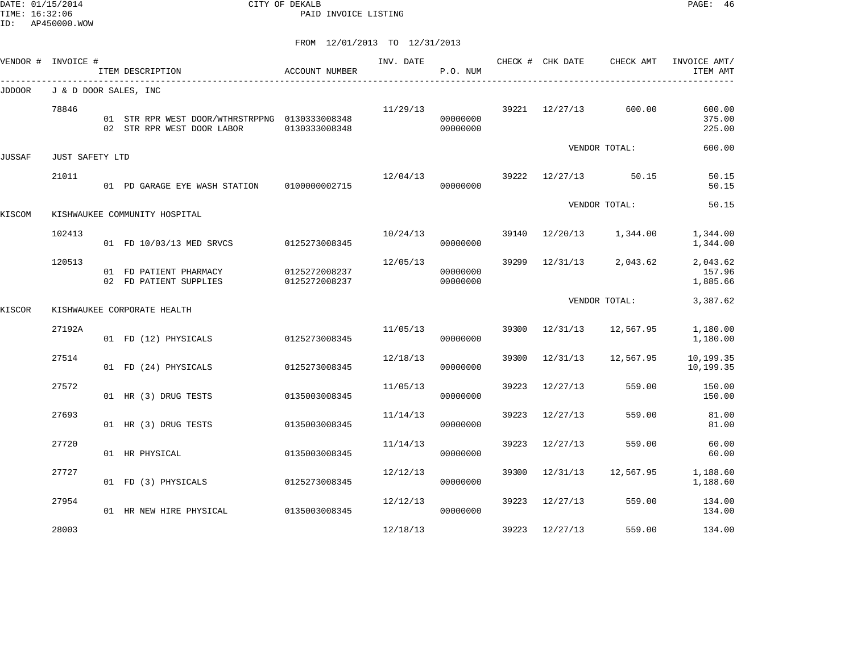DATE: 01/15/2014 CITY OF DEKALB PAGE: 46 PAID INVOICE LISTING

ID: AP450000.WOW

|        | VENDOR # INVOICE #    | ITEM DESCRIPTION                                                             | ACCOUNT NUMBER                 | INV. DATE | P.O. NUM             |       | CHECK # CHK DATE | CHECK AMT         | INVOICE AMT/<br>ITEM AMT       |
|--------|-----------------------|------------------------------------------------------------------------------|--------------------------------|-----------|----------------------|-------|------------------|-------------------|--------------------------------|
| JDDOOR | J & D DOOR SALES, INC |                                                                              |                                |           |                      |       |                  |                   |                                |
|        | 78846                 | 01 STR RPR WEST DOOR/WTHRSTRPPNG 0130333008348<br>02 STR RPR WEST DOOR LABOR | 0130333008348                  | 11/29/13  | 00000000<br>00000000 |       | 39221 12/27/13   | 600.00            | 600.00<br>375.00<br>225.00     |
|        |                       |                                                                              |                                |           |                      |       |                  | VENDOR TOTAL:     | 600.00                         |
| JUSSAF | JUST SAFETY LTD       |                                                                              |                                |           |                      |       |                  |                   |                                |
|        | 21011                 | 01 PD GARAGE EYE WASH STATION                                                | 0100000002715                  | 12/04/13  | 39222<br>00000000    |       |                  | $12/27/13$ 50.15  | 50.15<br>50.15                 |
| KISCOM |                       | KISHWAUKEE COMMUNITY HOSPITAL                                                |                                |           |                      |       |                  | VENDOR TOTAL:     | 50.15                          |
|        | 102413                | 01 FD 10/03/13 MED SRVCS                                                     | 0125273008345                  | 10/24/13  | 00000000             | 39140 |                  | 12/20/13 1,344.00 | 1,344.00<br>1,344.00           |
|        | 120513                | 01 FD PATIENT PHARMACY<br>02 FD PATIENT SUPPLIES                             | 0125272008237<br>0125272008237 | 12/05/13  | 00000000<br>00000000 | 39299 | 12/31/13         | 2,043.62          | 2,043.62<br>157.96<br>1,885.66 |
| KISCOR |                       | KISHWAUKEE CORPORATE HEALTH                                                  |                                |           |                      |       |                  | VENDOR TOTAL:     | 3,387.62                       |
|        | 27192A                | 01 FD (12) PHYSICALS                                                         | 0125273008345                  | 11/05/13  | 00000000             | 39300 | 12/31/13         | 12,567.95         | 1,180.00<br>1,180.00           |
|        | 27514                 | 01 FD (24) PHYSICALS                                                         | 0125273008345                  | 12/18/13  | 00000000             | 39300 | 12/31/13         | 12,567.95         | 10,199.35<br>10,199.35         |
|        | 27572                 | 01 HR (3) DRUG TESTS                                                         | 0135003008345                  | 11/05/13  | 00000000             | 39223 | 12/27/13         | 559.00            | 150.00<br>150.00               |
|        | 27693                 | 01 HR (3) DRUG TESTS                                                         | 0135003008345                  | 11/14/13  | 00000000             | 39223 | 12/27/13         | 559.00            | 81.00<br>81.00                 |
|        | 27720                 | 01 HR PHYSICAL                                                               | 0135003008345                  | 11/14/13  | 00000000             | 39223 | 12/27/13         | 559.00            | 60.00<br>60.00                 |
|        | 27727                 | 01 FD (3) PHYSICALS                                                          | 0125273008345                  | 12/12/13  | 00000000             | 39300 | 12/31/13         | 12,567.95         | 1,188.60<br>1,188.60           |
|        | 27954                 | 01 HR NEW HIRE PHYSICAL                                                      | 0135003008345                  | 12/12/13  | 00000000             |       | 39223 12/27/13   | 559.00            | 134.00<br>134.00               |
|        | 28003                 |                                                                              |                                | 12/18/13  |                      | 39223 | 12/27/13         | 559.00            | 134.00                         |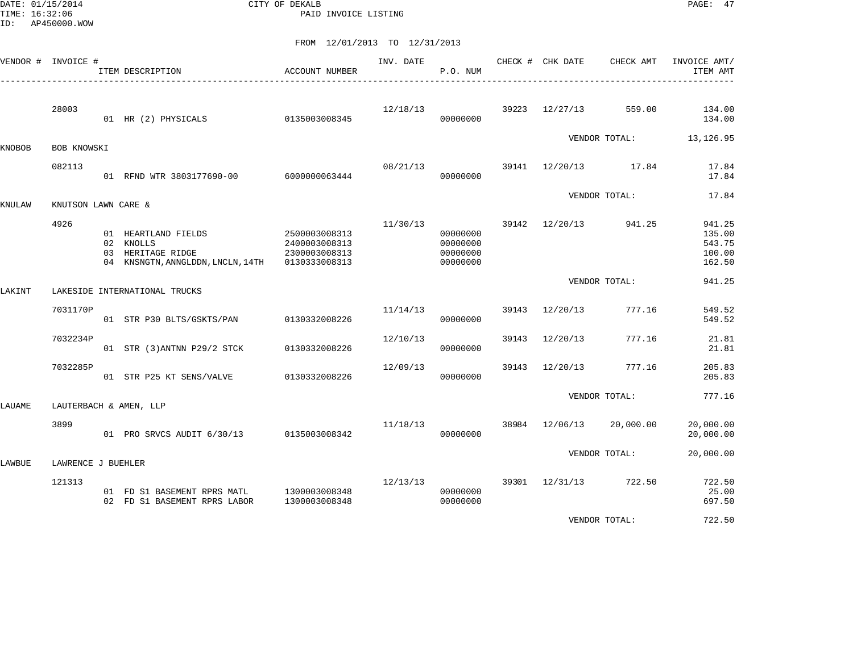DATE: 01/15/2014 CITY OF DEKALB PAGE: 47 PAID INVOICE LISTING

|        | VENDOR # INVOICE #  | ITEM DESCRIPTION<br>-------------------------------                                        | ACCOUNT NUMBER                                                   | INV. DATE | P.O. NUM                                     |       | CHECK # CHK DATE | CHECK AMT            | INVOICE AMT/<br>ITEM AMT                       |
|--------|---------------------|--------------------------------------------------------------------------------------------|------------------------------------------------------------------|-----------|----------------------------------------------|-------|------------------|----------------------|------------------------------------------------|
|        | 28003               | 01 HR (2) PHYSICALS                                                                        | 0135003008345                                                    | 12/18/13  | 00000000                                     | 39223 | 12/27/13         | 559.00               | 134.00<br>134.00                               |
| KNOBOB | BOB KNOWSKI         |                                                                                            |                                                                  |           |                                              |       |                  | VENDOR TOTAL:        | 13, 126.95                                     |
|        | 082113              | 01 RFND WTR 3803177690-00                                                                  | 6000000063444                                                    | 08/21/13  | 00000000                                     |       |                  | 39141 12/20/13 17.84 | 17.84<br>17.84                                 |
| KNULAW | KNUTSON LAWN CARE & |                                                                                            |                                                                  |           |                                              |       |                  | VENDOR TOTAL:        | 17.84                                          |
|        | 4926                | 01 HEARTLAND FIELDS<br>02 KNOLLS<br>03 HERITAGE RIDGE<br>04 KNSNGTN, ANNGLDDN, LNCLN, 14TH | 2500003008313<br>2400003008313<br>2300003008313<br>0130333008313 | 11/30/13  | 00000000<br>00000000<br>00000000<br>00000000 |       | 39142 12/20/13   | 941.25               | 941.25<br>135.00<br>543.75<br>100.00<br>162.50 |
| LAKINT |                     | LAKESIDE INTERNATIONAL TRUCKS                                                              |                                                                  |           |                                              |       |                  | VENDOR TOTAL:        | 941.25                                         |
|        | 7031170P            | 01 STR P30 BLTS/GSKTS/PAN                                                                  | 0130332008226                                                    | 11/14/13  | 00000000                                     | 39143 | 12/20/13         | 777.16               | 549.52<br>549.52                               |
|        | 7032234P            | 01 STR (3) ANTNN P29/2 STCK                                                                | 0130332008226                                                    | 12/10/13  | 00000000                                     |       | 39143 12/20/13   | 777.16               | 21.81<br>21.81                                 |
|        | 7032285P            | 01 STR P25 KT SENS/VALVE                                                                   | 0130332008226                                                    | 12/09/13  | 00000000                                     | 39143 | 12/20/13         | 777.16               | 205.83<br>205.83                               |
| LAUAME |                     | LAUTERBACH & AMEN, LLP                                                                     |                                                                  |           |                                              |       |                  | VENDOR TOTAL:        | 777.16                                         |
|        | 3899                | 01 PRO SRVCS AUDIT 6/30/13                                                                 | 0135003008342                                                    | 11/18/13  | 00000000                                     | 38984 | 12/06/13         | 20,000.00            | 20,000.00<br>20,000.00                         |
| LAWBUE | LAWRENCE J BUEHLER  |                                                                                            |                                                                  |           |                                              |       |                  | VENDOR TOTAL:        | 20,000.00                                      |
|        | 121313              | 01 FD S1 BASEMENT RPRS MATL<br>02 FD S1 BASEMENT RPRS LABOR                                | 1300003008348<br>1300003008348                                   | 12/13/13  | 00000000<br>00000000                         |       | 39301 12/31/13   | 722.50               | 722.50<br>25.00<br>697.50                      |
|        |                     |                                                                                            |                                                                  |           |                                              |       |                  | VENDOR TOTAL:        | 722.50                                         |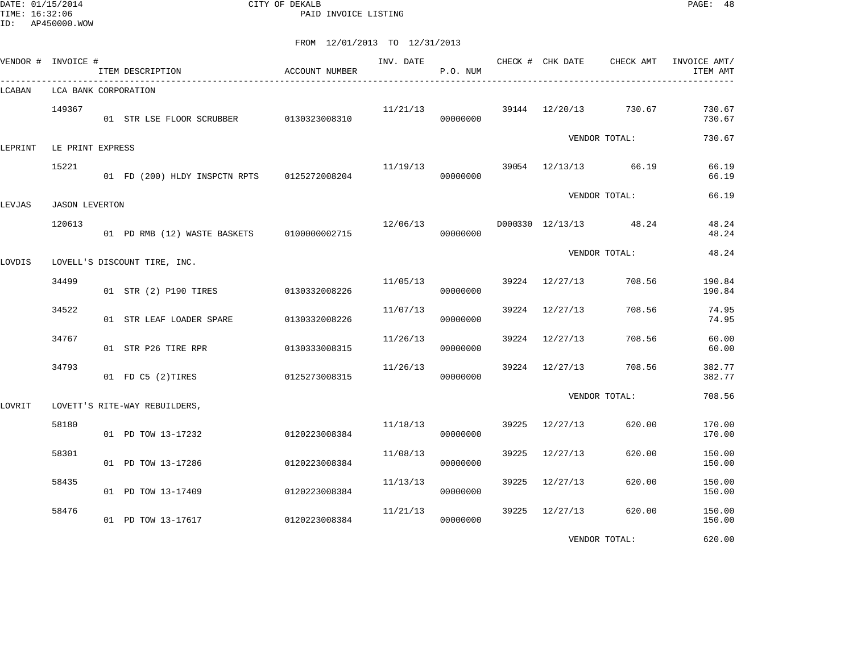DATE: 01/15/2014 CITY OF DEKALB PAGE: 48 PAID INVOICE LISTING

|         | VENDOR # INVOICE #    | ITEM DESCRIPTION                            | ACCOUNT NUMBER | INV. DATE | P.O. NUM |       | CHECK # CHK DATE | CHECK AMT              | INVOICE AMT/<br>ITEM AMT |
|---------|-----------------------|---------------------------------------------|----------------|-----------|----------|-------|------------------|------------------------|--------------------------|
| LCABAN  | LCA BANK CORPORATION  |                                             |                |           |          |       |                  |                        |                          |
|         | 149367                | 01 STR LSE FLOOR SCRUBBER 0130323008310     |                | 11/21/13  | 00000000 |       | 39144 12/20/13   | 730.67                 | 730.67<br>730.67         |
| LEPRINT | LE PRINT EXPRESS      |                                             |                |           |          |       |                  | VENDOR TOTAL:          | 730.67                   |
|         | 15221                 | 01 FD (200) HLDY INSPCTN RPTS 0125272008204 |                | 11/19/13  | 00000000 |       | 39054 12/13/13   | 66.19                  | 66.19<br>66.19           |
| LEVJAS  | <b>JASON LEVERTON</b> |                                             |                |           |          |       |                  | VENDOR TOTAL:          | 66.19                    |
|         | 120613                | 01 PD RMB (12) WASTE BASKETS 0100000002715  |                | 12/06/13  | 00000000 |       |                  | D000330 12/13/13 48.24 | 48.24<br>48.24           |
| LOVDIS  |                       | LOVELL'S DISCOUNT TIRE, INC.                |                |           |          |       |                  | VENDOR TOTAL:          | 48.24                    |
|         | 34499                 | 01 STR (2) P190 TIRES                       | 0130332008226  | 11/05/13  | 00000000 | 39224 | 12/27/13         | 708.56                 | 190.84<br>190.84         |
|         | 34522                 | 01 STR LEAF LOADER SPARE                    | 0130332008226  | 11/07/13  | 00000000 | 39224 | 12/27/13         | 708.56                 | 74.95<br>74.95           |
|         | 34767                 | 01 STR P26 TIRE RPR                         | 0130333008315  | 11/26/13  | 00000000 |       | 39224 12/27/13   | 708.56                 | 60.00<br>60.00           |
|         | 34793                 | 01 FD C5 (2) TIRES                          | 0125273008315  | 11/26/13  | 00000000 | 39224 | 12/27/13         | 708.56                 | 382.77<br>382.77         |
| LOVRIT  |                       | LOVETT'S RITE-WAY REBUILDERS,               |                |           |          |       |                  | VENDOR TOTAL:          | 708.56                   |
|         | 58180                 | 01 PD TOW 13-17232                          | 0120223008384  | 11/18/13  | 00000000 | 39225 | 12/27/13         | 620.00                 | 170.00<br>170.00         |
|         | 58301                 | 01 PD TOW 13-17286                          | 0120223008384  | 11/08/13  | 00000000 | 39225 | 12/27/13         | 620.00                 | 150.00<br>150.00         |
|         | 58435                 | 01 PD TOW 13-17409                          | 0120223008384  | 11/13/13  | 00000000 | 39225 | 12/27/13         | 620.00                 | 150.00<br>150.00         |
|         | 58476                 | 01 PD TOW 13-17617                          | 0120223008384  | 11/21/13  | 00000000 | 39225 | 12/27/13         | 620.00                 | 150.00<br>150.00         |
|         |                       |                                             |                |           |          |       |                  | VENDOR TOTAL:          | 620.00                   |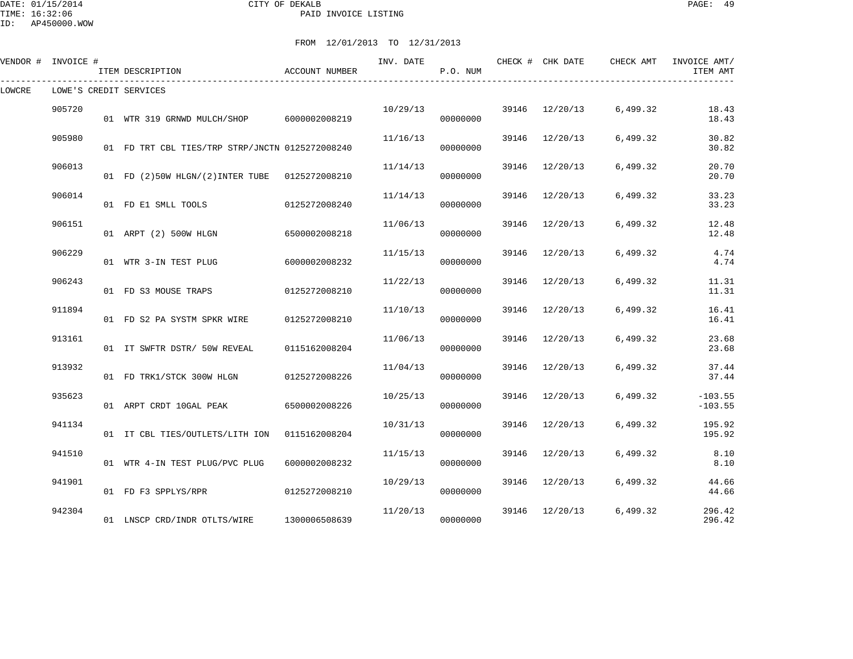| TIME: 16:32:06 | DATE: 01/15/2014<br>ID: AP450000.WOW |    |                                              | CITY OF DEKALB<br>PAID INVOICE LISTING |                               |          |       |                  |           | $\mathtt{PAGE}$ :<br>-49 |  |
|----------------|--------------------------------------|----|----------------------------------------------|----------------------------------------|-------------------------------|----------|-------|------------------|-----------|--------------------------|--|
|                |                                      |    |                                              |                                        | FROM 12/01/2013 TO 12/31/2013 |          |       |                  |           |                          |  |
| VENDOR #       | INVOICE #                            |    | ITEM DESCRIPTION                             | ACCOUNT NUMBER                         | INV. DATE                     | P.O. NUM |       | CHECK # CHK DATE | CHECK AMT | INVOICE AMT/<br>ITEM AMT |  |
| LOWCRE         |                                      |    | LOWE'S CREDIT SERVICES                       |                                        |                               |          |       |                  |           |                          |  |
|                | 905720                               |    | 01 WTR 319 GRNWD MULCH/SHOP                  | 6000002008219                          | 10/29/13                      | 00000000 | 39146 | 12/20/13         | 6,499.32  | 18.43<br>18.43           |  |
|                | 905980                               | 01 | FD TRT CBL TIES/TRP STRP/JNCTN 0125272008240 |                                        | 11/16/13                      | 00000000 | 39146 | 12/20/13         | 6,499.32  | 30.82<br>30.82           |  |
|                | 906013                               |    |                                              |                                        | 11/14/13                      |          | 39146 | 12/20/13         | 6,499.32  | 20.70                    |  |

|        | 01 WTR 319 GRNWD MULCH/SHOP 6000002008219       |               |          | 00000000             |       |                |          | 18.43                  |
|--------|-------------------------------------------------|---------------|----------|----------------------|-------|----------------|----------|------------------------|
| 905980 | 01 FD TRT CBL TIES/TRP STRP/JNCTN 0125272008240 |               | 11/16/13 | 00000000             |       | 39146 12/20/13 | 6,499.32 | 30.82<br>30.82         |
| 906013 | 01 FD (2)50W HLGN/(2) INTER TUBE 0125272008210  |               | 11/14/13 | 00000000             | 39146 | 12/20/13       | 6,499.32 | 20.70<br>20.70         |
| 906014 | 01 FD E1 SMLL TOOLS                             | 0125272008240 | 11/14/13 | 00000000             | 39146 | 12/20/13       | 6,499.32 | 33.23<br>33.23         |
| 906151 | 01 ARPT (2) 500W HLGN 6500002008218             |               | 11/06/13 | 00000000             | 39146 | 12/20/13       | 6,499.32 | 12.48<br>12.48         |
| 906229 | 01 WTR 3-IN TEST PLUG 6000002008232             |               | 11/15/13 | 00000000             | 39146 | 12/20/13       | 6,499.32 | 4.74<br>4.74           |
| 906243 | 01 FD S3 MOUSE TRAPS                            | 0125272008210 | 11/22/13 | 00000000             | 39146 | 12/20/13       | 6,499.32 | 11.31<br>11.31         |
| 911894 | 01 FD S2 PA SYSTM SPKR WIRE                     | 0125272008210 | 11/10/13 | 00000000             | 39146 | 12/20/13       | 6,499.32 | 16.41<br>16.41         |
| 913161 | 01 IT SWFTR DSTR/ 50W REVEAL                    | 0115162008204 | 11/06/13 | 00000000             | 39146 | 12/20/13       | 6,499.32 | 23.68<br>23.68         |
| 913932 | 01 FD TRK1/STCK 300W HLGN 0125272008226         |               | 11/04/13 | 00000000             | 39146 | 12/20/13       | 6,499.32 | 37.44<br>37.44         |
| 935623 | 01 ARPT CRDT 10GAL PEAK 6500002008226           |               | 10/25/13 | 00000000             | 39146 | 12/20/13       | 6,499.32 | $-103.55$<br>$-103.55$ |
| 941134 | 01 IT CBL TIES/OUTLETS/LITH ION 0115162008204   |               | 10/31/13 | 00000000             | 39146 | 12/20/13       | 6,499.32 | 195.92<br>195.92       |
| 941510 | 01 WTR 4-IN TEST PLUG/PVC PLUG                  | 6000002008232 | 11/15/13 | 00000000             | 39146 | 12/20/13       | 6,499.32 | 8.10<br>8.10           |
| 941901 | 01 FD F3 SPPLYS/RPR                             | 0125272008210 | 10/29/13 | 00000000             |       | 39146 12/20/13 | 6,499.32 | 44.66<br>44.66         |
| 942304 | 01 LNSCP CRD/INDR OTLTS/WIRE                    | 1300006508639 |          | 11/20/13<br>00000000 |       | 39146 12/20/13 | 6,499.32 | 296.42<br>296.42       |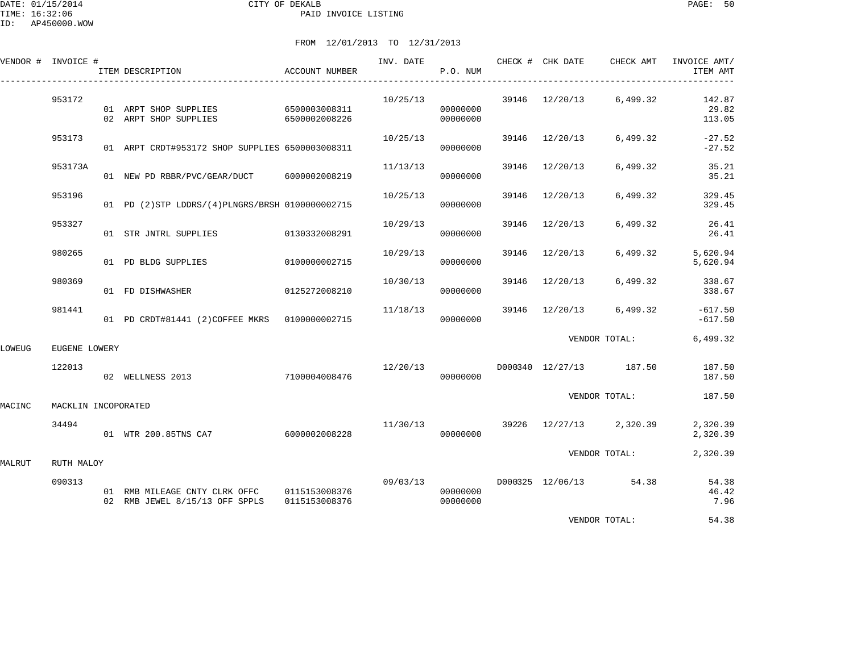|        | VENDOR # INVOICE #  | ITEM DESCRIPTION                                                              | ACCOUNT NUMBER | INV. DATE | P.O. NUM                         |       |                | CHECK # CHK DATE CHECK AMT | INVOICE AMT/<br>ITEM AMT  |
|--------|---------------------|-------------------------------------------------------------------------------|----------------|-----------|----------------------------------|-------|----------------|----------------------------|---------------------------|
|        | 953172              | 01 ARPT SHOP SUPPLIES 6500003008311<br>02 ARPT SHOP SUPPLIES                  | 6500002008226  | 10/25/13  | 00000000<br>00000000             |       |                | 39146 12/20/13 6,499.32    | 142.87<br>29.82<br>113.05 |
|        | 953173              | 01 ARPT CRDT#953172 SHOP SUPPLIES 6500003008311                               |                | 10/25/13  | 00000000                         |       | 39146 12/20/13 | 6,499.32                   | $-27.52$<br>$-27.52$      |
|        | 953173A             | 01 NEW PD RBBR/PVC/GEAR/DUCT 6000002008219                                    |                | 11/13/13  | 00000000                         | 39146 | 12/20/13       | 6,499.32                   | 35.21<br>35.21            |
|        | 953196              | 01 PD (2)STP LDDRS/(4)PLNGRS/BRSH 0100000002715                               |                | 10/25/13  | 00000000                         | 39146 | 12/20/13       | 6,499.32                   | 329.45<br>329.45          |
|        | 953327              | 01 STR JNTRL SUPPLIES 0130332008291                                           |                | 10/29/13  | 00000000                         | 39146 | 12/20/13       | 6,499.32                   | 26.41<br>26.41            |
|        | 980265              | 01 PD BLDG SUPPLIES                                                           | 0100000002715  | 10/29/13  | 00000000                         | 39146 | 12/20/13       | 6,499.32                   | 5,620.94<br>5,620.94      |
|        | 980369              | 01 FD DISHWASHER                                                              | 0125272008210  | 10/30/13  | 00000000                         | 39146 | 12/20/13       | 6,499.32                   | 338.67<br>338.67          |
|        | 981441              | 01 PD CRDT#81441 (2) COFFEE MKRS 0100000002715                                |                | 11/18/13  | 00000000                         | 39146 | 12/20/13       | 6,499.32                   | $-617.50$<br>$-617.50$    |
| LOWEUG | EUGENE LOWERY       |                                                                               |                |           |                                  |       |                | VENDOR TOTAL:              | 6,499.32                  |
|        | 122013              | 02 WELLNESS 2013                                                              | 7100004008476  | 12/20/13  | 00000000                         |       |                | D000340 12/27/13 187.50    | 187.50<br>187.50          |
| MACINC | MACKLIN INCOPORATED |                                                                               |                |           |                                  |       |                | VENDOR TOTAL:              | 187.50                    |
|        | 34494               | 01 WTR 200.85TNS CA7                                                          | 6000002008228  | 11/30/13  | 00000000                         |       |                | 39226 12/27/13 2,320.39    | 2,320.39<br>2,320.39      |
| MALRUT | RUTH MALOY          |                                                                               |                |           |                                  |       |                | VENDOR TOTAL:              | 2,320.39                  |
|        | 090313              | 01 RMB MILEAGE CNTY CLRK OFFC 0115153008376<br>02 RMB JEWEL 8/15/13 OFF SPPLS | 0115153008376  |           | 09/03/13<br>00000000<br>00000000 |       |                | D000325 12/06/13 54.38     | 54.38<br>46.42<br>7.96    |
|        |                     |                                                                               |                |           |                                  |       |                | VENDOR TOTAL:              | 54.38                     |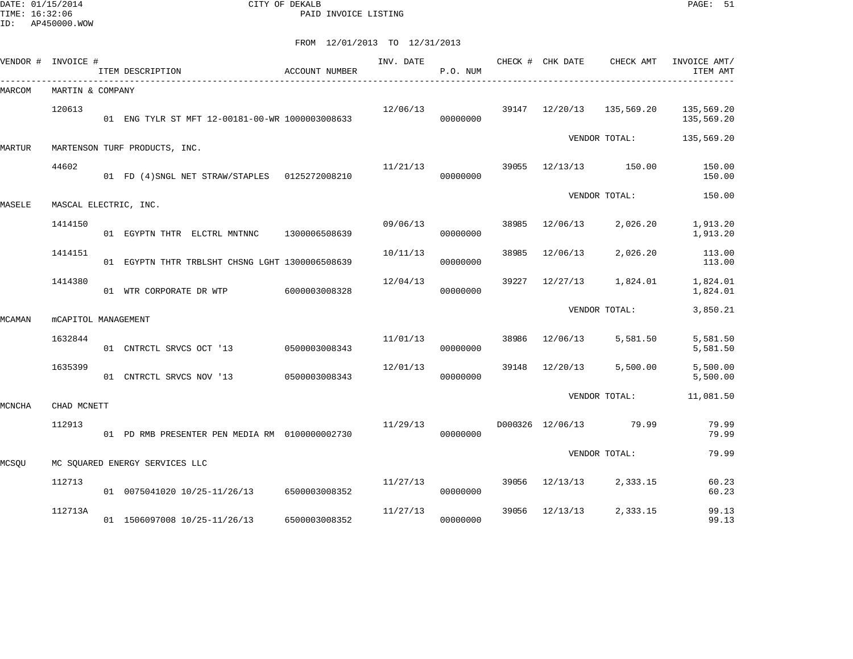DATE: 01/15/2014 CITY OF DEKALB PAGE: 51 PAID INVOICE LISTING

|        | VENDOR # INVOICE #         | ITEM DESCRIPTION                                | ACCOUNT NUMBER | INV. DATE | P.O. NUM |       | CHECK # CHK DATE | CHECK AMT     | INVOICE AMT/<br>ITEM AMT |
|--------|----------------------------|-------------------------------------------------|----------------|-----------|----------|-------|------------------|---------------|--------------------------|
| MARCOM | MARTIN & COMPANY           |                                                 |                |           |          |       |                  |               |                          |
|        | 120613                     | 01 ENG TYLR ST MFT 12-00181-00-WR 1000003008633 |                | 12/06/13  | 00000000 |       | 39147 12/20/13   | 135,569.20    | 135,569.20<br>135,569.20 |
| MARTUR |                            | MARTENSON TURF PRODUCTS, INC.                   |                |           |          |       |                  | VENDOR TOTAL: | 135,569.20               |
|        | 44602                      | 01 FD (4) SNGL NET STRAW/STAPLES  0125272008210 |                | 11/21/13  | 00000000 | 39055 | 12/13/13         | 150.00        | 150.00<br>150.00         |
| MASELE | MASCAL ELECTRIC, INC.      |                                                 |                |           |          |       |                  | VENDOR TOTAL: | 150.00                   |
|        | 1414150                    | 01 EGYPTN THTR ELCTRL MNTNNC                    | 1300006508639  | 09/06/13  | 00000000 | 38985 | 12/06/13         | 2,026.20      | 1,913.20<br>1,913.20     |
|        | 1414151                    | 01 EGYPTN THTR TRBLSHT CHSNG LGHT 1300006508639 |                | 10/11/13  | 00000000 | 38985 | 12/06/13         | 2,026.20      | 113.00<br>113.00         |
|        | 1414380                    | 01 WTR CORPORATE DR WTP                         | 6000003008328  | 12/04/13  | 00000000 | 39227 | 12/27/13         | 1,824.01      | 1,824.01<br>1,824.01     |
| MCAMAN | <b>mCAPITOL MANAGEMENT</b> |                                                 |                |           |          |       |                  | VENDOR TOTAL: | 3,850.21                 |
|        | 1632844                    | 01 CNTRCTL SRVCS OCT '13                        | 0500003008343  | 11/01/13  | 00000000 | 38986 | 12/06/13         | 5,581.50      | 5,581.50<br>5,581.50     |
|        | 1635399                    | 01 CNTRCTL SRVCS NOV '13                        | 0500003008343  | 12/01/13  | 00000000 | 39148 | 12/20/13         | 5,500.00      | 5,500.00<br>5,500.00     |
| MCNCHA | CHAD MCNETT                |                                                 |                |           |          |       |                  | VENDOR TOTAL: | 11,081.50                |
|        | 112913                     | 01 PD RMB PRESENTER PEN MEDIA RM 0100000002730  |                | 11/29/13  | 00000000 |       | D000326 12/06/13 | 79.99         | 79.99<br>79.99           |
| MCSOU  |                            | MC SOUARED ENERGY SERVICES LLC                  |                |           |          |       |                  | VENDOR TOTAL: | 79.99                    |
|        | 112713                     | 01 0075041020 10/25-11/26/13 6500003008352      |                | 11/27/13  | 00000000 | 39056 | 12/13/13         | 2,333.15      | 60.23<br>60.23           |
|        | 112713A                    | 01 1506097008 10/25-11/26/13                    | 6500003008352  | 11/27/13  | 00000000 | 39056 | 12/13/13         | 2,333.15      | 99.13<br>99.13           |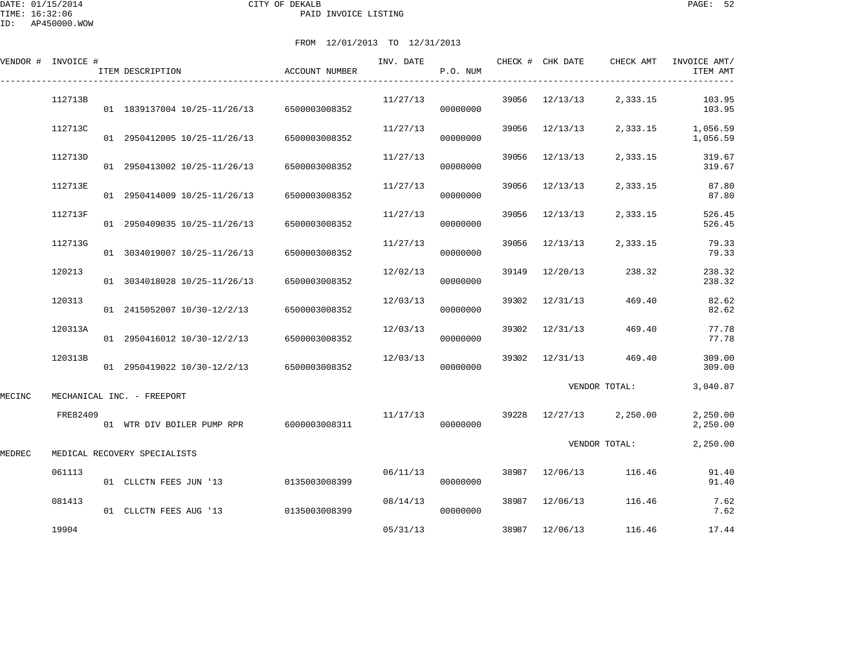DATE: 01/15/2014 CITY OF DEKALB PAGE: 52 PAID INVOICE LISTING

ID: AP450000.WOW

|        | VENDOR # INVOICE # | ITEM DESCRIPTION                           | ACCOUNT NUMBER | INV. DATE | P.O. NUM |       | CHECK # CHK DATE | CHECK AMT               | INVOICE AMT/<br>ITEM AMT |
|--------|--------------------|--------------------------------------------|----------------|-----------|----------|-------|------------------|-------------------------|--------------------------|
|        | 112713B            | 01 1839137004 10/25-11/26/13 6500003008352 |                | 11/27/13  | 00000000 | 39056 | 12/13/13         | 2,333.15                | 103.95<br>103.95         |
|        | 112713C            | 01 2950412005 10/25-11/26/13               | 6500003008352  | 11/27/13  | 00000000 | 39056 | 12/13/13         | 2,333.15                | 1,056.59<br>1,056.59     |
|        | 112713D            | 01 2950413002 10/25-11/26/13               | 6500003008352  | 11/27/13  | 00000000 | 39056 | 12/13/13         | 2,333.15                | 319.67<br>319.67         |
|        | 112713E            | 01 2950414009 10/25-11/26/13               | 6500003008352  | 11/27/13  | 00000000 | 39056 | 12/13/13         | 2,333.15                | 87.80<br>87.80           |
|        | 112713F            | 01 2950409035 10/25-11/26/13               | 6500003008352  | 11/27/13  | 00000000 | 39056 | 12/13/13         | 2,333.15                | 526.45<br>526.45         |
|        | 112713G            | 01 3034019007 10/25-11/26/13               | 6500003008352  | 11/27/13  | 00000000 |       | 39056 12/13/13   | 2,333.15                | 79.33<br>79.33           |
|        | 120213             | 01 3034018028 10/25-11/26/13               | 6500003008352  | 12/02/13  | 00000000 |       | 39149 12/20/13   | 238.32                  | 238.32<br>238.32         |
|        | 120313             | 01 2415052007 10/30-12/2/13                | 6500003008352  | 12/03/13  | 00000000 | 39302 | 12/31/13         | 469.40                  | 82.62<br>82.62           |
|        | 120313A            | 01 2950416012 10/30-12/2/13                | 6500003008352  | 12/03/13  | 00000000 | 39302 | 12/31/13         | 469.40                  | 77.78<br>77.78           |
|        | 120313B            | 01 2950419022 10/30-12/2/13 6500003008352  |                | 12/03/13  | 00000000 |       | 39302 12/31/13   | 469.40                  | 309.00<br>309.00         |
| MECINC |                    | MECHANICAL INC. - FREEPORT                 |                |           |          |       |                  | VENDOR TOTAL:           | 3,040.87                 |
|        | FRE82409           | 01 WTR DIV BOILER PUMP RPR 6000003008311   |                | 11/17/13  | 00000000 |       |                  | 39228 12/27/13 2,250.00 | 2,250.00<br>2,250.00     |
| MEDREC |                    | MEDICAL RECOVERY SPECIALISTS               |                |           |          |       |                  | VENDOR TOTAL:           | 2,250.00                 |
|        | 061113             | 01 CLLCTN FEES JUN '13                     | 0135003008399  | 06/11/13  | 00000000 |       | 38987 12/06/13   | 116.46                  | 91.40<br>91.40           |
|        | 081413             | 01 CLLCTN FEES AUG '13                     | 0135003008399  | 08/14/13  | 00000000 |       | 38987 12/06/13   | 116.46                  | 7.62<br>7.62             |
|        | 19904              |                                            |                | 05/31/13  |          |       | 38987 12/06/13   | 116.46                  | 17.44                    |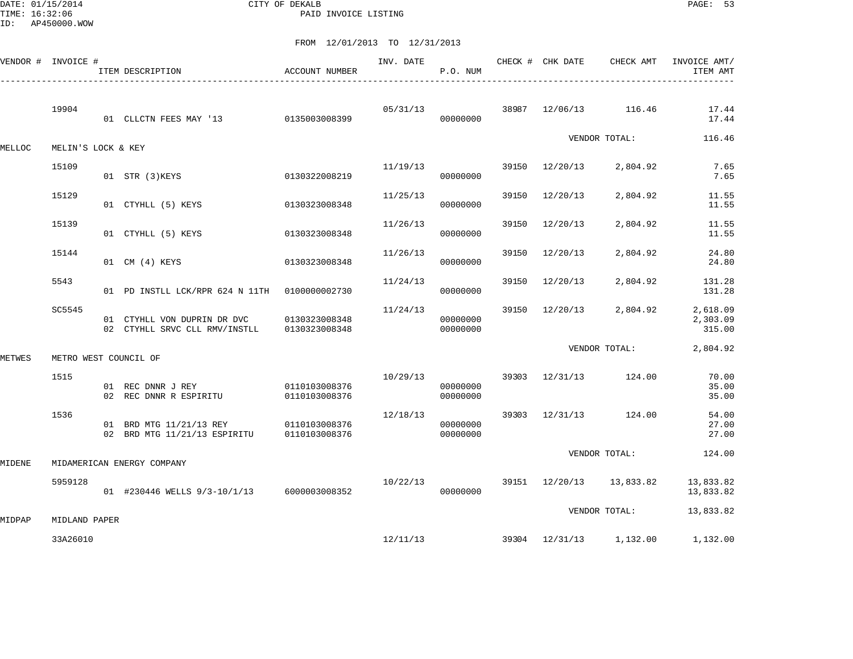DATE: 01/15/2014 CITY OF DEKALB PAGE: 53 PAID INVOICE LISTING

|        | VENDOR # INVOICE #    | ITEM DESCRIPTION                                                                    | <b>ACCOUNT NUMBER</b> | INV. DATE | P.O. NUM             |       | CHECK # CHK DATE | CHECK AMT               | INVOICE AMT/<br>ITEM AMT       |
|--------|-----------------------|-------------------------------------------------------------------------------------|-----------------------|-----------|----------------------|-------|------------------|-------------------------|--------------------------------|
|        | 19904                 | 01 CLLCTN FEES MAY '13 0135003008399                                                |                       | 05/31/13  | 00000000             |       |                  | 38987 12/06/13 116.46   | 17.44<br>17.44                 |
| MELLOC | MELIN'S LOCK & KEY    |                                                                                     |                       |           |                      |       |                  | VENDOR TOTAL:           | 116.46                         |
|        | 15109                 | 01 STR (3)KEYS                                                                      | 0130322008219         | 11/19/13  | 00000000             |       | 39150 12/20/13   | 2,804.92                | 7.65<br>7.65                   |
|        | 15129                 | 01 CTYHLL (5) KEYS                                                                  | 0130323008348         | 11/25/13  | 00000000             | 39150 | 12/20/13         | 2,804.92                | 11.55<br>11.55                 |
|        | 15139                 | 01 CTYHLL (5) KEYS                                                                  | 0130323008348         | 11/26/13  | 00000000             | 39150 | 12/20/13         | 2,804.92                | 11.55<br>11.55                 |
|        | 15144                 | 01 CM (4) KEYS                                                                      | 0130323008348         | 11/26/13  | 00000000             | 39150 | 12/20/13         | 2,804.92                | 24.80<br>24.80                 |
|        | 5543                  | 01 PD INSTLL LCK/RPR 624 N 11TH 0100000002730                                       |                       | 11/24/13  | 00000000             | 39150 | 12/20/13         | 2,804.92                | 131.28<br>131.28               |
|        | SC5545                | 01 CTYHLL VON DUPRIN DR DVC 0130323008348<br>02 CTYHLL SRVC CLL RMV/INSTLL          | 0130323008348         | 11/24/13  | 00000000<br>00000000 |       |                  | 39150 12/20/13 2,804.92 | 2,618.09<br>2,303.09<br>315.00 |
| METWES | METRO WEST COUNCIL OF |                                                                                     |                       |           |                      |       |                  | VENDOR TOTAL:           | 2,804.92                       |
|        | 1515                  | 01 REC DNNR J REY 0110103008376<br>02 REC DNNR R ESPIRITU 0110103008376             |                       | 10/29/13  | 00000000<br>00000000 |       |                  | 39303 12/31/13 124.00   | 70.00<br>35.00<br>35.00        |
|        | 1536                  | 01 BRD MTG 11/21/13 REY 0110103008376<br>02 BRD MTG 11/21/13 ESPIRITU 0110103008376 |                       | 12/18/13  | 00000000<br>00000000 |       |                  | 39303 12/31/13 124.00   | 54.00<br>27.00<br>27.00        |
| MIDENE |                       | MIDAMERICAN ENERGY COMPANY                                                          |                       |           |                      |       |                  | VENDOR TOTAL:           | 124.00                         |
|        | 5959128               | 01 #230446 WELLS 9/3-10/1/13 6000003008352                                          |                       | 10/22/13  | 00000000             |       | 39151 12/20/13   | 13,833.82               | 13,833.82<br>13,833.82         |
| MIDPAP | MIDLAND PAPER         |                                                                                     |                       |           |                      |       |                  | VENDOR TOTAL:           | 13,833.82                      |
|        | 33A26010              |                                                                                     |                       |           | 12/11/13             |       |                  | 39304 12/31/13 1,132.00 | 1,132.00                       |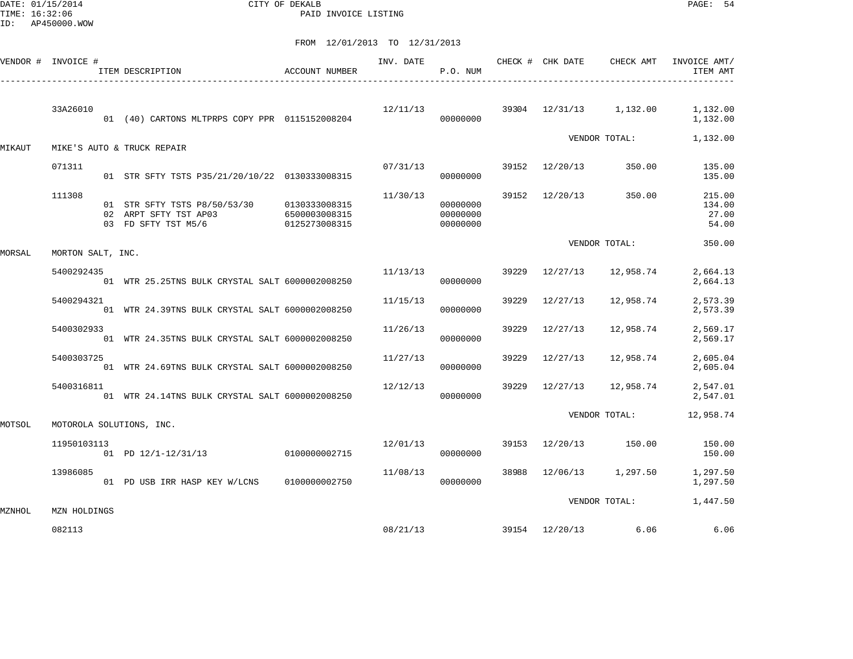DATE: 01/15/2014 CITY OF DEKALB PAGE: 54 PAID INVOICE LISTING

|        | VENDOR # INVOICE # |                                                                                                          |               |          | INV. DATE<br>P.O. NUM            |       |                |                                      | CHECK # CHK DATE CHECK AMT INVOICE AMT/<br>ITEM AMT |
|--------|--------------------|----------------------------------------------------------------------------------------------------------|---------------|----------|----------------------------------|-------|----------------|--------------------------------------|-----------------------------------------------------|
|        | 33A26010           | 01 (40) CARTONS MLTPRPS COPY PPR 0115152008204                                                           |               |          | 00000000                         |       |                | $12/11/13$ 39304 $12/31/13$ 1,132.00 | 1,132.00<br>1,132.00                                |
| MIKAUT |                    | MIKE'S AUTO & TRUCK REPAIR                                                                               |               |          |                                  |       |                | VENDOR TOTAL:                        | 1,132.00                                            |
|        | 071311             | 01 STR SFTY TSTS P35/21/20/10/22 0130333008315                                                           |               | 07/31/13 | 00000000                         |       |                | 39152 12/20/13 350.00                | 135.00<br>135.00                                    |
|        | 111308             | 01 STR SFTY TSTS P8/50/53/30 0130333008315<br>02 ARPT SFTY TST AP03<br>03 FD SFTY TST M5/6 0125273008315 | 6500003008315 | 11/30/13 | 00000000<br>00000000<br>00000000 |       | 39152 12/20/13 | 350.00                               | 215.00<br>134.00<br>27.00<br>54.00                  |
| MORSAL | MORTON SALT, INC.  |                                                                                                          |               |          |                                  |       |                | VENDOR TOTAL:                        | 350.00                                              |
|        | 5400292435         | 01 WTR 25.25TNS BULK CRYSTAL SALT 6000002008250                                                          |               | 11/13/13 | 00000000                         |       |                | 39229 12/27/13 12,958.74             | 2,664.13<br>2,664.13                                |
|        | 5400294321         | 01 WTR 24.39TNS BULK CRYSTAL SALT 6000002008250                                                          |               | 11/15/13 | 00000000                         | 39229 | 12/27/13       | 12,958.74                            | 2,573.39<br>2,573.39                                |
|        | 5400302933         | 01 WTR 24.35TNS BULK CRYSTAL SALT 6000002008250                                                          |               | 11/26/13 | 00000000                         | 39229 | 12/27/13       | 12,958.74                            | 2,569.17<br>2,569.17                                |
|        | 5400303725         | 01 WTR 24.69TNS BULK CRYSTAL SALT 6000002008250                                                          |               | 11/27/13 | 00000000                         | 39229 | 12/27/13       | 12,958.74                            | 2,605.04<br>2,605.04                                |
|        | 5400316811         | 01 WTR 24.14TNS BULK CRYSTAL SALT 6000002008250                                                          |               | 12/12/13 | 00000000                         |       |                | 39229 12/27/13 12,958.74             | 2,547.01<br>2,547.01                                |
| MOTSOL |                    | MOTOROLA SOLUTIONS, INC.                                                                                 |               |          |                                  |       |                | VENDOR TOTAL:                        | 12,958.74                                           |
|        | 11950103113        | 01 PD 12/1-12/31/13 0100000002715                                                                        |               |          | 00000000                         |       |                | 12/01/13 39153 12/20/13 150.00       | 150.00<br>150.00                                    |
|        | 13986085           | 01 PD USB IRR HASP KEY W/LCNS 0100000002750                                                              |               | 11/08/13 | 00000000                         |       |                | 38988 12/06/13 1,297.50              | 1,297.50<br>1,297.50                                |
| MZNHOL | MZN HOLDINGS       |                                                                                                          |               |          |                                  |       |                | VENDOR TOTAL:                        | 1,447.50                                            |
|        | 082113             |                                                                                                          |               | 08/21/13 |                                  |       |                | 39154 12/20/13 6.06                  | 6.06                                                |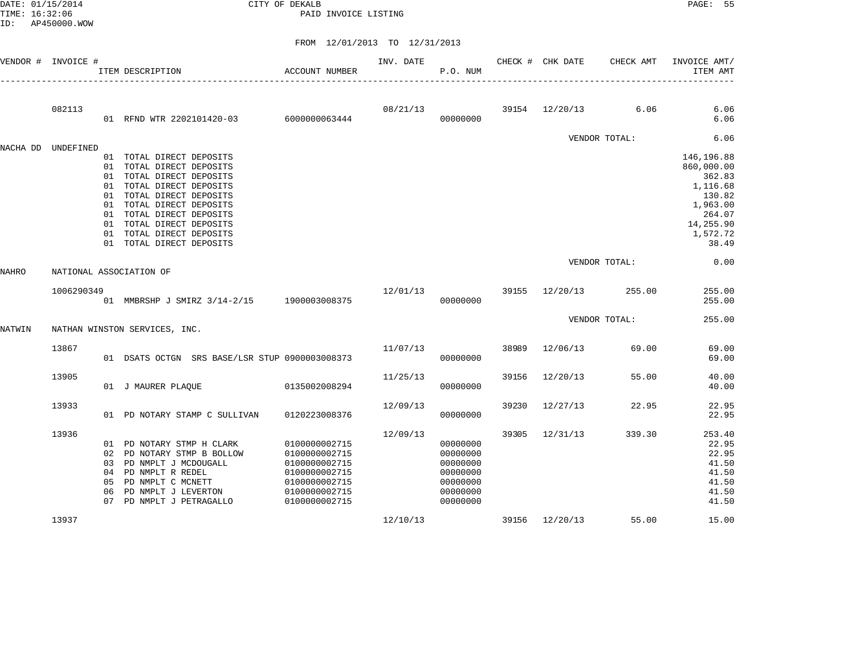DATE: 01/15/2014 CITY OF DEKALB PAGE: 55 PAID INVOICE LISTING

|          | VENDOR # INVOICE #      |                      | ACCOUNT NUMBER<br>ITEM DESCRIPTION                                                                                                                                                                                                                                          |                                                                                                                     | INV. DATE | P.O. NUM                                                                         |       | CHECK # CHK DATE    | CHECK AMT     | INVOICE AMT/<br>ITEM AMT                                                                                         |
|----------|-------------------------|----------------------|-----------------------------------------------------------------------------------------------------------------------------------------------------------------------------------------------------------------------------------------------------------------------------|---------------------------------------------------------------------------------------------------------------------|-----------|----------------------------------------------------------------------------------|-------|---------------------|---------------|------------------------------------------------------------------------------------------------------------------|
|          | 082113                  |                      | 01 RFND WTR 2202101420-03 6000000063444                                                                                                                                                                                                                                     |                                                                                                                     | 08/21/13  | 00000000                                                                         |       | 39154 12/20/13 6.06 |               | 6.06<br>6.06                                                                                                     |
|          |                         |                      |                                                                                                                                                                                                                                                                             |                                                                                                                     |           |                                                                                  |       |                     | VENDOR TOTAL: | 6.06                                                                                                             |
| NACHA DD | UNDEFINED               | 01<br>01<br>01       | 01 TOTAL DIRECT DEPOSITS<br>TOTAL DIRECT DEPOSITS<br>TOTAL DIRECT DEPOSITS<br>01 TOTAL DIRECT DEPOSITS<br>TOTAL DIRECT DEPOSITS<br>01 TOTAL DIRECT DEPOSITS<br>01 TOTAL DIRECT DEPOSITS<br>01 TOTAL DIRECT DEPOSITS<br>01 TOTAL DIRECT DEPOSITS<br>01 TOTAL DIRECT DEPOSITS |                                                                                                                     |           |                                                                                  |       |                     |               | 146,196.88<br>860,000.00<br>362.83<br>1,116.68<br>130.82<br>1,963.00<br>264.07<br>14,255.90<br>1,572.72<br>38.49 |
| NAHRO    | NATIONAL ASSOCIATION OF |                      |                                                                                                                                                                                                                                                                             |                                                                                                                     |           |                                                                                  |       |                     | VENDOR TOTAL: | 0.00                                                                                                             |
|          | 1006290349              |                      | 01 MMBRSHP J SMIRZ 3/14-2/15 1900003008375                                                                                                                                                                                                                                  |                                                                                                                     | 12/01/13  | 00000000                                                                         |       | 39155 12/20/13      | 255.00        | 255.00<br>255.00                                                                                                 |
| NATWIN   |                         |                      | NATHAN WINSTON SERVICES, INC.                                                                                                                                                                                                                                               |                                                                                                                     |           |                                                                                  |       |                     | VENDOR TOTAL: | 255.00                                                                                                           |
|          | 13867                   |                      | 01 DSATS OCTGN SRS BASE/LSR STUP 0900003008373                                                                                                                                                                                                                              |                                                                                                                     | 11/07/13  | 00000000                                                                         | 38989 | 12/06/13            | 69.00         | 69.00<br>69.00                                                                                                   |
|          | 13905                   |                      | 01 J MAURER PLAQUE                                                                                                                                                                                                                                                          | 0135002008294                                                                                                       | 11/25/13  | 00000000                                                                         | 39156 | 12/20/13            | 55.00         | 40.00<br>40.00                                                                                                   |
|          | 13933                   |                      | 01 PD NOTARY STAMP C SULLIVAN                                                                                                                                                                                                                                               | 0120223008376                                                                                                       | 12/09/13  | 00000000                                                                         | 39230 | 12/27/13            | 22.95         | 22.95<br>22.95                                                                                                   |
|          | 13936                   | 04<br>05<br>06<br>07 | 01 PD NOTARY STMP H CLARK<br>02 PD NOTARY STMP B BOLLOW<br>03 PD NMPLT J MCDOUGALL<br>PD NMPLT R REDEL<br>PD NMPLT C MCNETT<br>PD NMPLT J LEVERTON<br>PD NMPLT J PETRAGALLO                                                                                                 | 0100000002715<br>0100000002715<br>0100000002715<br>0100000002715<br>0100000002715<br>0100000002715<br>0100000002715 | 12/09/13  | 00000000<br>00000000<br>00000000<br>00000000<br>00000000<br>00000000<br>00000000 | 39305 | 12/31/13            | 339.30        | 253.40<br>22.95<br>22.95<br>41.50<br>41.50<br>41.50<br>41.50<br>41.50                                            |
|          | 13937                   |                      |                                                                                                                                                                                                                                                                             |                                                                                                                     | 12/10/13  |                                                                                  |       | 39156 12/20/13      | 55.00         | 15.00                                                                                                            |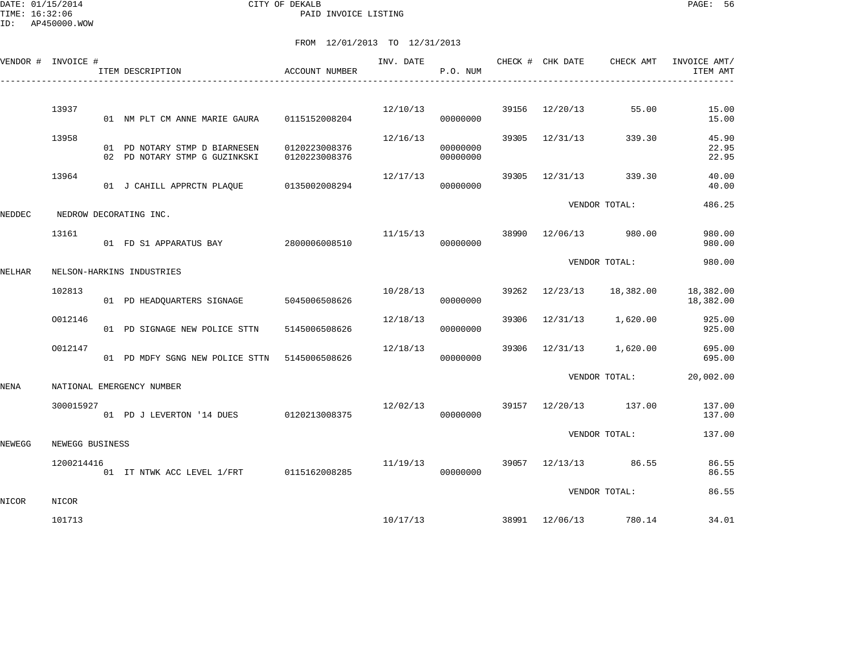| VENDOR # INVOICE # |                 | ITEM DESCRIPTION                                               | ACCOUNT NUMBER                 | INV. DATE | P.O. NUM             |       | CHECK # CHK DATE | CHECK AMT     | INVOICE AMT/<br>ITEM AMT |
|--------------------|-----------------|----------------------------------------------------------------|--------------------------------|-----------|----------------------|-------|------------------|---------------|--------------------------|
|                    |                 |                                                                |                                |           |                      |       |                  |               |                          |
|                    | 13937           | 01 NM PLT CM ANNE MARIE GAURA                                  | 0115152008204                  | 12/10/13  | 00000000             | 39156 | 12/20/13         | 55.00         | 15.00<br>15.00           |
|                    | 13958           | 01 PD NOTARY STMP D BIARNESEN<br>02 PD NOTARY STMP G GUZINKSKI | 0120223008376<br>0120223008376 | 12/16/13  | 00000000<br>00000000 | 39305 | 12/31/13         | 339.30        | 45.90<br>22.95<br>22.95  |
|                    | 13964           | 01 J CAHILL APPRCTN PLAQUE 0135002008294                       |                                | 12/17/13  | 00000000             |       | 39305 12/31/13   | 339.30        | 40.00<br>40.00           |
| NEDDEC             |                 | NEDROW DECORATING INC.                                         |                                |           |                      |       |                  | VENDOR TOTAL: | 486.25                   |
|                    | 13161           | 01 FD S1 APPARATUS BAY 2800006008510                           |                                | 11/15/13  | 00000000             | 38990 | 12/06/13         | 980.00        | 980.00<br>980.00         |
| NELHAR             |                 | NELSON-HARKINS INDUSTRIES                                      |                                |           |                      |       |                  | VENDOR TOTAL: | 980.00                   |
|                    | 102813          | 01 PD HEADQUARTERS SIGNAGE                                     | 5045006508626                  | 10/28/13  | 00000000             | 39262 | 12/23/13         | 18,382.00     | 18,382.00<br>18,382.00   |
|                    | 0012146         | 01 PD SIGNAGE NEW POLICE STTN                                  | 5145006508626                  | 12/18/13  | 00000000             | 39306 | 12/31/13         | 1,620.00      | 925.00<br>925.00         |
|                    | 0012147         | 01 PD MDFY SGNG NEW POLICE STTN 5145006508626                  |                                | 12/18/13  | 00000000             | 39306 | 12/31/13         | 1,620.00      | 695.00<br>695.00         |
| NENA               |                 | NATIONAL EMERGENCY NUMBER                                      |                                |           |                      |       |                  | VENDOR TOTAL: | 20,002.00                |
|                    | 300015927       | 01 PD J LEVERTON '14 DUES 0120213008375                        |                                | 12/02/13  | 00000000             |       | 39157 12/20/13   | 137.00        | 137.00<br>137.00         |
| NEWEGG             | NEWEGG BUSINESS |                                                                |                                |           |                      |       |                  | VENDOR TOTAL: | 137.00                   |
|                    | 1200214416      | 01 IT NTWK ACC LEVEL 1/FRT 0115162008285                       |                                | 11/19/13  | 00000000             |       | 39057 12/13/13   | 86.55         | 86.55<br>86.55           |
| NICOR              | NICOR           |                                                                |                                |           |                      |       |                  | VENDOR TOTAL: | 86.55                    |
|                    | 101713          |                                                                |                                |           | 10/17/13             |       | 38991 12/06/13   | 780.14        | 34.01                    |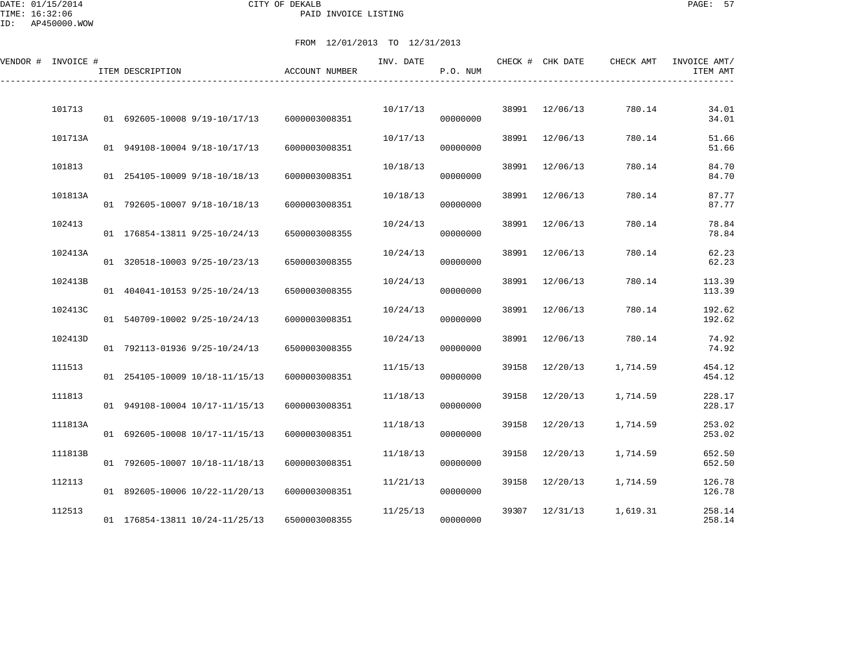DATE: 01/15/2014 CITY OF DEKALB PAGE: 57 PAID INVOICE LISTING

| VENDOR # INVOICE # | ITEM DESCRIPTION               | ACCOUNT NUMBER | INV. DATE | P.O. NUM |       | CHECK # CHK DATE | CHECK AMT | INVOICE AMT/<br>ITEM AMT |
|--------------------|--------------------------------|----------------|-----------|----------|-------|------------------|-----------|--------------------------|
| 101713             | 01 692605-10008 9/19-10/17/13  | 6000003008351  | 10/17/13  | 00000000 | 38991 | 12/06/13         | 780.14    | 34.01<br>34.01           |
| 101713A            | 01 949108-10004 9/18-10/17/13  | 6000003008351  | 10/17/13  | 00000000 | 38991 | 12/06/13         | 780.14    | 51.66<br>51.66           |
| 101813             | 01 254105-10009 9/18-10/18/13  | 6000003008351  | 10/18/13  | 00000000 | 38991 | 12/06/13         | 780.14    | 84.70<br>84.70           |
| 101813A            | 01 792605-10007 9/18-10/18/13  | 6000003008351  | 10/18/13  | 00000000 | 38991 | 12/06/13         | 780.14    | 87.77<br>87.77           |
| 102413             | 01 176854-13811 9/25-10/24/13  | 6500003008355  | 10/24/13  | 00000000 | 38991 | 12/06/13         | 780.14    | 78.84<br>78.84           |
| 102413A            | 01 320518-10003 9/25-10/23/13  | 6500003008355  | 10/24/13  | 00000000 | 38991 | 12/06/13         | 780.14    | 62.23<br>62.23           |
| 102413B            | 01 404041-10153 9/25-10/24/13  | 6500003008355  | 10/24/13  | 00000000 | 38991 | 12/06/13         | 780.14    | 113.39<br>113.39         |
| 102413C            | 01 540709-10002 9/25-10/24/13  | 6000003008351  | 10/24/13  | 00000000 | 38991 | 12/06/13         | 780.14    | 192.62<br>192.62         |
| 102413D            | 01 792113-01936 9/25-10/24/13  | 6500003008355  | 10/24/13  | 00000000 | 38991 | 12/06/13         | 780.14    | 74.92<br>74.92           |
| 111513             | 01 254105-10009 10/18-11/15/13 | 6000003008351  | 11/15/13  | 00000000 | 39158 | 12/20/13         | 1,714.59  | 454.12<br>454.12         |
| 111813             | 01 949108-10004 10/17-11/15/13 |                | 11/18/13  | 00000000 | 39158 | 12/20/13         | 1,714.59  | 228.17                   |
| 111813A            |                                | 6000003008351  | 11/18/13  |          | 39158 | 12/20/13         | 1,714.59  | 228.17<br>253.02         |
| 111813B            | 01 692605-10008 10/17-11/15/13 | 6000003008351  | 11/18/13  | 00000000 | 39158 | 12/20/13         | 1,714.59  | 253.02<br>652.50         |
| 112113             | 01 792605-10007 10/18-11/18/13 | 6000003008351  | 11/21/13  | 00000000 | 39158 | 12/20/13         | 1,714.59  | 652.50<br>126.78         |
| 112513             | 01 892605-10006 10/22-11/20/13 | 6000003008351  | 11/25/13  | 00000000 | 39307 | 12/31/13         | 1,619.31  | 126.78<br>258.14         |
|                    | 01 176854-13811 10/24-11/25/13 | 6500003008355  |           | 00000000 |       |                  |           | 258.14                   |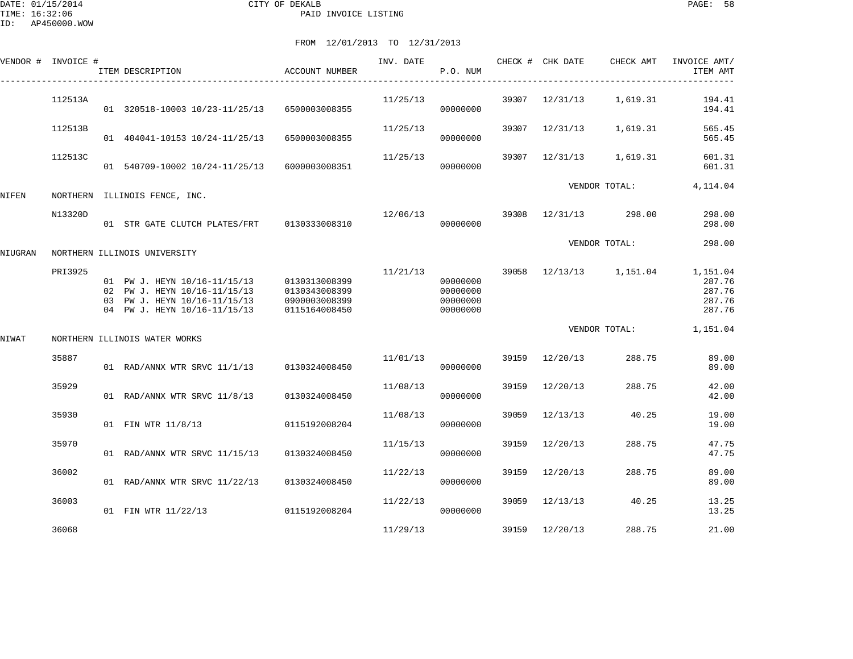|         | VENDOR # INVOICE # | ITEM DESCRIPTION                                                                                                             | <b>ACCOUNT NUMBER</b>                                            | INV. DATE | P.O. NUM                                     |       | CHECK # CHK DATE | CHECK AMT     | INVOICE AMT/<br>ITEM AMT                         |
|---------|--------------------|------------------------------------------------------------------------------------------------------------------------------|------------------------------------------------------------------|-----------|----------------------------------------------|-------|------------------|---------------|--------------------------------------------------|
|         | 112513A            | 01 320518-10003 10/23-11/25/13                                                                                               | 6500003008355                                                    | 11/25/13  | 00000000                                     | 39307 | 12/31/13         | 1,619.31      | 194.41<br>194.41                                 |
|         | 112513B            | 01 404041-10153 10/24-11/25/13                                                                                               | 6500003008355                                                    | 11/25/13  | 00000000                                     | 39307 | 12/31/13         | 1,619.31      | 565.45<br>565.45                                 |
|         | 112513C            | 01 540709-10002 10/24-11/25/13                                                                                               | 6000003008351                                                    | 11/25/13  | 00000000                                     | 39307 | 12/31/13         | 1,619.31      | 601.31<br>601.31                                 |
| NIFEN   |                    | NORTHERN ILLINOIS FENCE, INC.                                                                                                |                                                                  |           |                                              |       |                  | VENDOR TOTAL: | 4,114.04                                         |
|         | N13320D            | 01 STR GATE CLUTCH PLATES/FRT                                                                                                | 0130333008310                                                    | 12/06/13  | 00000000                                     | 39308 | 12/31/13         | 298.00        | 298.00<br>298.00                                 |
| NIUGRAN |                    | NORTHERN ILLINOIS UNIVERSITY                                                                                                 |                                                                  |           |                                              |       |                  | VENDOR TOTAL: | 298.00                                           |
|         | PRI3925            | 01 PW J. HEYN 10/16-11/15/13<br>02 PW J. HEYN 10/16-11/15/13<br>03 PW J. HEYN 10/16-11/15/13<br>04 PW J. HEYN 10/16-11/15/13 | 0130313008399<br>0130343008399<br>0900003008399<br>0115164008450 | 11/21/13  | 00000000<br>00000000<br>00000000<br>00000000 | 39058 | 12/13/13         | 1,151.04      | 1,151.04<br>287.76<br>287.76<br>287.76<br>287.76 |
| NIWAT   |                    | NORTHERN ILLINOIS WATER WORKS                                                                                                |                                                                  |           |                                              |       |                  | VENDOR TOTAL: | 1,151.04                                         |
|         | 35887              | 01 RAD/ANNX WTR SRVC 11/1/13                                                                                                 | 0130324008450                                                    | 11/01/13  | 00000000                                     |       | 39159 12/20/13   | 288.75        | 89.00<br>89.00                                   |
|         | 35929              | 01 RAD/ANNX WTR SRVC 11/8/13                                                                                                 | 0130324008450                                                    | 11/08/13  | 00000000                                     | 39159 | 12/20/13         | 288.75        | 42.00<br>42.00                                   |
|         | 35930              | 01 FIN WTR 11/8/13                                                                                                           | 0115192008204                                                    | 11/08/13  | 00000000                                     | 39059 | 12/13/13         | 40.25         | 19.00<br>19.00                                   |
|         | 35970              | 01 RAD/ANNX WTR SRVC 11/15/13                                                                                                | 0130324008450                                                    | 11/15/13  | 00000000                                     | 39159 | 12/20/13         | 288.75        | 47.75<br>47.75                                   |
|         | 36002              | 01 RAD/ANNX WTR SRVC 11/22/13                                                                                                | 0130324008450                                                    | 11/22/13  | 00000000                                     | 39159 | 12/20/13         | 288.75        | 89.00<br>89.00                                   |
|         | 36003              | 01 FIN WTR 11/22/13                                                                                                          | 0115192008204                                                    | 11/22/13  | 00000000                                     | 39059 | 12/13/13         | 40.25         | 13.25<br>13.25                                   |
|         | 36068              |                                                                                                                              |                                                                  | 11/29/13  |                                              | 39159 | 12/20/13         | 288.75        | 21.00                                            |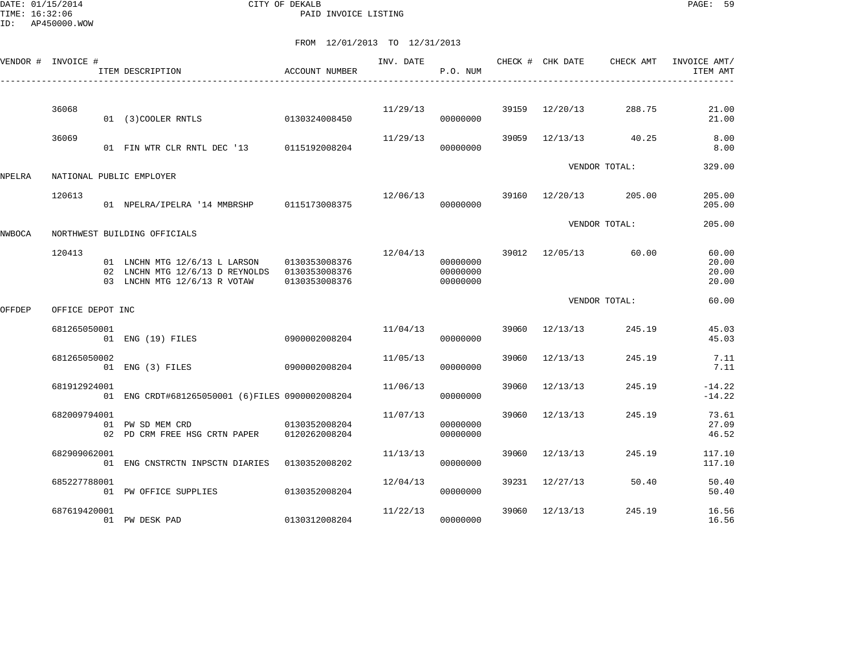DATE: 01/15/2014 CITY OF DEKALB PAGE: 59 PAID INVOICE LISTING

|        | VENDOR # INVOICE # | ITEM DESCRIPTION                                                                                                             | <b>ACCOUNT NUMBER</b> | INV. DATE | P.O. NUM                         |       | CHECK # CHK DATE | CHECK AMT       | INVOICE AMT/<br>ITEM AMT         |
|--------|--------------------|------------------------------------------------------------------------------------------------------------------------------|-----------------------|-----------|----------------------------------|-------|------------------|-----------------|----------------------------------|
|        | 36068              | 01 (3) COOLER RNTLS                                                                                                          | 0130324008450         |           | 11/29/13<br>00000000             | 39159 | 12/20/13         | 288.75          | 21.00<br>21.00                   |
|        | 36069              | 01 FIN WTR CLR RNTL DEC '13 0115192008204                                                                                    |                       | 11/29/13  | 00000000                         | 39059 | 12/13/13         | 40.25           | 8.00<br>8.00                     |
| NPELRA |                    | NATIONAL PUBLIC EMPLOYER                                                                                                     |                       |           |                                  |       |                  | VENDOR TOTAL:   | 329.00                           |
|        | 120613             | 01 NPELRA/IPELRA '14 MMBRSHP 0115173008375                                                                                   |                       | 12/06/13  | 00000000                         | 39160 |                  | 12/20/13 205.00 | 205.00<br>205.00                 |
| NWBOCA |                    | NORTHWEST BUILDING OFFICIALS                                                                                                 |                       |           |                                  |       |                  | VENDOR TOTAL:   | 205.00                           |
|        | 120413             | 01 LNCHN MTG 12/6/13 L LARSON 0130353008376<br>02 LNCHN MTG 12/6/13 D REYNOLDS 0130353008376<br>03 LNCHN MTG 12/6/13 R VOTAW | 0130353008376         | 12/04/13  | 00000000<br>00000000<br>00000000 |       | 39012 12/05/13   | 60.00           | 60.00<br>20.00<br>20.00<br>20.00 |
| OFFDEP | OFFICE DEPOT INC   |                                                                                                                              |                       |           |                                  |       |                  | VENDOR TOTAL:   | 60.00                            |
|        | 681265050001       | 01 ENG (19) FILES                                                                                                            | 0900002008204         | 11/04/13  | 00000000                         |       | 39060 12/13/13   | 245.19          | 45.03<br>45.03                   |
|        | 681265050002       | 01 ENG (3) FILES                                                                                                             | 0900002008204         | 11/05/13  | 00000000                         | 39060 | 12/13/13         | 245.19          | 7.11<br>7.11                     |
|        | 681912924001       | 01 ENG CRDT#681265050001 (6) FILES 0900002008204                                                                             |                       | 11/06/13  | 00000000                         | 39060 | 12/13/13         | 245.19          | $-14.22$<br>$-14.22$             |
|        | 682009794001       | 0130352008204<br>01 PW SD MEM CRD<br>02 PD CRM FREE HSG CRTN PAPER                                                           | 0120262008204         | 11/07/13  | 00000000<br>00000000             | 39060 | 12/13/13         | 245.19          | 73.61<br>27.09<br>46.52          |
|        | 682909062001       | 01 ENG CNSTRCTN INPSCTN DIARIES                                                                                              | 0130352008202         | 11/13/13  | 00000000                         | 39060 | 12/13/13         | 245.19          | 117.10<br>117.10                 |
|        | 685227788001       | 01 PW OFFICE SUPPLIES                                                                                                        | 0130352008204         | 12/04/13  | 00000000                         |       | 39231 12/27/13   | 50.40           | 50.40<br>50.40                   |
|        | 687619420001       | 01 PW DESK PAD                                                                                                               | 0130312008204         | 11/22/13  | 00000000                         | 39060 | 12/13/13         | 245.19          | 16.56<br>16.56                   |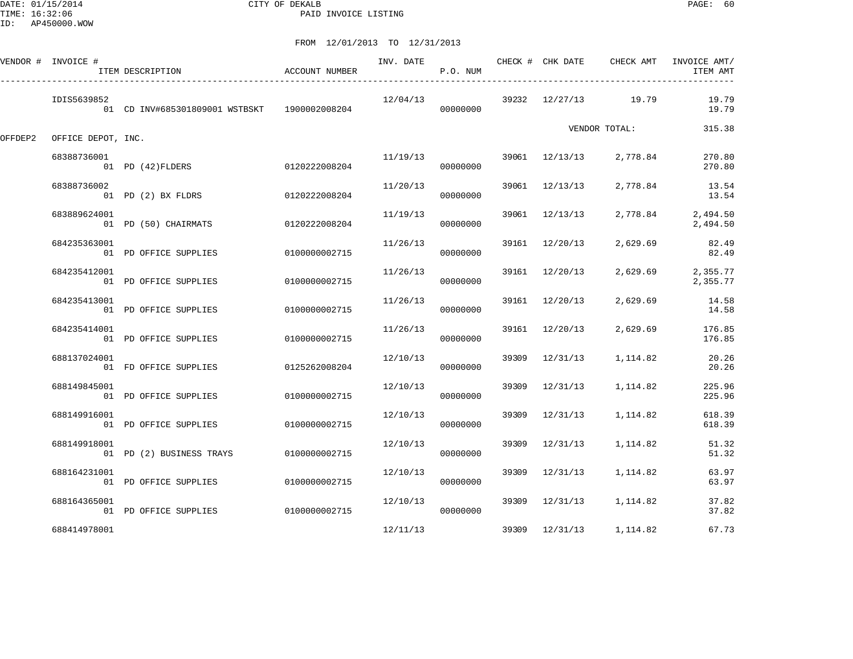DATE: 01/15/2014 CITY OF DEKALB PAGE: 60 PAID INVOICE LISTING

|         | VENDOR # INVOICE # | ITEM DESCRIPTION                             | ACCOUNT NUMBER | INV. DATE | P.O. NUM |       | CHECK # CHK DATE | CHECK AMT     | INVOICE AMT/<br>ITEM AMT |
|---------|--------------------|----------------------------------------------|----------------|-----------|----------|-------|------------------|---------------|--------------------------|
|         | IDIS5639852        | 01 CD INV#685301809001 WSTBSKT 1900002008204 |                | 12/04/13  | 00000000 | 39232 | 12/27/13         | 19.79         | 19.79<br>19.79           |
| OFFDEP2 | OFFICE DEPOT, INC. |                                              |                |           |          |       |                  | VENDOR TOTAL: | 315.38                   |
|         | 68388736001        | 01 PD (42) FLDERS                            | 0120222008204  | 11/19/13  | 00000000 |       | 39061 12/13/13   | 2,778.84      | 270.80<br>270.80         |
|         | 68388736002        | 01 PD (2) BX FLDRS                           | 0120222008204  | 11/20/13  | 00000000 | 39061 | 12/13/13         | 2,778.84      | 13.54<br>13.54           |
|         | 683889624001       | 01 PD (50) CHAIRMATS                         | 0120222008204  | 11/19/13  | 00000000 | 39061 | 12/13/13         | 2,778.84      | 2,494.50<br>2,494.50     |
|         | 684235363001       | 01 PD OFFICE SUPPLIES                        | 0100000002715  | 11/26/13  | 00000000 |       | 39161 12/20/13   | 2,629.69      | 82.49<br>82.49           |
|         | 684235412001       | 01 PD OFFICE SUPPLIES                        | 0100000002715  | 11/26/13  | 00000000 | 39161 | 12/20/13         | 2,629.69      | 2,355.77<br>2,355.77     |
|         | 684235413001       | 01 PD OFFICE SUPPLIES                        | 0100000002715  | 11/26/13  | 00000000 | 39161 | 12/20/13         | 2,629.69      | 14.58<br>14.58           |
|         | 684235414001       | 01 PD OFFICE SUPPLIES                        | 0100000002715  | 11/26/13  | 00000000 | 39161 | 12/20/13         | 2,629.69      | 176.85<br>176.85         |
|         | 688137024001       | 01 FD OFFICE SUPPLIES                        | 0125262008204  | 12/10/13  | 00000000 | 39309 | 12/31/13         | 1,114.82      | 20.26<br>20.26           |
|         | 688149845001       | 01 PD OFFICE SUPPLIES                        | 0100000002715  | 12/10/13  | 00000000 | 39309 | 12/31/13         | 1,114.82      | 225.96<br>225.96         |
|         | 688149916001       | 01 PD OFFICE SUPPLIES                        | 0100000002715  | 12/10/13  | 00000000 | 39309 | 12/31/13         | 1,114.82      | 618.39<br>618.39         |
|         | 688149918001       | 01 PD (2) BUSINESS TRAYS                     | 0100000002715  | 12/10/13  | 00000000 | 39309 | 12/31/13         | 1,114.82      | 51.32<br>51.32           |
|         | 688164231001       | 01 PD OFFICE SUPPLIES                        | 0100000002715  | 12/10/13  | 00000000 | 39309 | 12/31/13         | 1,114.82      | 63.97<br>63.97           |
|         | 688164365001       | 01 PD OFFICE SUPPLIES                        | 0100000002715  | 12/10/13  | 00000000 |       | 39309 12/31/13   | 1,114.82      | 37.82<br>37.82           |
|         | 688414978001       |                                              |                | 12/11/13  |          |       | 39309 12/31/13   | 1,114.82      | 67.73                    |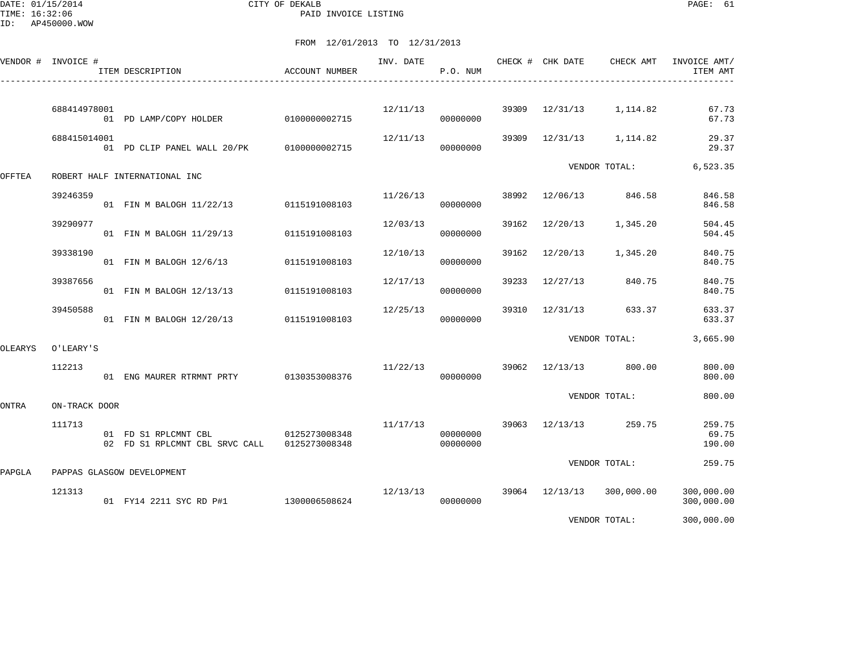DATE: 01/15/2014 CITY OF DEKALB PAGE: 61 PAID INVOICE LISTING

|         | VENDOR # INVOICE # | ITEM DESCRIPTION                                                     | ACCOUNT NUMBER | INV. DATE | P.O. NUM             |       | CHECK # CHK DATE | CHECK AMT               | INVOICE AMT/<br>ITEM AMT  |
|---------|--------------------|----------------------------------------------------------------------|----------------|-----------|----------------------|-------|------------------|-------------------------|---------------------------|
|         | 688414978001       | 01 PD LAMP/COPY HOLDER                                               | 0100000002715  |           | 12/11/13<br>00000000 |       |                  | 39309 12/31/13 1,114.82 | 67.73<br>67.73            |
|         | 688415014001       | 01 PD CLIP PANEL WALL 20/PK 0100000002715                            |                | 12/11/13  | 00000000             | 39309 |                  | 12/31/13 1,114.82       | 29.37<br>29.37            |
| OFFTEA  |                    | ROBERT HALF INTERNATIONAL INC                                        |                |           |                      |       |                  | VENDOR TOTAL:           | 6,523.35                  |
|         | 39246359           | 01 FIN M BALOGH 11/22/13 0115191008103                               |                | 11/26/13  | 00000000             | 38992 |                  | 12/06/13 846.58         | 846.58<br>846.58          |
|         | 39290977           | 01 FIN M BALOGH 11/29/13                                             | 0115191008103  | 12/03/13  | 00000000             | 39162 | 12/20/13         | 1,345.20                | 504.45<br>504.45          |
|         | 39338190           | 01 FIN M BALOGH 12/6/13                                              | 0115191008103  | 12/10/13  | 00000000             | 39162 | 12/20/13         | 1,345.20                | 840.75<br>840.75          |
|         | 39387656           | 01 FIN M BALOGH 12/13/13                                             | 0115191008103  | 12/17/13  | 00000000             | 39233 | 12/27/13         | 840.75                  | 840.75<br>840.75          |
|         | 39450588           | 01 FIN M BALOGH 12/20/13 0115191008103                               |                | 12/25/13  | 00000000             | 39310 | 12/31/13         | 633.37                  | 633.37<br>633.37          |
| OLEARYS | O'LEARY'S          |                                                                      |                |           |                      |       |                  | VENDOR TOTAL:           | 3,665.90                  |
|         | 112213             | 01 ENG MAURER RTRMNT PRTY 0130353008376                              |                | 11/22/13  | 00000000             |       |                  | 39062 12/13/13 800.00   | 800.00<br>800.00          |
| ONTRA   | ON-TRACK DOOR      |                                                                      |                |           |                      |       |                  | VENDOR TOTAL:           | 800.00                    |
|         | 111713             | 01 FD S1 RPLCMNT CBL<br>02 FD S1 RPLCMNT CBL SRVC CALL 0125273008348 | 0125273008348  | 11/17/13  | 00000000<br>00000000 |       |                  | 39063 12/13/13 259.75   | 259.75<br>69.75<br>190.00 |
| PAPGLA  |                    | PAPPAS GLASGOW DEVELOPMENT                                           |                |           |                      |       |                  | VENDOR TOTAL:           | 259.75                    |
|         | 121313             | 01 FY14 2211 SYC RD P#1 1300006508624                                |                | 12/13/13  | 00000000             |       | 39064 12/13/13   | 300,000.00              | 300,000.00<br>300,000.00  |
|         |                    |                                                                      |                |           |                      |       |                  | VENDOR TOTAL:           | 300,000.00                |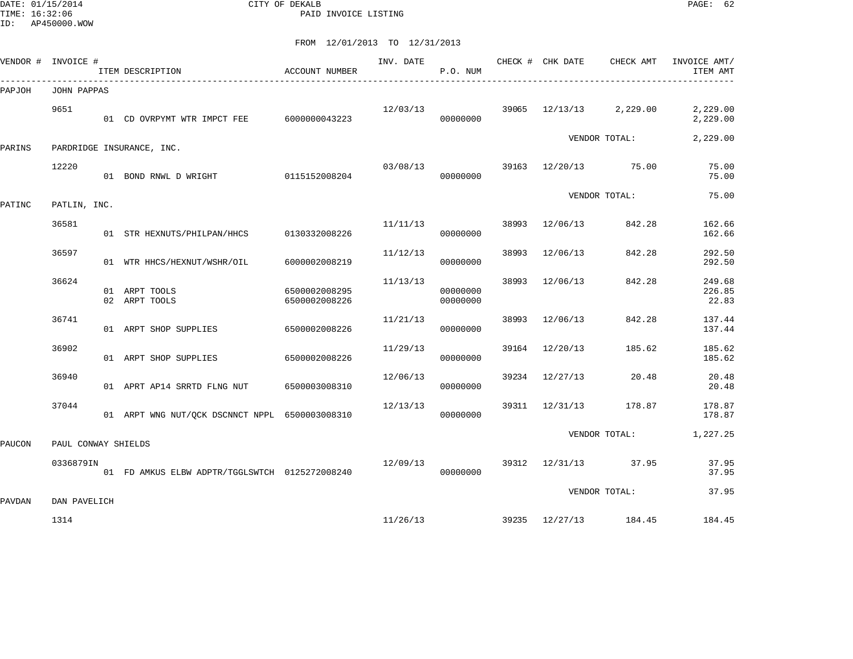DATE: 01/15/2014 CITY OF DEKALB PAGE: 62 PAID INVOICE LISTING

|        | VENDOR # INVOICE #  | ITEM DESCRIPTION                               | ACCOUNT NUMBER                 | INV. DATE | P.O. NUM             |       | CHECK # CHK DATE   | CHECK AMT             | INVOICE AMT/<br>ITEM AMT  |
|--------|---------------------|------------------------------------------------|--------------------------------|-----------|----------------------|-------|--------------------|-----------------------|---------------------------|
| PAPJOH | JOHN PAPPAS         |                                                |                                |           |                      |       |                    |                       |                           |
|        | 9651                | 01 CD OVRPYMT WTR IMPCT FEE                    | 6000000043223                  | 12/03/13  | 00000000             |       | $39065$ $12/13/13$ | 2,229.00              | 2,229.00<br>2,229.00      |
| PARINS |                     | PARDRIDGE INSURANCE, INC.                      |                                |           |                      |       |                    | VENDOR TOTAL:         | 2,229.00                  |
|        | 12220               | 01 BOND RNWL D WRIGHT 0115152008204            |                                | 03/08/13  | 00000000             |       |                    | 39163 12/20/13 75.00  | 75.00<br>75.00            |
| PATINC | PATLIN, INC.        |                                                |                                |           |                      |       |                    | VENDOR TOTAL:         | 75.00                     |
|        | 36581               | 01 STR HEXNUTS/PHILPAN/HHCS                    | 0130332008226                  | 11/11/13  | 00000000             | 38993 | 12/06/13           | 842.28                | 162.66<br>162.66          |
|        | 36597               | 01 WTR HHCS/HEXNUT/WSHR/OIL                    | 6000002008219                  | 11/12/13  | 00000000             | 38993 | 12/06/13           | 842.28                | 292.50<br>292.50          |
|        | 36624               | 01 ARPT TOOLS<br>02 ARPT TOOLS                 | 6500002008295<br>6500002008226 | 11/13/13  | 00000000<br>00000000 | 38993 | 12/06/13           | 842.28                | 249.68<br>226.85<br>22.83 |
|        | 36741               | 01 ARPT SHOP SUPPLIES                          | 6500002008226                  | 11/21/13  | 00000000             | 38993 | 12/06/13           | 842.28                | 137.44<br>137.44          |
|        | 36902               | 01 ARPT SHOP SUPPLIES                          | 6500002008226                  | 11/29/13  | 00000000             | 39164 | 12/20/13           | 185.62                | 185.62<br>185.62          |
|        | 36940               | 01 APRT AP14 SRRTD FLNG NUT                    | 6500003008310                  | 12/06/13  | 00000000             |       | 39234 12/27/13     | 20.48                 | 20.48<br>20.48            |
|        | 37044               | 01 ARPT WNG NUT/QCK DSCNNCT NPPL 6500003008310 |                                | 12/13/13  | 00000000             |       | 39311 12/31/13     | 178.87                | 178.87<br>178.87          |
| PAUCON | PAUL CONWAY SHIELDS |                                                |                                |           |                      |       |                    | VENDOR TOTAL:         | 1,227.25                  |
|        | 0336879IN           | 01 FD AMKUS ELBW ADPTR/TGGLSWTCH 0125272008240 |                                | 12/09/13  | 00000000             |       | 39312 12/31/13     | 37.95                 | 37.95<br>37.95            |
| PAVDAN | DAN PAVELICH        |                                                |                                |           |                      |       |                    | VENDOR TOTAL:         | 37.95                     |
|        | 1314                |                                                |                                | 11/26/13  |                      |       |                    | 39235 12/27/13 184.45 | 184.45                    |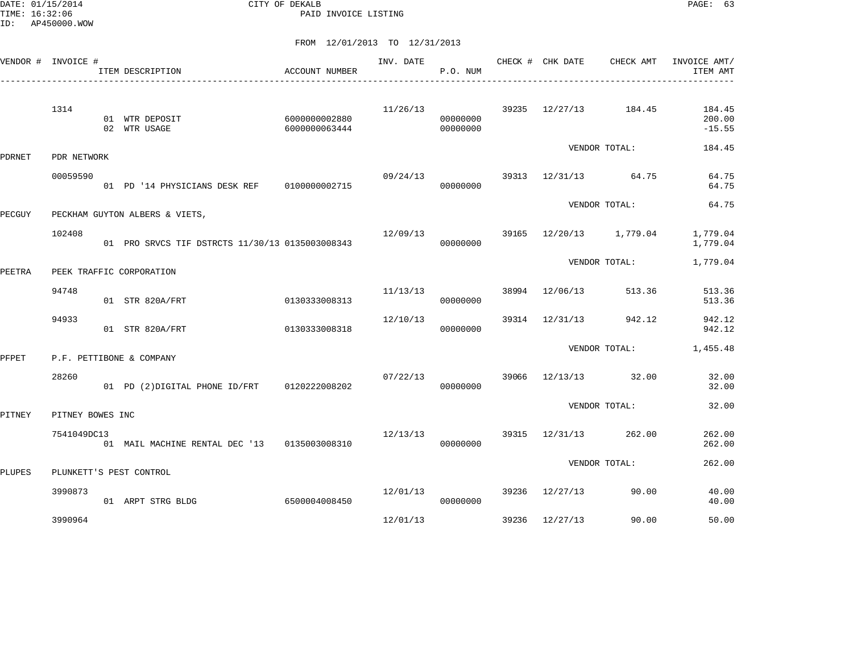DATE: 01/15/2014 CITY OF DEKALB PAGE: 63 PAID INVOICE LISTING

|        | VENDOR # INVOICE # | ITEM DESCRIPTION                                | ACCOUNT NUMBER                 | INV. DATE | P.O. NUM             |       | CHECK # CHK DATE      | CHECK AMT         | INVOICE AMT/<br>ITEM AMT     |
|--------|--------------------|-------------------------------------------------|--------------------------------|-----------|----------------------|-------|-----------------------|-------------------|------------------------------|
|        | 1314               | 01 WTR DEPOSIT<br>02 WTR USAGE                  | 6000000002880<br>6000000063444 | 11/26/13  | 00000000<br>00000000 |       | 39235 12/27/13 184.45 |                   | 184.45<br>200.00<br>$-15.55$ |
| PDRNET | PDR NETWORK        |                                                 |                                |           |                      |       |                       | VENDOR TOTAL:     | 184.45                       |
|        | 00059590           | 01 PD '14 PHYSICIANS DESK REF   0100000002715   |                                | 09/24/13  | 00000000             | 39313 | 12/31/13 64.75        |                   | 64.75<br>64.75               |
| PECGUY |                    | PECKHAM GUYTON ALBERS & VIETS,                  |                                |           |                      |       |                       | VENDOR TOTAL:     | 64.75                        |
|        | 102408             | 01 PRO SRVCS TIF DSTRCTS 11/30/13 0135003008343 |                                | 12/09/13  | 00000000             | 39165 |                       | 12/20/13 1,779.04 | 1,779.04<br>1,779.04         |
| PEETRA |                    | PEEK TRAFFIC CORPORATION                        |                                |           |                      |       |                       | VENDOR TOTAL:     | 1,779.04                     |
|        | 94748              | 01 STR 820A/FRT                                 | 0130333008313                  | 11/13/13  | 00000000             | 38994 | 12/06/13              | 513.36            | 513.36<br>513.36             |
|        | 94933              | 01 STR 820A/FRT                                 | 0130333008318                  | 12/10/13  | 00000000             | 39314 | 12/31/13              | 942.12            | 942.12<br>942.12             |
| PFPET  |                    | P.F. PETTIBONE & COMPANY                        |                                |           |                      |       |                       | VENDOR TOTAL:     | 1,455.48                     |
|        | 28260              | 01 PD (2) DIGITAL PHONE ID/FRT                  | 0120222008202                  | 07/22/13  | 00000000             | 39066 | 12/13/13 32.00        |                   | 32.00<br>32.00               |
| PITNEY | PITNEY BOWES INC   |                                                 |                                |           |                      |       |                       | VENDOR TOTAL:     | 32.00                        |
|        | 7541049DC13        | 01 MAIL MACHINE RENTAL DEC '13 0135003008310    |                                | 12/13/13  | 00000000             | 39315 | 12/31/13              | 262.00            | 262.00<br>262.00             |
| PLUPES |                    | PLUNKETT'S PEST CONTROL                         |                                |           |                      |       |                       | VENDOR TOTAL:     | 262.00                       |
|        | 3990873            | 01 ARPT STRG BLDG                               | 6500004008450                  | 12/01/13  | 00000000             | 39236 | 12/27/13              | 90.00             | 40.00<br>40.00               |
|        | 3990964            |                                                 |                                | 12/01/13  |                      | 39236 | 12/27/13              | 90.00             | 50.00                        |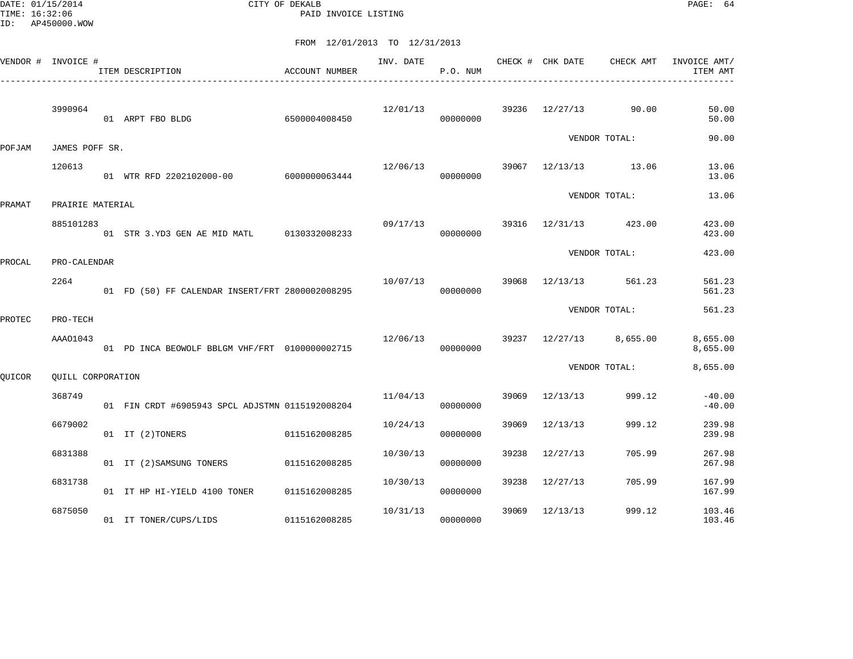DATE: 01/15/2014 CITY OF DEKALB PAGE: 64 PAID INVOICE LISTING

|        | VENDOR # INVOICE #       | ITEM DESCRIPTION                                | ACCOUNT NUMBER | INV. DATE | P.O. NUM |       | CHECK # CHK DATE        | CHECK AMT     | INVOICE AMT/<br>ITEM AMT |
|--------|--------------------------|-------------------------------------------------|----------------|-----------|----------|-------|-------------------------|---------------|--------------------------|
|        | 3990964                  | 01 ARPT FBO BLDG                                | 6500004008450  | 12/01/13  | 00000000 |       | 39236 12/27/13          | 90.00         | 50.00<br>50.00           |
| POFJAM | JAMES POFF SR.           |                                                 |                |           |          |       |                         | VENDOR TOTAL: | 90.00                    |
|        | 120613                   | 01 WTR RFD 2202102000-00                        | 6000000063444  | 12/06/13  | 00000000 |       | 39067 12/13/13 13.06    |               | 13.06<br>13.06           |
| PRAMAT | PRAIRIE MATERIAL         |                                                 |                |           |          |       |                         | VENDOR TOTAL: | 13.06                    |
|        | 885101283                | 01 STR 3.YD3 GEN AE MID MATL 0130332008233      |                | 09/17/13  | 00000000 | 39316 | 12/31/13 423.00         |               | 423.00<br>423.00         |
| PROCAL | PRO-CALENDAR             |                                                 |                |           |          |       |                         | VENDOR TOTAL: | 423.00                   |
|        | 2264                     | 01 FD (50) FF CALENDAR INSERT/FRT 2800002008295 |                | 10/07/13  | 00000000 | 39068 | 12/13/13                | 561.23        | 561.23<br>561.23         |
| PROTEC | PRO-TECH                 |                                                 |                |           |          |       |                         | VENDOR TOTAL: | 561.23                   |
|        | AAA01043                 | 01 PD INCA BEOWOLF BBLGM VHF/FRT 0100000002715  |                | 12/06/13  | 00000000 |       | 39237 12/27/13 8,655.00 |               | 8,655.00<br>8,655.00     |
| QUICOR | <b>OUILL CORPORATION</b> |                                                 |                |           |          |       |                         | VENDOR TOTAL: | 8,655.00                 |
|        | 368749                   | 01 FIN CRDT #6905943 SPCL ADJSTMN 0115192008204 |                | 11/04/13  | 00000000 | 39069 | 12/13/13                | 999.12        | $-40.00$<br>$-40.00$     |
|        | 6679002                  | 01 IT (2)TONERS                                 | 0115162008285  | 10/24/13  | 00000000 | 39069 | 12/13/13                | 999.12        | 239.98<br>239.98         |
|        | 6831388                  | 01 IT (2) SAMSUNG TONERS                        | 0115162008285  | 10/30/13  | 00000000 | 39238 | 12/27/13                | 705.99        | 267.98<br>267.98         |
|        | 6831738                  | 01 IT HP HI-YIELD 4100 TONER                    | 0115162008285  | 10/30/13  | 00000000 | 39238 | 12/27/13                | 705.99        | 167.99<br>167.99         |
|        | 6875050                  | 01 IT TONER/CUPS/LIDS                           | 0115162008285  | 10/31/13  | 00000000 | 39069 | 12/13/13                | 999.12        | 103.46<br>103.46         |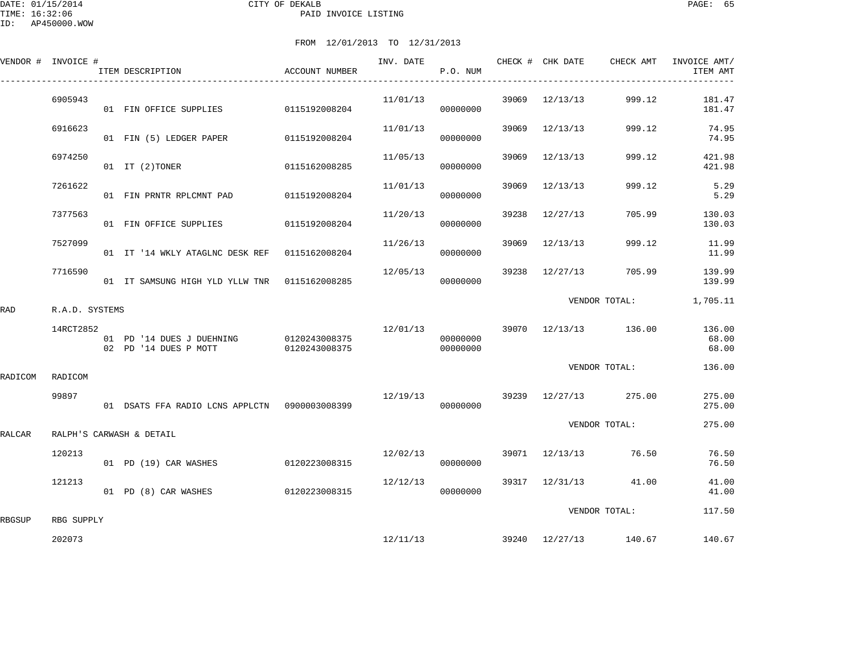|         | VENDOR # INVOICE # | ITEM DESCRIPTION                                   | ACCOUNT NUMBER                 |          | P.O. NUM             |       |                | INV. DATE CHECK # CHK DATE CHECK AMT | INVOICE AMT/<br>ITEM AMT |
|---------|--------------------|----------------------------------------------------|--------------------------------|----------|----------------------|-------|----------------|--------------------------------------|--------------------------|
|         | 6905943            | 01 FIN OFFICE SUPPLIES                             | 0115192008204                  | 11/01/13 | 00000000             | 39069 | 12/13/13       | 999.12                               | 181.47<br>181.47         |
|         | 6916623            | 01 FIN (5) LEDGER PAPER                            | 0115192008204                  | 11/01/13 | 00000000             | 39069 | 12/13/13       | 999.12                               | 74.95<br>74.95           |
|         | 6974250            | 01 IT (2) TONER                                    | 0115162008285                  | 11/05/13 | 00000000             | 39069 | 12/13/13       | 999.12                               | 421.98<br>421.98         |
|         | 7261622            | 01 FIN PRNTR RPLCMNT PAD                           | 0115192008204                  | 11/01/13 | 00000000             | 39069 | 12/13/13       | 999.12                               | 5.29<br>5.29             |
|         | 7377563            | 01 FIN OFFICE SUPPLIES                             | 0115192008204                  | 11/20/13 | 00000000             | 39238 | 12/27/13       | 705.99                               | 130.03<br>130.03         |
|         | 7527099            | 01 IT '14 WKLY ATAGLNC DESK REF 0115162008204      |                                | 11/26/13 | 00000000             | 39069 | 12/13/13       | 999.12                               | 11.99<br>11.99           |
|         | 7716590            | 01 IT SAMSUNG HIGH YLD YLLW TNR 0115162008285      |                                | 12/05/13 | 00000000             | 39238 | 12/27/13       | 705.99                               | 139.99<br>139.99         |
| RAD     | R.A.D. SYSTEMS     |                                                    |                                |          |                      |       |                | VENDOR TOTAL:                        | 1,705.11                 |
|         | 14RCT2852          | 01 PD '14 DUES J DUEHNING<br>02 PD '14 DUES P MOTT | 0120243008375<br>0120243008375 | 12/01/13 | 00000000<br>00000000 |       |                | 39070 12/13/13 136.00                | 136.00<br>68.00<br>68.00 |
| RADICOM | RADICOM            |                                                    |                                |          |                      |       |                | VENDOR TOTAL:                        | 136.00                   |
|         | 99897              | 01 DSATS FFA RADIO LCNS APPLCTN 0900003008399      |                                | 12/19/13 | 00000000             |       |                | 39239 12/27/13 275.00                | 275.00<br>275.00         |
| RALCAR  |                    | RALPH'S CARWASH & DETAIL                           |                                |          |                      |       |                | VENDOR TOTAL:                        | 275.00                   |
|         | 120213             | 01 PD (19) CAR WASHES                              | 0120223008315                  | 12/02/13 | 00000000             |       |                | 39071 12/13/13 76.50                 | 76.50<br>76.50           |
|         | 121213             | 01 PD (8) CAR WASHES                               | 0120223008315                  | 12/12/13 | 00000000             |       | 39317 12/31/13 | 41.00                                | 41.00<br>41.00           |
| RBGSUP  | RBG SUPPLY         |                                                    |                                |          |                      |       |                | VENDOR TOTAL:                        | 117.50                   |
|         | 202073             |                                                    |                                | 12/11/13 |                      |       |                | 39240 12/27/13 140.67                | 140.67                   |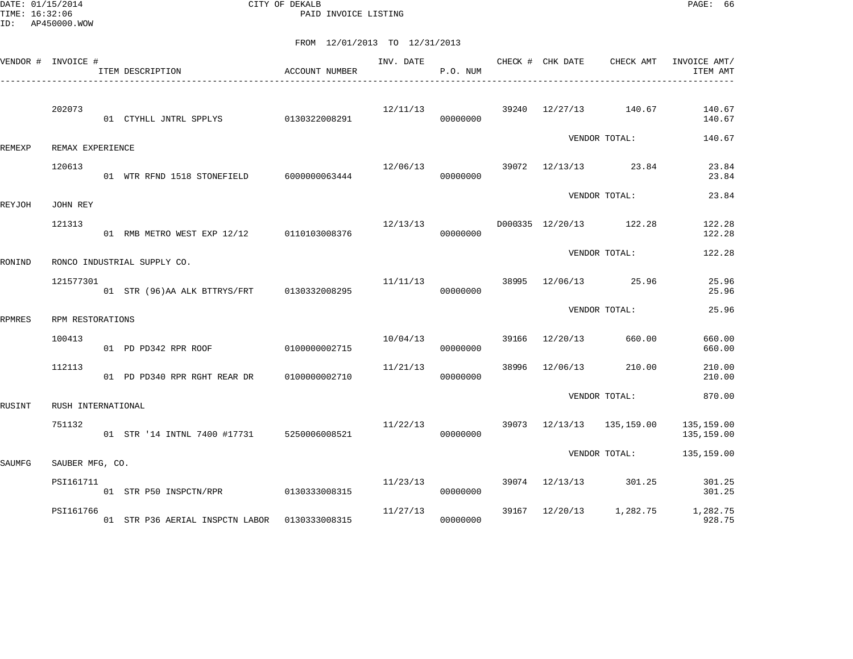DATE: 01/15/2014 CITY OF DEKALB PAGE: 66 PAID INVOICE LISTING

|               | VENDOR # INVOICE # | ACCOUNT NUMBER<br>ITEM DESCRIPTION<br>____________________________ | INV. DATE | P.O. NUM             |       | CHECK # CHK DATE | CHECK AMT                        | INVOICE AMT/<br>ITEM AMT |
|---------------|--------------------|--------------------------------------------------------------------|-----------|----------------------|-------|------------------|----------------------------------|--------------------------|
|               | 202073             | 01 CTYHLL JNTRL SPPLYS 0130322008291                               | 12/11/13  | 00000000             |       |                  | 39240 12/27/13 140.67            | 140.67<br>140.67         |
| REMEXP        | REMAX EXPERIENCE   |                                                                    |           |                      |       |                  | VENDOR TOTAL:                    | 140.67                   |
|               | 120613             | 01 WTR RFND 1518 STONEFIELD 6000000063444                          | 12/06/13  | 00000000             |       |                  | 39072 12/13/13 23.84             | 23.84<br>23.84           |
| REYJOH        | JOHN REY           |                                                                    |           |                      |       |                  | VENDOR TOTAL:                    | 23.84                    |
|               | 121313             | 01 RMB METRO WEST EXP 12/12 0110103008376                          | 12/13/13  | 00000000             |       |                  | D000335 12/20/13 122.28          | 122.28<br>122.28         |
| RONIND        |                    | RONCO INDUSTRIAL SUPPLY CO.                                        |           |                      |       |                  | VENDOR TOTAL:                    | 122.28                   |
|               | 121577301          | 01 STR (96) AA ALK BTTRYS/FRT 0130332008295                        |           | 11/11/13<br>00000000 | 38995 |                  | 12/06/13 25.96                   | 25.96<br>25.96           |
| <b>RPMRES</b> | RPM RESTORATIONS   |                                                                    |           |                      |       |                  | VENDOR TOTAL:                    | 25.96                    |
|               | 100413             | 01 PD PD342 RPR ROOF 0100000002715                                 | 10/04/13  | 00000000             |       | 39166 12/20/13   | 660.00                           | 660.00<br>660.00         |
|               | 112113             |                                                                    | 11/21/13  | 00000000             | 38996 | 12/06/13         | 210.00                           | 210.00<br>210.00         |
| RUSINT        | RUSH INTERNATIONAL |                                                                    |           |                      |       |                  | VENDOR TOTAL:                    | 870.00                   |
|               | 751132             | 01 STR '14 INTNL 7400 #17731 5250006008521                         | 11/22/13  | 00000000             |       |                  | 39073 12/13/13 135,159.00        | 135,159.00<br>135,159.00 |
| SAUMFG        | SAUBER MFG, CO.    |                                                                    |           |                      |       |                  | VENDOR TOTAL:                    | 135,159.00               |
|               | PSI161711          | 01 STR P50 INSPCTN/RPR 0130333008315                               |           | 11/23/13<br>00000000 |       |                  | 39074 12/13/13 301.25            | 301.25<br>301.25         |
|               | PSI161766          | 01 STR P36 AERIAL INSPCTN LABOR   0130333008315                    | 11/27/13  | 00000000             |       |                  | 39167 12/20/13 1,282.75 1,282.75 | 928.75                   |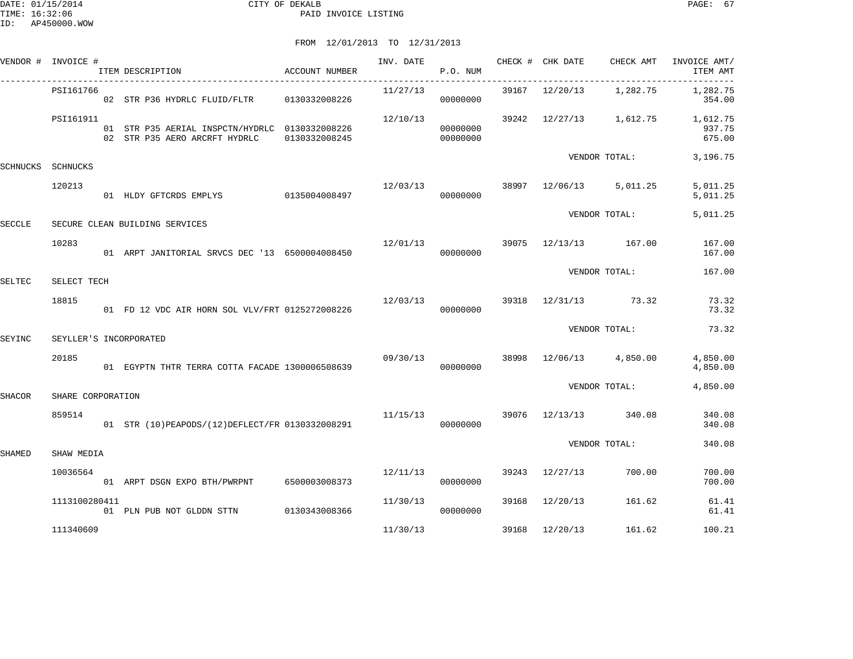VENDOR TOTAL: 340.08

| ID:           | AP450000.WOW       |                                                   |                               |          |          |                                    |                                      |                                                                              |
|---------------|--------------------|---------------------------------------------------|-------------------------------|----------|----------|------------------------------------|--------------------------------------|------------------------------------------------------------------------------|
|               |                    |                                                   | FROM 12/01/2013 TO 12/31/2013 |          |          |                                    |                                      |                                                                              |
|               | VENDOR # INVOICE # | ACCOUNT NUMBER<br>ITEM DESCRIPTION                |                               |          | P.O. NUM |                                    |                                      | INV. DATE 6 CHECK # CHK DATE CHECK AMT INVOICE AMT/<br>ITEM AMT<br>_________ |
|               | PSI161766          |                                                   |                               | 11/27/13 | 00000000 |                                    | 39167 12/20/13 1,282.75              | 1,282.75<br>354.00                                                           |
|               | PSI161911          |                                                   |                               |          | 00000000 |                                    |                                      | $12/10/13$ 39242 $12/27/13$ 1,612.75 1,612.75<br>937.75<br>675.00            |
| SCHNUCKS      | SCHNUCKS           |                                                   |                               |          |          |                                    | VENDOR TOTAL:                        | 3,196.75                                                                     |
|               | 120213             | 01 HLDY GFTCRDS EMPLYS 0135004008497 000000000    |                               |          |          |                                    | $12/03/13$ 38997 $12/06/13$ 5,011.25 | 5,011.25<br>5,011.25                                                         |
| <b>SECCLE</b> |                    | SECURE CLEAN BUILDING SERVICES                    |                               |          |          |                                    | VENDOR TOTAL:                        | 5,011.25                                                                     |
|               | 10283              | 01 ARPT JANITORIAL SRVCS DEC '13 6500004008450    |                               | 12/01/13 | 00000000 | 39075 12/13/13 167.00              |                                      | 167.00<br>167.00                                                             |
| SELTEC        | SELECT TECH        |                                                   |                               |          |          |                                    | VENDOR TOTAL:                        | 167.00                                                                       |
|               | 18815              | 01 FD 12 VDC AIR HORN SOL VLV/FRT 0125272008226   |                               | 12/03/13 | 00000000 |                                    | 39318 12/31/13 73.32                 | 73.32<br>73.32                                                               |
| SEYINC        |                    | SEYLLER'S INCORPORATED                            |                               |          |          |                                    | VENDOR TOTAL:                        | 73.32                                                                        |
|               | 20185              | 01 EGYPTN THTR TERRA COTTA FACADE 1300006508639   |                               | 09/30/13 | 00000000 |                                    | 38998 12/06/13 4,850.00              | 4,850.00<br>4,850.00                                                         |
| <b>SHACOR</b> | SHARE CORPORATION  |                                                   |                               |          |          |                                    | VENDOR TOTAL:                        | 4,850.00                                                                     |
|               | 859514             | 01 STR (10) PEAPODS/(12) DEFLECT/FR 0130332008291 |                               |          | 00000000 | $11/15/13$ 39076 $12/13/13$ 340.08 |                                      | 340.08<br>340.08                                                             |

| SHAMED | SHAW MEDIA |
|--------|------------|
|        |            |

| 10036564      | 01 | ARPT DSGN EXPO BTH/PWRPNT | 6500003008373 | 12/11/13 | 00000000 | 39243 | 12/27/13 | 700.00 | 700.00<br>700.00 |
|---------------|----|---------------------------|---------------|----------|----------|-------|----------|--------|------------------|
| 1113100280411 | 01 | PLN PUB NOT GLDDN STTN    | 0130343008366 | 11/30/13 | 00000000 | 39168 | 12/20/13 | 161.62 | 61.41<br>61.41   |
| 111340609     |    |                           |               | 11/30/13 |          | 39168 | 12/20/13 | 161.62 | 100.21           |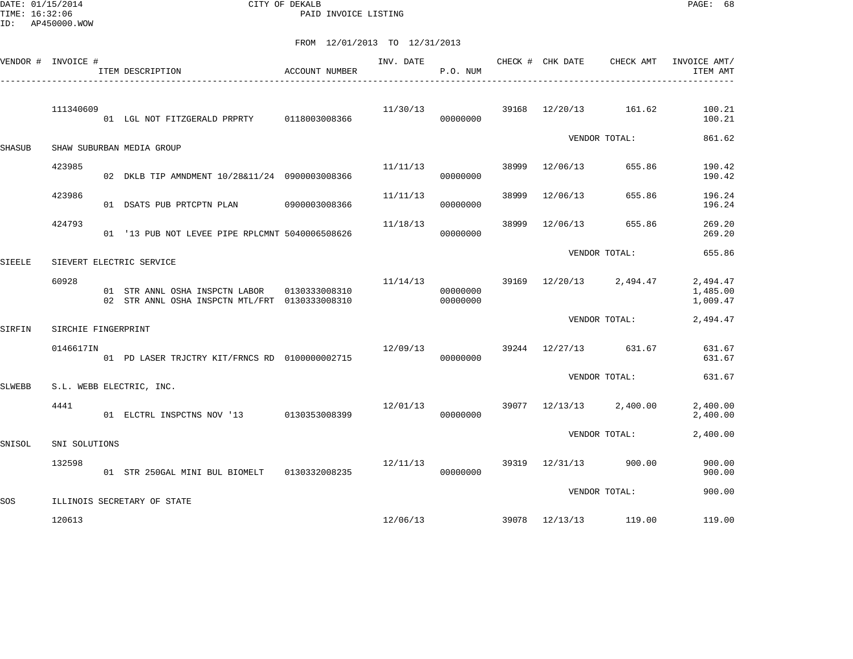DATE: 01/15/2014 CITY OF DEKALB PAGE: 68 PAID INVOICE LISTING

|               | VENDOR # INVOICE #  | ITEM DESCRIPTION                                                                               | ACCOUNT NUMBER |                         | P.O. NUM             |       |                |                                    | INV. DATE 6 CHECK # CHK DATE CHECK AMT INVOICE AMT/<br>ITEM AMT |
|---------------|---------------------|------------------------------------------------------------------------------------------------|----------------|-------------------------|----------------------|-------|----------------|------------------------------------|-----------------------------------------------------------------|
|               | 111340609           | 01 LGL NOT FITZGERALD PRPRTY 0118003008366                                                     |                | 11/30/13                | 00000000             |       |                | 39168 12/20/13 161.62              | 100.21<br>100.21                                                |
| <b>SHASUB</b> |                     | SHAW SUBURBAN MEDIA GROUP                                                                      |                |                         |                      |       |                | VENDOR TOTAL:                      | 861.62                                                          |
|               | 423985              | 02 DKLB TIP AMNDMENT 10/28&11/24 0900003008366                                                 |                | 11/11/13                | 00000000             |       | 38999 12/06/13 | 655.86                             | 190.42<br>190.42                                                |
|               | 423986              | 01 DSATS PUB PRTCPTN PLAN 0900003008366                                                        |                | 11/11/13                | 00000000             | 38999 | 12/06/13       | 655.86                             | 196.24<br>196.24                                                |
|               | 424793              | 01 '13 PUB NOT LEVEE PIPE RPLCMNT 5040006508626                                                |                | 11/18/13                | 00000000             | 38999 | 12/06/13       | 655.86                             | 269.20<br>269.20                                                |
| <b>SIEELE</b> |                     | SIEVERT ELECTRIC SERVICE                                                                       |                |                         |                      |       |                | VENDOR TOTAL:                      | 655.86                                                          |
|               | 60928               | 01 STR ANNL OSHA INSPCTN LABOR 0130333008310<br>02 STR ANNL OSHA INSPCTN MTL/FRT 0130333008310 |                | 11/14/13                | 00000000<br>00000000 |       |                | 39169 12/20/13 2,494.47            | 2,494.47<br>1,485.00<br>1,009.47                                |
| SIRFIN        | SIRCHIE FINGERPRINT |                                                                                                |                |                         |                      |       |                | VENDOR TOTAL:                      | 2,494.47                                                        |
|               | 0146617IN           | 01 PD LASER TRJCTRY KIT/FRNCS RD 0100000002715                                                 |                | 12/09/13 39244 12/27/13 | 00000000             |       |                | 631.67                             | 631.67<br>631.67                                                |
| SLWEBB        |                     | S.L. WEBB ELECTRIC, INC.                                                                       |                |                         |                      |       |                | VENDOR TOTAL:                      | 631.67                                                          |
|               | 4441                | 01 ELCTRL INSPCTNS NOV '13 0130353008399                                                       |                | 12/01/13                | 00000000             |       |                | 39077 12/13/13 2,400.00            | 2,400.00<br>2,400.00                                            |
| SNISOL        | SNI SOLUTIONS       |                                                                                                |                |                         |                      |       |                | VENDOR TOTAL:                      | 2,400.00                                                        |
|               | 132598              |                                                                                                |                | 12/11/13                | 00000000             |       | 39319 12/31/13 | 900.00                             | 900.00<br>900.00                                                |
| SOS           |                     | ILLINOIS SECRETARY OF STATE                                                                    |                |                         |                      |       |                | VENDOR TOTAL:                      | 900.00                                                          |
|               | 120613              |                                                                                                |                |                         |                      |       |                | $12/06/13$ 39078 $12/13/13$ 119.00 | 119.00                                                          |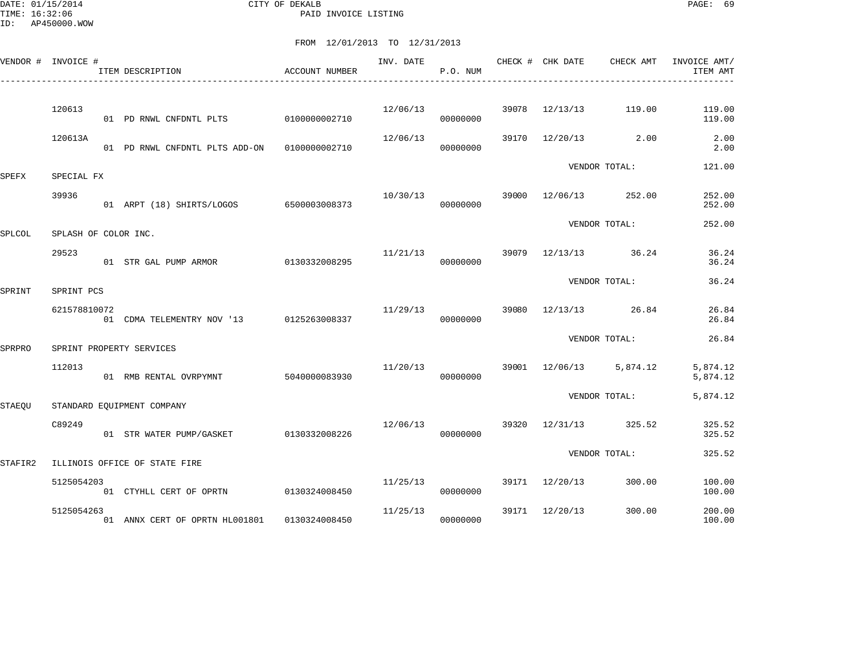DATE: 01/15/2014 CITY OF DEKALB PAGE: 69 PAID INVOICE LISTING

|               | VENDOR # INVOICE #   | ITEM DESCRIPTION                         | ACCOUNT NUMBER | INV. DATE | P.O. NUM             |       | CHECK # CHK DATE | CHECK AMT      | INVOICE AMT/<br>ITEM AMT |
|---------------|----------------------|------------------------------------------|----------------|-----------|----------------------|-------|------------------|----------------|--------------------------|
|               | 120613               | 01 PD RNWL CNFDNTL PLTS                  | 0100000002710  | 12/06/13  | 00000000             | 39078 | 12/13/13         | 119.00         | 119.00<br>119.00         |
|               | 120613A              |                                          | 0100000002710  | 12/06/13  | 00000000             | 39170 | 12/20/13         | 2.00           | 2.00<br>2.00             |
|               |                      | 01 PD RNWL CNFDNTL PLTS ADD-ON           |                |           |                      |       |                  | VENDOR TOTAL:  | 121.00                   |
| SPEFX         | SPECIAL FX           |                                          |                |           |                      |       |                  |                |                          |
|               | 39936                | 01 ARPT (18) SHIRTS/LOGOS 6500003008373  |                |           | 10/30/13<br>00000000 | 39000 | 12/06/13         | 252.00         | 252.00<br>252.00         |
| SPLCOL        | SPLASH OF COLOR INC. |                                          |                |           |                      |       |                  | VENDOR TOTAL:  | 252.00                   |
|               | 29523                | 01 STR GAL PUMP ARMOR 0130332008295      |                | 11/21/13  | 00000000             | 39079 |                  | 12/13/13 36.24 | 36.24<br>36.24           |
| SPRINT        | SPRINT PCS           |                                          |                |           |                      |       |                  | VENDOR TOTAL:  | 36.24                    |
|               | 621578810072         | 01 CDMA TELEMENTRY NOV '13 0125263008337 |                | 11/29/13  | 00000000             | 39080 | 12/13/13         | 26.84          | 26.84<br>26.84           |
| SPRPRO        |                      | SPRINT PROPERTY SERVICES                 |                |           |                      |       |                  | VENDOR TOTAL:  | 26.84                    |
|               | 112013               | 01 RMB RENTAL OVRPYMNT                   | 5040000083930  | 11/20/13  | 00000000             |       | 39001 12/06/13   | 5,874.12       | 5,874.12<br>5,874.12     |
| <b>STAEQU</b> |                      | STANDARD EQUIPMENT COMPANY               |                |           |                      |       |                  | VENDOR TOTAL:  | 5,874.12                 |
|               | C89249               | 01 STR WATER PUMP/GASKET                 | 0130332008226  | 12/06/13  | 00000000             | 39320 | 12/31/13         | 325.52         | 325.52<br>325.52         |
| STAFIR2       |                      | ILLINOIS OFFICE OF STATE FIRE            |                |           |                      |       |                  | VENDOR TOTAL:  | 325.52                   |
|               | 5125054203           |                                          |                | 11/25/13  |                      | 39171 | 12/20/13         | 300.00         | 100.00                   |
|               |                      | 01 CTYHLL CERT OF OPRTN                  | 0130324008450  |           | 00000000             |       |                  |                | 100.00                   |
|               | 5125054263           | 01 ANNX CERT OF OPRTN HL001801           | 0130324008450  | 11/25/13  | 00000000             | 39171 | 12/20/13         | 300.00         | 200.00<br>100.00         |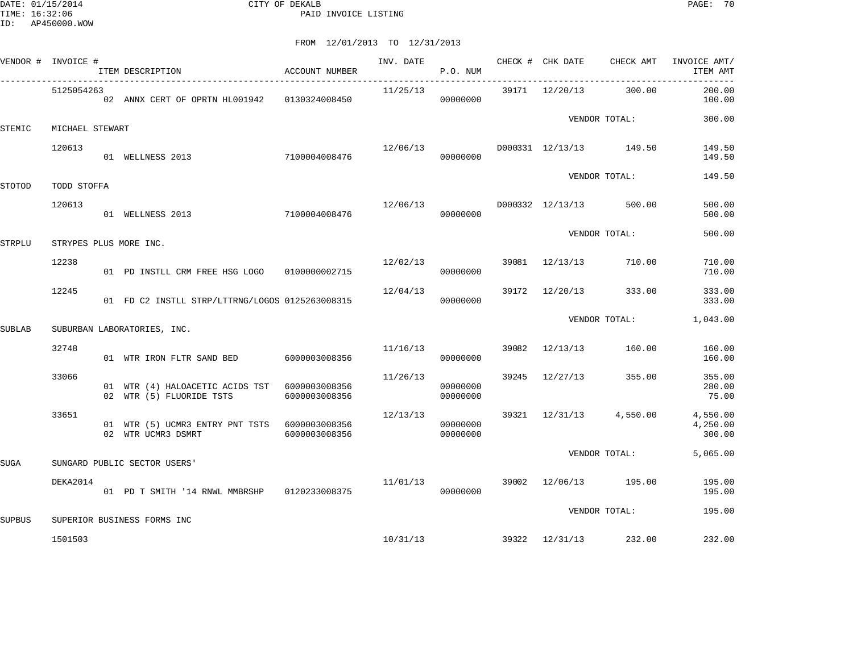DATE: 01/15/2014 CITY OF DEKALB PAGE: 70 PAID INVOICE LISTING

| VENDOR #      | INVOICE #       | ITEM DESCRIPTION                                                          | ACCOUNT NUMBER | INV. DATE | P.O. NUM             |       | CHECK # CHK DATE | CHECK AMT                            | INVOICE AMT/<br>ITEM AMT       |
|---------------|-----------------|---------------------------------------------------------------------------|----------------|-----------|----------------------|-------|------------------|--------------------------------------|--------------------------------|
|               | 5125054263      | 02 ANNX CERT OF OPRTN HL001942   0130324008450                            |                | 11/25/13  | 00000000             |       | 39171 12/20/13   | 300.00                               | 200.00<br>100.00               |
| STEMIC        | MICHAEL STEWART |                                                                           |                |           |                      |       |                  | VENDOR TOTAL:                        | 300.00                         |
|               | 120613          | 01 WELLNESS 2013 7100004008476                                            |                |           | 00000000             |       |                  | $12/06/13$ D000331 $12/13/13$ 149.50 | 149.50<br>149.50               |
| STOTOD        | TODD STOFFA     |                                                                           |                |           |                      |       |                  | VENDOR TOTAL:                        | 149.50                         |
|               | 120613          | 01 WELLNESS 2013 7100004008476                                            |                | 12/06/13  | 00000000             |       | D000332 12/13/13 | 500.00                               | 500.00<br>500.00               |
| <b>STRPLU</b> |                 | STRYPES PLUS MORE INC.                                                    |                |           |                      |       |                  | VENDOR TOTAL:                        | 500.00                         |
|               | 12238           | 01 PD INSTLL CRM FREE HSG LOGO   01000000002715                           |                | 12/02/13  | 00000000             |       | 39081 12/13/13   | 710.00                               | 710.00<br>710.00               |
|               | 12245           | 01 FD C2 INSTLL STRP/LTTRNG/LOGOS 0125263008315                           |                | 12/04/13  | 00000000             | 39172 | 12/20/13         | 333.00                               | 333.00<br>333.00               |
| <b>SUBLAB</b> |                 | SUBURBAN LABORATORIES, INC.                                               |                |           |                      |       |                  | VENDOR TOTAL:                        |                                |
|               | 32748           | 01 WTR IRON FLTR SAND BED                                                 | 6000003008356  | 11/16/13  | 00000000             | 39082 | 12/13/13         | 160.00                               | 160.00<br>160.00               |
|               | 33066           | 01 WTR (4) HALOACETIC ACIDS TST 6000003008356<br>02 WTR (5) FLUORIDE TSTS | 6000003008356  | 11/26/13  | 00000000<br>00000000 |       | 39245 12/27/13   | 355.00                               | 355.00<br>280.00<br>75.00      |
|               | 33651           | 01 WTR (5) UCMR3 ENTRY PNT TSTS 6000003008356<br>02 WTR UCMR3 DSMRT       | 6000003008356  | 12/13/13  | 00000000<br>00000000 |       |                  | 39321 12/31/13 4,550.00              | 4,550.00<br>4,250.00<br>300.00 |
| <b>SUGA</b>   |                 | SUNGARD PUBLIC SECTOR USERS'                                              |                |           |                      |       | VENDOR TOTAL:    |                                      | 5,065.00                       |
|               | DEKA2014        | 01 PD T SMITH '14 RNWL MMBRSHP 0120233008375                              |                | 11/01/13  | 00000000             |       |                  | 39002 12/06/13 195.00                | 195.00<br>195.00               |
| <b>SUPBUS</b> |                 | SUPERIOR BUSINESS FORMS INC                                               |                |           |                      |       |                  | VENDOR TOTAL:                        | 195.00                         |
|               | 1501503         |                                                                           |                |           | 10/31/13             |       |                  | 39322 12/31/13 232.00                | 232.00                         |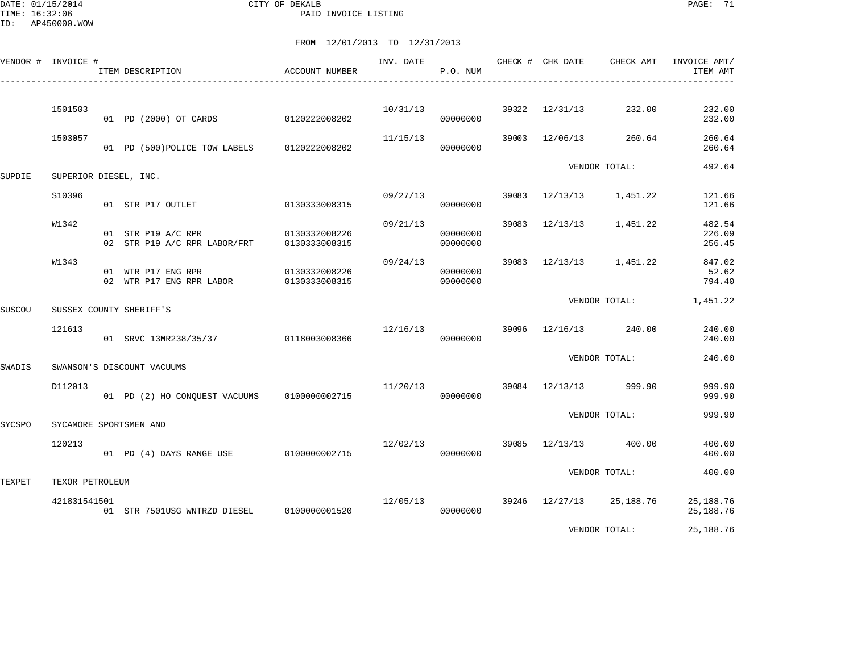DATE: 01/15/2014 CITY OF DEKALB PAGE: 71 PAID INVOICE LISTING

ID: AP450000.WOW

|        | VENDOR # INVOICE #    |  | ITEM DESCRIPTION                                   | ACCOUNT NUMBER                 | INV. DATE | P.O. NUM             |       | CHECK # CHK DATE | CHECK AMT                | INVOICE AMT/<br>ITEM AMT   |
|--------|-----------------------|--|----------------------------------------------------|--------------------------------|-----------|----------------------|-------|------------------|--------------------------|----------------------------|
|        |                       |  |                                                    |                                |           |                      |       |                  |                          |                            |
|        | 1501503               |  | 01 PD (2000) OT CARDS                              | 0120222008202                  | 10/31/13  | 00000000             | 39322 | 12/31/13         | 232.00                   | 232.00<br>232.00           |
|        | 1503057               |  | 01 PD (500) POLICE TOW LABELS                      | 0120222008202                  | 11/15/13  | 00000000             | 39003 | 12/06/13         | 260.64                   | 260.64<br>260.64           |
| SUPDIE | SUPERIOR DIESEL, INC. |  |                                                    |                                |           |                      |       | VENDOR TOTAL:    | 492.64                   |                            |
|        | S10396                |  | 01 STR P17 OUTLET                                  | 0130333008315                  | 09/27/13  | 00000000             | 39083 | 12/13/13         | 1,451.22                 | 121.66<br>121.66           |
|        | W1342                 |  | 01 STR P19 A/C RPR<br>02 STR P19 A/C RPR LABOR/FRT | 0130332008226<br>0130333008315 | 09/21/13  | 00000000<br>00000000 | 39083 | 12/13/13         | 1,451.22                 | 482.54<br>226.09<br>256.45 |
|        | W1343                 |  | 01 WTR P17 ENG RPR<br>02 WTR P17 ENG RPR LABOR     | 0130332008226<br>0130333008315 | 09/24/13  | 00000000<br>00000000 | 39083 |                  | 12/13/13 1,451.22        | 847.02<br>52.62<br>794.40  |
| SUSCOU |                       |  | SUSSEX COUNTY SHERIFF'S                            |                                |           |                      |       |                  | VENDOR TOTAL:            | 1,451.22                   |
|        | 121613                |  | 01 SRVC 13MR238/35/37                              | 0118003008366                  | 12/16/13  | 00000000             |       | 39096 12/16/13   | 240.00                   | 240.00<br>240.00           |
| SWADIS |                       |  | SWANSON'S DISCOUNT VACUUMS                         |                                |           |                      |       |                  | VENDOR TOTAL:            | 240.00                     |
|        | D112013               |  | 01 PD (2) HO CONOUEST VACUUMS                      | 0100000002715                  | 11/20/13  | 00000000             |       | 39084 12/13/13   | 999.90                   | 999.90<br>999.90           |
| SYCSPO |                       |  | SYCAMORE SPORTSMEN AND                             |                                |           |                      |       |                  | VENDOR TOTAL:            | 999.90                     |
|        | 120213                |  | 01 PD (4) DAYS RANGE USE 0100000002715             |                                | 12/02/13  | 00000000             | 39085 | 12/13/13         | 400.00                   | 400.00<br>400.00           |
| TEXPET | TEXOR PETROLEUM       |  |                                                    |                                |           |                      |       |                  | VENDOR TOTAL:            | 400.00                     |
|        | 421831541501          |  | 01 STR 7501USG WNTRZD DIESEL                       | 0100000001520                  | 12/05/13  | 00000000             |       |                  | 39246 12/27/13 25,188.76 | 25,188.76<br>25,188.76     |
|        |                       |  |                                                    |                                |           |                      |       |                  | VENDOR TOTAL:            | 25,188.76                  |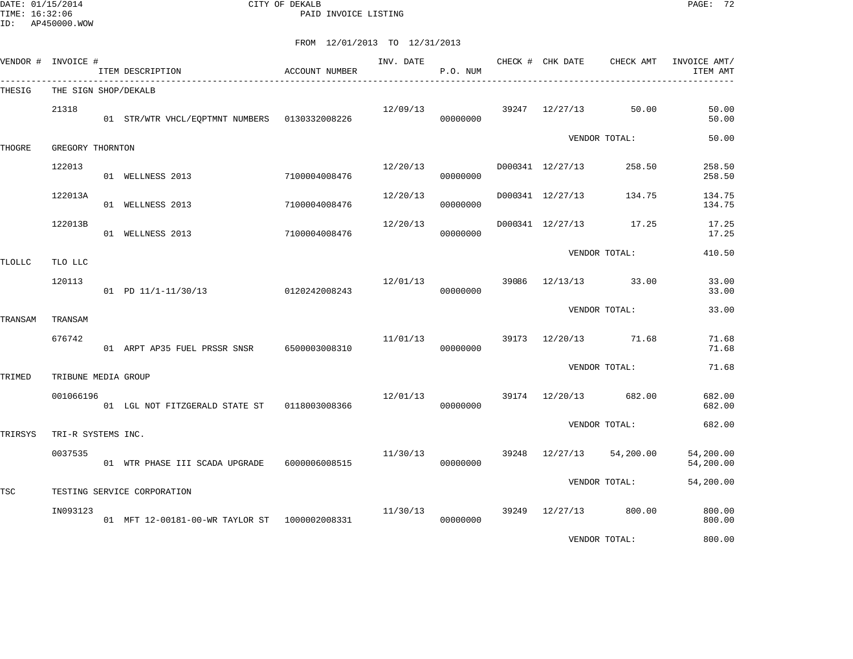DATE: 01/15/2014 CITY OF DEKALB PAGE: 72 PAID INVOICE LISTING

|         | VENDOR # INVOICE #            | ITEM DESCRIPTION                              | ACCOUNT NUMBER | INV. DATE | P.O. NUM             | CHECK # CHK DATE | CHECK AMT            | INVOICE AMT/<br>ITEM AMT |
|---------|-------------------------------|-----------------------------------------------|----------------|-----------|----------------------|------------------|----------------------|--------------------------|
| THESIG  | THE SIGN SHOP/DEKALB          |                                               |                |           |                      |                  |                      |                          |
|         | 21318                         | 01 STR/WTR VHCL/EQPTMNT NUMBERS 0130332008226 |                | 12/09/13  | 00000000             | 39247 12/27/13   | 50.00                | 50.00<br>50.00           |
| THOGRE  | GREGORY THORNTON              |                                               |                |           |                      |                  | VENDOR TOTAL:        | 50.00                    |
|         | 122013                        | 01 WELLNESS 2013                              | 7100004008476  | 12/20/13  | 00000000             | D000341 12/27/13 | 258.50               | 258.50<br>258.50         |
|         | 122013A                       | 01 WELLNESS 2013                              | 7100004008476  | 12/20/13  | 00000000             | D000341 12/27/13 | 134.75               | 134.75<br>134.75         |
|         | 122013B                       | 01 WELLNESS 2013                              | 7100004008476  | 12/20/13  | 00000000             | D000341 12/27/13 | 17.25                | 17.25<br>17.25           |
| TLOLLC  | TLO LLC                       |                                               |                |           |                      |                  | VENDOR TOTAL:        | 410.50                   |
|         | 120113                        | $01$ PD $11/1-11/30/13$                       | 0120242008243  | 12/01/13  | 00000000             |                  | 39086 12/13/13 33.00 | 33.00<br>33.00           |
| TRANSAM | TRANSAM                       |                                               |                |           |                      |                  | VENDOR TOTAL:        | 33.00                    |
|         | 676742                        | 01 ARPT AP35 FUEL PRSSR SNSR 6500003008310    |                | 11/01/13  | 00000000             |                  | 39173 12/20/13 71.68 | 71.68<br>71.68           |
| TRIMED  | TRIBUNE MEDIA GROUP           |                                               |                |           |                      |                  | VENDOR TOTAL:        |                          |
|         | 001066196                     | 01 LGL NOT FITZGERALD STATE ST 0118003008366  |                |           | 12/01/13<br>00000000 | 39174 12/20/13   | 682.00               | 682.00<br>682.00         |
|         |                               |                                               |                |           |                      | VENDOR TOTAL:    |                      | 682.00                   |
| TRIRSYS | TRI-R SYSTEMS INC.<br>0037535 | 01 WTR PHASE III SCADA UPGRADE                | 6000006008515  | 11/30/13  | 00000000             | 39248 12/27/13   | 54,200.00            | 54,200.00<br>54,200.00   |
|         |                               |                                               |                |           |                      |                  | VENDOR TOTAL:        | 54,200.00                |
| TSC     |                               | TESTING SERVICE CORPORATION                   |                |           |                      |                  |                      |                          |
|         | IN093123                      | 01 MFT 12-00181-00-WR TAYLOR ST 1000002008331 |                | 11/30/13  | 00000000             | 39249 12/27/13   | 800.00               | 800.00<br>800.00         |
|         |                               |                                               |                |           |                      |                  | VENDOR TOTAL:        | 800.00                   |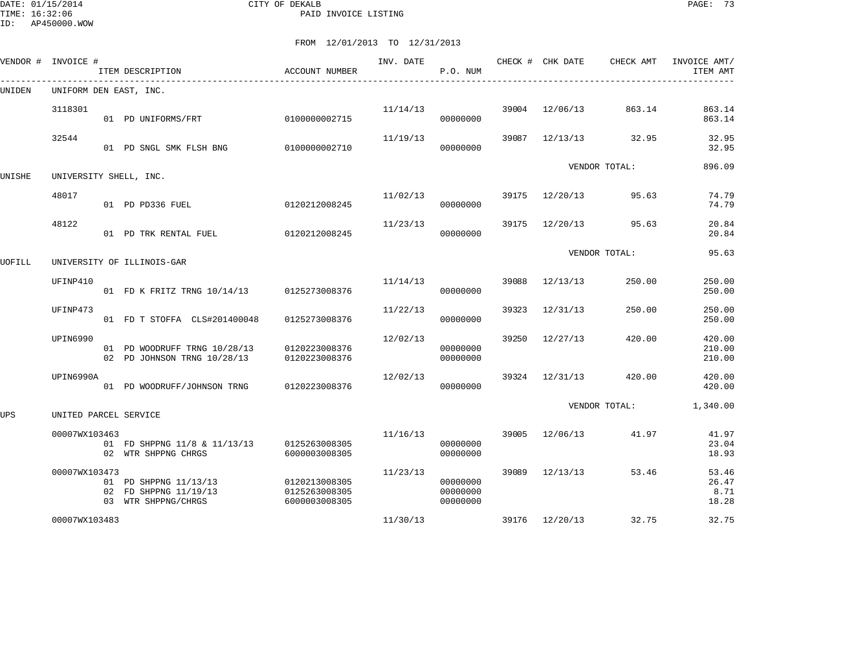ID: AP450000.WOW

DATE: 01/15/2014 CITY OF DEKALB PAGE: 73 PAID INVOICE LISTING

|                                               | INVOICE #              |  | ITEM DESCRIPTION                                                      | ACCOUNT NUMBER                                  | INV. DATE | P.O. NUM                         |       | CHECK # CHK DATE | CHECK AMT     | INVOICE AMT/<br>ITEM AMT        |  |  |  |
|-----------------------------------------------|------------------------|--|-----------------------------------------------------------------------|-------------------------------------------------|-----------|----------------------------------|-------|------------------|---------------|---------------------------------|--|--|--|
| VENDOR #<br>UNIDEN<br>UNISHE<br>UOFILL<br>UPS | UNIFORM DEN EAST, INC. |  |                                                                       |                                                 |           |                                  |       |                  |               |                                 |  |  |  |
|                                               | 3118301                |  | 01 PD UNIFORMS/FRT                                                    | 0100000002715                                   | 11/14/13  | 00000000                         | 39004 | 12/06/13         | 863.14        | 863.14<br>863.14                |  |  |  |
|                                               | 32544                  |  | 01 PD SNGL SMK FLSH BNG                                               | 0100000002710                                   | 11/19/13  | 00000000                         | 39087 | 12/13/13         | 32.95         | 32.95<br>32.95                  |  |  |  |
|                                               | UNIVERSITY SHELL, INC. |  |                                                                       |                                                 |           |                                  |       |                  | VENDOR TOTAL: | 896.09                          |  |  |  |
|                                               | 48017                  |  | 01 PD PD336 FUEL                                                      | 0120212008245                                   | 11/02/13  | 00000000                         | 39175 | 12/20/13         | 95.63         | 74.79<br>74.79                  |  |  |  |
|                                               | 48122                  |  | 01 PD TRK RENTAL FUEL                                                 | 0120212008245                                   | 11/23/13  | 00000000                         | 39175 | 12/20/13         | 95.63         | 20.84<br>20.84                  |  |  |  |
|                                               |                        |  | UNIVERSITY OF ILLINOIS-GAR                                            |                                                 |           |                                  |       |                  | VENDOR TOTAL: | 95.63                           |  |  |  |
|                                               | UFINP410               |  | 01 FD K FRITZ TRNG 10/14/13 0125273008376                             |                                                 | 11/14/13  | 00000000                         | 39088 | 12/13/13         | 250.00        | 250.00<br>250.00                |  |  |  |
|                                               | UFINP473               |  | 01 FD T STOFFA CLS#201400048                                          | 0125273008376                                   | 11/22/13  | 00000000                         | 39323 | 12/31/13         | 250.00        | 250.00<br>250.00                |  |  |  |
|                                               | UPIN6990               |  | 01 PD WOODRUFF TRNG 10/28/13<br>02 PD JOHNSON TRNG 10/28/13           | 0120223008376<br>0120223008376                  | 12/02/13  | 00000000<br>00000000             | 39250 | 12/27/13         | 420.00        | 420.00<br>210.00<br>210.00      |  |  |  |
|                                               | UPIN6990A              |  | 01 PD WOODRUFF/JOHNSON TRNG                                           | 0120223008376                                   | 12/02/13  | 00000000                         | 39324 | 12/31/13         | 420.00        | 420.00<br>420.00                |  |  |  |
|                                               | UNITED PARCEL SERVICE  |  |                                                                       |                                                 |           |                                  |       |                  | VENDOR TOTAL: | 1,340.00                        |  |  |  |
|                                               | 00007WX103463          |  | 01 FD SHPPNG 11/8 & 11/13/13<br>02 WTR SHPPNG CHRGS                   | 0125263008305<br>6000003008305                  | 11/16/13  | 00000000<br>00000000             |       | 39005 12/06/13   | 41.97         | 41.97<br>23.04<br>18.93         |  |  |  |
|                                               | 00007WX103473          |  | 01 PD SHPPNG 11/13/13<br>02 FD SHPPNG 11/19/13<br>03 WTR SHPPNG/CHRGS | 0120213008305<br>0125263008305<br>6000003008305 | 11/23/13  | 00000000<br>00000000<br>00000000 | 39089 | 12/13/13         | 53.46         | 53.46<br>26.47<br>8.71<br>18.28 |  |  |  |
|                                               | 00007WX103483          |  |                                                                       |                                                 | 11/30/13  |                                  |       | 39176 12/20/13   | 32.75         | 32.75                           |  |  |  |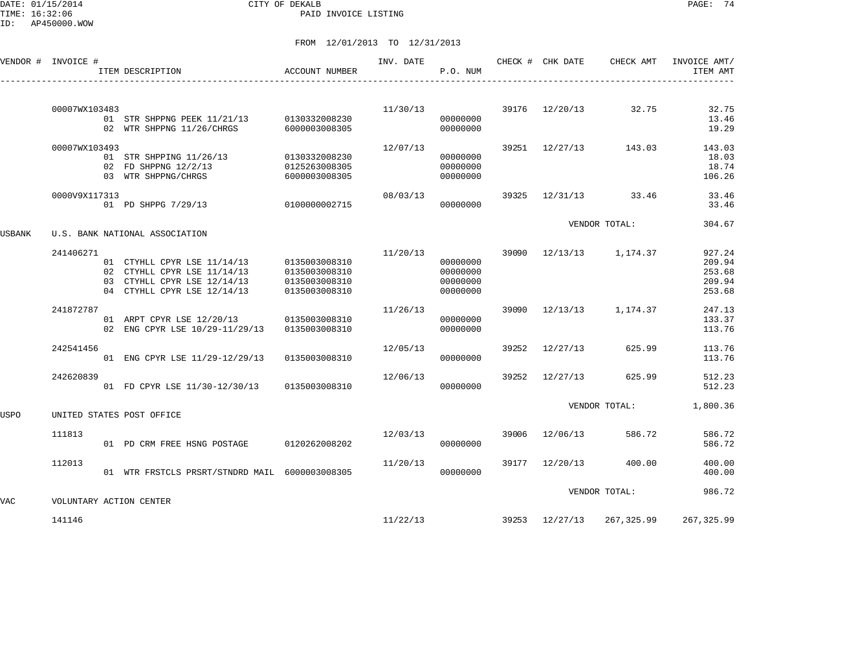DATE: 01/15/2014 CITY OF DEKALB PAGE: 74 PAID INVOICE LISTING

ID: AP450000.WOW

|                                             |                         | ITEM DESCRIPTION                                                                                                         | ACCOUNT NUMBER                                                   | INV. DATE | P.O. NUM                                     |       | CHECK # CHK DATE | CHECK AMT     | INVOICE AMT/<br>ITEM AMT                       |
|---------------------------------------------|-------------------------|--------------------------------------------------------------------------------------------------------------------------|------------------------------------------------------------------|-----------|----------------------------------------------|-------|------------------|---------------|------------------------------------------------|
|                                             | 00007WX103483           |                                                                                                                          |                                                                  | 11/30/13  |                                              | 39176 | 12/20/13         | 32.75         | 32.75                                          |
|                                             |                         | 01 STR SHPPNG PEEK 11/21/13<br>02 WTR SHPPNG 11/26/CHRGS                                                                 | 0130332008230<br>6000003008305                                   |           | 00000000<br>00000000                         |       |                  |               | 13.46<br>19.29                                 |
|                                             | 00007WX103493           | 01 STR SHPPING 11/26/13<br>02 FD SHPPNG 12/2/13<br>03 WTR SHPPNG/CHRGS                                                   | 0130332008230<br>0125263008305<br>6000003008305                  | 12/07/13  | 00000000<br>00000000<br>00000000             | 39251 | 12/27/13         | 143.03        | 143.03<br>18.03<br>18.74<br>106.26             |
|                                             | 0000V9X117313           | 01 PD SHPPG 7/29/13                                                                                                      | 0100000002715                                                    | 08/03/13  | 00000000                                     | 39325 | 12/31/13         | 33.46         | 33.46<br>33.46                                 |
| VENDOR # INVOICE #<br>USBANK<br>USPO<br>VAC |                         | U.S. BANK NATIONAL ASSOCIATION                                                                                           |                                                                  |           |                                              |       |                  | VENDOR TOTAL: | 304.67                                         |
|                                             | 241406271               | 01 CTYHLL CPYR LSE 11/14/13<br>02 CTYHLL CPYR LSE 11/14/13<br>03 CTYHLL CPYR LSE 12/14/13<br>04 CTYHLL CPYR LSE 12/14/13 | 0135003008310<br>0135003008310<br>0135003008310<br>0135003008310 | 11/20/13  | 00000000<br>00000000<br>00000000<br>00000000 | 39090 | 12/13/13         | 1,174.37      | 927.24<br>209.94<br>253.68<br>209.94<br>253.68 |
|                                             | 241872787               | 01 ARPT CPYR LSE 12/20/13<br>02 ENG CPYR LSE 10/29-11/29/13                                                              | 0135003008310<br>0135003008310                                   | 11/26/13  | 00000000<br>00000000                         | 39090 | 12/13/13         | 1,174.37      | 247.13<br>133.37<br>113.76                     |
|                                             | 242541456               | 01 ENG CPYR LSE 11/29-12/29/13                                                                                           | 0135003008310                                                    | 12/05/13  | 00000000                                     | 39252 | 12/27/13         | 625.99        | 113.76<br>113.76                               |
|                                             | 242620839               | 01 FD CPYR LSE 11/30-12/30/13                                                                                            | 0135003008310                                                    | 12/06/13  | 00000000                                     | 39252 | 12/27/13         | 625.99        | 512.23<br>512.23                               |
|                                             |                         | UNITED STATES POST OFFICE                                                                                                |                                                                  |           |                                              |       |                  | VENDOR TOTAL: | 1,800.36                                       |
|                                             | 111813                  | 01 PD CRM FREE HSNG POSTAGE                                                                                              | 0120262008202                                                    | 12/03/13  | 00000000                                     | 39006 | 12/06/13         | 586.72        | 586.72<br>586.72                               |
|                                             | 112013                  | 01 WTR FRSTCLS PRSRT/STNDRD MAIL 6000003008305                                                                           |                                                                  | 11/20/13  | 00000000                                     | 39177 | 12/20/13         | 400.00        | 400.00<br>400.00                               |
|                                             | VOLUNTARY ACTION CENTER |                                                                                                                          |                                                                  |           |                                              |       |                  | VENDOR TOTAL: | 986.72                                         |
|                                             | 141146                  |                                                                                                                          |                                                                  | 11/22/13  |                                              |       | 39253 12/27/13   | 267,325.99    | 267, 325.99                                    |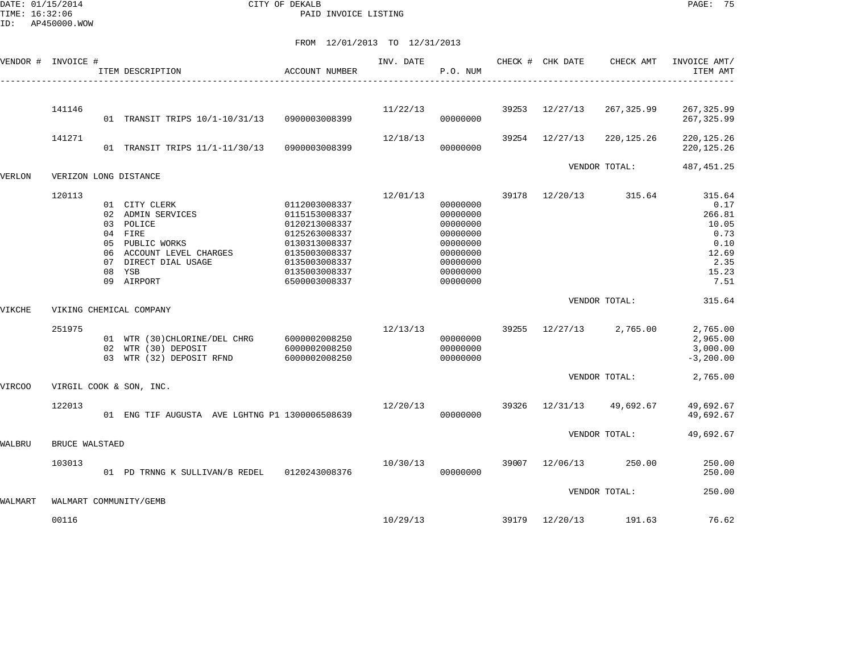DATE: 01/15/2014 CITY OF DEKALB PAGE: 75 PAID INVOICE LISTING

ID: AP450000.WOW

|         | VENDOR # INVOICE # | ITEM DESCRIPTION<br>--------------------------------                                                                                                      | ACCOUNT NUMBER                                                                                                                                        | INV. DATE | P.O. NUM                                                                                                 |       | CHECK # CHK DATE | CHECK AMT     | INVOICE AMT/<br>ITEM AMT                                                            |
|---------|--------------------|-----------------------------------------------------------------------------------------------------------------------------------------------------------|-------------------------------------------------------------------------------------------------------------------------------------------------------|-----------|----------------------------------------------------------------------------------------------------------|-------|------------------|---------------|-------------------------------------------------------------------------------------|
|         |                    |                                                                                                                                                           |                                                                                                                                                       |           |                                                                                                          |       |                  |               |                                                                                     |
|         | 141146             | 01 TRANSIT TRIPS 10/1-10/31/13                                                                                                                            | 0900003008399                                                                                                                                         | 11/22/13  | 00000000                                                                                                 | 39253 | 12/27/13         | 267,325.99    | 267, 325.99<br>267,325.99                                                           |
|         | 141271             | 01 TRANSIT TRIPS 11/1-11/30/13                                                                                                                            | 0900003008399                                                                                                                                         | 12/18/13  | 00000000                                                                                                 | 39254 | 12/27/13         | 220,125.26    | 220, 125. 26<br>220, 125.26                                                         |
|         |                    |                                                                                                                                                           |                                                                                                                                                       |           |                                                                                                          |       |                  | VENDOR TOTAL: | 487, 451.25                                                                         |
| VERLON  |                    | VERIZON LONG DISTANCE                                                                                                                                     |                                                                                                                                                       |           |                                                                                                          |       |                  |               |                                                                                     |
|         | 120113             | 01 CITY CLERK<br>02 ADMIN SERVICES<br>03 POLICE<br>04 FIRE<br>05 PUBLIC WORKS<br>06 ACCOUNT LEVEL CHARGES<br>07 DIRECT DIAL USAGE<br>08 YSB<br>09 AIRPORT | 0112003008337<br>0115153008337<br>0120213008337<br>0125263008337<br>0130313008337<br>0135003008337<br>0135003008337<br>0135003008337<br>6500003008337 | 12/01/13  | 00000000<br>00000000<br>00000000<br>00000000<br>00000000<br>00000000<br>00000000<br>00000000<br>00000000 | 39178 | 12/20/13         | 315.64        | 315.64<br>0.17<br>266.81<br>10.05<br>0.73<br>0.10<br>12.69<br>2.35<br>15.23<br>7.51 |
| VIKCHE  |                    | VIKING CHEMICAL COMPANY                                                                                                                                   |                                                                                                                                                       |           |                                                                                                          |       |                  | VENDOR TOTAL: | 315.64                                                                              |
|         | 251975             | 01 WTR (30) CHLORINE/DEL CHRG<br>02 WTR (30) DEPOSIT<br>03 WTR (32) DEPOSIT RFND                                                                          | 6000002008250<br>6000002008250<br>6000002008250                                                                                                       | 12/13/13  | 00000000<br>00000000<br>00000000                                                                         | 39255 | 12/27/13         | 2,765.00      | 2,765.00<br>2,965.00<br>3,000.00<br>$-3, 200.00$                                    |
| VIRCOO  |                    | VIRGIL COOK & SON, INC.                                                                                                                                   |                                                                                                                                                       |           |                                                                                                          |       |                  | VENDOR TOTAL: | 2,765.00                                                                            |
|         | 122013             | 01 ENG TIF AUGUSTA AVE LGHTNG P1 1300006508639                                                                                                            |                                                                                                                                                       | 12/20/13  | 00000000                                                                                                 | 39326 | 12/31/13         | 49,692.67     | 49,692.67<br>49,692.67                                                              |
| WALBRU  | BRUCE WALSTAED     |                                                                                                                                                           |                                                                                                                                                       |           |                                                                                                          |       |                  | VENDOR TOTAL: | 49,692.67                                                                           |
|         | 103013             | 01 PD TRNNG K SULLIVAN/B REDEL 0120243008376                                                                                                              |                                                                                                                                                       | 10/30/13  | 00000000                                                                                                 |       | 39007 12/06/13   | 250.00        | 250.00<br>250.00                                                                    |
| WALMART |                    | WALMART COMMUNITY/GEMB                                                                                                                                    |                                                                                                                                                       |           |                                                                                                          |       |                  | VENDOR TOTAL: | 250.00                                                                              |
|         | 00116              |                                                                                                                                                           |                                                                                                                                                       | 10/29/13  |                                                                                                          |       | 39179 12/20/13   | 191.63        | 76.62                                                                               |
|         |                    |                                                                                                                                                           |                                                                                                                                                       |           |                                                                                                          |       |                  |               |                                                                                     |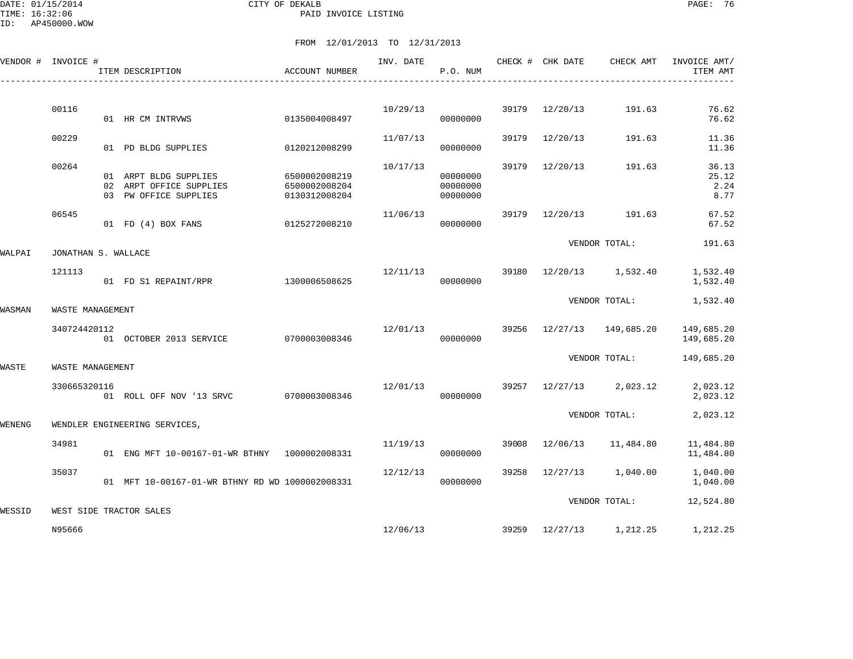ID: AP450000.WOW

|        | VENDOR # INVOICE #  | ITEM DESCRIPTION                                                          | ACCOUNT NUMBER                                  | INV. DATE | P.O. NUM                         |       | CHECK # CHK DATE | CHECK AMT               | INVOICE AMT/<br>ITEM AMT       |
|--------|---------------------|---------------------------------------------------------------------------|-------------------------------------------------|-----------|----------------------------------|-------|------------------|-------------------------|--------------------------------|
|        | 00116               |                                                                           |                                                 | 10/29/13  |                                  |       | 39179 12/20/13   | 191.63                  | 76.62                          |
|        |                     | 01 HR CM INTRVWS                                                          | 0135004008497                                   |           | 00000000                         |       |                  |                         | 76.62                          |
|        | 00229               | 01 PD BLDG SUPPLIES                                                       | 0120212008299                                   | 11/07/13  | 00000000                         | 39179 | 12/20/13         | 191.63                  | 11.36<br>11.36                 |
|        | 00264               | 01 ARPT BLDG SUPPLIES<br>02 ARPT OFFICE SUPPLIES<br>03 PW OFFICE SUPPLIES | 6500002008219<br>6500002008204<br>0130312008204 | 10/17/13  | 00000000<br>00000000<br>00000000 | 39179 | 12/20/13         | 191.63                  | 36.13<br>25.12<br>2.24<br>8.77 |
|        | 06545               | 01 FD (4) BOX FANS                                                        | 0125272008210                                   | 11/06/13  | 00000000                         | 39179 |                  | 12/20/13 191.63         | 67.52<br>67.52                 |
| WALPAI | JONATHAN S. WALLACE |                                                                           |                                                 |           |                                  |       |                  | VENDOR TOTAL:           | 191.63                         |
|        | 121113              | 01 FD S1 REPAINT/RPR                                                      | 1300006508625                                   | 12/11/13  | 00000000                         |       |                  | 39180 12/20/13 1,532.40 | 1,532.40<br>1,532.40           |
| WASMAN | WASTE MANAGEMENT    |                                                                           |                                                 |           |                                  |       |                  | VENDOR TOTAL:           | 1,532.40                       |
|        | 340724420112        | 01 OCTOBER 2013 SERVICE                                                   | 0700003008346                                   | 12/01/13  | 00000000                         | 39256 |                  | 12/27/13  149,685.20    | 149,685.20<br>149,685.20       |
| WASTE  | WASTE MANAGEMENT    |                                                                           |                                                 |           |                                  |       |                  | VENDOR TOTAL:           | 149,685.20                     |
|        | 330665320116        | 01 ROLL OFF NOV '13 SRVC 0700003008346                                    |                                                 | 12/01/13  | 00000000                         |       |                  | 39257 12/27/13 2,023.12 | 2,023.12<br>2,023.12           |
| WENENG |                     | WENDLER ENGINEERING SERVICES,                                             |                                                 |           |                                  |       |                  | VENDOR TOTAL:           | 2,023.12                       |
|        | 34981               | 01 ENG MFT 10-00167-01-WR BTHNY 1000002008331                             |                                                 | 11/19/13  | 00000000                         | 39008 | 12/06/13         | 11,484.80               | 11,484.80<br>11,484.80         |
|        | 35037               | 01 MFT 10-00167-01-WR BTHNY RD WD 1000002008331                           |                                                 | 12/12/13  | 00000000                         |       | 39258 12/27/13   | 1,040.00                | 1,040.00<br>1,040.00           |
| WESSID |                     | WEST SIDE TRACTOR SALES                                                   |                                                 |           |                                  |       |                  | VENDOR TOTAL:           | 12,524.80                      |
|        | N95666              |                                                                           |                                                 | 12/06/13  |                                  |       |                  | 39259 12/27/13 1,212.25 | 1,212.25                       |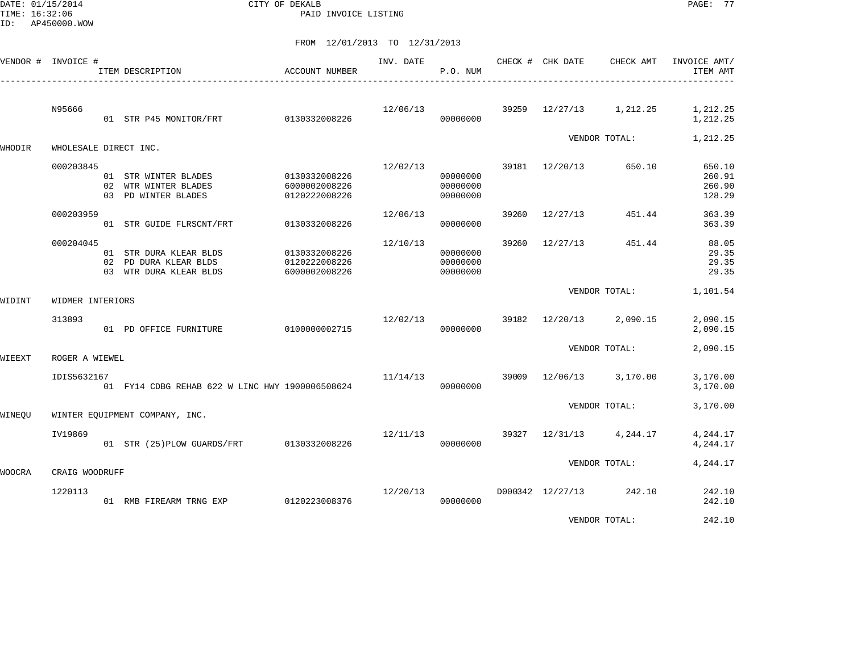ID: AP450000.WOW

DATE: 01/15/2014 CITY OF DEKALB PAGE: 77 PAID INVOICE LISTING

FROM 12/01/2013 TO 12/31/2013

| VENDOR #      | INVOICE #             | ITEM DESCRIPTION<br>______________________                                | ACCOUNT NUMBER                                  | INV. DATE | P.O. NUM                         |               | CHECK # CHK DATE | CHECK AMT         | INVOICE AMT/<br>ITEM AMT             |
|---------------|-----------------------|---------------------------------------------------------------------------|-------------------------------------------------|-----------|----------------------------------|---------------|------------------|-------------------|--------------------------------------|
|               | N95666                | 01 STR P45 MONITOR/FRT                                                    | 0130332008226                                   | 12/06/13  | 00000000                         | 39259         | 12/27/13         | 1,212.25          | 1,212.25<br>1,212.25                 |
| WHODIR        | WHOLESALE DIRECT INC. |                                                                           |                                                 |           |                                  |               |                  | VENDOR TOTAL:     | 1,212.25                             |
|               | 000203845             | 01 STR WINTER BLADES<br>02 WTR WINTER BLADES<br>03 PD WINTER BLADES       | 0130332008226<br>6000002008226<br>0120222008226 | 12/02/13  | 00000000<br>00000000<br>00000000 | 39181         | 12/20/13         | 650.10            | 650.10<br>260.91<br>260.90<br>128.29 |
|               | 000203959             | 01 STR GUIDE FLRSCNT/FRT                                                  | 0130332008226                                   | 12/06/13  | 00000000                         | 39260         | 12/27/13         | 451.44            | 363.39<br>363.39                     |
|               | 000204045             | 01 STR DURA KLEAR BLDS<br>02 PD DURA KLEAR BLDS<br>03 WTR DURA KLEAR BLDS | 0130332008226<br>0120222008226<br>6000002008226 | 12/10/13  | 00000000<br>00000000<br>00000000 | 39260         | 12/27/13         | 451.44            | 88.05<br>29.35<br>29.35<br>29.35     |
| WIDINT        | WIDMER INTERIORS      |                                                                           |                                                 |           |                                  | VENDOR TOTAL: | 1,101.54         |                   |                                      |
|               | 313893                | 01 PD OFFICE FURNITURE                                                    | 0100000002715                                   | 12/02/13  | 00000000                         | 39182         | 12/20/13         | 2,090.15          | 2,090.15<br>2,090.15                 |
| WIEEXT        | ROGER A WIEWEL        |                                                                           |                                                 |           |                                  |               |                  | VENDOR TOTAL:     | 2,090.15                             |
|               | IDIS5632167           | 01 FY14 CDBG REHAB 622 W LINC HWY 1900006508624                           |                                                 | 11/14/13  | 00000000                         | 39009         | 12/06/13         | 3,170.00          | 3,170.00<br>3,170.00                 |
| WINEOU        |                       | WINTER EQUIPMENT COMPANY, INC.                                            |                                                 |           |                                  |               |                  | VENDOR TOTAL:     | 3,170.00                             |
|               | IV19869               | 01 STR (25) PLOW GUARDS/FRT 0130332008226                                 |                                                 | 12/11/13  | 00000000                         | 39327         |                  | 12/31/13 4,244.17 | 4,244.17<br>4,244.17                 |
| <b>WOOCRA</b> | CRAIG WOODRUFF        |                                                                           |                                                 |           |                                  |               |                  | VENDOR TOTAL:     | 4,244.17                             |
|               | 1220113               | 01 RMB FIREARM TRNG EXP                                                   | 0120223008376                                   | 12/20/13  | 00000000                         |               | D000342 12/27/13 | 242.10            | 242.10<br>242.10                     |
|               |                       |                                                                           |                                                 |           |                                  |               |                  |                   | .                                    |

VENDOR TOTAL: 242.10